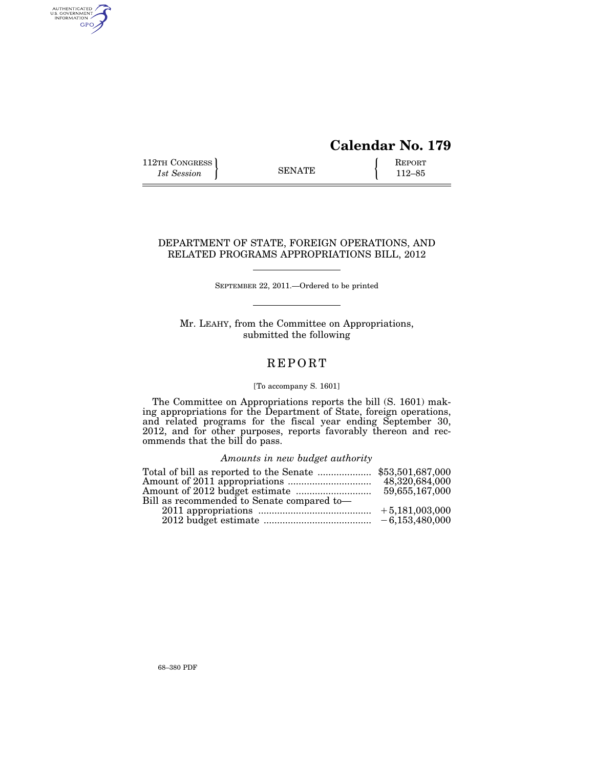# **Calendar No. 179**

112TH CONGRESS <br>
1st Session **ENATE** <br>
112–85

AUTHENTICATED<br>U.S. GOVERNMENT<br>INFORMATION GPO

## DEPARTMENT OF STATE, FOREIGN OPERATIONS, AND RELATED PROGRAMS APPROPRIATIONS BILL, 2012

SEPTEMBER 22, 2011.—Ordered to be printed

Mr. LEAHY, from the Committee on Appropriations, submitted the following

## **REPORT**

### [To accompany S. 1601]

The Committee on Appropriations reports the bill (S. 1601) making appropriations for the Department of State, foreign operations, and related programs for the fiscal year ending September 30, 2012, and for other purposes, reports favorably thereon and recommends that the bill do pass.

## *Amounts in new budget authority*

|                                            | 48,320,684,000 |
|--------------------------------------------|----------------|
|                                            | 59,655,167,000 |
| Bill as recommended to Senate compared to- |                |
|                                            |                |
|                                            |                |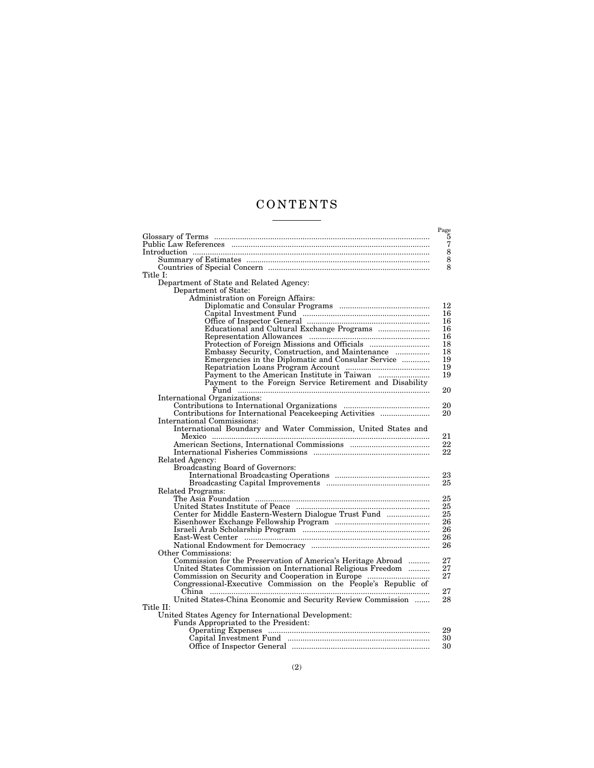## C O N T E N T S <u>and the state of the state</u>

|                                                                | Page          |
|----------------------------------------------------------------|---------------|
|                                                                | 5             |
|                                                                | 7             |
|                                                                | $\frac{8}{8}$ |
|                                                                |               |
|                                                                | 8             |
| Title I:                                                       |               |
| Department of State and Related Agency:                        |               |
| Department of State:                                           |               |
| Administration on Foreign Affairs:                             |               |
|                                                                | 12            |
|                                                                | 16            |
|                                                                | 16            |
|                                                                | 16            |
|                                                                | 16            |
|                                                                | 18            |
| Embassy Security, Construction, and Maintenance                | 18            |
| Emergencies in the Diplomatic and Consular Service             | 19            |
|                                                                | 19            |
|                                                                | 19            |
| Payment to the Foreign Service Retirement and Disability       |               |
|                                                                | 20            |
| International Organizations:                                   |               |
|                                                                | 20            |
| Contributions for International Peacekeeping Activities        | 20            |
| International Commissions:                                     |               |
| International Boundary and Water Commission, United States and |               |
|                                                                | 21            |
|                                                                | 22            |
|                                                                | 22            |
| Related Agency:                                                |               |
| <b>Broadcasting Board of Governors:</b>                        |               |
|                                                                | 23            |
|                                                                | 25            |
| Related Programs:                                              |               |
|                                                                | 25            |
|                                                                | 25            |
| Center for Middle Eastern-Western Dialogue Trust Fund          | 25            |
|                                                                | 26            |
|                                                                | 26            |
|                                                                | 26            |
|                                                                | 26            |
| Other Commissions:                                             |               |
| Commission for the Preservation of America's Heritage Abroad   | 27            |
| United States Commission on International Religious Freedom    | 27            |
|                                                                | 27            |
| Congressional-Executive Commission on the People's Republic of |               |
|                                                                | 27            |
| United States-China Economic and Security Review Commission    | 28            |
| Title II:                                                      |               |
| United States Agency for International Development:            |               |
| Funds Appropriated to the President:                           |               |
|                                                                | 29            |
|                                                                | 30            |
|                                                                | 30            |
|                                                                |               |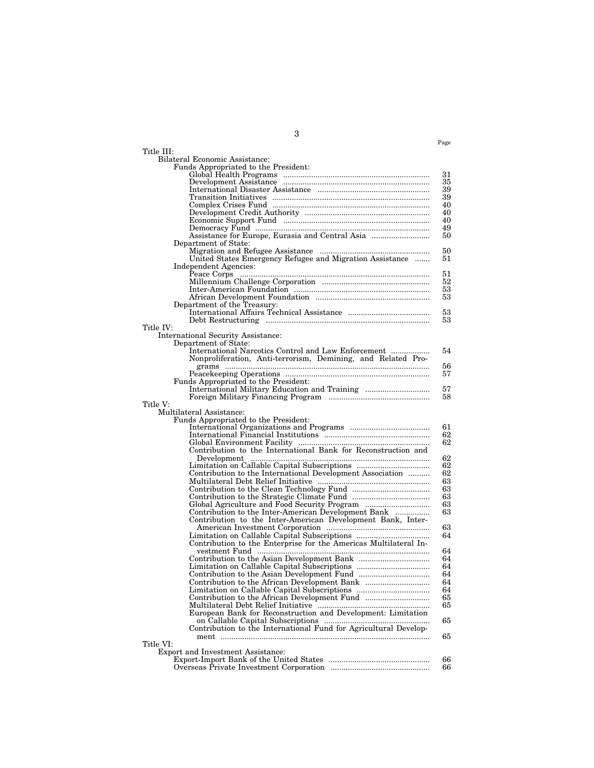| Title III:                                                                  |          |
|-----------------------------------------------------------------------------|----------|
| Bilateral Economic Assistance:                                              |          |
| Funds Appropriated to the President:                                        |          |
|                                                                             | 31       |
|                                                                             | 35       |
|                                                                             | 39       |
|                                                                             | 39       |
|                                                                             | 40       |
|                                                                             | 40       |
|                                                                             | 40<br>49 |
| Assistance for Europe, Eurasia and Central Asia                             | 50       |
| Department of State:                                                        |          |
|                                                                             | 50       |
| United States Emergency Refugee and Migration Assistance                    | 51       |
| Independent Agencies:                                                       |          |
|                                                                             | 51       |
|                                                                             | 52       |
|                                                                             | 53       |
|                                                                             | 53       |
| Department of the Treasury:                                                 |          |
|                                                                             | 53       |
|                                                                             | 53       |
| Title IV:                                                                   |          |
| International Security Assistance:                                          |          |
| Department of State:<br>International Narcotics Control and Law Enforcement | 54       |
| Nonproliferation, Anti-terrorism, Demining, and Related Pro-                |          |
|                                                                             | 56       |
|                                                                             | 57       |
| Funds Appropriated to the President:                                        |          |
|                                                                             | 57       |
|                                                                             | 58       |
| Title V:                                                                    |          |
| Multilateral Assistance:                                                    |          |
| Funds Appropriated to the President:                                        |          |
|                                                                             | 61       |
|                                                                             | 62       |
|                                                                             | 62       |
|                                                                             |          |
|                                                                             | 62<br>62 |
| Contribution to the International Development Association                   | 62       |
|                                                                             | 63       |
|                                                                             | 63       |
|                                                                             | 63       |
| Global Agriculture and Food Security Program                                | 63       |
| Contribution to the Inter-American Development Bank                         | 63       |
| Contribution to the Inter-American Development Bank, Inter-                 |          |
|                                                                             | 63       |
|                                                                             | 64       |
| Contribution to the Enterprise for the Americas Multilateral In-            |          |
|                                                                             | 64       |
|                                                                             | 64       |
|                                                                             | 64       |
|                                                                             | 64       |
|                                                                             | 64       |
|                                                                             | 64       |
|                                                                             | 65       |
|                                                                             | 65       |
| European Bank for Reconstruction and Development: Limitation                |          |
| Contribution to the International Fund for Agricultural Develop-            | 65       |
|                                                                             | 65       |
| Title VI:                                                                   |          |
| Export and Investment Assistance:                                           |          |
|                                                                             | 66       |
|                                                                             | 66       |

3

Page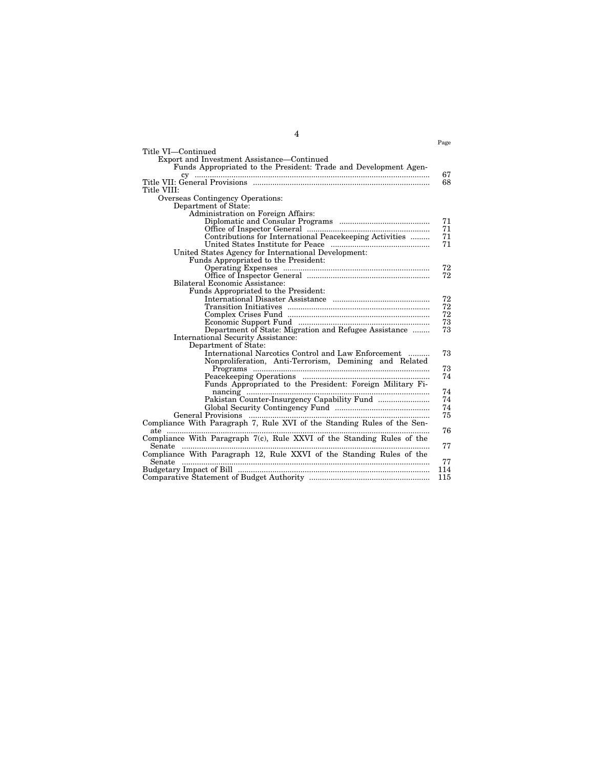|                                                                         | Page |
|-------------------------------------------------------------------------|------|
| Title VI—Continued                                                      |      |
| Export and Investment Assistance—Continued                              |      |
| Funds Appropriated to the President: Trade and Development Agen-        |      |
|                                                                         | 67   |
|                                                                         | 68   |
| Title VIII:                                                             |      |
| Overseas Contingency Operations:                                        |      |
| Department of State:                                                    |      |
| Administration on Foreign Affairs:                                      |      |
|                                                                         | 71   |
|                                                                         | 71   |
| Contributions for International Peacekeeping Activities                 | 71   |
|                                                                         | 71   |
| United States Agency for International Development:                     |      |
| Funds Appropriated to the President:                                    |      |
|                                                                         | 72   |
|                                                                         | 72   |
| Bilateral Economic Assistance:                                          |      |
| Funds Appropriated to the President:                                    |      |
|                                                                         | 72   |
|                                                                         | 72   |
|                                                                         | 72   |
|                                                                         | 73   |
| Department of State: Migration and Refugee Assistance                   | 73   |
| International Security Assistance:                                      |      |
| Department of State:                                                    |      |
| International Narcotics Control and Law Enforcement                     | 73   |
| Nonproliferation, Anti-Terrorism, Demining and Related                  |      |
|                                                                         | 73   |
|                                                                         | 74   |
| Funds Appropriated to the President: Foreign Military Fi-               |      |
|                                                                         | 74   |
|                                                                         | 74   |
|                                                                         | 74   |
|                                                                         | 75   |
| Compliance With Paragraph 7, Rule XVI of the Standing Rules of the Sen- |      |
|                                                                         | 76   |
| Compliance With Paragraph 7(c), Rule XXVI of the Standing Rules of the  |      |
| Senate                                                                  | 77   |
| Compliance With Paragraph 12, Rule XXVI of the Standing Rules of the    |      |
|                                                                         | 77   |
|                                                                         | 114  |
|                                                                         | 115  |

4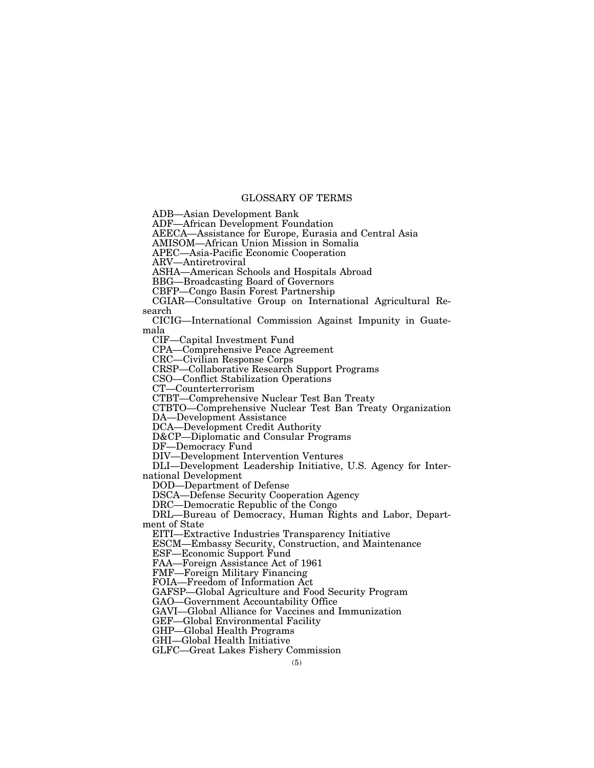## GLOSSARY OF TERMS

ADB—Asian Development Bank

ADF—African Development Foundation

AEECA—Assistance for Europe, Eurasia and Central Asia

AMISOM—African Union Mission in Somalia

APEC—Asia-Pacific Economic Cooperation

ARV—Antiretroviral

ASHA—American Schools and Hospitals Abroad

BBG—Broadcasting Board of Governors

CBFP—Congo Basin Forest Partnership

CGIAR—Consultative Group on International Agricultural Research

CICIG—International Commission Against Impunity in Guatemala

CIF—Capital Investment Fund

CPA—Comprehensive Peace Agreement

CRC—Civilian Response Corps

CRSP—Collaborative Research Support Programs

CSO—Conflict Stabilization Operations

CT—Counterterrorism

CTBT—Comprehensive Nuclear Test Ban Treaty

CTBTO—Comprehensive Nuclear Test Ban Treaty Organization

DA—Development Assistance

DCA—Development Credit Authority

D&CP—Diplomatic and Consular Programs

DF—Democracy Fund

DIV—Development Intervention Ventures

DLI—Development Leadership Initiative, U.S. Agency for International Development

DOD—Department of Defense

DSCA—Defense Security Cooperation Agency

DRC—Democratic Republic of the Congo

DRL—Bureau of Democracy, Human Rights and Labor, Department of State

EITI—Extractive Industries Transparency Initiative

ESCM—Embassy Security, Construction, and Maintenance

ESF—Economic Support Fund

FAA—Foreign Assistance Act of 1961

FMF—Foreign Military Financing

FOIA—Freedom of Information Act

GAFSP—Global Agriculture and Food Security Program

GAO—Government Accountability Office

GAVI—Global Alliance for Vaccines and Immunization

GEF—Global Environmental Facility

GHP—Global Health Programs

GHI—Global Health Initiative

GLFC—Great Lakes Fishery Commission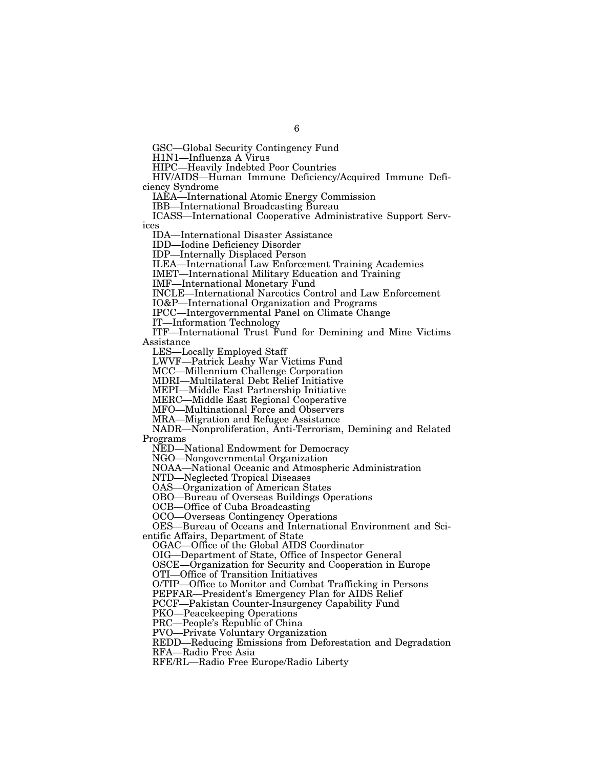GSC—Global Security Contingency Fund

H1N1—Influenza A Virus

HIPC—Heavily Indebted Poor Countries

HIV/AIDS—Human Immune Deficiency/Acquired Immune Deficiency Syndrome

IAEA—International Atomic Energy Commission

IBB—International Broadcasting Bureau

ICASS—International Cooperative Administrative Support Services

IDA—International Disaster Assistance

IDD—Iodine Deficiency Disorder

IDP—Internally Displaced Person

ILEA—International Law Enforcement Training Academies

IMET—International Military Education and Training

IMF—International Monetary Fund

INCLE—International Narcotics Control and Law Enforcement

IO&P—International Organization and Programs

IPCC—Intergovernmental Panel on Climate Change

IT—Information Technology

ITF—International Trust Fund for Demining and Mine Victims Assistance

LES—Locally Employed Staff

LWVF—Patrick Leahy War Victims Fund

MCC—Millennium Challenge Corporation

MDRI—Multilateral Debt Relief Initiative

MEPI—Middle East Partnership Initiative

MERC—Middle East Regional Cooperative

MFO—Multinational Force and Observers

MRA—Migration and Refugee Assistance

NADR—Nonproliferation, Anti-Terrorism, Demining and Related Programs

NED—National Endowment for Democracy

NGO—Nongovernmental Organization

NOAA—National Oceanic and Atmospheric Administration

NTD—Neglected Tropical Diseases

OAS—Organization of American States

OBO—Bureau of Overseas Buildings Operations

OCB—Office of Cuba Broadcasting

OCO—Overseas Contingency Operations

OES—Bureau of Oceans and International Environment and Scientific Affairs, Department of State

OGAC—Office of the Global AIDS Coordinator

OIG—Department of State, Office of Inspector General

OSCE—Organization for Security and Cooperation in Europe

OTI—Office of Transition Initiatives

O/TIP—Office to Monitor and Combat Trafficking in Persons

PEPFAR—President's Emergency Plan for AIDS Relief

PCCF—Pakistan Counter-Insurgency Capability Fund

PKO—Peacekeeping Operations

PRC—People's Republic of China

PVO—Private Voluntary Organization

REDD—Reducing Emissions from Deforestation and Degradation

RFA—Radio Free Asia

RFE/RL—Radio Free Europe/Radio Liberty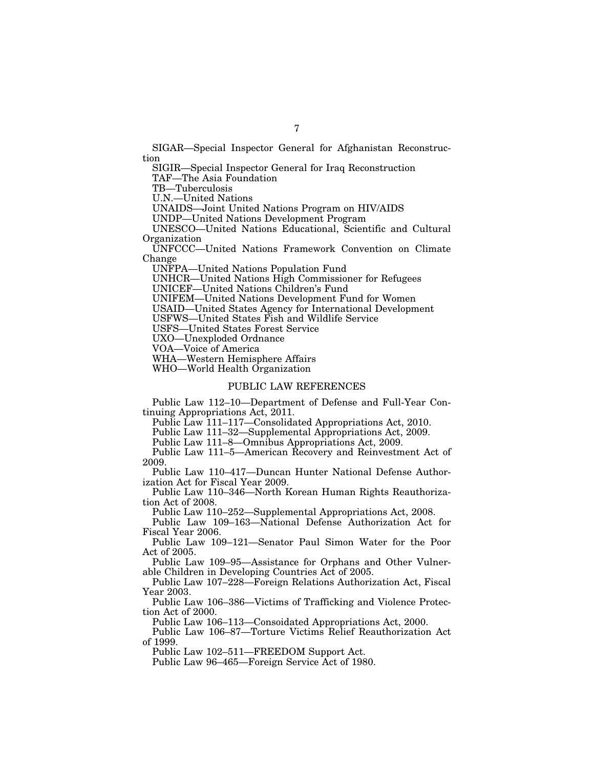SIGAR—Special Inspector General for Afghanistan Reconstruction

SIGIR—Special Inspector General for Iraq Reconstruction

TAF—The Asia Foundation

TB—Tuberculosis

U.N.—United Nations

UNAIDS—Joint United Nations Program on HIV/AIDS

UNDP—United Nations Development Program

UNESCO—United Nations Educational, Scientific and Cultural Organization

UNFCCC—United Nations Framework Convention on Climate Change

UNFPA—United Nations Population Fund

UNHCR—United Nations High Commissioner for Refugees

UNICEF—United Nations Children's Fund

UNIFEM—United Nations Development Fund for Women

USAID—United States Agency for International Development

USFWS—United States Fish and Wildlife Service

USFS—United States Forest Service

UXO—Unexploded Ordnance

VOA—Voice of America

WHA—Western Hemisphere Affairs

WHO—World Health Organization

#### PUBLIC LAW REFERENCES

Public Law 112–10—Department of Defense and Full-Year Continuing Appropriations Act, 2011.

Public Law 111–117—Consolidated Appropriations Act, 2010.

Public Law 111–32—Supplemental Appropriations Act, 2009.

Public Law 111–8—Omnibus Appropriations Act, 2009.

Public Law 111–5—American Recovery and Reinvestment Act of 2009.

Public Law 110–417—Duncan Hunter National Defense Authorization Act for Fiscal Year 2009.

Public Law 110–346—North Korean Human Rights Reauthorization Act of 2008.

Public Law 110–252—Supplemental Appropriations Act, 2008.

Public Law 109–163—National Defense Authorization Act for Fiscal Year 2006.

Public Law 109–121—Senator Paul Simon Water for the Poor Act of 2005.

Public Law 109–95—Assistance for Orphans and Other Vulnerable Children in Developing Countries Act of 2005.

Public Law 107–228—Foreign Relations Authorization Act, Fiscal Year 2003.

Public Law 106–386—Victims of Trafficking and Violence Protection Act of 2000.

Public Law 106–113—Consoidated Appropriations Act, 2000.

Public Law 106–87—Torture Victims Relief Reauthorization Act of 1999.

Public Law 102–511—FREEDOM Support Act.

Public Law 96–465—Foreign Service Act of 1980.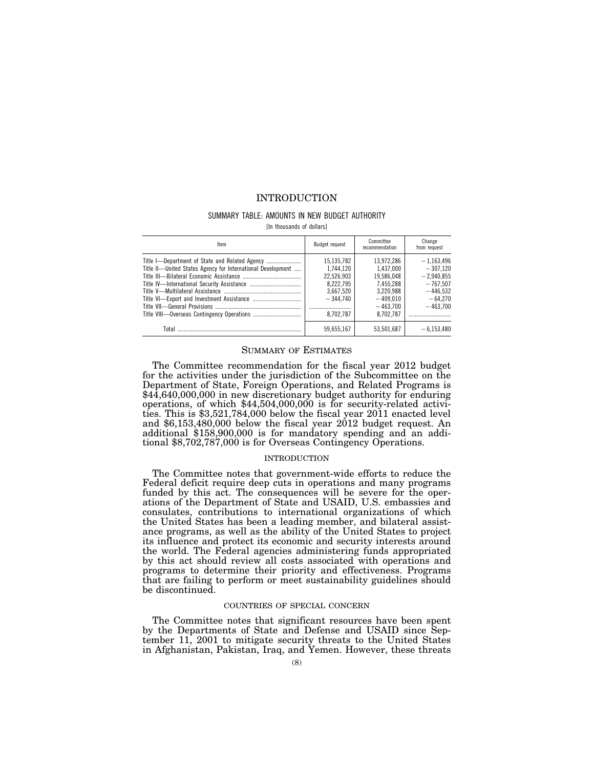## INTRODUCTION

#### SUMMARY TABLE: AMOUNTS IN NEW BUDGET AUTHORITY

[In thousands of dollars]

| ltem                                                        | Budget request                                                                             | Committee<br>recommendation                                                                              | Change<br>from request                                                                            |
|-------------------------------------------------------------|--------------------------------------------------------------------------------------------|----------------------------------------------------------------------------------------------------------|---------------------------------------------------------------------------------------------------|
| Title II-United States Agency for International Development | 15,135,782<br>1.744.120<br>22.526.903<br>8.222.795<br>3.667.520<br>$-344.740$<br>8.702.787 | 13,972,286<br>1.437.000<br>19.586.048<br>7.455.288<br>3.220.988<br>$-409.010$<br>$-463.700$<br>8.702.787 | $-1.163.496$<br>$-307.120$<br>$-2.940.855$<br>$-767.507$<br>$-446.532$<br>$-64.270$<br>$-463.700$ |
| Total                                                       | 59,655,167                                                                                 | 53,501,687                                                                                               | $-6,153,480$                                                                                      |

#### SUMMARY OF ESTIMATES

The Committee recommendation for the fiscal year 2012 budget for the activities under the jurisdiction of the Subcommittee on the Department of State, Foreign Operations, and Related Programs is \$44,640,000,000 in new discretionary budget authority for enduring operations, of which \$44,504,000,000 is for security-related activities. This is \$3,521,784,000 below the fiscal year 2011 enacted level and \$6,153,480,000 below the fiscal year 2012 budget request. An additional \$158,900,000 is for mandatory spending and an additional \$8,702,787,000 is for Overseas Contingency Operations.

#### INTRODUCTION

The Committee notes that government-wide efforts to reduce the Federal deficit require deep cuts in operations and many programs funded by this act. The consequences will be severe for the operations of the Department of State and USAID, U.S. embassies and consulates, contributions to international organizations of which the United States has been a leading member, and bilateral assistance programs, as well as the ability of the United States to project its influence and protect its economic and security interests around the world. The Federal agencies administering funds appropriated by this act should review all costs associated with operations and programs to determine their priority and effectiveness. Programs that are failing to perform or meet sustainability guidelines should be discontinued.

#### COUNTRIES OF SPECIAL CONCERN

The Committee notes that significant resources have been spent by the Departments of State and Defense and USAID since September 11, 2001 to mitigate security threats to the United States in Afghanistan, Pakistan, Iraq, and Yemen. However, these threats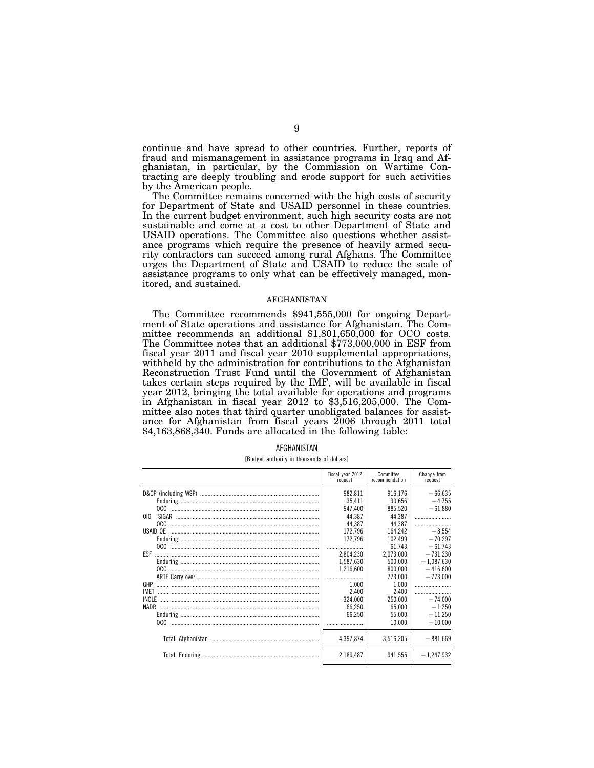continue and have spread to other countries. Further, reports of fraud and mismanagement in assistance programs in Iraq and Afghanistan, in particular, by the Commission on Wartime Contracting are deeply troubling and erode support for such activities by the American people.

The Committee remains concerned with the high costs of security for Department of State and USAID personnel in these countries. In the current budget environment, such high security costs are not sustainable and come at a cost to other Department of State and USAID operations. The Committee also questions whether assistance programs which require the presence of heavily armed security contractors can succeed among rural Afghans. The Committee urges the Department of State and USAID to reduce the scale of assistance programs to only what can be effectively managed, monitored, and sustained.

#### AFGHANISTAN

The Committee recommends \$941,555,000 for ongoing Department of State operations and assistance for Afghanistan. The Committee recommends an additional \$1,801,650,000 for OCO costs. The Committee notes that an additional \$773,000,000 in ESF from fiscal year 2011 and fiscal year 2010 supplemental appropriations, withheld by the administration for contributions to the Afghanistan Reconstruction Trust Fund until the Government of Afghanistan takes certain steps required by the IMF, will be available in fiscal year 2012, bringing the total available for operations and programs in Afghanistan in fiscal year 2012 to \$3,516,205,000. The Committee also notes that third quarter unobligated balances for assistance for Afghanistan from fiscal years 2006 through 2011 total \$4,163,868,340. Funds are allocated in the following table:

|             | Fiscal year 2012<br>request | Committee<br>recommendation | Change from<br>request |
|-------------|-----------------------------|-----------------------------|------------------------|
|             | 982,811                     | 916,176                     | $-66,635$              |
|             | 35.411                      | 30.656                      | $-4.755$               |
|             | 947.400                     | 885,520                     | $-61,880$              |
|             | 44.387                      | 44.387                      |                        |
|             | 44.387                      | 44.387                      |                        |
|             | 172.796                     | 164.242                     | $-8.554$               |
|             | 172.796                     | 102,499                     | $-70.297$              |
|             |                             | 61.743                      | $+61.743$              |
| ESF         | 2.804.230                   | 2.073.000                   | $-731.230$             |
|             | 1,587,630                   | 500.000                     | $-1,087,630$           |
|             | 1,216,600                   | 800.000                     | $-416,600$             |
|             |                             | 773,000                     | $+773,000$             |
| GHP         | 1.000                       | 1.000                       |                        |
| <b>IMET</b> | 2.400                       | 2.400                       |                        |
| INCLE       | 324.000                     | 250.000                     | $-74.000$              |
| NADR        | 66.250                      | 65.000                      | $-1.250$               |
|             | 66.250                      | 55,000                      | $-11,250$              |
|             |                             | 10,000                      | $+10,000$              |
|             | 4,397,874                   | 3,516,205                   | $-881,669$             |
|             | 2,189,487                   | 941,555                     | $-1,247,932$           |

[Budget authority in thousands of dollars]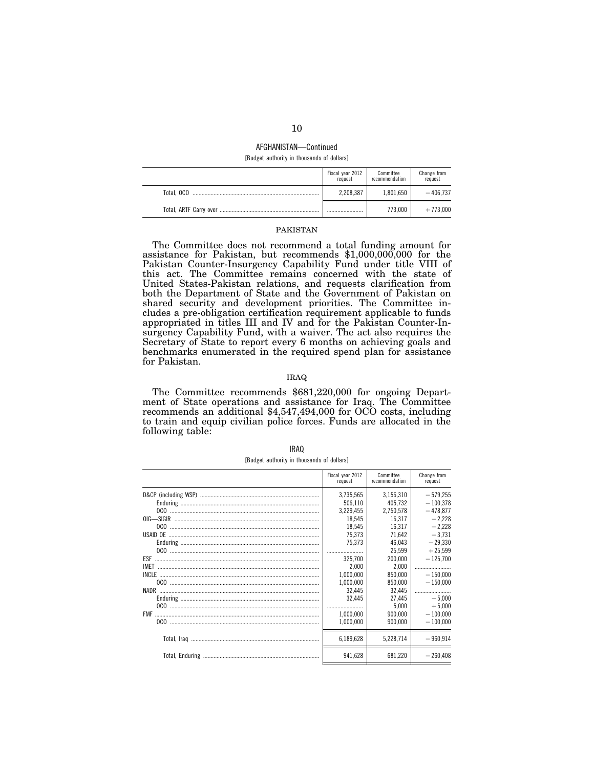#### AFGHANISTAN—Continued [Budget authority in thousands of dollars]

|            | Fiscal year 2012<br>request | Committee<br>recommendation | Change from<br>request |
|------------|-----------------------------|-----------------------------|------------------------|
| Total, OCO | 2,208,387                   | 1,801,650                   | $-406.737$             |
|            |                             | 773.000                     | $+773,000$             |

## PAKISTAN

The Committee does not recommend a total funding amount for assistance for Pakistan, but recommends \$1,000,000,000 for the Pakistan Counter-Insurgency Capability Fund under title VIII of this act. The Committee remains concerned with the state of United States-Pakistan relations, and requests clarification from both the Department of State and the Government of Pakistan on shared security and development priorities. The Committee includes a pre-obligation certification requirement applicable to funds appropriated in titles III and IV and for the Pakistan Counter-Insurgency Capability Fund, with a waiver. The act also requires the Secretary of State to report every 6 months on achieving goals and benchmarks enumerated in the required spend plan for assistance for Pakistan.

#### IRAQ

The Committee recommends \$681,220,000 for ongoing Department of State operations and assistance for Iraq. The Committee recommends an additional \$4,547,494,000 for OCO costs, including to train and equip civilian police forces. Funds are allocated in the following table:

| Fiscal year 2012<br>Committee<br>recommendation<br>request<br>request<br>3,735,565<br>3,156,310<br>506.110<br>405.732<br>2,750,578<br>3,229,455<br>18.545<br>16.317<br>18.545<br>16.317<br>75,373<br>71,642<br>75,373<br>46,043<br>25.599<br>325.700<br>200.000<br>2.000<br>2.000<br>1,000,000<br>850.000<br>1,000,000<br>850,000<br>NADR<br>32.445<br>32.445<br>32.445<br>27.445<br>5.000<br>1.000.000<br>900.000<br>1.000.000<br>900.000 |  |             |
|--------------------------------------------------------------------------------------------------------------------------------------------------------------------------------------------------------------------------------------------------------------------------------------------------------------------------------------------------------------------------------------------------------------------------------------------|--|-------------|
|                                                                                                                                                                                                                                                                                                                                                                                                                                            |  | Change from |
|                                                                                                                                                                                                                                                                                                                                                                                                                                            |  | $-579,255$  |
|                                                                                                                                                                                                                                                                                                                                                                                                                                            |  | $-100.378$  |
|                                                                                                                                                                                                                                                                                                                                                                                                                                            |  | $-478.877$  |
|                                                                                                                                                                                                                                                                                                                                                                                                                                            |  | $-2.228$    |
|                                                                                                                                                                                                                                                                                                                                                                                                                                            |  | $-2.228$    |
|                                                                                                                                                                                                                                                                                                                                                                                                                                            |  | $-3,731$    |
|                                                                                                                                                                                                                                                                                                                                                                                                                                            |  | $-29,330$   |
|                                                                                                                                                                                                                                                                                                                                                                                                                                            |  | $+25.599$   |
|                                                                                                                                                                                                                                                                                                                                                                                                                                            |  | $-125,700$  |
|                                                                                                                                                                                                                                                                                                                                                                                                                                            |  |             |
|                                                                                                                                                                                                                                                                                                                                                                                                                                            |  | $-150.000$  |
|                                                                                                                                                                                                                                                                                                                                                                                                                                            |  | $-150,000$  |
|                                                                                                                                                                                                                                                                                                                                                                                                                                            |  |             |
|                                                                                                                                                                                                                                                                                                                                                                                                                                            |  | $-5.000$    |
|                                                                                                                                                                                                                                                                                                                                                                                                                                            |  | $+5.000$    |
|                                                                                                                                                                                                                                                                                                                                                                                                                                            |  | $-100,000$  |
|                                                                                                                                                                                                                                                                                                                                                                                                                                            |  | $-100.000$  |
| 6,189,628<br>5,228,714                                                                                                                                                                                                                                                                                                                                                                                                                     |  | $-960,914$  |
| 941,628<br>681,220                                                                                                                                                                                                                                                                                                                                                                                                                         |  | $-260.408$  |

[Budget authority in thousands of dollars]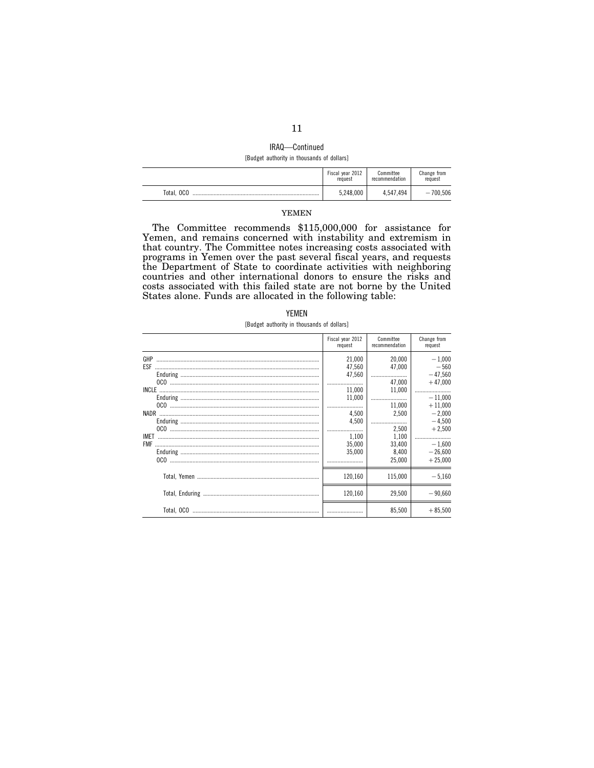# IRAQ—Continued

[Budget authority in thousands of dollars]

|            | Fiscal year 2012 | Committee      | Change from |
|------------|------------------|----------------|-------------|
|            | request          | recommendation | request     |
| Total, OCO | 5,248,000        | 4,547,494      | $-700.506$  |

### YEMEN

The Committee recommends \$115,000,000 for assistance for Yemen, and remains concerned with instability and extremism in that country. The Committee notes increasing costs associated with programs in Yemen over the past several fiscal years, and requests the Department of State to coordinate activities with neighboring countries and other international donors to ensure the risks and costs associated with this failed state are not borne by the United States alone. Funds are allocated in the following table:

| YFMFN |  |  |  |  |
|-------|--|--|--|--|
|-------|--|--|--|--|

[Budget authority in thousands of dollars]

|                           | Fiscal year 2012<br>request | Committee<br>recommendation | Change from<br>request             |
|---------------------------|-----------------------------|-----------------------------|------------------------------------|
| GHP<br>ESF                | 21.000<br>47.560            | 20,000<br>47.000            | $-1.000$<br>$-560$                 |
|                           | 47,560<br><br>11.000        | 47.000<br>11,000            | $-47.560$<br>$+47.000$<br>         |
|                           | 11,000<br>4.500             | 11.000<br>2,500             | $-11.000$<br>$+11.000$<br>$-2,000$ |
|                           | 4,500                       | 2.500                       | $-4.500$<br>$+2.500$               |
| <b>IMET</b><br><b>FMF</b> | 1.100<br>35.000<br>35,000   | 1,100<br>33,400<br>8.400    | $-1.600$<br>$-26,600$              |
|                           |                             | 25,000                      | $+25,000$                          |
|                           | 120.160                     | 115.000                     | $-5.160$                           |
|                           | 120,160                     | 29,500<br>85,500            | $-90.660$<br>$+85,500$             |
|                           |                             |                             |                                    |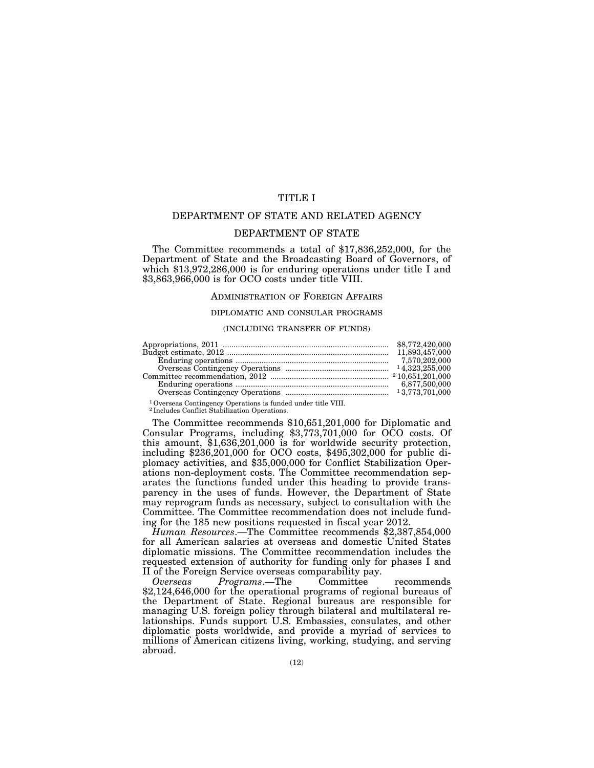## TITLE I

## DEPARTMENT OF STATE AND RELATED AGENCY

## DEPARTMENT OF STATE

The Committee recommends a total of \$17,836,252,000, for the Department of State and the Broadcasting Board of Governors, of which \$13,972,286,000 is for enduring operations under title I and \$3,863,966,000 is for OCO costs under title VIII.

#### ADMINISTRATION OF FOREIGN AFFAIRS

#### DIPLOMATIC AND CONSULAR PROGRAMS

#### (INCLUDING TRANSFER OF FUNDS)

| 6.877.500.000 |
|---------------|
|               |

1Overseas Contingency Operations is funded under title VIII. 2 Includes Conflict Stabilization Operations.

The Committee recommends \$10,651,201,000 for Diplomatic and Consular Programs, including \$3,773,701,000 for OCO costs. Of this amount, \$1,636,201,000 is for worldwide security protection, including \$236,201,000 for OCO costs, \$495,302,000 for public diplomacy activities, and \$35,000,000 for Conflict Stabilization Operations non-deployment costs. The Committee recommendation separates the functions funded under this heading to provide transparency in the uses of funds. However, the Department of State may reprogram funds as necessary, subject to consultation with the Committee. The Committee recommendation does not include funding for the 185 new positions requested in fiscal year 2012.

*Human Resources*.—The Committee recommends \$2,387,854,000 for all American salaries at overseas and domestic United States diplomatic missions. The Committee recommendation includes the requested extension of authority for funding only for phases I and II of the Foreign Service overseas comparability pay.<br>Overseas Programs.—The Committee

*Programs*.—The Committee recommends \$2,124,646,000 for the operational programs of regional bureaus of the Department of State. Regional bureaus are responsible for managing U.S. foreign policy through bilateral and multilateral relationships. Funds support U.S. Embassies, consulates, and other diplomatic posts worldwide, and provide a myriad of services to millions of American citizens living, working, studying, and serving abroad.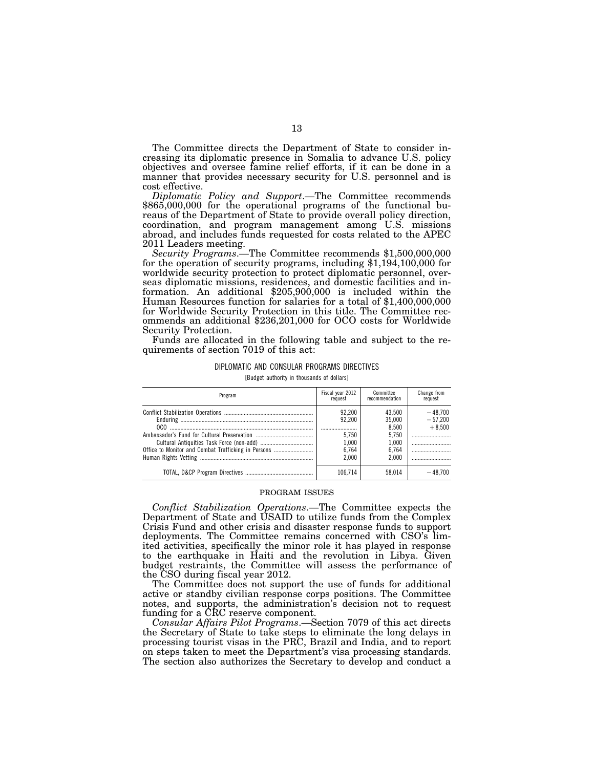The Committee directs the Department of State to consider increasing its diplomatic presence in Somalia to advance U.S. policy objectives and oversee famine relief efforts, if it can be done in a manner that provides necessary security for U.S. personnel and is cost effective.

*Diplomatic Policy and Support*.—The Committee recommends \$865,000,000 for the operational programs of the functional bureaus of the Department of State to provide overall policy direction, coordination, and program management among U.S. missions abroad, and includes funds requested for costs related to the APEC 2011 Leaders meeting.

*Security Programs*.—The Committee recommends \$1,500,000,000 for the operation of security programs, including \$1,194,100,000 for worldwide security protection to protect diplomatic personnel, overseas diplomatic missions, residences, and domestic facilities and information. An additional \$205,900,000 is included within the Human Resources function for salaries for a total of \$1,400,000,000 for Worldwide Security Protection in this title. The Committee recommends an additional \$236,201,000 for OCO costs for Worldwide Security Protection.

Funds are allocated in the following table and subject to the requirements of section 7019 of this act:

## DIPLOMATIC AND CONSULAR PROGRAMS DIRECTIVES

[Budget authority in thousands of dollars]

| Program                                             | Fiscal year 2012<br>request                          | Committee<br>recommendation                                   | Change from<br>request             |
|-----------------------------------------------------|------------------------------------------------------|---------------------------------------------------------------|------------------------------------|
| Office to Monitor and Combat Trafficking in Persons | 92.200<br>92.200<br>5.750<br>1.000<br>6.764<br>2.000 | 43.500<br>35,000<br>8.500<br>5.750<br>1.000<br>6.764<br>2.000 | $-48.700$<br>$-57.200$<br>$+8.500$ |
|                                                     | 106.714                                              | 58.014                                                        | $-48,700$                          |

#### PROGRAM ISSUES

*Conflict Stabilization Operations*.—The Committee expects the Department of State and USAID to utilize funds from the Complex Crisis Fund and other crisis and disaster response funds to support deployments. The Committee remains concerned with CSO's limited activities, specifically the minor role it has played in response to the earthquake in Haiti and the revolution in Libya. Given budget restraints, the Committee will assess the performance of the CSO during fiscal year 2012.

The Committee does not support the use of funds for additional active or standby civilian response corps positions. The Committee notes, and supports, the administration's decision not to request funding for a CRC reserve component.

*Consular Affairs Pilot Programs*.—Section 7079 of this act directs the Secretary of State to take steps to eliminate the long delays in processing tourist visas in the PRC, Brazil and India, and to report on steps taken to meet the Department's visa processing standards. The section also authorizes the Secretary to develop and conduct a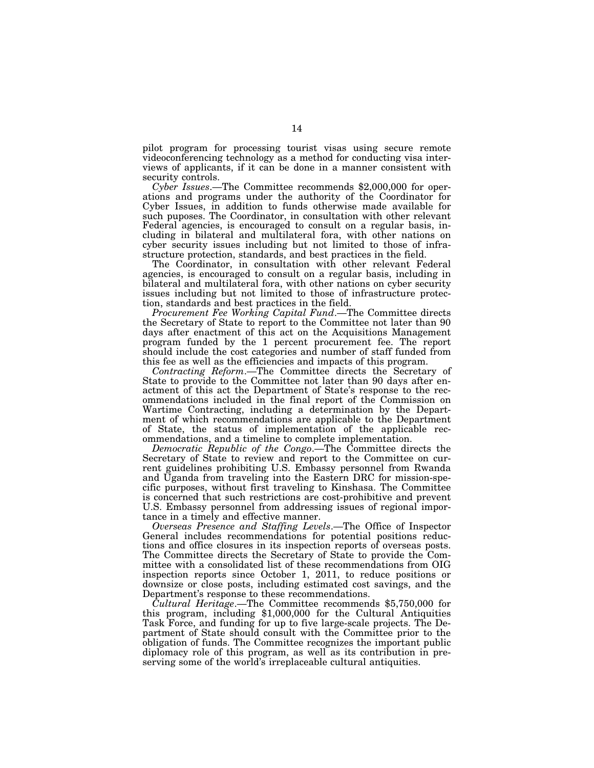pilot program for processing tourist visas using secure remote videoconferencing technology as a method for conducting visa interviews of applicants, if it can be done in a manner consistent with security controls.

*Cyber Issues*.—The Committee recommends \$2,000,000 for operations and programs under the authority of the Coordinator for Cyber Issues, in addition to funds otherwise made available for such puposes. The Coordinator, in consultation with other relevant Federal agencies, is encouraged to consult on a regular basis, including in bilateral and multilateral fora, with other nations on cyber security issues including but not limited to those of infrastructure protection, standards, and best practices in the field.

The Coordinator, in consultation with other relevant Federal agencies, is encouraged to consult on a regular basis, including in bilateral and multilateral fora, with other nations on cyber security issues including but not limited to those of infrastructure protection, standards and best practices in the field.

*Procurement Fee Working Capital Fund*.—The Committee directs the Secretary of State to report to the Committee not later than 90 days after enactment of this act on the Acquisitions Management program funded by the 1 percent procurement fee. The report should include the cost categories and number of staff funded from this fee as well as the efficiencies and impacts of this program.

*Contracting Reform*.—The Committee directs the Secretary of State to provide to the Committee not later than 90 days after enactment of this act the Department of State's response to the recommendations included in the final report of the Commission on Wartime Contracting, including a determination by the Department of which recommendations are applicable to the Department of State, the status of implementation of the applicable recommendations, and a timeline to complete implementation.

*Democratic Republic of the Congo*.—The Committee directs the Secretary of State to review and report to the Committee on current guidelines prohibiting U.S. Embassy personnel from Rwanda and Uganda from traveling into the Eastern DRC for mission-specific purposes, without first traveling to Kinshasa. The Committee is concerned that such restrictions are cost-prohibitive and prevent U.S. Embassy personnel from addressing issues of regional importance in a timely and effective manner.

*Overseas Presence and Staffing Levels*.—The Office of Inspector General includes recommendations for potential positions reductions and office closures in its inspection reports of overseas posts. The Committee directs the Secretary of State to provide the Committee with a consolidated list of these recommendations from OIG inspection reports since October 1, 2011, to reduce positions or downsize or close posts, including estimated cost savings, and the Department's response to these recommendations.

*Cultural Heritage*.—The Committee recommends \$5,750,000 for this program, including \$1,000,000 for the Cultural Antiquities Task Force, and funding for up to five large-scale projects. The Department of State should consult with the Committee prior to the obligation of funds. The Committee recognizes the important public diplomacy role of this program, as well as its contribution in preserving some of the world's irreplaceable cultural antiquities.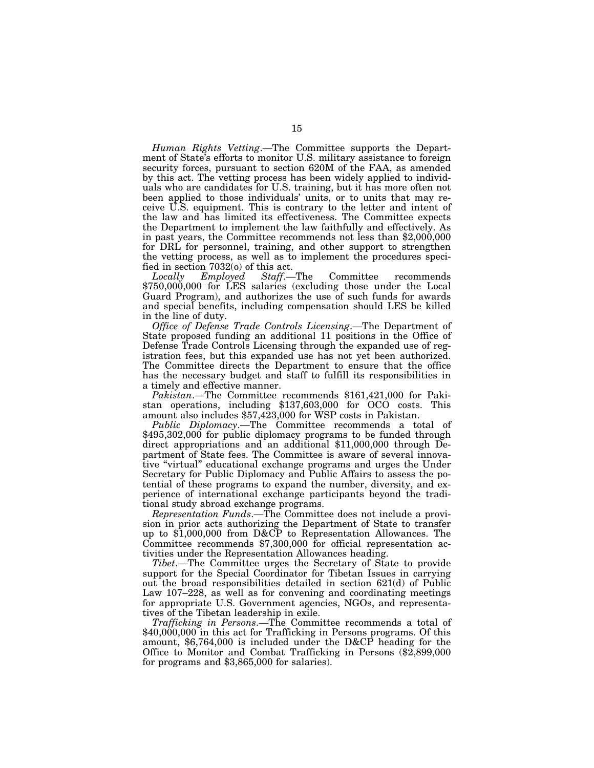*Human Rights Vetting*.—The Committee supports the Department of State's efforts to monitor U.S. military assistance to foreign security forces, pursuant to section 620M of the FAA, as amended by this act. The vetting process has been widely applied to individuals who are candidates for U.S. training, but it has more often not been applied to those individuals' units, or to units that may receive U.S. equipment. This is contrary to the letter and intent of the law and has limited its effectiveness. The Committee expects the Department to implement the law faithfully and effectively. As in past years, the Committee recommends not less than \$2,000,000 for DRL for personnel, training, and other support to strengthen the vetting process, as well as to implement the procedures specified in section  $7032(0)$  of this act.<br>*Locally Employed Staff.* 

*Locally Employed Staff*.—The Committee recommends \$750,000,000 for LES salaries (excluding those under the Local Guard Program), and authorizes the use of such funds for awards and special benefits, including compensation should LES be killed in the line of duty.

*Office of Defense Trade Controls Licensing*.—The Department of State proposed funding an additional 11 positions in the Office of Defense Trade Controls Licensing through the expanded use of registration fees, but this expanded use has not yet been authorized. The Committee directs the Department to ensure that the office has the necessary budget and staff to fulfill its responsibilities in a timely and effective manner.

*Pakistan*.—The Committee recommends \$161,421,000 for Pakistan operations, including \$137,603,000 for OCO costs. This amount also includes \$57,423,000 for WSP costs in Pakistan.

*Public Diplomacy*.—The Committee recommends a total of \$495,302,000 for public diplomacy programs to be funded through direct appropriations and an additional \$11,000,000 through Department of State fees. The Committee is aware of several innovative ''virtual'' educational exchange programs and urges the Under Secretary for Public Diplomacy and Public Affairs to assess the potential of these programs to expand the number, diversity, and experience of international exchange participants beyond the traditional study abroad exchange programs.

*Representation Funds*.—The Committee does not include a provision in prior acts authorizing the Department of State to transfer up to \$1,000,000 from D&CP to Representation Allowances. The Committee recommends \$7,300,000 for official representation activities under the Representation Allowances heading.

*Tibet*.—The Committee urges the Secretary of State to provide support for the Special Coordinator for Tibetan Issues in carrying out the broad responsibilities detailed in section 621(d) of Public Law 107–228, as well as for convening and coordinating meetings for appropriate U.S. Government agencies, NGOs, and representatives of the Tibetan leadership in exile.

*Trafficking in Persons*.—The Committee recommends a total of \$40,000,000 in this act for Trafficking in Persons programs. Of this amount, \$6,764,000 is included under the D&CP heading for the Office to Monitor and Combat Trafficking in Persons (\$2,899,000 for programs and \$3,865,000 for salaries).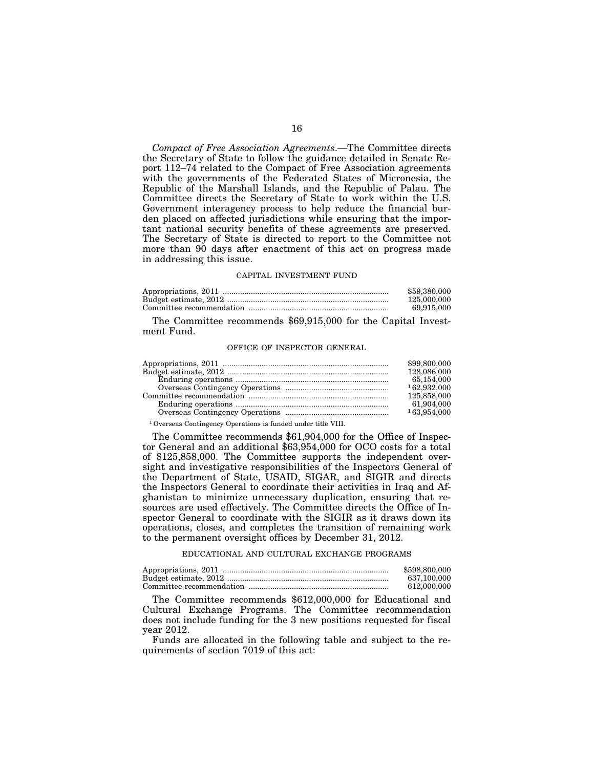*Compact of Free Association Agreements*.—The Committee directs the Secretary of State to follow the guidance detailed in Senate Report 112–74 related to the Compact of Free Association agreements with the governments of the Federated States of Micronesia, the Republic of the Marshall Islands, and the Republic of Palau. The Committee directs the Secretary of State to work within the U.S. Government interagency process to help reduce the financial burden placed on affected jurisdictions while ensuring that the important national security benefits of these agreements are preserved. The Secretary of State is directed to report to the Committee not more than 90 days after enactment of this act on progress made in addressing this issue.

#### CAPITAL INVESTMENT FUND

| \$59,380,000 |
|--------------|
| 125,000,000  |
| 69.915.000   |

The Committee recommends \$69,915,000 for the Capital Investment Fund.

#### OFFICE OF INSPECTOR GENERAL

| \$99,800,000 |
|--------------|
| 128,086,000  |
| 65,154,000   |
| 162.932.000  |
| 125,858,000  |
| 61,904,000   |
| 163.954.000  |
|              |

1Overseas Contingency Operations is funded under title VIII.

The Committee recommends \$61,904,000 for the Office of Inspector General and an additional \$63,954,000 for OCO costs for a total of \$125,858,000. The Committee supports the independent oversight and investigative responsibilities of the Inspectors General of the Department of State, USAID, SIGAR, and SIGIR and directs the Inspectors General to coordinate their activities in Iraq and Afghanistan to minimize unnecessary duplication, ensuring that resources are used effectively. The Committee directs the Office of Inspector General to coordinate with the SIGIR as it draws down its operations, closes, and completes the transition of remaining work to the permanent oversight offices by December 31, 2012.

#### EDUCATIONAL AND CULTURAL EXCHANGE PROGRAMS

| \$598,800,000 |
|---------------|
| 637.100.000   |
| 612.000.000   |

The Committee recommends \$612,000,000 for Educational and Cultural Exchange Programs. The Committee recommendation does not include funding for the 3 new positions requested for fiscal year 2012.

Funds are allocated in the following table and subject to the requirements of section 7019 of this act: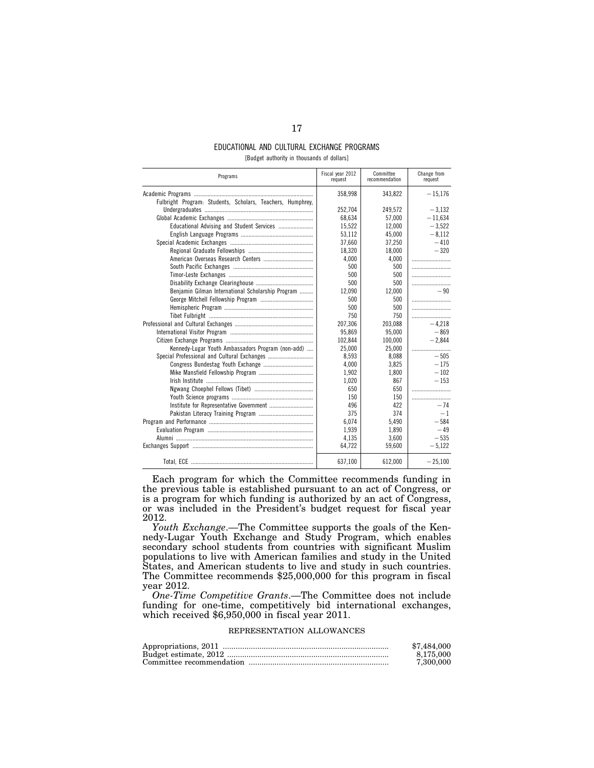### EDUCATIONAL AND CULTURAL EXCHANGE PROGRAMS [Budget authority in thousands of dollars]

| Programs                                                   | Fiscal year 2012<br>request | Committee<br>recommendation | Change from<br>request |
|------------------------------------------------------------|-----------------------------|-----------------------------|------------------------|
|                                                            | 358,998                     | 343.822                     | $-15.176$              |
| Fulbright Program: Students, Scholars, Teachers, Humphrey, |                             |                             |                        |
|                                                            | 252.704                     | 249.572                     | $-3.132$               |
|                                                            | 68,634                      | 57,000                      | $-11,634$              |
|                                                            | 15,522                      | 12,000                      | $-3,522$               |
|                                                            | 53,112                      | 45,000                      | $-8.112$               |
|                                                            | 37,660                      | 37,250                      | $-410$                 |
|                                                            | 18,320                      | 18,000                      | $-320$                 |
|                                                            | 4,000                       | 4,000                       |                        |
|                                                            | 500                         | 500                         |                        |
|                                                            | 500                         | 500                         |                        |
|                                                            | 500                         | 500                         |                        |
| Benjamin Gilman International Scholarship Program          | 12.090                      | 12,000                      | - 90                   |
|                                                            | 500                         | 500                         |                        |
|                                                            | 500                         | 500                         |                        |
|                                                            | 750                         | 750                         |                        |
|                                                            | 207,306                     | 203.088                     | $-4.218$               |
|                                                            | 95.869                      | 95.000                      | $-869$                 |
|                                                            | 102.844                     | 100.000                     | $-2.844$               |
| Kennedy-Lugar Youth Ambassadors Program (non-add)          | 25.000                      | 25.000                      |                        |
|                                                            | 8,593                       | 8.088                       | $-505$                 |
|                                                            | 4.000                       | 3.825                       | $-175$                 |
|                                                            | 1,902                       | 1.800                       | $-102$                 |
|                                                            | 1,020                       | 867                         | $-153$                 |
|                                                            | 650                         | 650                         |                        |
|                                                            | 150                         | 150                         |                        |
|                                                            | 496                         | 422                         | - 74                   |
|                                                            | 375                         | 374                         | $-1$                   |
|                                                            | 6,074                       | 5,490                       | $-584$                 |
|                                                            | 1,939                       | 1,890                       | $-49$                  |
|                                                            | 4,135                       | 3,600                       | $-535$                 |
|                                                            | 64,722                      | 59,600                      | $-5,122$               |
|                                                            | 637,100                     | 612,000                     | $-25.100$              |

Each program for which the Committee recommends funding in the previous table is established pursuant to an act of Congress, or is a program for which funding is authorized by an act of Congress, or was included in the President's budget request for fiscal year 2012.

*Youth Exchange*.—The Committee supports the goals of the Kennedy-Lugar Youth Exchange and Study Program, which enables secondary school students from countries with significant Muslim populations to live with American families and study in the United States, and American students to live and study in such countries. The Committee recommends \$25,000,000 for this program in fiscal year 2012.

*One-Time Competitive Grants*.—The Committee does not include funding for one-time, competitively bid international exchanges, which received \$6,950,000 in fiscal year 2011.

### REPRESENTATION ALLOWANCES

| \$7,484,000 |
|-------------|
| 8.175.000   |
| 7.300.000   |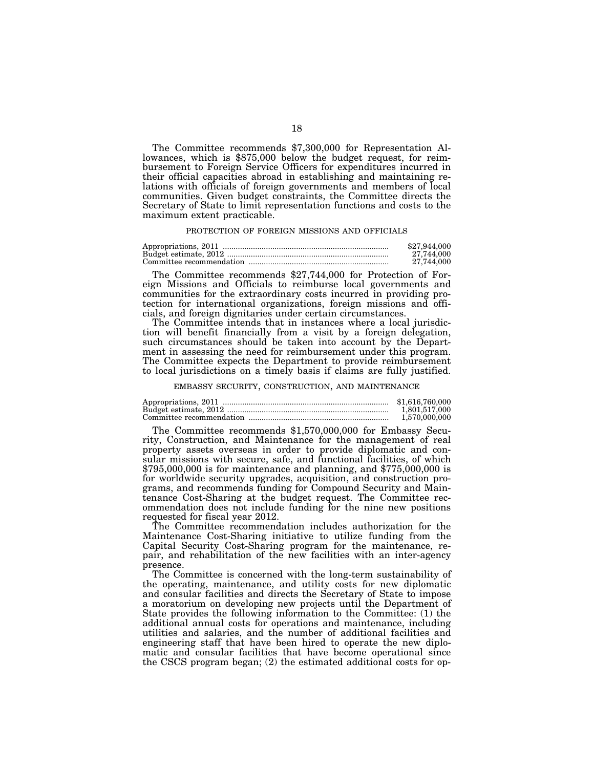The Committee recommends \$7,300,000 for Representation Allowances, which is \$875,000 below the budget request, for reimbursement to Foreign Service Officers for expenditures incurred in their official capacities abroad in establishing and maintaining relations with officials of foreign governments and members of local communities. Given budget constraints, the Committee directs the Secretary of State to limit representation functions and costs to the maximum extent practicable.

#### PROTECTION OF FOREIGN MISSIONS AND OFFICIALS

| \$27,944,000 |
|--------------|
| 27.744.000   |
| 27.744.000   |

The Committee recommends \$27,744,000 for Protection of Foreign Missions and Officials to reimburse local governments and communities for the extraordinary costs incurred in providing protection for international organizations, foreign missions and officials, and foreign dignitaries under certain circumstances.

The Committee intends that in instances where a local jurisdiction will benefit financially from a visit by a foreign delegation, such circumstances should be taken into account by the Department in assessing the need for reimbursement under this program. The Committee expects the Department to provide reimbursement to local jurisdictions on a timely basis if claims are fully justified.

EMBASSY SECURITY, CONSTRUCTION, AND MAINTENANCE

| \$1,616,760,000 |
|-----------------|
| 1.801.517.000   |
| 1,570,000,000   |

The Committee recommends \$1,570,000,000 for Embassy Security, Construction, and Maintenance for the management of real property assets overseas in order to provide diplomatic and consular missions with secure, safe, and functional facilities, of which \$795,000,000 is for maintenance and planning, and \$775,000,000 is for worldwide security upgrades, acquisition, and construction programs, and recommends funding for Compound Security and Maintenance Cost-Sharing at the budget request. The Committee recommendation does not include funding for the nine new positions requested for fiscal year 2012.

The Committee recommendation includes authorization for the Maintenance Cost-Sharing initiative to utilize funding from the Capital Security Cost-Sharing program for the maintenance, repair, and rehabilitation of the new facilities with an inter-agency presence.

The Committee is concerned with the long-term sustainability of the operating, maintenance, and utility costs for new diplomatic and consular facilities and directs the Secretary of State to impose a moratorium on developing new projects until the Department of State provides the following information to the Committee: (1) the additional annual costs for operations and maintenance, including utilities and salaries, and the number of additional facilities and engineering staff that have been hired to operate the new diplomatic and consular facilities that have become operational since the CSCS program began; (2) the estimated additional costs for op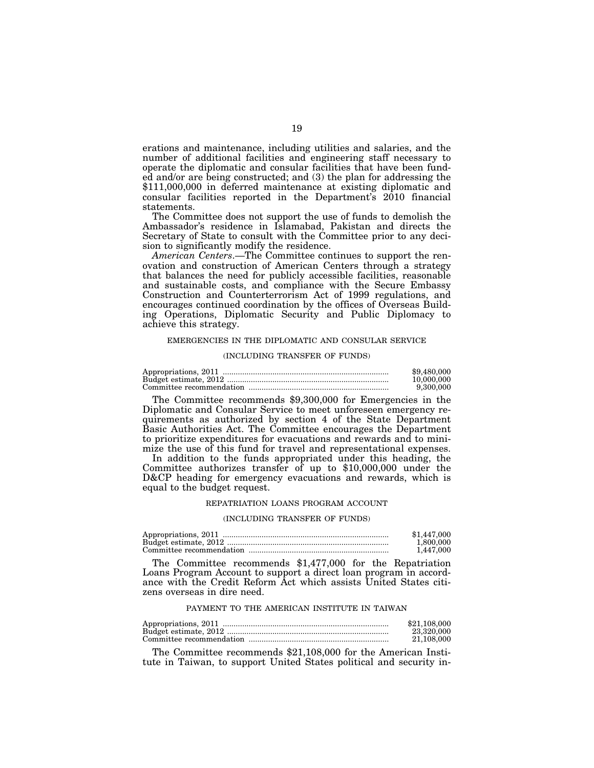erations and maintenance, including utilities and salaries, and the number of additional facilities and engineering staff necessary to operate the diplomatic and consular facilities that have been funded and/or are being constructed; and (3) the plan for addressing the \$111,000,000 in deferred maintenance at existing diplomatic and consular facilities reported in the Department's 2010 financial statements.

The Committee does not support the use of funds to demolish the Ambassador's residence in Islamabad, Pakistan and directs the Secretary of State to consult with the Committee prior to any decision to significantly modify the residence.

*American Centers*.—The Committee continues to support the renovation and construction of American Centers through a strategy that balances the need for publicly accessible facilities, reasonable and sustainable costs, and compliance with the Secure Embassy Construction and Counterterrorism Act of 1999 regulations, and encourages continued coordination by the offices of Overseas Building Operations, Diplomatic Security and Public Diplomacy to achieve this strategy.

#### EMERGENCIES IN THE DIPLOMATIC AND CONSULAR SERVICE

#### (INCLUDING TRANSFER OF FUNDS)

| \$9.480,000 |
|-------------|
| 10.000.000  |
| 9.300,000   |

The Committee recommends \$9,300,000 for Emergencies in the Diplomatic and Consular Service to meet unforeseen emergency requirements as authorized by section 4 of the State Department Basic Authorities Act. The Committee encourages the Department to prioritize expenditures for evacuations and rewards and to minimize the use of this fund for travel and representational expenses.

In addition to the funds appropriated under this heading, the Committee authorizes transfer of up to \$10,000,000 under the D&CP heading for emergency evacuations and rewards, which is equal to the budget request.

#### REPATRIATION LOANS PROGRAM ACCOUNT

#### (INCLUDING TRANSFER OF FUNDS)

| \$1.447.000 |
|-------------|
| 1.800.000   |
| 1.447.000   |

The Committee recommends \$1,477,000 for the Repatriation Loans Program Account to support a direct loan program in accordance with the Credit Reform Act which assists United States citizens overseas in dire need.

#### PAYMENT TO THE AMERICAN INSTITUTE IN TAIWAN

| \$21,108,000 |
|--------------|
| 23.320.000   |
| 21.108.000   |

The Committee recommends \$21,108,000 for the American Institute in Taiwan, to support United States political and security in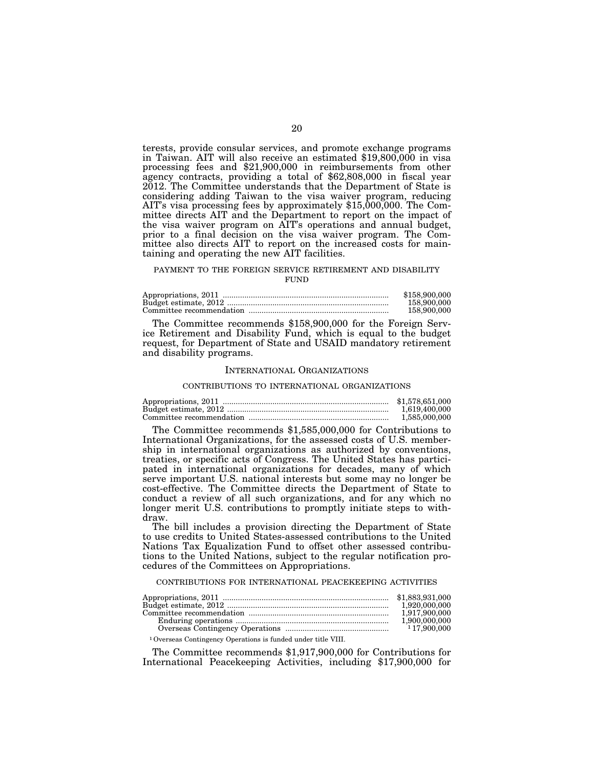terests, provide consular services, and promote exchange programs in Taiwan. AIT will also receive an estimated \$19,800,000 in visa processing fees and \$21,900,000 in reimbursements from other agency contracts, providing a total of \$62,808,000 in fiscal year 2012. The Committee understands that the Department of State is considering adding Taiwan to the visa waiver program, reducing AIT's visa processing fees by approximately \$15,000,000. The Committee directs AIT and the Department to report on the impact of the visa waiver program on AIT's operations and annual budget, prior to a final decision on the visa waiver program. The Committee also directs AIT to report on the increased costs for maintaining and operating the new AIT facilities.

#### PAYMENT TO THE FOREIGN SERVICE RETIREMENT AND DISABILITY **FUND**

| \$158,900,000 |
|---------------|
| 158,900,000   |
| 158,900,000   |

The Committee recommends \$158,900,000 for the Foreign Service Retirement and Disability Fund, which is equal to the budget request, for Department of State and USAID mandatory retirement and disability programs.

## INTERNATIONAL ORGANIZATIONS

#### CONTRIBUTIONS TO INTERNATIONAL ORGANIZATIONS

| \$1,578,651,000 |
|-----------------|
| 1.619.400.000   |
| 1.585.000.000   |

The Committee recommends \$1,585,000,000 for Contributions to International Organizations, for the assessed costs of U.S. membership in international organizations as authorized by conventions, treaties, or specific acts of Congress. The United States has participated in international organizations for decades, many of which serve important U.S. national interests but some may no longer be cost-effective. The Committee directs the Department of State to conduct a review of all such organizations, and for any which no longer merit U.S. contributions to promptly initiate steps to withdraw.

The bill includes a provision directing the Department of State to use credits to United States-assessed contributions to the United Nations Tax Equalization Fund to offset other assessed contributions to the United Nations, subject to the regular notification procedures of the Committees on Appropriations.

CONTRIBUTIONS FOR INTERNATIONAL PEACEKEEPING ACTIVITIES

|                                                                          | 1,920,000,000 |
|--------------------------------------------------------------------------|---------------|
|                                                                          | 1.917.900.000 |
|                                                                          | 1,900,000,000 |
|                                                                          | 17.900.000    |
| <sup>1</sup> Overseas Contingency Operations is funded under title VIII. |               |

The Committee recommends \$1,917,900,000 for Contributions for International Peacekeeping Activities, including \$17,900,000 for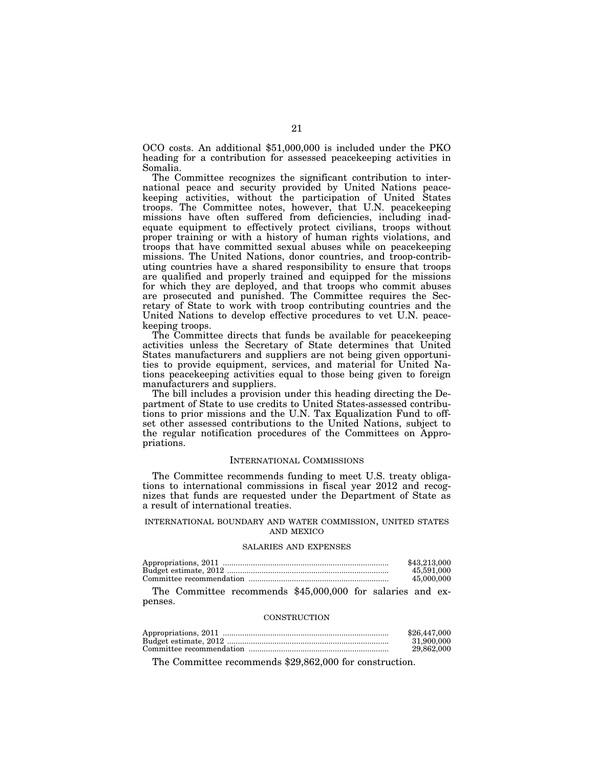OCO costs. An additional \$51,000,000 is included under the PKO heading for a contribution for assessed peacekeeping activities in Somalia.

The Committee recognizes the significant contribution to international peace and security provided by United Nations peacekeeping activities, without the participation of United States troops. The Committee notes, however, that U.N. peacekeeping missions have often suffered from deficiencies, including inadequate equipment to effectively protect civilians, troops without proper training or with a history of human rights violations, and troops that have committed sexual abuses while on peacekeeping missions. The United Nations, donor countries, and troop-contributing countries have a shared responsibility to ensure that troops are qualified and properly trained and equipped for the missions for which they are deployed, and that troops who commit abuses are prosecuted and punished. The Committee requires the Secretary of State to work with troop contributing countries and the United Nations to develop effective procedures to vet U.N. peacekeeping troops.

The Committee directs that funds be available for peacekeeping activities unless the Secretary of State determines that United States manufacturers and suppliers are not being given opportunities to provide equipment, services, and material for United Nations peacekeeping activities equal to those being given to foreign manufacturers and suppliers.

The bill includes a provision under this heading directing the Department of State to use credits to United States-assessed contributions to prior missions and the U.N. Tax Equalization Fund to offset other assessed contributions to the United Nations, subject to the regular notification procedures of the Committees on Appropriations.

#### INTERNATIONAL COMMISSIONS

The Committee recommends funding to meet U.S. treaty obligations to international commissions in fiscal year 2012 and recognizes that funds are requested under the Department of State as a result of international treaties.

#### INTERNATIONAL BOUNDARY AND WATER COMMISSION, UNITED STATES AND MEXICO

#### SALARIES AND EXPENSES

| \$43,213,000 |
|--------------|
| 45.591.000   |
| 45,000,000   |

The Committee recommends \$45,000,000 for salaries and expenses.

#### **CONSTRUCTION**

| \$26,447,000 |
|--------------|
| 31.900.000   |
| 29.862.000   |

The Committee recommends \$29,862,000 for construction.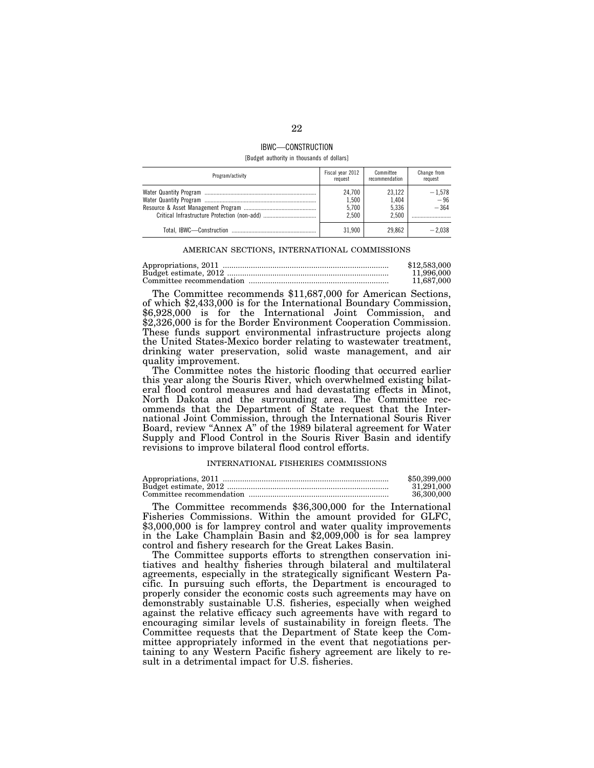## IBWC—CONSTRUCTION

[Budget authority in thousands of dollars]

| Program/activity | Fiscal year 2012<br>request       | Committee<br>recommendation       | Change from<br>request      |
|------------------|-----------------------------------|-----------------------------------|-----------------------------|
|                  | 24.700<br>1,500<br>5,700<br>2.500 | 23.122<br>1.404<br>5.336<br>2.500 | $-1,578$<br>$-96$<br>$-364$ |
|                  | 31.900                            | 29.862                            | $-2.038$                    |

#### AMERICAN SECTIONS, INTERNATIONAL COMMISSIONS

| \$12,583,000 |
|--------------|
| 11.996.000   |
| 11.687.000   |

The Committee recommends \$11,687,000 for American Sections, of which \$2,433,000 is for the International Boundary Commission, \$6,928,000 is for the International Joint Commission, and \$2,326,000 is for the Border Environment Cooperation Commission. These funds support environmental infrastructure projects along the United States-Mexico border relating to wastewater treatment, drinking water preservation, solid waste management, and air quality improvement.

The Committee notes the historic flooding that occurred earlier this year along the Souris River, which overwhelmed existing bilateral flood control measures and had devastating effects in Minot, North Dakota and the surrounding area. The Committee recommends that the Department of State request that the International Joint Commission, through the International Souris River Board, review "Annex A" of the 1989 bilateral agreement for Water Supply and Flood Control in the Souris River Basin and identify revisions to improve bilateral flood control efforts.

#### INTERNATIONAL FISHERIES COMMISSIONS

| \$50,399,000 |
|--------------|
| 31.291.000   |
| 36,300,000   |

The Committee recommends \$36,300,000 for the International Fisheries Commissions. Within the amount provided for GLFC, \$3,000,000 is for lamprey control and water quality improvements in the Lake Champlain Basin and \$2,009,000 is for sea lamprey control and fishery research for the Great Lakes Basin.

The Committee supports efforts to strengthen conservation initiatives and healthy fisheries through bilateral and multilateral agreements, especially in the strategically significant Western Pacific. In pursuing such efforts, the Department is encouraged to properly consider the economic costs such agreements may have on demonstrably sustainable U.S. fisheries, especially when weighed against the relative efficacy such agreements have with regard to encouraging similar levels of sustainability in foreign fleets. The Committee requests that the Department of State keep the Committee appropriately informed in the event that negotiations pertaining to any Western Pacific fishery agreement are likely to result in a detrimental impact for U.S. fisheries.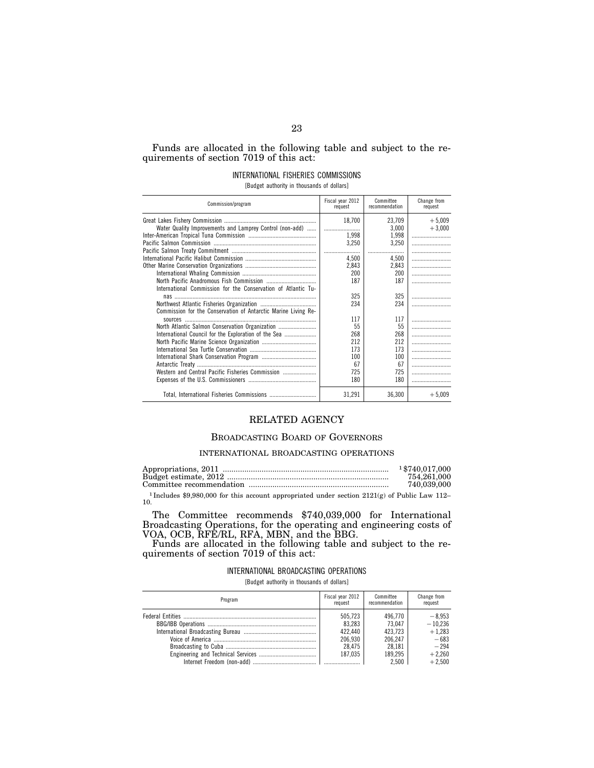## Funds are allocated in the following table and subject to the requirements of section 7019 of this act:

## INTERNATIONAL FISHERIES COMMISSIONS

[Budget authority in thousands of dollars]

| Commission/program                                             | Fiscal year 2012<br>request | Committee<br>recommendation | Change from<br>request |
|----------------------------------------------------------------|-----------------------------|-----------------------------|------------------------|
|                                                                | 18,700                      | 23,709                      | $+5.009$               |
| Water Quality Improvements and Lamprey Control (non-add)       |                             | 3,000                       | $+3,000$               |
|                                                                | 1.998                       | 1,998                       |                        |
|                                                                | 3,250                       | 3,250                       |                        |
|                                                                |                             |                             |                        |
|                                                                | 4.500                       | 4.500                       |                        |
|                                                                | 2,843                       | 2,843                       |                        |
|                                                                | 200                         | 200                         |                        |
|                                                                | 187                         | 187                         |                        |
| International Commission for the Conservation of Atlantic Tu-  |                             |                             |                        |
| nas ………………………………………………………………………………                             | 325                         | 325                         |                        |
|                                                                | 234                         | 234                         |                        |
| Commission for the Conservation of Antarctic Marine Living Re- |                             |                             |                        |
|                                                                | 117                         | 117                         |                        |
| North Atlantic Salmon Conservation Organization                | 55                          | 55                          |                        |
| International Council for the Exploration of the Sea           | 268                         | 268                         |                        |
|                                                                | 212                         | 212                         |                        |
|                                                                | 173                         | 173                         |                        |
|                                                                | 100                         | 100                         |                        |
|                                                                | 67                          | 67                          |                        |
| Western and Central Pacific Fisheries Commission               | 725                         | 725                         |                        |
|                                                                | 180                         | 180                         |                        |
|                                                                | 31,291                      | 36,300                      | $+5,009$               |

## RELATED AGENCY

## BROADCASTING BOARD OF GOVERNORS

### INTERNATIONAL BROADCASTING OPERATIONS

| 1 \$740,017,000 |
|-----------------|
| 754.261.000     |
| 740.039.000     |

<sup>1</sup> Includes \$9,980,000 for this account appropriated under section 2121(g) of Public Law 112– 10.

The Committee recommends \$740,039,000 for International Broadcasting Operations, for the operating and engineering costs of VOA, OCB, RFE/RL, RFA, MBN, and the BBG.

Funds are allocated in the following table and subject to the requirements of section 7019 of this act:

#### INTERNATIONAL BROADCASTING OPERATIONS

[Budget authority in thousands of dollars]

| Program | Fiscal year 2012<br>request | Committee<br>recommendation | Change from<br>request |
|---------|-----------------------------|-----------------------------|------------------------|
|         | 505.723                     | 496.770                     | $-8.953$               |
|         | 83.283                      | 73.047                      | $-10,236$              |
|         | 422.440                     | 423.723                     | $+1,283$               |
|         | 206.930                     | 206.247                     | $-683$                 |
|         | 28.475                      | 28.181                      | $-294$                 |
|         | 187.035                     | 189.295                     | $+2,260$               |
|         |                             | 2.500                       | $+2.500$               |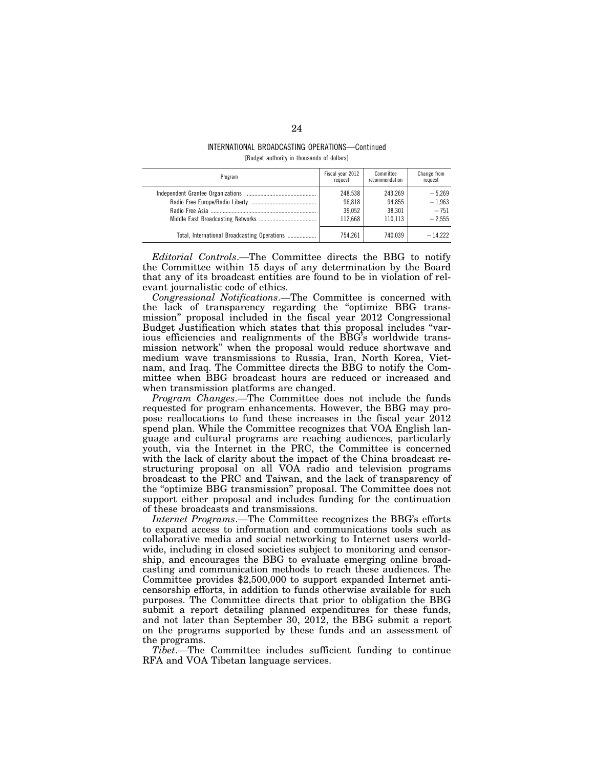#### INTERNATIONAL BROADCASTING OPERATIONS—Continued [Budget authority in thousands of dollars]

| Program                                      | Fiscal year 2012<br>request | Committee<br>recommendation | Change from<br>request |
|----------------------------------------------|-----------------------------|-----------------------------|------------------------|
|                                              | 248,538                     | 243,269                     | $-5.269$               |
|                                              | 96.818                      | 94.855                      | $-1.963$               |
|                                              | 39.052                      | 38.301                      | $-751$                 |
|                                              | 112.668                     | 110.113                     | $-2.555$               |
| Total, International Broadcasting Operations | 754.261                     | 740.039                     | $-14.222$              |

*Editorial Controls*.—The Committee directs the BBG to notify the Committee within 15 days of any determination by the Board that any of its broadcast entities are found to be in violation of relevant journalistic code of ethics.

*Congressional Notifications*.—The Committee is concerned with the lack of transparency regarding the ''optimize BBG transmission'' proposal included in the fiscal year 2012 Congressional Budget Justification which states that this proposal includes ''various efficiencies and realignments of the BBG's worldwide transmission network'' when the proposal would reduce shortwave and medium wave transmissions to Russia, Iran, North Korea, Vietnam, and Iraq. The Committee directs the BBG to notify the Committee when BBG broadcast hours are reduced or increased and when transmission platforms are changed.

*Program Changes*.—The Committee does not include the funds requested for program enhancements. However, the BBG may propose reallocations to fund these increases in the fiscal year 2012 spend plan. While the Committee recognizes that VOA English language and cultural programs are reaching audiences, particularly youth, via the Internet in the PRC, the Committee is concerned with the lack of clarity about the impact of the China broadcast restructuring proposal on all VOA radio and television programs broadcast to the PRC and Taiwan, and the lack of transparency of the ''optimize BBG transmission'' proposal. The Committee does not support either proposal and includes funding for the continuation of these broadcasts and transmissions.

*Internet Programs*.—The Committee recognizes the BBG's efforts to expand access to information and communications tools such as collaborative media and social networking to Internet users worldwide, including in closed societies subject to monitoring and censorship, and encourages the BBG to evaluate emerging online broadcasting and communication methods to reach these audiences. The Committee provides \$2,500,000 to support expanded Internet anticensorship efforts, in addition to funds otherwise available for such purposes. The Committee directs that prior to obligation the BBG submit a report detailing planned expenditures for these funds, and not later than September 30, 2012, the BBG submit a report on the programs supported by these funds and an assessment of the programs.

*Tibet*.—The Committee includes sufficient funding to continue RFA and VOA Tibetan language services.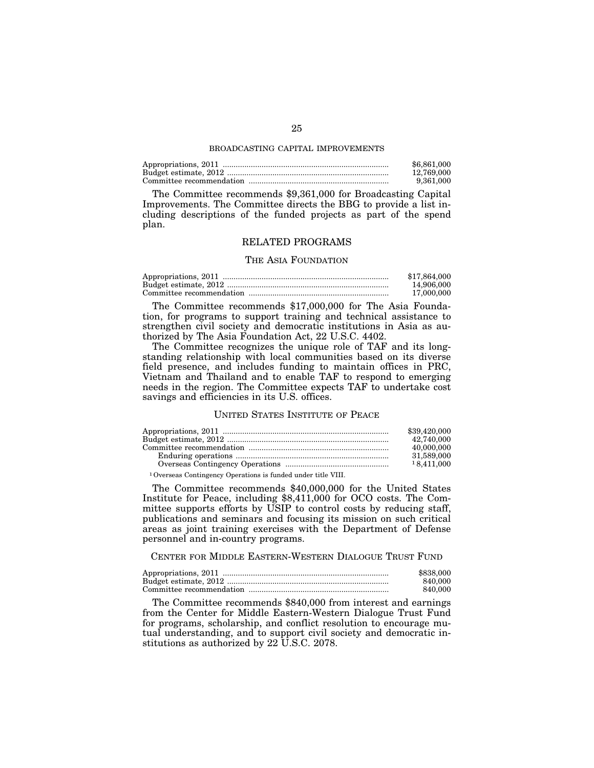#### BROADCASTING CAPITAL IMPROVEMENTS

| \$6,861,000 |
|-------------|
| 12.769.000  |
| 9.361.000   |

The Committee recommends \$9,361,000 for Broadcasting Capital Improvements. The Committee directs the BBG to provide a list including descriptions of the funded projects as part of the spend plan.

#### RELATED PROGRAMS

#### THE ASIA FOUNDATION

| \$17.864.000 |
|--------------|
| 14.906.000   |
| 17.000.000   |

The Committee recommends \$17,000,000 for The Asia Foundation, for programs to support training and technical assistance to strengthen civil society and democratic institutions in Asia as authorized by The Asia Foundation Act, 22 U.S.C. 4402.

The Committee recognizes the unique role of TAF and its longstanding relationship with local communities based on its diverse field presence, and includes funding to maintain offices in PRC, Vietnam and Thailand and to enable TAF to respond to emerging needs in the region. The Committee expects TAF to undertake cost savings and efficiencies in its U.S. offices.

#### UNITED STATES INSTITUTE OF PEACE

|                    | \$39,420,000 |
|--------------------|--------------|
|                    | 42,740,000   |
|                    | 40,000,000   |
|                    | 31,589,000   |
|                    | 18.411,000   |
| $10$ $0$ $10$ $11$ |              |

1Overseas Contingency Operations is funded under title VIII.

The Committee recommends \$40,000,000 for the United States Institute for Peace, including \$8,411,000 for OCO costs. The Committee supports efforts by USIP to control costs by reducing staff, publications and seminars and focusing its mission on such critical areas as joint training exercises with the Department of Defense personnel and in-country programs.

### CENTER FOR MIDDLE EASTERN-WESTERN DIALOGUE TRUST FUND

| \$838,000 |
|-----------|
| 840.000   |
| 840.000   |

The Committee recommends \$840,000 from interest and earnings from the Center for Middle Eastern-Western Dialogue Trust Fund for programs, scholarship, and conflict resolution to encourage mutual understanding, and to support civil society and democratic institutions as authorized by 22 U.S.C. 2078.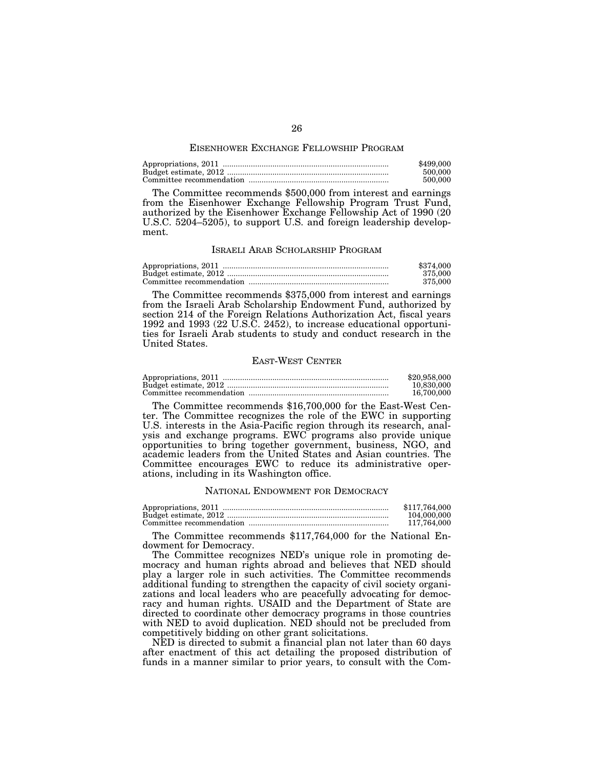#### EISENHOWER EXCHANGE FELLOWSHIP PROGRAM

| \$499,000 |
|-----------|
| 500,000   |
| 500,000   |

The Committee recommends \$500,000 from interest and earnings from the Eisenhower Exchange Fellowship Program Trust Fund, authorized by the Eisenhower Exchange Fellowship Act of 1990 (20 U.S.C. 5204–5205), to support U.S. and foreign leadership development.

#### ISRAELI ARAB SCHOLARSHIP PROGRAM

| \$374,000 |
|-----------|
| 375,000   |
| 375,000   |

The Committee recommends \$375,000 from interest and earnings from the Israeli Arab Scholarship Endowment Fund, authorized by section 214 of the Foreign Relations Authorization Act, fiscal years 1992 and 1993 (22 U.S.C. 2452), to increase educational opportunities for Israeli Arab students to study and conduct research in the United States.

#### EAST-WEST CENTER

| \$20,958,000 |
|--------------|
| 10.830.000   |
| 16.700.000   |

The Committee recommends \$16,700,000 for the East-West Center. The Committee recognizes the role of the EWC in supporting U.S. interests in the Asia-Pacific region through its research, analysis and exchange programs. EWC programs also provide unique opportunities to bring together government, business, NGO, and academic leaders from the United States and Asian countries. The Committee encourages EWC to reduce its administrative operations, including in its Washington office.

#### NATIONAL ENDOWMENT FOR DEMOCRACY

| \$117.764.000 |
|---------------|
| 104,000,000   |
| 117.764.000   |

The Committee recommends \$117,764,000 for the National Endowment for Democracy.

The Committee recognizes NED's unique role in promoting democracy and human rights abroad and believes that NED should play a larger role in such activities. The Committee recommends additional funding to strengthen the capacity of civil society organizations and local leaders who are peacefully advocating for democracy and human rights. USAID and the Department of State are directed to coordinate other democracy programs in those countries with NED to avoid duplication. NED should not be precluded from competitively bidding on other grant solicitations.

NED is directed to submit a financial plan not later than 60 days after enactment of this act detailing the proposed distribution of funds in a manner similar to prior years, to consult with the Com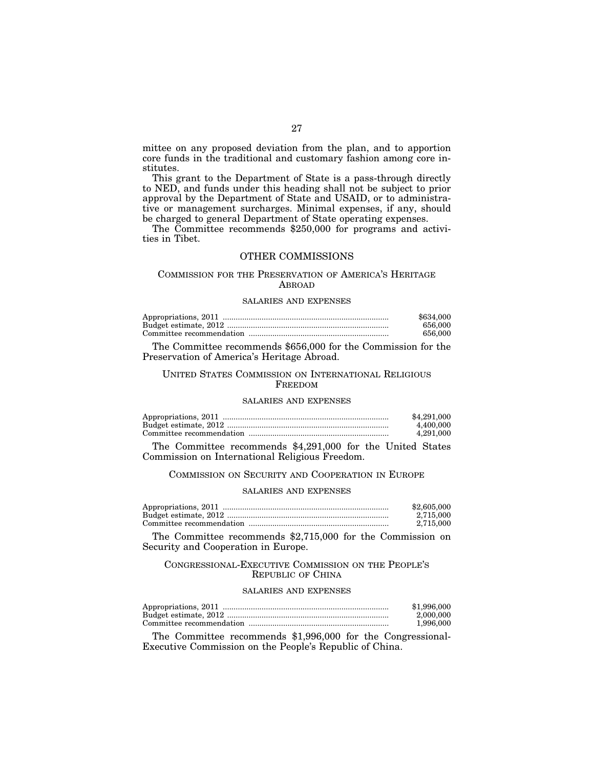mittee on any proposed deviation from the plan, and to apportion core funds in the traditional and customary fashion among core institutes.

This grant to the Department of State is a pass-through directly to NED, and funds under this heading shall not be subject to prior approval by the Department of State and USAID, or to administrative or management surcharges. Minimal expenses, if any, should be charged to general Department of State operating expenses.

The Committee recommends \$250,000 for programs and activities in Tibet.

## OTHER COMMISSIONS

### COMMISSION FOR THE PRESERVATION OF AMERICA'S HERITAGE ABROAD

#### SALARIES AND EXPENSES

| \$634,000 |
|-----------|
| 656.000   |
| 656.000   |

The Committee recommends \$656,000 for the Commission for the Preservation of America's Heritage Abroad.

## UNITED STATES COMMISSION ON INTERNATIONAL RELIGIOUS FREEDOM

## SALARIES AND EXPENSES

| \$4,291,000 |
|-------------|
| 4.400.000   |
| 4.291.000   |

The Committee recommends \$4,291,000 for the United States Commission on International Religious Freedom.

#### COMMISSION ON SECURITY AND COOPERATION IN EUROPE

#### SALARIES AND EXPENSES

| \$2,605,000 |
|-------------|
| 2.715.000   |
| 2.715.000   |

The Committee recommends \$2,715,000 for the Commission on Security and Cooperation in Europe.

#### CONGRESSIONAL-EXECUTIVE COMMISSION ON THE PEOPLE'S REPUBLIC OF CHINA

#### SALARIES AND EXPENSES

| \$1,996,000 |
|-------------|
| 2.000.000   |
| 1.996.000   |

The Committee recommends \$1,996,000 for the Congressional-Executive Commission on the People's Republic of China.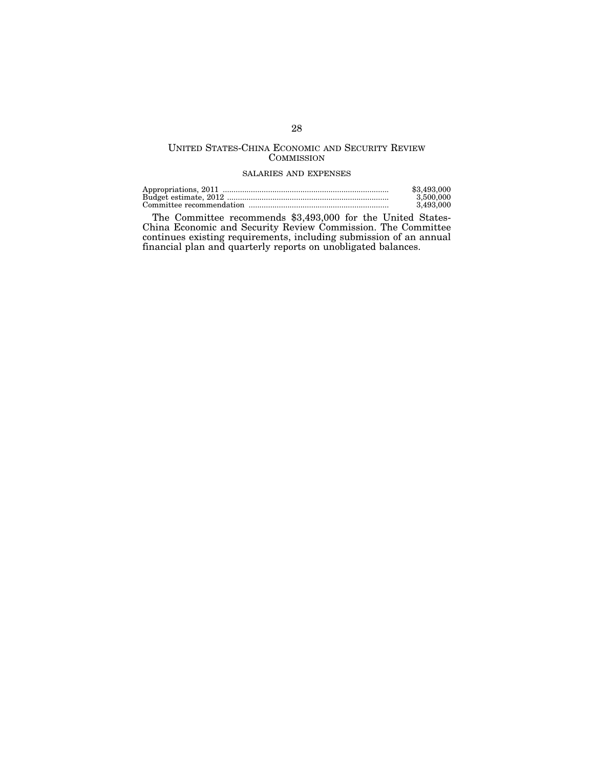## UNITED STATES-CHINA ECONOMIC AND SECURITY REVIEW **COMMISSION**

## SALARIES AND EXPENSES

| \$3,493,000 |
|-------------|
| 3.500,000   |
| 3.493.000   |

The Committee recommends \$3,493,000 for the United States-China Economic and Security Review Commission. The Committee continues existing requirements, including submission of an annual financial plan and quarterly reports on unobligated balances.

## 28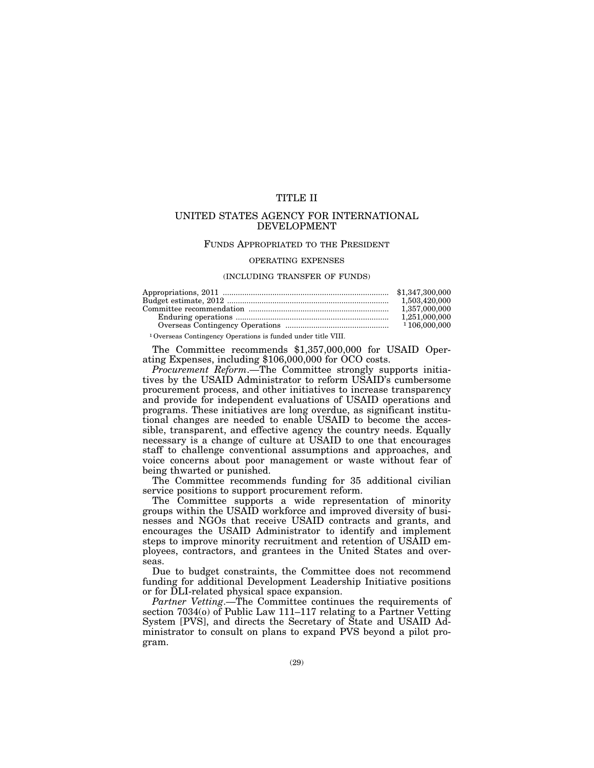## TITLE II

## UNITED STATES AGENCY FOR INTERNATIONAL DEVELOPMENT

#### FUNDS APPROPRIATED TO THE PRESIDENT

#### OPERATING EXPENSES

#### (INCLUDING TRANSFER OF FUNDS)

| 1,503,420,000 |
|---------------|
| 1.357.000.000 |
| 1.251.000.000 |
|               |
|               |

1Overseas Contingency Operations is funded under title VIII.

The Committee recommends \$1,357,000,000 for USAID Operating Expenses, including \$106,000,000 for OCO costs.

*Procurement Reform*.—The Committee strongly supports initiatives by the USAID Administrator to reform USAID's cumbersome procurement process, and other initiatives to increase transparency and provide for independent evaluations of USAID operations and programs. These initiatives are long overdue, as significant institutional changes are needed to enable USAID to become the accessible, transparent, and effective agency the country needs. Equally necessary is a change of culture at USAID to one that encourages staff to challenge conventional assumptions and approaches, and voice concerns about poor management or waste without fear of being thwarted or punished.

The Committee recommends funding for 35 additional civilian service positions to support procurement reform.

The Committee supports a wide representation of minority groups within the USAID workforce and improved diversity of businesses and NGOs that receive USAID contracts and grants, and encourages the USAID Administrator to identify and implement steps to improve minority recruitment and retention of USAID employees, contractors, and grantees in the United States and overseas.

Due to budget constraints, the Committee does not recommend funding for additional Development Leadership Initiative positions or for DLI-related physical space expansion.

*Partner Vetting*.—The Committee continues the requirements of section 7034(o) of Public Law 111–117 relating to a Partner Vetting System [PVS], and directs the Secretary of State and USAID Administrator to consult on plans to expand PVS beyond a pilot program.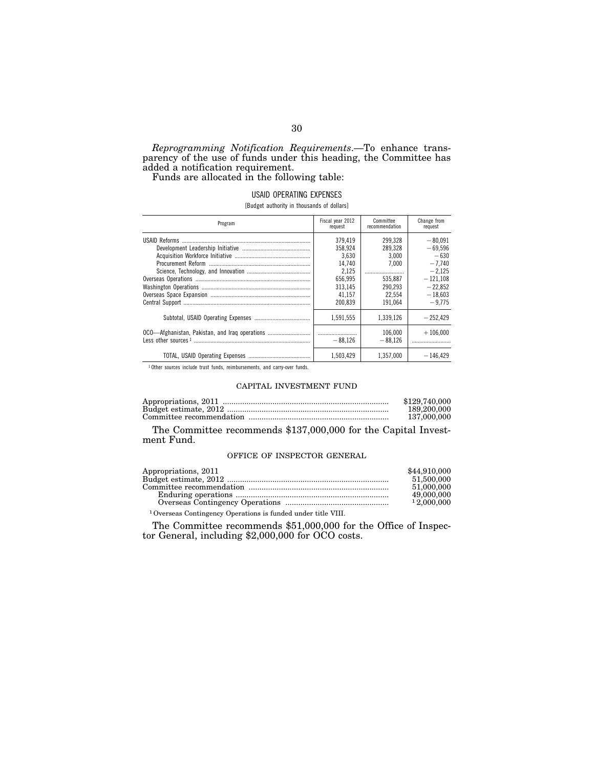*Reprogramming Notification Requirements*.—To enhance transparency of the use of funds under this heading, the Committee has added a notification requirement.

Funds are allocated in the following table:

#### USAID OPERATING EXPENSES

[Budget authority in thousands of dollars]

| Program                                        | Fiscal year 2012<br>request | Committee<br>recommendation | Change from<br>request |
|------------------------------------------------|-----------------------------|-----------------------------|------------------------|
|                                                | 379.419                     | 299.328                     | $-80.091$              |
|                                                | 358.924                     | 289.328                     | $-69.596$              |
|                                                | 3.630                       | 3.000                       | $-630$                 |
|                                                | 14.740                      | 7.000                       | $-7.740$               |
|                                                | 2.125                       |                             | $-2.125$               |
|                                                | 656.995                     | 535.887                     | $-121.108$             |
|                                                | 313.145                     | 290.293                     | $-22.852$              |
|                                                | 41.157                      | 22.554                      | $-18,603$              |
|                                                | 200.839                     | 191.064                     | $-9.775$               |
|                                                | 1.591.555                   | 1.339.126                   | $-252.429$             |
| OCO—Afghanistan, Pakistan, and Iraq operations | $-88.126$                   | 106.000<br>$-88.126$        | $+106.000$             |
|                                                | 1.503.429                   | 1.357.000                   | $-146.429$             |

<sup>1</sup> Other sources include trust funds, reimbursements, and carry-over funds.

#### CAPITAL INVESTMENT FUND

| \$129,740,000 |
|---------------|
| 189,200,000   |
| 137.000.000   |

The Committee recommends \$137,000,000 for the Capital Investment Fund.

#### OFFICE OF INSPECTOR GENERAL

| Appropriations, 2011                                                     | \$44,910,000 |
|--------------------------------------------------------------------------|--------------|
|                                                                          | 51,500,000   |
|                                                                          | 51,000,000   |
|                                                                          | 49,000,000   |
|                                                                          | 12,000,000   |
| <sup>1</sup> Overseas Contingency Operations is funded under title VIII. |              |

The Committee recommends \$51,000,000 for the Office of Inspector General, including \$2,000,000 for OCO costs.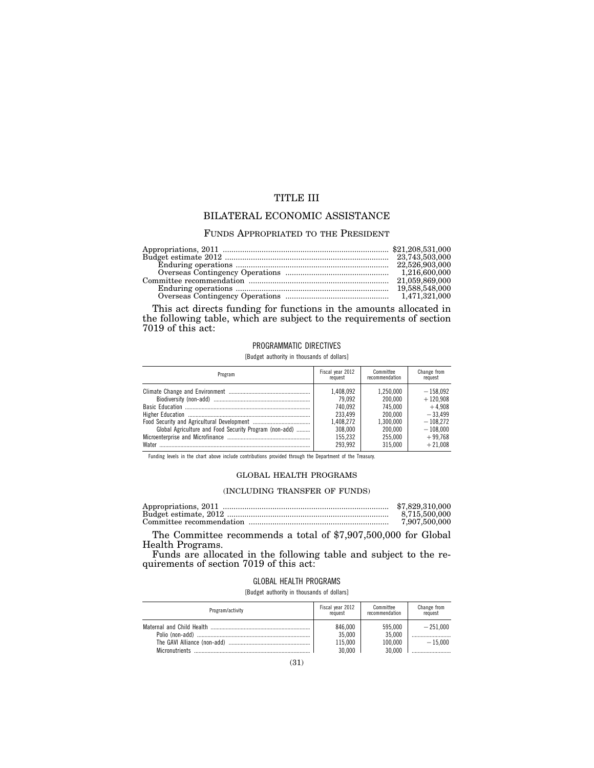## TITLE III

## BILATERAL ECONOMIC ASSISTANCE

#### FUNDS APPROPRIATED TO THE PRESIDENT

| 19.588.548.000 |
|----------------|
| 1.471.321.000  |

This act directs funding for functions in the amounts allocated in the following table, which are subject to the requirements of section 7019 of this act:

### PROGRAMMATIC DIRECTIVES

[Budget authority in thousands of dollars]

| Program                                                | Fiscal year 2012<br>request | Committee<br>recommendation | Change from<br>request   |
|--------------------------------------------------------|-----------------------------|-----------------------------|--------------------------|
|                                                        | 1.408.092<br>79.092         | 1.250.000<br>200.000        | $-158.092$<br>$+120.908$ |
|                                                        | 740.092                     | 745.000                     | $+4.908$                 |
|                                                        | 233.499                     | 200.000                     | $-33.499$                |
|                                                        | 1.408.272                   | 1.300.000                   | $-108.272$               |
| Global Agriculture and Food Security Program (non-add) | 308,000                     | 200.000                     | $-108.000$               |
|                                                        | 155.232                     | 255.000                     | $+99.768$                |
| Water                                                  | 293.992                     | 315.000                     | $+21.008$                |

Funding levels in the chart above include contributions provided through the Department of the Treasury.

## GLOBAL HEALTH PROGRAMS

## (INCLUDING TRANSFER OF FUNDS)

| \$7,829,310,000 |
|-----------------|
| 8.715.500.000   |
| 7,907,500,000   |

The Committee recommends a total of \$7,907,500,000 for Global Health Programs.

Funds are allocated in the following table and subject to the requirements of section 7019 of this act:

### GLOBAL HEALTH PROGRAMS

[Budget authority in thousands of dollars]

| Program/activity | Fiscal year 2012                       | Committee                              | Change from             |
|------------------|----------------------------------------|----------------------------------------|-------------------------|
|                  | request                                | recommendation                         | request                 |
|                  | 846.000<br>35.000<br>115.000<br>30.000 | 595.000<br>35.000<br>100.000<br>30.000 | $-251.000$<br>$-15.000$ |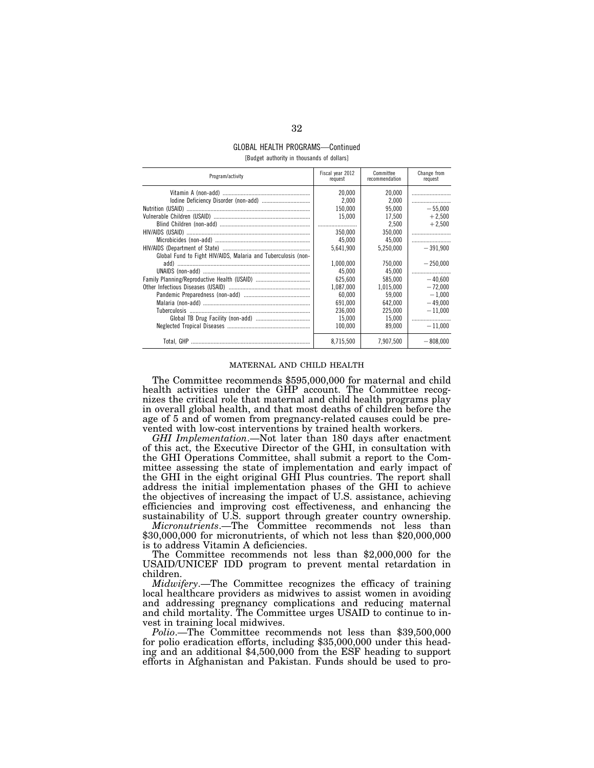#### GLOBAL HEALTH PROGRAMS—Continued [Budget authority in thousands of dollars]

| Program/activity                                              | Fiscal year 2012<br>request | Committee<br>recommendation | Change from<br>request |
|---------------------------------------------------------------|-----------------------------|-----------------------------|------------------------|
|                                                               | 20.000                      | 20.000                      |                        |
|                                                               | 2.000                       | 2.000                       |                        |
|                                                               | 150.000                     | 95.000                      | $-55.000$              |
|                                                               | 15,000                      | 17.500                      | $+2.500$               |
|                                                               |                             | 2.500                       | $+2.500$               |
|                                                               | 350.000                     | 350,000                     |                        |
|                                                               | 45.000                      | 45.000                      |                        |
|                                                               | 5.641.900                   | 5,250,000                   | $-391.900$             |
| Global Fund to Fight HIV/AIDS, Malaria and Tuberculosis (non- |                             |                             |                        |
|                                                               | 1,000,000                   | 750.000                     | $-250.000$             |
|                                                               | 45.000                      | 45.000                      |                        |
|                                                               | 625.600                     | 585.000                     | $-40.600$              |
|                                                               | 1,087,000                   | 1,015,000                   | $-72.000$              |
|                                                               | 60.000                      | 59.000                      | $-1.000$               |
|                                                               | 691.000                     | 642.000                     | $-49,000$              |
|                                                               | 236.000                     | 225.000                     | $-11.000$              |
|                                                               | 15.000                      | 15.000                      |                        |
|                                                               | 100.000                     | 89.000                      | $-11.000$              |
|                                                               | 8.715.500                   | 7,907,500                   | $-808.000$             |

#### MATERNAL AND CHILD HEALTH

The Committee recommends \$595,000,000 for maternal and child health activities under the GHP account. The Committee recognizes the critical role that maternal and child health programs play in overall global health, and that most deaths of children before the age of 5 and of women from pregnancy-related causes could be prevented with low-cost interventions by trained health workers.

*GHI Implementation*.—Not later than 180 days after enactment of this act, the Executive Director of the GHI, in consultation with the GHI Operations Committee, shall submit a report to the Committee assessing the state of implementation and early impact of the GHI in the eight original GHI Plus countries. The report shall address the initial implementation phases of the GHI to achieve the objectives of increasing the impact of U.S. assistance, achieving efficiencies and improving cost effectiveness, and enhancing the sustainability of U.S. support through greater country ownership.

*Micronutrients*.—The Committee recommends not less than \$30,000,000 for micronutrients, of which not less than \$20,000,000 is to address Vitamin A deficiencies.

The Committee recommends not less than \$2,000,000 for the USAID/UNICEF IDD program to prevent mental retardation in children.

*Midwifery*.—The Committee recognizes the efficacy of training local healthcare providers as midwives to assist women in avoiding and addressing pregnancy complications and reducing maternal and child mortality. The Committee urges USAID to continue to invest in training local midwives.

*Polio*.—The Committee recommends not less than \$39,500,000 for polio eradication efforts, including \$35,000,000 under this heading and an additional \$4,500,000 from the ESF heading to support efforts in Afghanistan and Pakistan. Funds should be used to pro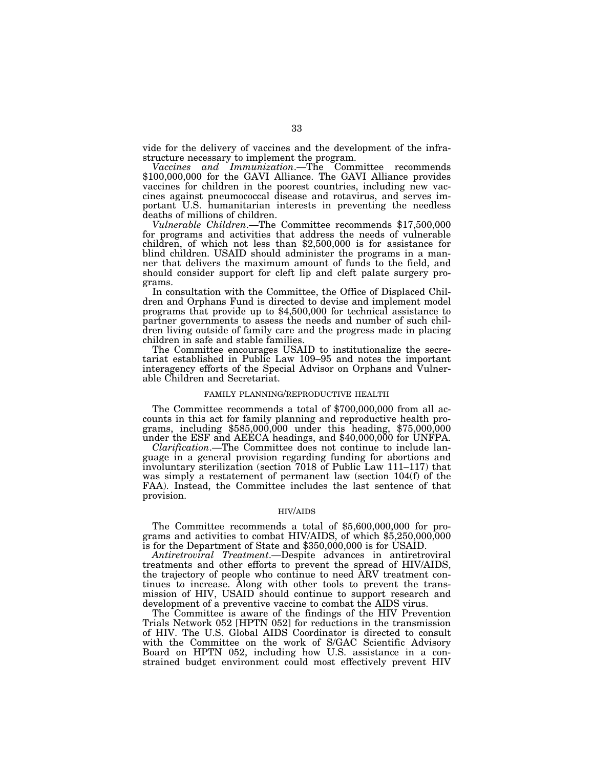vide for the delivery of vaccines and the development of the infrastructure necessary to implement the program.

*Vaccines and Immunization*.—The Committee recommends \$100,000,000 for the GAVI Alliance. The GAVI Alliance provides vaccines for children in the poorest countries, including new vaccines against pneumococcal disease and rotavirus, and serves important U.S. humanitarian interests in preventing the needless deaths of millions of children.

*Vulnerable Children*.—The Committee recommends \$17,500,000 for programs and activities that address the needs of vulnerable children, of which not less than \$2,500,000 is for assistance for blind children. USAID should administer the programs in a manner that delivers the maximum amount of funds to the field, and should consider support for cleft lip and cleft palate surgery programs.

In consultation with the Committee, the Office of Displaced Children and Orphans Fund is directed to devise and implement model programs that provide up to \$4,500,000 for technical assistance to partner governments to assess the needs and number of such children living outside of family care and the progress made in placing children in safe and stable families.

The Committee encourages USAID to institutionalize the secretariat established in Public Law 109–95 and notes the important interagency efforts of the Special Advisor on Orphans and Vulnerable Children and Secretariat.

#### FAMILY PLANNING/REPRODUCTIVE HEALTH

The Committee recommends a total of \$700,000,000 from all accounts in this act for family planning and reproductive health programs, including \$585,000,000 under this heading, \$75,000,000 under the ESF and AEECA headings, and \$40,000,000 for UNFPA.

*Clarification*.—The Committee does not continue to include language in a general provision regarding funding for abortions and involuntary sterilization (section 7018 of Public Law 111–117) that was simply a restatement of permanent law (section 104(f) of the FAA). Instead, the Committee includes the last sentence of that provision.

#### HIV/AIDS

The Committee recommends a total of \$5,600,000,000 for pro-<br>grams and activities to combat HIV/AIDS, of which \$5,250,000,000 is for the Department of State and \$350,000,000 is for USAID.

*Antiretroviral Treatment*.—Despite advances in antiretroviral treatments and other efforts to prevent the spread of HIV/AIDS, the trajectory of people who continue to need ARV treatment continues to increase. Along with other tools to prevent the transmission of HIV, USAID should continue to support research and development of a preventive vaccine to combat the AIDS virus.

The Committee is aware of the findings of the HIV Prevention Trials Network 052 [HPTN 052] for reductions in the transmission of HIV. The U.S. Global AIDS Coordinator is directed to consult with the Committee on the work of S/GAC Scientific Advisory Board on HPTN 052, including how U.S. assistance in a constrained budget environment could most effectively prevent HIV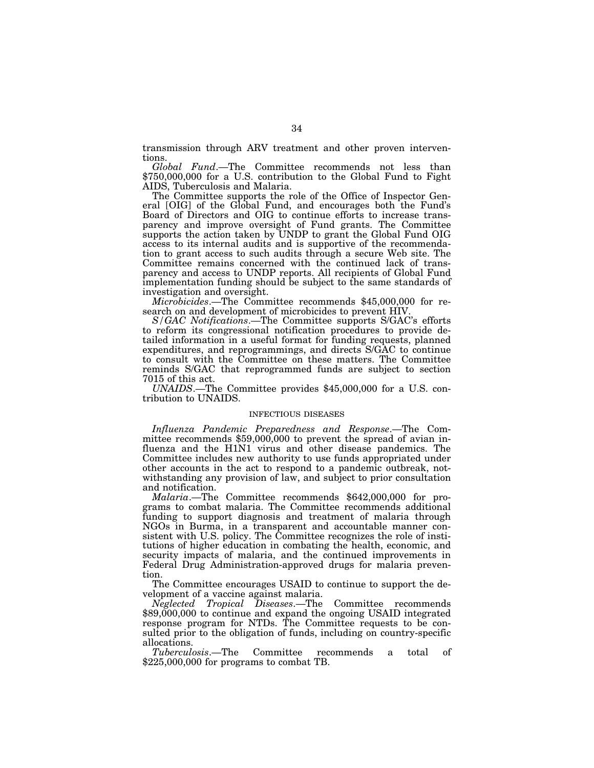transmission through ARV treatment and other proven interventions.

*Global Fund*.—The Committee recommends not less than \$750,000,000 for a U.S. contribution to the Global Fund to Fight AIDS, Tuberculosis and Malaria.

The Committee supports the role of the Office of Inspector General [OIG] of the Global Fund, and encourages both the Fund's Board of Directors and OIG to continue efforts to increase transparency and improve oversight of Fund grants. The Committee supports the action taken by UNDP to grant the Global Fund OIG access to its internal audits and is supportive of the recommendation to grant access to such audits through a secure Web site. The Committee remains concerned with the continued lack of transparency and access to UNDP reports. All recipients of Global Fund implementation funding should be subject to the same standards of investigation and oversight.

*Microbicides*.—The Committee recommends \$45,000,000 for research on and development of microbicides to prevent HIV.

*S/GAC Notifications*.—The Committee supports S/GAC's efforts to reform its congressional notification procedures to provide detailed information in a useful format for funding requests, planned expenditures, and reprogrammings, and directs S/GAC to continue to consult with the Committee on these matters. The Committee reminds S/GAC that reprogrammed funds are subject to section 7015 of this act.

*UNAIDS*.—The Committee provides \$45,000,000 for a U.S. contribution to UNAIDS.

#### INFECTIOUS DISEASES

*Influenza Pandemic Preparedness and Response*.—The Committee recommends \$59,000,000 to prevent the spread of avian influenza and the H1N1 virus and other disease pandemics. The Committee includes new authority to use funds appropriated under other accounts in the act to respond to a pandemic outbreak, notwithstanding any provision of law, and subject to prior consultation and notification.

*Malaria*.—The Committee recommends \$642,000,000 for programs to combat malaria. The Committee recommends additional funding to support diagnosis and treatment of malaria through NGOs in Burma, in a transparent and accountable manner consistent with U.S. policy. The Committee recognizes the role of institutions of higher education in combating the health, economic, and security impacts of malaria, and the continued improvements in Federal Drug Administration-approved drugs for malaria prevention.

The Committee encourages USAID to continue to support the development of a vaccine against malaria.

*Neglected Tropical Diseases*.—The Committee recommends \$89,000,000 to continue and expand the ongoing USAID integrated response program for NTDs. The Committee requests to be consulted prior to the obligation of funds, including on country-specific allocations.

*Tuberculosis*.—The Committee recommends a total of \$225,000,000 for programs to combat TB.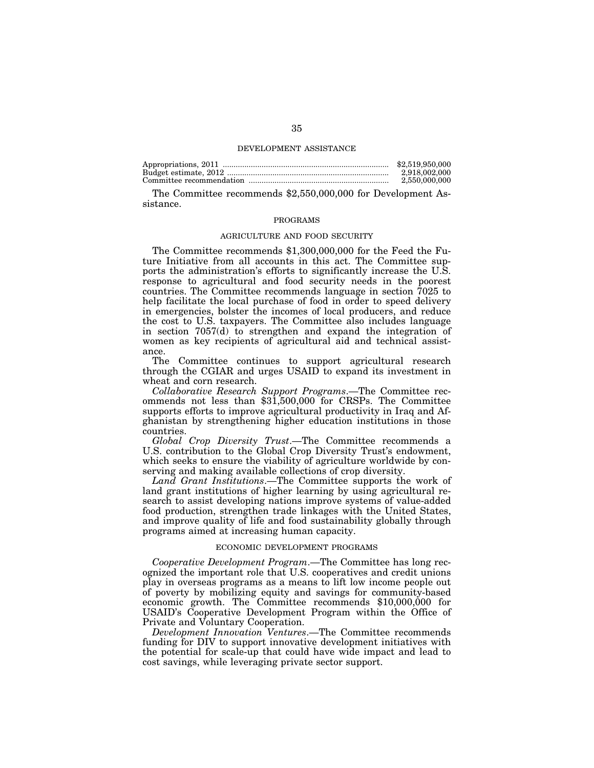#### DEVELOPMENT ASSISTANCE

| \$2,519,950,000 |
|-----------------|
| 2.918.002.000   |
| 2.550.000.000   |

The Committee recommends \$2,550,000,000 for Development Assistance.

#### PROGRAMS

#### AGRICULTURE AND FOOD SECURITY

The Committee recommends \$1,300,000,000 for the Feed the Future Initiative from all accounts in this act. The Committee supports the administration's efforts to significantly increase the U.S. response to agricultural and food security needs in the poorest countries. The Committee recommends language in section 7025 to help facilitate the local purchase of food in order to speed delivery in emergencies, bolster the incomes of local producers, and reduce the cost to U.S. taxpayers. The Committee also includes language in section 7057(d) to strengthen and expand the integration of women as key recipients of agricultural aid and technical assistance.

The Committee continues to support agricultural research through the CGIAR and urges USAID to expand its investment in wheat and corn research.

*Collaborative Research Support Programs*.—The Committee recommends not less than \$31,500,000 for CRSPs. The Committee supports efforts to improve agricultural productivity in Iraq and Afghanistan by strengthening higher education institutions in those countries.

*Global Crop Diversity Trust*.—The Committee recommends a U.S. contribution to the Global Crop Diversity Trust's endowment, which seeks to ensure the viability of agriculture worldwide by conserving and making available collections of crop diversity.

*Land Grant Institutions*.—The Committee supports the work of land grant institutions of higher learning by using agricultural research to assist developing nations improve systems of value-added food production, strengthen trade linkages with the United States, and improve quality of life and food sustainability globally through programs aimed at increasing human capacity.

#### ECONOMIC DEVELOPMENT PROGRAMS

*Cooperative Development Program*.—The Committee has long recognized the important role that U.S. cooperatives and credit unions play in overseas programs as a means to lift low income people out of poverty by mobilizing equity and savings for community-based economic growth. The Committee recommends \$10,000,000 for USAID's Cooperative Development Program within the Office of Private and Voluntary Cooperation.

*Development Innovation Ventures*.—The Committee recommends funding for DIV to support innovative development initiatives with the potential for scale-up that could have wide impact and lead to cost savings, while leveraging private sector support.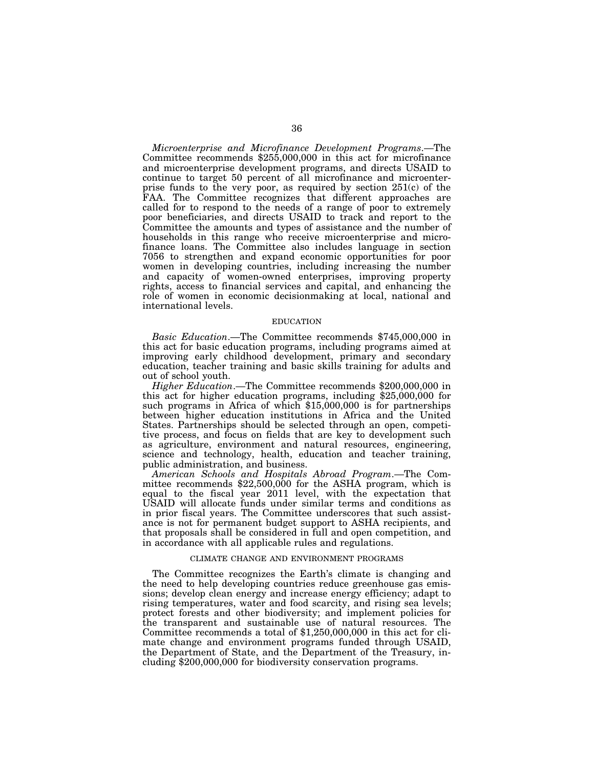*Microenterprise and Microfinance Development Programs*.—The Committee recommends \$255,000,000 in this act for microfinance and microenterprise development programs, and directs USAID to continue to target 50 percent of all microfinance and microenterprise funds to the very poor, as required by section 251(c) of the FAA. The Committee recognizes that different approaches are called for to respond to the needs of a range of poor to extremely poor beneficiaries, and directs USAID to track and report to the Committee the amounts and types of assistance and the number of households in this range who receive microenterprise and microfinance loans. The Committee also includes language in section 7056 to strengthen and expand economic opportunities for poor women in developing countries, including increasing the number and capacity of women-owned enterprises, improving property rights, access to financial services and capital, and enhancing the role of women in economic decisionmaking at local, national and international levels.

#### EDUCATION

*Basic Education*.—The Committee recommends \$745,000,000 in this act for basic education programs, including programs aimed at improving early childhood development, primary and secondary education, teacher training and basic skills training for adults and out of school youth.

*Higher Education*.—The Committee recommends \$200,000,000 in this act for higher education programs, including \$25,000,000 for such programs in Africa of which \$15,000,000 is for partnerships between higher education institutions in Africa and the United States. Partnerships should be selected through an open, competitive process, and focus on fields that are key to development such as agriculture, environment and natural resources, engineering, science and technology, health, education and teacher training, public administration, and business.

*American Schools and Hospitals Abroad Program*.—The Committee recommends \$22,500,000 for the ASHA program, which is equal to the fiscal year 2011 level, with the expectation that USAID will allocate funds under similar terms and conditions as in prior fiscal years. The Committee underscores that such assistance is not for permanent budget support to ASHA recipients, and that proposals shall be considered in full and open competition, and in accordance with all applicable rules and regulations.

#### CLIMATE CHANGE AND ENVIRONMENT PROGRAMS

The Committee recognizes the Earth's climate is changing and the need to help developing countries reduce greenhouse gas emissions; develop clean energy and increase energy efficiency; adapt to rising temperatures, water and food scarcity, and rising sea levels; protect forests and other biodiversity; and implement policies for the transparent and sustainable use of natural resources. The Committee recommends a total of \$1,250,000,000 in this act for climate change and environment programs funded through USAID, the Department of State, and the Department of the Treasury, including \$200,000,000 for biodiversity conservation programs.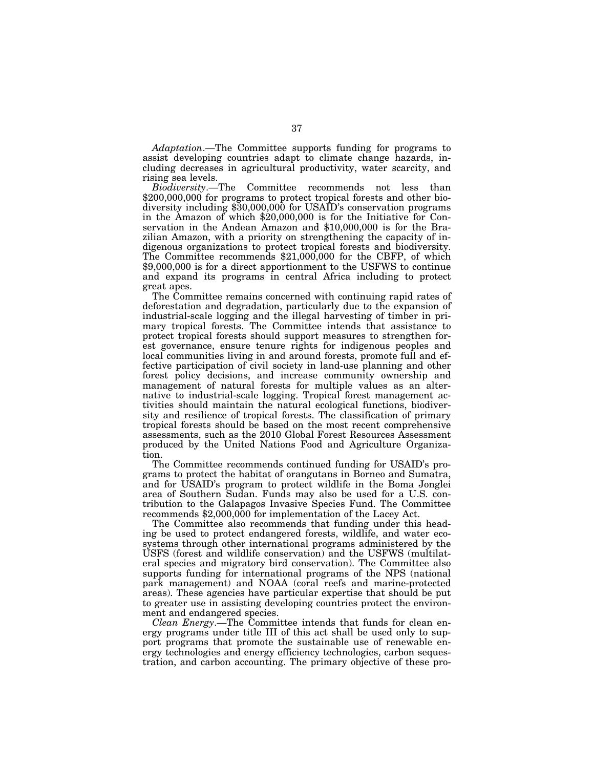*Adaptation*.—The Committee supports funding for programs to assist developing countries adapt to climate change hazards, including decreases in agricultural productivity, water scarcity, and rising sea levels.

*Biodiversity*.—The Committee recommends not less than \$200,000,000 for programs to protect tropical forests and other biodiversity including \$30,000,000 for USAID's conservation programs in the Amazon of which \$20,000,000 is for the Initiative for Conservation in the Andean Amazon and \$10,000,000 is for the Brazilian Amazon, with a priority on strengthening the capacity of indigenous organizations to protect tropical forests and biodiversity. The Committee recommends \$21,000,000 for the CBFP, of which \$9,000,000 is for a direct apportionment to the USFWS to continue and expand its programs in central Africa including to protect great apes.

The Committee remains concerned with continuing rapid rates of deforestation and degradation, particularly due to the expansion of industrial-scale logging and the illegal harvesting of timber in primary tropical forests. The Committee intends that assistance to protect tropical forests should support measures to strengthen forest governance, ensure tenure rights for indigenous peoples and local communities living in and around forests, promote full and effective participation of civil society in land-use planning and other forest policy decisions, and increase community ownership and management of natural forests for multiple values as an alternative to industrial-scale logging. Tropical forest management activities should maintain the natural ecological functions, biodiversity and resilience of tropical forests. The classification of primary tropical forests should be based on the most recent comprehensive assessments, such as the 2010 Global Forest Resources Assessment produced by the United Nations Food and Agriculture Organization.

The Committee recommends continued funding for USAID's programs to protect the habitat of orangutans in Borneo and Sumatra, and for USAID's program to protect wildlife in the Boma Jonglei area of Southern Sudan. Funds may also be used for a U.S. contribution to the Galapagos Invasive Species Fund. The Committee recommends \$2,000,000 for implementation of the Lacey Act.

The Committee also recommends that funding under this heading be used to protect endangered forests, wildlife, and water ecosystems through other international programs administered by the USFS (forest and wildlife conservation) and the USFWS (multilateral species and migratory bird conservation). The Committee also supports funding for international programs of the NPS (national park management) and NOAA (coral reefs and marine-protected areas). These agencies have particular expertise that should be put to greater use in assisting developing countries protect the environment and endangered species.

*Clean Energy*.—The Committee intends that funds for clean energy programs under title III of this act shall be used only to support programs that promote the sustainable use of renewable energy technologies and energy efficiency technologies, carbon sequestration, and carbon accounting. The primary objective of these pro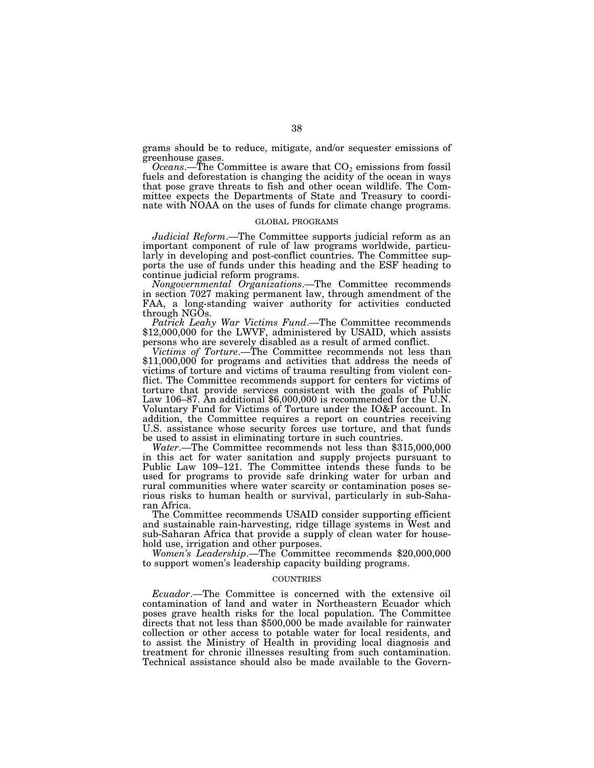grams should be to reduce, mitigate, and/or sequester emissions of greenhouse gases.

*Oceans*.—The Committee is aware that  $CO<sub>2</sub>$  emissions from fossil fuels and deforestation is changing the acidity of the ocean in ways that pose grave threats to fish and other ocean wildlife. The Committee expects the Departments of State and Treasury to coordinate with NOAA on the uses of funds for climate change programs.

#### GLOBAL PROGRAMS

*Judicial Reform*.—The Committee supports judicial reform as an important component of rule of law programs worldwide, particularly in developing and post-conflict countries. The Committee supports the use of funds under this heading and the ESF heading to continue judicial reform programs.

*Nongovernmental Organizations*.—The Committee recommends in section 7027 making permanent law, through amendment of the FAA, a long-standing waiver authority for activities conducted through NGOs.

*Patrick Leahy War Victims Fund*.—The Committee recommends \$12,000,000 for the LWVF, administered by USAID, which assists persons who are severely disabled as a result of armed conflict.

*Victims of Torture*.—The Committee recommends not less than \$11,000,000 for programs and activities that address the needs of victims of torture and victims of trauma resulting from violent conflict. The Committee recommends support for centers for victims of torture that provide services consistent with the goals of Public Law 106–87. An additional \$6,000,000 is recommended for the U.N. Voluntary Fund for Victims of Torture under the IO&P account. In addition, the Committee requires a report on countries receiving U.S. assistance whose security forces use torture, and that funds be used to assist in eliminating torture in such countries.

*Water*.—The Committee recommends not less than \$315,000,000 in this act for water sanitation and supply projects pursuant to Public Law 109–121. The Committee intends these funds to be used for programs to provide safe drinking water for urban and rural communities where water scarcity or contamination poses serious risks to human health or survival, particularly in sub-Saharan Africa.

The Committee recommends USAID consider supporting efficient and sustainable rain-harvesting, ridge tillage systems in West and sub-Saharan Africa that provide a supply of clean water for household use, irrigation and other purposes.

*Women's Leadership*.—The Committee recommends \$20,000,000 to support women's leadership capacity building programs.

#### **COUNTRIES**

*Ecuador*.—The Committee is concerned with the extensive oil contamination of land and water in Northeastern Ecuador which poses grave health risks for the local population. The Committee directs that not less than \$500,000 be made available for rainwater collection or other access to potable water for local residents, and to assist the Ministry of Health in providing local diagnosis and treatment for chronic illnesses resulting from such contamination. Technical assistance should also be made available to the Govern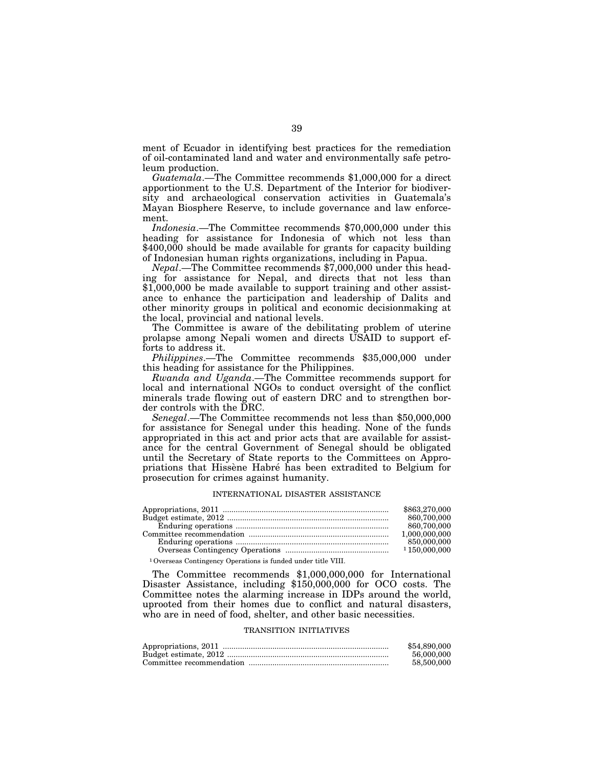ment of Ecuador in identifying best practices for the remediation of oil-contaminated land and water and environmentally safe petroleum production.

*Guatemala*.—The Committee recommends \$1,000,000 for a direct apportionment to the U.S. Department of the Interior for biodiversity and archaeological conservation activities in Guatemala's Mayan Biosphere Reserve, to include governance and law enforcement.

*Indonesia*.—The Committee recommends \$70,000,000 under this heading for assistance for Indonesia of which not less than \$400,000 should be made available for grants for capacity building of Indonesian human rights organizations, including in Papua.

*Nepal*.—The Committee recommends \$7,000,000 under this heading for assistance for Nepal, and directs that not less than \$1,000,000 be made available to support training and other assistance to enhance the participation and leadership of Dalits and other minority groups in political and economic decisionmaking at the local, provincial and national levels.

The Committee is aware of the debilitating problem of uterine prolapse among Nepali women and directs USAID to support efforts to address it.

*Philippines*.—The Committee recommends \$35,000,000 under this heading for assistance for the Philippines.

*Rwanda and Uganda*.—The Committee recommends support for local and international NGOs to conduct oversight of the conflict minerals trade flowing out of eastern DRC and to strengthen border controls with the DRC.

*Senegal*.—The Committee recommends not less than \$50,000,000 for assistance for Senegal under this heading. None of the funds appropriated in this act and prior acts that are available for assistance for the central Government of Senegal should be obligated until the Secretary of State reports to the Committees on Appropriations that Hissène Habré has been extradited to Belgium for prosecution for crimes against humanity.

#### INTERNATIONAL DISASTER ASSISTANCE

|                                                                          | \$863,270,000    |
|--------------------------------------------------------------------------|------------------|
|                                                                          | 860,700,000      |
|                                                                          | 860,700,000      |
|                                                                          | 1.000.000.000    |
|                                                                          | 850,000,000      |
|                                                                          | $1\,150,000,000$ |
| <sup>1</sup> Overseas Contingency Operations is funded under title VIII. |                  |

The Committee recommends \$1,000,000,000 for International Disaster Assistance, including \$150,000,000 for OCO costs. The Committee notes the alarming increase in IDPs around the world, uprooted from their homes due to conflict and natural disasters, who are in need of food, shelter, and other basic necessities.

# TRANSITION INITIATIVES

| \$54,890,000 |
|--------------|
| 56,000,000   |
| 58,500,000   |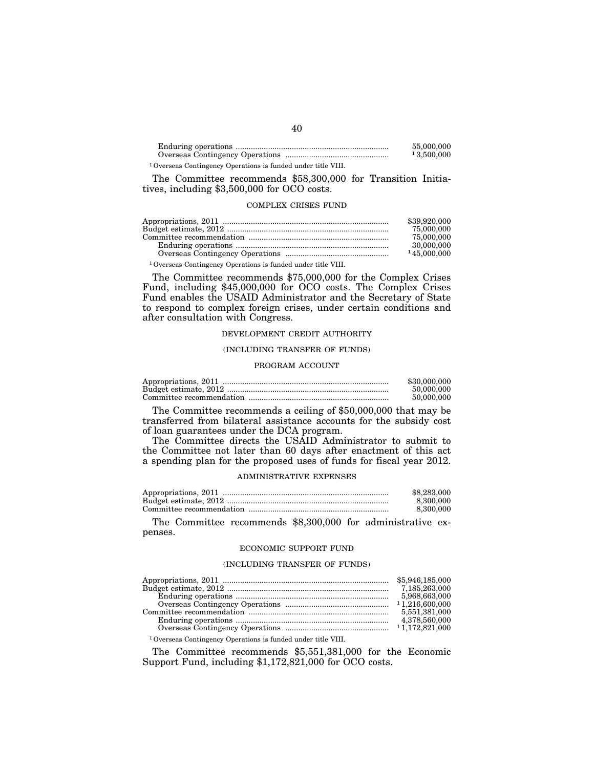|  |  |  |  |  |  | 55,000,000<br>13,500,000 |  |
|--|--|--|--|--|--|--------------------------|--|
|  |  |  |  |  |  |                          |  |

1Overseas Contingency Operations is funded under title VIII.

The Committee recommends \$58,300,000 for Transition Initiatives, including \$3,500,000 for OCO costs.

## COMPLEX CRISES FUND

| \$39,920,000 |
|--------------|
| 75,000,000   |
| 75,000,000   |
| 30,000,000   |
| 145,000,000  |
|              |

1Overseas Contingency Operations is funded under title VIII.

The Committee recommends \$75,000,000 for the Complex Crises Fund, including \$45,000,000 for OCO costs. The Complex Crises Fund enables the USAID Administrator and the Secretary of State to respond to complex foreign crises, under certain conditions and after consultation with Congress.

# DEVELOPMENT CREDIT AUTHORITY

#### (INCLUDING TRANSFER OF FUNDS)

#### PROGRAM ACCOUNT

| \$30,000,000 |
|--------------|
| 50,000,000   |
| 50,000,000   |

The Committee recommends a ceiling of \$50,000,000 that may be transferred from bilateral assistance accounts for the subsidy cost of loan guarantees under the DCA program.

The Committee directs the USAID Administrator to submit to the Committee not later than 60 days after enactment of this act a spending plan for the proposed uses of funds for fiscal year 2012.

## ADMINISTRATIVE EXPENSES

| \$8,283,000 |
|-------------|
| 8.300.000   |
| 8.300.000   |

The Committee recommends \$8,300,000 for administrative expenses.

#### ECONOMIC SUPPORT FUND

# (INCLUDING TRANSFER OF FUNDS)

|                                                                          | 5,968,663,000 |
|--------------------------------------------------------------------------|---------------|
|                                                                          |               |
|                                                                          | 5,551,381,000 |
|                                                                          | 4,378,560,000 |
|                                                                          |               |
| <sup>1</sup> Overseas Contingency Operations is funded under title VIII. |               |

The Committee recommends \$5,551,381,000 for the Economic Support Fund, including \$1,172,821,000 for OCO costs.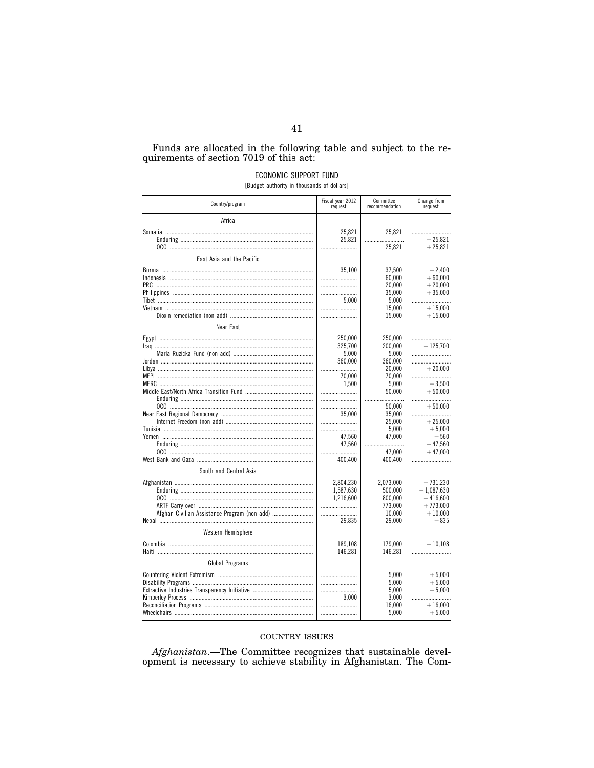# Funds are allocated in the following table and subject to the requirements of section  $7019$  of this act:

# ECONOMIC SUPPORT FUND

[Budget authority in thousands of dollars]

| Country/program                              | Fiscal year 2012<br>request | Committee<br>recommendation | Change from<br>request  |
|----------------------------------------------|-----------------------------|-----------------------------|-------------------------|
| Africa                                       |                             |                             |                         |
|                                              | 25,821<br>25,821            | 25,821<br>25,821            | $-25.821$<br>$+25,821$  |
| East Asia and the Pacific                    |                             |                             |                         |
|                                              |                             |                             |                         |
|                                              | 35,100<br>                  | 37,500<br>60,000            | $+2,400$<br>$+60,000$   |
|                                              |                             | 20,000                      | $+20,000$               |
|                                              |                             | 35,000                      | $+35,000$               |
|                                              | 5.000                       | 5,000                       |                         |
|                                              |                             | 15.000                      | $+15.000$               |
|                                              |                             | 15,000                      | $+15,000$               |
| Near East                                    |                             |                             |                         |
|                                              | 250,000                     | 250,000                     |                         |
|                                              | 325,700                     | 200,000                     | $-125.700$              |
|                                              | 5,000                       | 5,000                       |                         |
|                                              | 360,000<br>                 | 360,000<br>20.000           | $+20.000$               |
|                                              | 70,000                      | 70,000                      |                         |
|                                              | 1.500                       | 5.000                       | $+3.500$                |
|                                              |                             | 50,000                      | $+50,000$               |
|                                              |                             |                             |                         |
|                                              |                             | 50.000                      | $+50.000$               |
|                                              | 35,000<br>                  | 35,000<br>25,000            | $+25,000$               |
|                                              |                             | 5,000                       | $+5.000$                |
|                                              | 47.560                      | 47,000                      | $-560$                  |
|                                              | 47,560                      |                             | $-47,560$               |
|                                              |                             | 47.000                      | $+47.000$               |
|                                              | 400,400                     | 400,400                     |                         |
| South and Central Asia                       |                             |                             |                         |
|                                              | 2,804,230                   | 2,073,000                   | $-731,230$              |
|                                              | 1,587,630                   | 500,000                     | $-1,087,630$            |
|                                              | 1,216,600                   | 800,000                     | $-416,600$              |
| Afghan Civilian Assistance Program (non-add) |                             | 773,000<br>10,000           | $+773,000$<br>$+10,000$ |
|                                              | 29,835                      | 29,000                      | $-835$                  |
|                                              |                             |                             |                         |
| Western Hemisphere                           |                             |                             |                         |
|                                              | 189,108                     | 179,000                     | $-10,108$               |
|                                              | 146,281                     | 146,281                     |                         |
| <b>Global Programs</b>                       |                             |                             |                         |
|                                              |                             | 5,000                       | $+5,000$                |
|                                              |                             | 5,000                       | $+5,000$                |
|                                              |                             | 5,000                       | $+5,000$                |
|                                              | 3.000                       | 3,000                       |                         |
|                                              |                             | 16,000<br>5,000             | $+16,000$<br>$+5,000$   |
|                                              |                             |                             |                         |

# COUNTRY ISSUES

 $A\!f\!ghanistan$ .—The Committee recognizes that sustainable development is necessary to achieve stability in Afghanistan. The Com-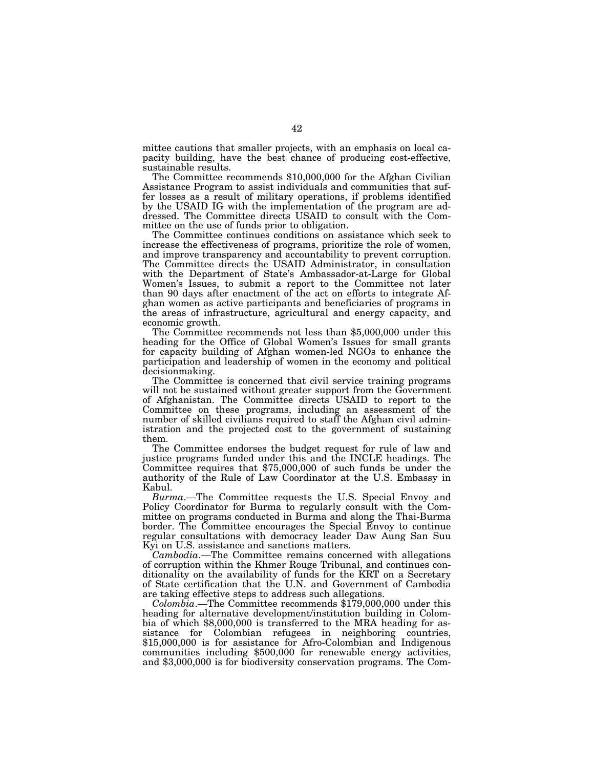mittee cautions that smaller projects, with an emphasis on local capacity building, have the best chance of producing cost-effective, sustainable results.

The Committee recommends \$10,000,000 for the Afghan Civilian Assistance Program to assist individuals and communities that suffer losses as a result of military operations, if problems identified by the USAID IG with the implementation of the program are addressed. The Committee directs USAID to consult with the Committee on the use of funds prior to obligation.

The Committee continues conditions on assistance which seek to increase the effectiveness of programs, prioritize the role of women, and improve transparency and accountability to prevent corruption. The Committee directs the USAID Administrator, in consultation with the Department of State's Ambassador-at-Large for Global Women's Issues, to submit a report to the Committee not later than 90 days after enactment of the act on efforts to integrate Afghan women as active participants and beneficiaries of programs in the areas of infrastructure, agricultural and energy capacity, and

economic growth. The Committee recommends not less than \$5,000,000 under this heading for the Office of Global Women's Issues for small grants for capacity building of Afghan women-led NGOs to enhance the participation and leadership of women in the economy and political decisionmaking.

The Committee is concerned that civil service training programs will not be sustained without greater support from the Government of Afghanistan. The Committee directs USAID to report to the Committee on these programs, including an assessment of the number of skilled civilians required to staff the Afghan civil administration and the projected cost to the government of sustaining them.

The Committee endorses the budget request for rule of law and justice programs funded under this and the INCLE headings. The Committee requires that \$75,000,000 of such funds be under the authority of the Rule of Law Coordinator at the U.S. Embassy in Kabul.

*Burma*.—The Committee requests the U.S. Special Envoy and Policy Coordinator for Burma to regularly consult with the Committee on programs conducted in Burma and along the Thai-Burma border. The Committee encourages the Special Envoy to continue regular consultations with democracy leader Daw Aung San Suu Kyi on U.S. assistance and sanctions matters.

*Cambodia*.—The Committee remains concerned with allegations of corruption within the Khmer Rouge Tribunal, and continues conditionality on the availability of funds for the KRT on a Secretary of State certification that the U.N. and Government of Cambodia are taking effective steps to address such allegations.

*Colombia*.—The Committee recommends \$179,000,000 under this heading for alternative development/institution building in Colombia of which \$8,000,000 is transferred to the MRA heading for assistance for Colombian refugees in neighboring countries, \$15,000,000 is for assistance for Afro-Colombian and Indigenous communities including \$500,000 for renewable energy activities, and \$3,000,000 is for biodiversity conservation programs. The Com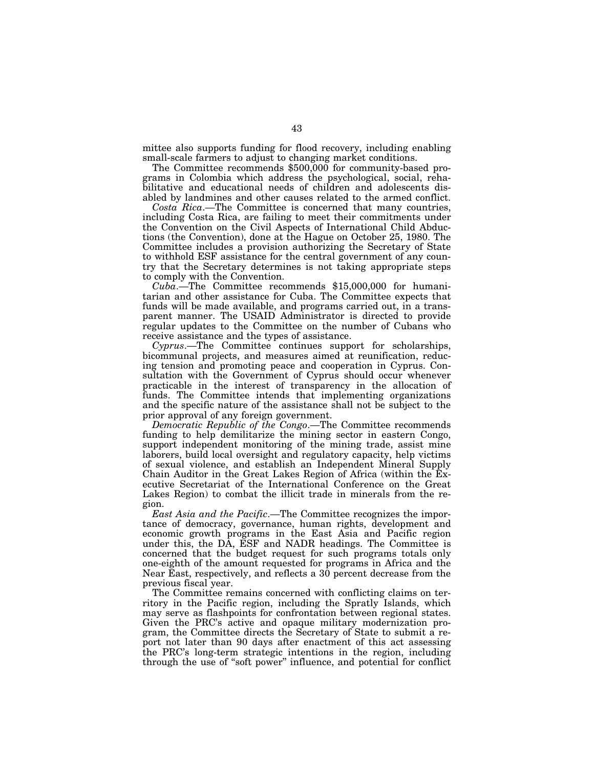mittee also supports funding for flood recovery, including enabling small-scale farmers to adjust to changing market conditions.

The Committee recommends \$500,000 for community-based programs in Colombia which address the psychological, social, rehabilitative and educational needs of children and adolescents disabled by landmines and other causes related to the armed conflict.

*Costa Rica*.—The Committee is concerned that many countries, including Costa Rica, are failing to meet their commitments under the Convention on the Civil Aspects of International Child Abductions (the Convention), done at the Hague on October 25, 1980. The Committee includes a provision authorizing the Secretary of State to withhold ESF assistance for the central government of any country that the Secretary determines is not taking appropriate steps to comply with the Convention.

*Cuba*.—The Committee recommends \$15,000,000 for humanitarian and other assistance for Cuba. The Committee expects that funds will be made available, and programs carried out, in a transparent manner. The USAID Administrator is directed to provide regular updates to the Committee on the number of Cubans who receive assistance and the types of assistance.

*Cyprus*.—The Committee continues support for scholarships, bicommunal projects, and measures aimed at reunification, reducing tension and promoting peace and cooperation in Cyprus. Consultation with the Government of Cyprus should occur whenever practicable in the interest of transparency in the allocation of funds. The Committee intends that implementing organizations and the specific nature of the assistance shall not be subject to the prior approval of any foreign government.

*Democratic Republic of the Congo*.—The Committee recommends funding to help demilitarize the mining sector in eastern Congo, support independent monitoring of the mining trade, assist mine laborers, build local oversight and regulatory capacity, help victims of sexual violence, and establish an Independent Mineral Supply Chain Auditor in the Great Lakes Region of Africa (within the Executive Secretariat of the International Conference on the Great Lakes Region) to combat the illicit trade in minerals from the region.

*East Asia and the Pacific*.—The Committee recognizes the importance of democracy, governance, human rights, development and economic growth programs in the East Asia and Pacific region under this, the DA, ESF and NADR headings. The Committee is concerned that the budget request for such programs totals only one-eighth of the amount requested for programs in Africa and the Near East, respectively, and reflects a 30 percent decrease from the previous fiscal year.

The Committee remains concerned with conflicting claims on territory in the Pacific region, including the Spratly Islands, which may serve as flashpoints for confrontation between regional states. Given the PRC's active and opaque military modernization program, the Committee directs the Secretary of State to submit a report not later than 90 days after enactment of this act assessing the PRC's long-term strategic intentions in the region, including through the use of ''soft power'' influence, and potential for conflict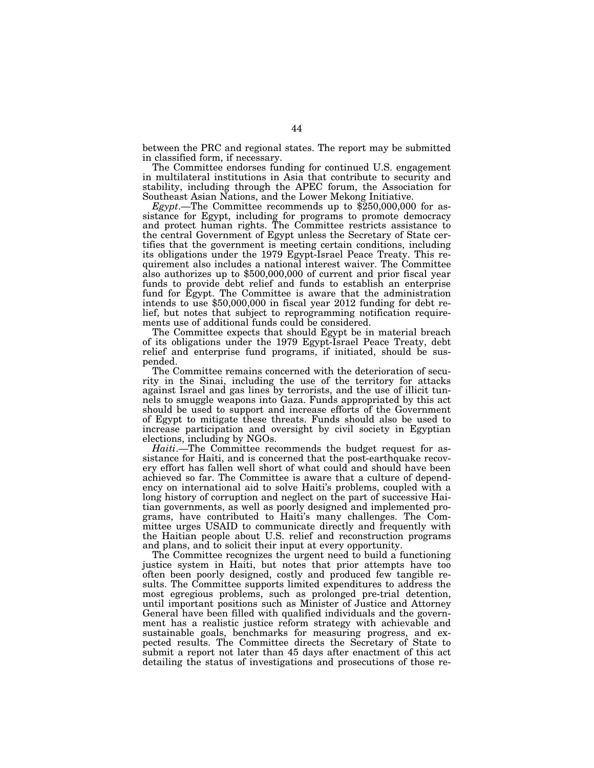between the PRC and regional states. The report may be submitted in classified form, if necessary.

The Committee endorses funding for continued U.S. engagement in multilateral institutions in Asia that contribute to security and stability, including through the APEC forum, the Association for Southeast Asian Nations, and the Lower Mekong Initiative.

*Egypt*.—The Committee recommends up to \$250,000,000 for assistance for Egypt, including for programs to promote democracy and protect human rights. The Committee restricts assistance to the central Government of Egypt unless the Secretary of State certifies that the government is meeting certain conditions, including its obligations under the 1979 Egypt-Israel Peace Treaty. This requirement also includes a national interest waiver. The Committee also authorizes up to \$500,000,000 of current and prior fiscal year funds to provide debt relief and funds to establish an enterprise fund for Egypt. The Committee is aware that the administration intends to use \$50,000,000 in fiscal year 2012 funding for debt relief, but notes that subject to reprogramming notification requirements use of additional funds could be considered.

The Committee expects that should Egypt be in material breach of its obligations under the 1979 Egypt-Israel Peace Treaty, debt relief and enterprise fund programs, if initiated, should be suspended.

The Committee remains concerned with the deterioration of security in the Sinai, including the use of the territory for attacks against Israel and gas lines by terrorists, and the use of illicit tunnels to smuggle weapons into Gaza. Funds appropriated by this act should be used to support and increase efforts of the Government of Egypt to mitigate these threats. Funds should also be used to increase participation and oversight by civil society in Egyptian elections, including by NGOs.

*Haiti*.—The Committee recommends the budget request for assistance for Haiti, and is concerned that the post-earthquake recovery effort has fallen well short of what could and should have been achieved so far. The Committee is aware that a culture of dependency on international aid to solve Haiti's problems, coupled with a long history of corruption and neglect on the part of successive Haitian governments, as well as poorly designed and implemented programs, have contributed to Haiti's many challenges. The Committee urges USAID to communicate directly and frequently with the Haitian people about U.S. relief and reconstruction programs and plans, and to solicit their input at every opportunity.

The Committee recognizes the urgent need to build a functioning justice system in Haiti, but notes that prior attempts have too often been poorly designed, costly and produced few tangible results. The Committee supports limited expenditures to address the most egregious problems, such as prolonged pre-trial detention, until important positions such as Minister of Justice and Attorney General have been filled with qualified individuals and the government has a realistic justice reform strategy with achievable and sustainable goals, benchmarks for measuring progress, and expected results. The Committee directs the Secretary of State to submit a report not later than 45 days after enactment of this act detailing the status of investigations and prosecutions of those re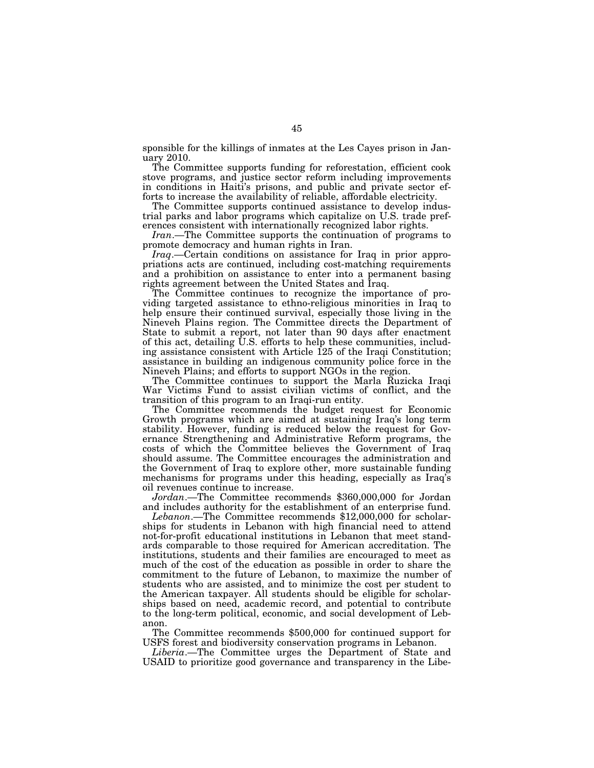sponsible for the killings of inmates at the Les Cayes prison in January 2010.

The Committee supports funding for reforestation, efficient cook stove programs, and justice sector reform including improvements in conditions in Haiti's prisons, and public and private sector efforts to increase the availability of reliable, affordable electricity.

The Committee supports continued assistance to develop industrial parks and labor programs which capitalize on U.S. trade preferences consistent with internationally recognized labor rights.

*Iran*.—The Committee supports the continuation of programs to promote democracy and human rights in Iran.

*Iraq*.—Certain conditions on assistance for Iraq in prior appropriations acts are continued, including cost-matching requirements and a prohibition on assistance to enter into a permanent basing rights agreement between the United States and Iraq.

The Committee continues to recognize the importance of providing targeted assistance to ethno-religious minorities in Iraq to help ensure their continued survival, especially those living in the Nineveh Plains region. The Committee directs the Department of State to submit a report, not later than 90 days after enactment of this act, detailing U.S. efforts to help these communities, including assistance consistent with Article 125 of the Iraqi Constitution; assistance in building an indigenous community police force in the Nineveh Plains; and efforts to support NGOs in the region.

The Committee continues to support the Marla Ruzicka Iraqi War Victims Fund to assist civilian victims of conflict, and the transition of this program to an Iraqi-run entity.

The Committee recommends the budget request for Economic Growth programs which are aimed at sustaining Iraq's long term stability. However, funding is reduced below the request for Governance Strengthening and Administrative Reform programs, the costs of which the Committee believes the Government of Iraq should assume. The Committee encourages the administration and the Government of Iraq to explore other, more sustainable funding mechanisms for programs under this heading, especially as Iraq's oil revenues continue to increase.

*Jordan*.—The Committee recommends \$360,000,000 for Jordan and includes authority for the establishment of an enterprise fund.

*Lebanon*.—The Committee recommends \$12,000,000 for scholarships for students in Lebanon with high financial need to attend not-for-profit educational institutions in Lebanon that meet standards comparable to those required for American accreditation. The institutions, students and their families are encouraged to meet as much of the cost of the education as possible in order to share the commitment to the future of Lebanon, to maximize the number of students who are assisted, and to minimize the cost per student to the American taxpayer. All students should be eligible for scholarships based on need, academic record, and potential to contribute to the long-term political, economic, and social development of Lebanon.

The Committee recommends \$500,000 for continued support for USFS forest and biodiversity conservation programs in Lebanon.

*Liberia*.—The Committee urges the Department of State and USAID to prioritize good governance and transparency in the Libe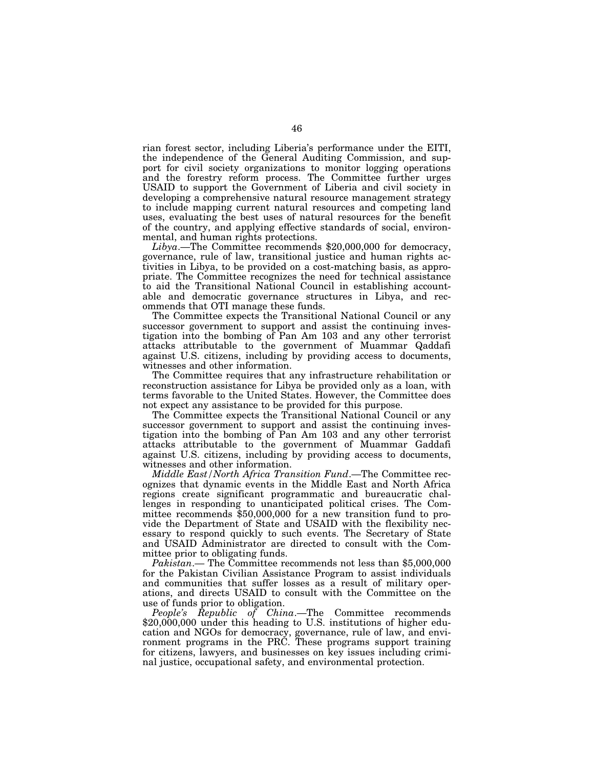rian forest sector, including Liberia's performance under the EITI, the independence of the General Auditing Commission, and support for civil society organizations to monitor logging operations and the forestry reform process. The Committee further urges USAID to support the Government of Liberia and civil society in developing a comprehensive natural resource management strategy to include mapping current natural resources and competing land uses, evaluating the best uses of natural resources for the benefit of the country, and applying effective standards of social, environmental, and human rights protections.

*Libya*.—The Committee recommends \$20,000,000 for democracy, governance, rule of law, transitional justice and human rights activities in Libya, to be provided on a cost-matching basis, as appropriate. The Committee recognizes the need for technical assistance to aid the Transitional National Council in establishing accountable and democratic governance structures in Libya, and recommends that OTI manage these funds.

The Committee expects the Transitional National Council or any successor government to support and assist the continuing investigation into the bombing of Pan Am 103 and any other terrorist attacks attributable to the government of Muammar Qaddafi against U.S. citizens, including by providing access to documents, witnesses and other information.

The Committee requires that any infrastructure rehabilitation or reconstruction assistance for Libya be provided only as a loan, with terms favorable to the United States. However, the Committee does not expect any assistance to be provided for this purpose.

The Committee expects the Transitional National Council or any successor government to support and assist the continuing investigation into the bombing of Pan Am 103 and any other terrorist attacks attributable to the government of Muammar Gaddafi against U.S. citizens, including by providing access to documents, witnesses and other information.

*Middle East/North Africa Transition Fund*.—The Committee recognizes that dynamic events in the Middle East and North Africa regions create significant programmatic and bureaucratic challenges in responding to unanticipated political crises. The Committee recommends \$50,000,000 for a new transition fund to provide the Department of State and USAID with the flexibility necessary to respond quickly to such events. The Secretary of State and USAID Administrator are directed to consult with the Committee prior to obligating funds.

*Pakistan*.— The Committee recommends not less than \$5,000,000 for the Pakistan Civilian Assistance Program to assist individuals and communities that suffer losses as a result of military operations, and directs USAID to consult with the Committee on the use of funds prior to obligation.

*People's Republic of China*.—The Committee recommends \$20,000,000 under this heading to U.S. institutions of higher education and NGOs for democracy, governance, rule of law, and environment programs in the PRC. These programs support training for citizens, lawyers, and businesses on key issues including criminal justice, occupational safety, and environmental protection.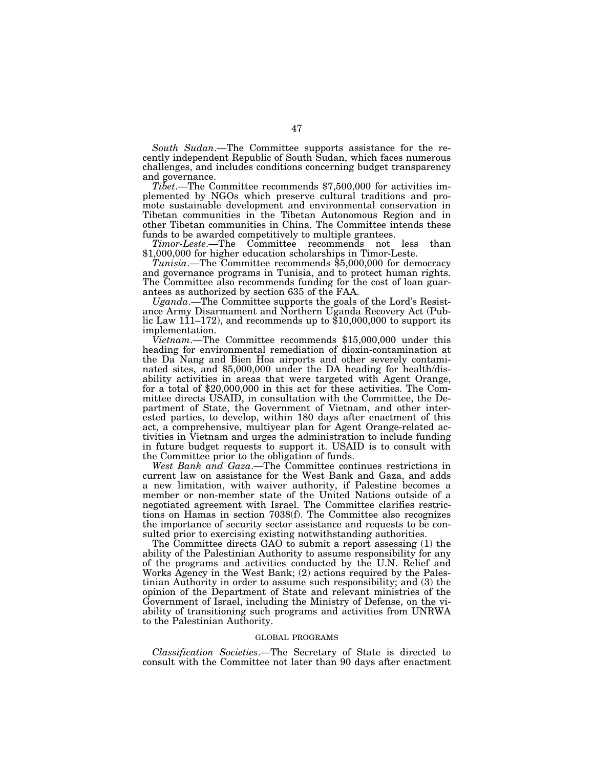*South Sudan*.—The Committee supports assistance for the recently independent Republic of South Sudan, which faces numerous challenges, and includes conditions concerning budget transparency and governance.

*Tibet*.—The Committee recommends \$7,500,000 for activities implemented by NGOs which preserve cultural traditions and promote sustainable development and environmental conservation in Tibetan communities in the Tibetan Autonomous Region and in other Tibetan communities in China. The Committee intends these funds to be awarded competitively to multiple grantees.

*Timor-Leste*.—The Committee recommends not less than \$1,000,000 for higher education scholarships in Timor-Leste.

*Tunisia*.—The Committee recommends \$5,000,000 for democracy and governance programs in Tunisia, and to protect human rights. The Committee also recommends funding for the cost of loan guarantees as authorized by section 635 of the FAA.

*Uganda*.—The Committee supports the goals of the Lord's Resistance Army Disarmament and Northern Uganda Recovery Act (Public Law 111–172), and recommends up to \$10,000,000 to support its implementation.

*Vietnam*.—The Committee recommends \$15,000,000 under this heading for environmental remediation of dioxin-contamination at the Da Nang and Bien Hoa airports and other severely contaminated sites, and \$5,000,000 under the DA heading for health/disability activities in areas that were targeted with Agent Orange, for a total of \$20,000,000 in this act for these activities. The Committee directs USAID, in consultation with the Committee, the Department of State, the Government of Vietnam, and other interested parties, to develop, within 180 days after enactment of this act, a comprehensive, multiyear plan for Agent Orange-related activities in Vietnam and urges the administration to include funding in future budget requests to support it. USAID is to consult with the Committee prior to the obligation of funds.

*West Bank and Gaza*.—The Committee continues restrictions in current law on assistance for the West Bank and Gaza, and adds a new limitation, with waiver authority, if Palestine becomes a member or non-member state of the United Nations outside of a negotiated agreement with Israel. The Committee clarifies restrictions on Hamas in section 7038(f). The Committee also recognizes the importance of security sector assistance and requests to be consulted prior to exercising existing notwithstanding authorities.

The Committee directs GAO to submit a report assessing (1) the ability of the Palestinian Authority to assume responsibility for any of the programs and activities conducted by the U.N. Relief and Works Agency in the West Bank; (2) actions required by the Palestinian Authority in order to assume such responsibility; and (3) the opinion of the Department of State and relevant ministries of the Government of Israel, including the Ministry of Defense, on the viability of transitioning such programs and activities from UNRWA to the Palestinian Authority.

#### GLOBAL PROGRAMS

*Classification Societies*.—The Secretary of State is directed to consult with the Committee not later than 90 days after enactment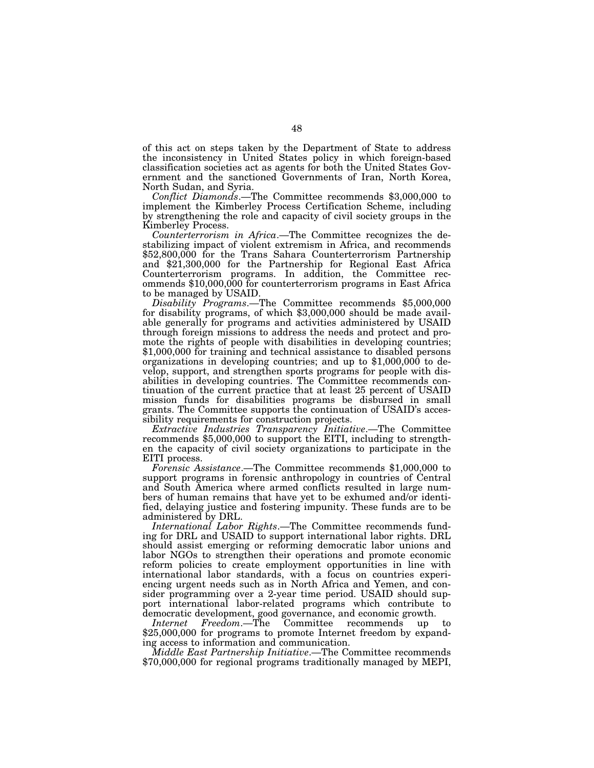of this act on steps taken by the Department of State to address the inconsistency in United States policy in which foreign-based classification societies act as agents for both the United States Government and the sanctioned Governments of Iran, North Korea, North Sudan, and Syria.

*Conflict Diamonds*.—The Committee recommends \$3,000,000 to implement the Kimberley Process Certification Scheme, including by strengthening the role and capacity of civil society groups in the Kimberley Process.

*Counterterrorism in Africa*.—The Committee recognizes the destabilizing impact of violent extremism in Africa, and recommends \$52,800,000 for the Trans Sahara Counterterrorism Partnership and \$21,300,000 for the Partnership for Regional East Africa Counterterrorism programs. In addition, the Committee recommends \$10,000,000 for counterterrorism programs in East Africa to be managed by USAID.

*Disability Programs*.—The Committee recommends \$5,000,000 for disability programs, of which \$3,000,000 should be made available generally for programs and activities administered by USAID through foreign missions to address the needs and protect and promote the rights of people with disabilities in developing countries; \$1,000,000 for training and technical assistance to disabled persons organizations in developing countries; and up to \$1,000,000 to develop, support, and strengthen sports programs for people with disabilities in developing countries. The Committee recommends continuation of the current practice that at least 25 percent of USAID mission funds for disabilities programs be disbursed in small grants. The Committee supports the continuation of USAID's accessibility requirements for construction projects.

*Extractive Industries Transparency Initiative*.—The Committee recommends \$5,000,000 to support the EITI, including to strengthen the capacity of civil society organizations to participate in the EITI process.

*Forensic Assistance*.—The Committee recommends \$1,000,000 to support programs in forensic anthropology in countries of Central and South America where armed conflicts resulted in large numbers of human remains that have yet to be exhumed and/or identified, delaying justice and fostering impunity. These funds are to be administered by DRL.

*International Labor Rights*.—The Committee recommends funding for DRL and USAID to support international labor rights. DRL should assist emerging or reforming democratic labor unions and labor NGOs to strengthen their operations and promote economic reform policies to create employment opportunities in line with international labor standards, with a focus on countries experiencing urgent needs such as in North Africa and Yemen, and consider programming over a 2-year time period. USAID should support international labor-related programs which contribute to democratic development, good governance, and economic growth.

*Internet Freedom*.—The Committee recommends up to \$25,000,000 for programs to promote Internet freedom by expanding access to information and communication.

*Middle East Partnership Initiative*.—The Committee recommends \$70,000,000 for regional programs traditionally managed by MEPI,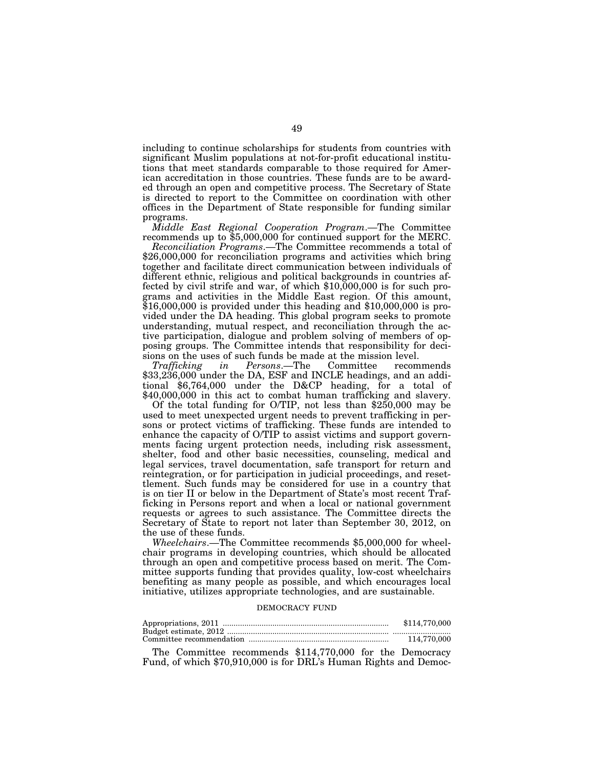including to continue scholarships for students from countries with significant Muslim populations at not-for-profit educational institutions that meet standards comparable to those required for American accreditation in those countries. These funds are to be awarded through an open and competitive process. The Secretary of State is directed to report to the Committee on coordination with other offices in the Department of State responsible for funding similar programs.

*Middle East Regional Cooperation Program*.—The Committee recommends up to \$5,000,000 for continued support for the MERC.

*Reconciliation Programs*.—The Committee recommends a total of \$26,000,000 for reconciliation programs and activities which bring together and facilitate direct communication between individuals of different ethnic, religious and political backgrounds in countries affected by civil strife and war, of which \$10,000,000 is for such programs and activities in the Middle East region. Of this amount, \$16,000,000 is provided under this heading and \$10,000,000 is provided under the DA heading. This global program seeks to promote understanding, mutual respect, and reconciliation through the active participation, dialogue and problem solving of members of opposing groups. The Committee intends that responsibility for decisions on the uses of such funds be made at the mission level.

*Trafficking in Persons*.—The Committee recommends \$33,236,000 under the DA, ESF and INCLE headings, and an additional \$6,764,000 under the D&CP heading, for a total of \$40,000,000 in this act to combat human trafficking and slavery.

Of the total funding for O/TIP, not less than \$250,000 may be used to meet unexpected urgent needs to prevent trafficking in persons or protect victims of trafficking. These funds are intended to enhance the capacity of O/TIP to assist victims and support governments facing urgent protection needs, including risk assessment, shelter, food and other basic necessities, counseling, medical and legal services, travel documentation, safe transport for return and reintegration, or for participation in judicial proceedings, and resettlement. Such funds may be considered for use in a country that is on tier II or below in the Department of State's most recent Trafficking in Persons report and when a local or national government requests or agrees to such assistance. The Committee directs the Secretary of State to report not later than September 30, 2012, on the use of these funds.

*Wheelchairs*.—The Committee recommends \$5,000,000 for wheelchair programs in developing countries, which should be allocated through an open and competitive process based on merit. The Committee supports funding that provides quality, low-cost wheelchairs benefiting as many people as possible, and which encourages local initiative, utilizes appropriate technologies, and are sustainable.

# DEMOCRACY FUND

| \$114,770,000 |
|---------------|
|               |
| 114,770,000   |

The Committee recommends \$114,770,000 for the Democracy Fund, of which \$70,910,000 is for DRL's Human Rights and Democ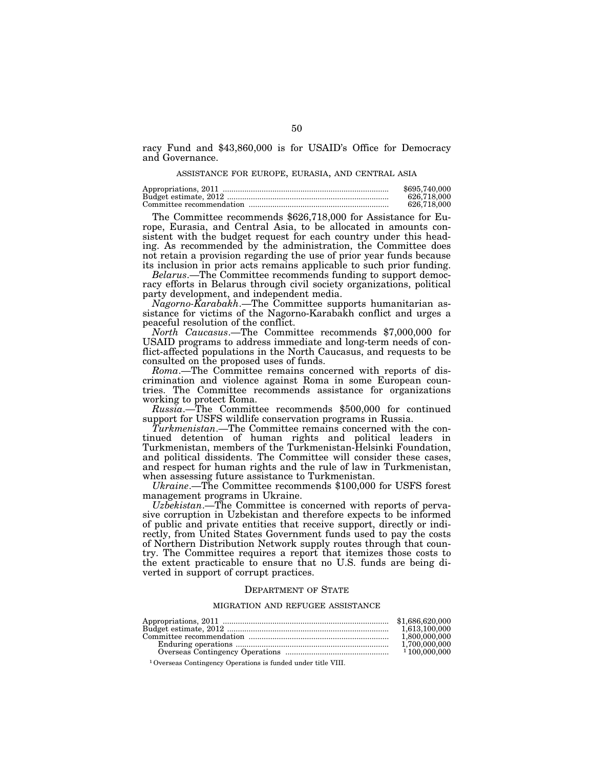racy Fund and \$43,860,000 is for USAID's Office for Democracy and Governance.

#### ASSISTANCE FOR EUROPE, EURASIA, AND CENTRAL ASIA

| \$695,740,000 |
|---------------|
| 626.718.000   |
| 626.718.000   |

The Committee recommends \$626,718,000 for Assistance for Europe, Eurasia, and Central Asia, to be allocated in amounts consistent with the budget request for each country under this heading. As recommended by the administration, the Committee does not retain a provision regarding the use of prior year funds because its inclusion in prior acts remains applicable to such prior funding.

*Belarus*.—The Committee recommends funding to support democracy efforts in Belarus through civil society organizations, political party development, and independent media.

*Nagorno-Karabakh*.—The Committee supports humanitarian assistance for victims of the Nagorno-Karabakh conflict and urges a peaceful resolution of the conflict.

*North Caucasus*.—The Committee recommends \$7,000,000 for USAID programs to address immediate and long-term needs of conflict-affected populations in the North Caucasus, and requests to be consulted on the proposed uses of funds.

*Roma*.—The Committee remains concerned with reports of discrimination and violence against Roma in some European countries. The Committee recommends assistance for organizations working to protect Roma.

*Russia*.—The Committee recommends \$500,000 for continued support for USFS wildlife conservation programs in Russia.

*Turkmenistan*.—The Committee remains concerned with the continued detention of human rights and political leaders in Turkmenistan, members of the Turkmenistan-Helsinki Foundation, and political dissidents. The Committee will consider these cases, and respect for human rights and the rule of law in Turkmenistan, when assessing future assistance to Turkmenistan.

*Ukraine*.—The Committee recommends \$100,000 for USFS forest management programs in Ukraine.

*Uzbekistan*.—The Committee is concerned with reports of pervasive corruption in Uzbekistan and therefore expects to be informed of public and private entities that receive support, directly or indirectly, from United States Government funds used to pay the costs of Northern Distribution Network supply routes through that country. The Committee requires a report that itemizes those costs to the extent practicable to ensure that no U.S. funds are being diverted in support of corrupt practices.

#### DEPARTMENT OF STATE

#### MIGRATION AND REFUGEE ASSISTANCE

| 1.613.100.000 |
|---------------|
| 1.800.000.000 |
| 1.700.000.000 |
|               |

1Overseas Contingency Operations is funded under title VIII.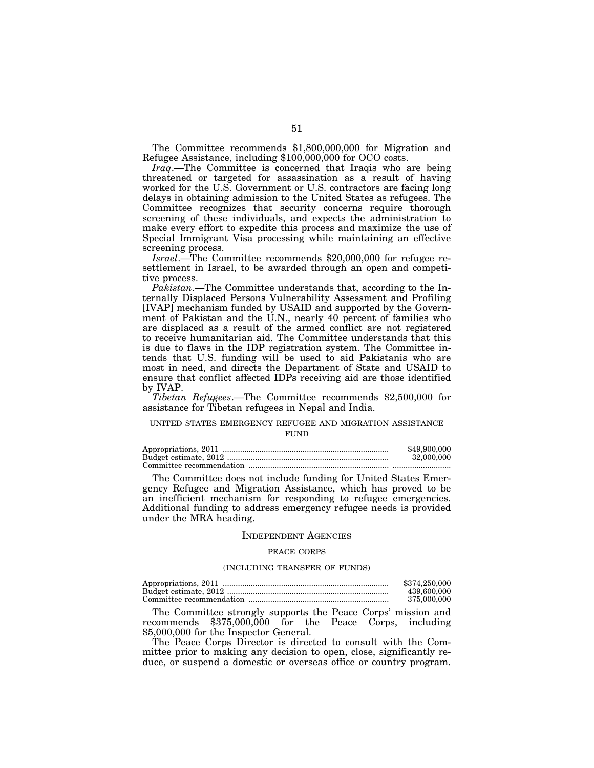The Committee recommends \$1,800,000,000 for Migration and Refugee Assistance, including \$100,000,000 for OCO costs.

*Iraq*.—The Committee is concerned that Iraqis who are being threatened or targeted for assassination as a result of having worked for the U.S. Government or U.S. contractors are facing long delays in obtaining admission to the United States as refugees. The Committee recognizes that security concerns require thorough screening of these individuals, and expects the administration to make every effort to expedite this process and maximize the use of Special Immigrant Visa processing while maintaining an effective screening process.

*Israel*.—The Committee recommends \$20,000,000 for refugee resettlement in Israel, to be awarded through an open and competitive process.

*Pakistan*.—The Committee understands that, according to the Internally Displaced Persons Vulnerability Assessment and Profiling [IVAP] mechanism funded by USAID and supported by the Government of Pakistan and the U.N., nearly 40 percent of families who are displaced as a result of the armed conflict are not registered to receive humanitarian aid. The Committee understands that this is due to flaws in the IDP registration system. The Committee intends that U.S. funding will be used to aid Pakistanis who are most in need, and directs the Department of State and USAID to ensure that conflict affected IDPs receiving aid are those identified by IVAP.

*Tibetan Refugees*.—The Committee recommends \$2,500,000 for assistance for Tibetan refugees in Nepal and India.

# UNITED STATES EMERGENCY REFUGEE AND MIGRATION ASSISTANCE **FUND**

| \$49,900,000 |
|--------------|
| 32,000,000   |
|              |

The Committee does not include funding for United States Emergency Refugee and Migration Assistance, which has proved to be an inefficient mechanism for responding to refugee emergencies. Additional funding to address emergency refugee needs is provided under the MRA heading.

## INDEPENDENT AGENCIES

#### PEACE CORPS

#### (INCLUDING TRANSFER OF FUNDS)

| \$374.250.000 |
|---------------|
| 439,600,000   |
| 375,000,000   |

The Committee strongly supports the Peace Corps' mission and recommends \$375,000,000 for the Peace Corps, including \$5,000,000 for the Inspector General.

The Peace Corps Director is directed to consult with the Committee prior to making any decision to open, close, significantly reduce, or suspend a domestic or overseas office or country program.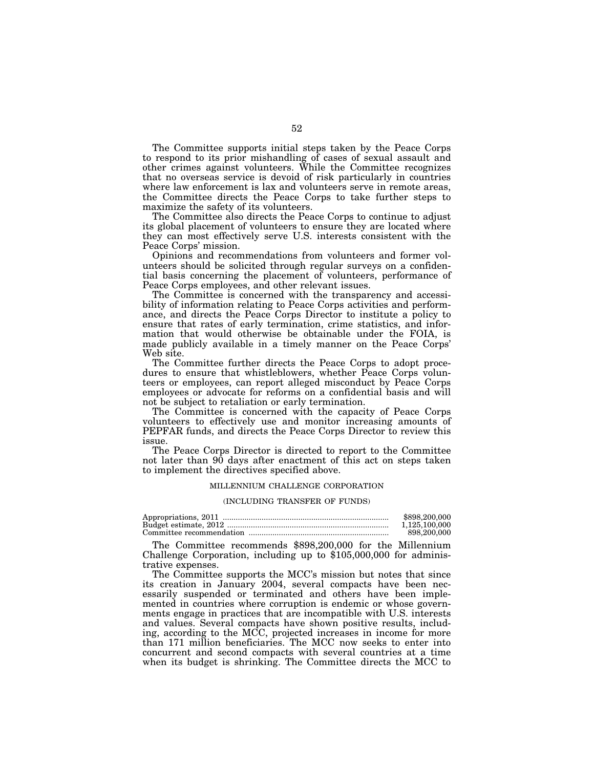The Committee supports initial steps taken by the Peace Corps to respond to its prior mishandling of cases of sexual assault and other crimes against volunteers. While the Committee recognizes that no overseas service is devoid of risk particularly in countries where law enforcement is lax and volunteers serve in remote areas, the Committee directs the Peace Corps to take further steps to maximize the safety of its volunteers.

The Committee also directs the Peace Corps to continue to adjust its global placement of volunteers to ensure they are located where they can most effectively serve U.S. interests consistent with the Peace Corps' mission.

Opinions and recommendations from volunteers and former volunteers should be solicited through regular surveys on a confidential basis concerning the placement of volunteers, performance of Peace Corps employees, and other relevant issues.

The Committee is concerned with the transparency and accessibility of information relating to Peace Corps activities and performance, and directs the Peace Corps Director to institute a policy to ensure that rates of early termination, crime statistics, and information that would otherwise be obtainable under the FOIA, is made publicly available in a timely manner on the Peace Corps' Web site.

The Committee further directs the Peace Corps to adopt procedures to ensure that whistleblowers, whether Peace Corps volunteers or employees, can report alleged misconduct by Peace Corps employees or advocate for reforms on a confidential basis and will not be subject to retaliation or early termination.

The Committee is concerned with the capacity of Peace Corps volunteers to effectively use and monitor increasing amounts of PEPFAR funds, and directs the Peace Corps Director to review this issue.

The Peace Corps Director is directed to report to the Committee not later than 90 days after enactment of this act on steps taken to implement the directives specified above.

#### MILLENNIUM CHALLENGE CORPORATION

#### (INCLUDING TRANSFER OF FUNDS)

| \$898,200,000 |
|---------------|
| 1.125.100.000 |
| 898,200,000   |

The Committee recommends \$898,200,000 for the Millennium Challenge Corporation, including up to \$105,000,000 for administrative expenses.

The Committee supports the MCC's mission but notes that since its creation in January 2004, several compacts have been necessarily suspended or terminated and others have been implemented in countries where corruption is endemic or whose governments engage in practices that are incompatible with U.S. interests and values. Several compacts have shown positive results, including, according to the MCC, projected increases in income for more than 171 million beneficiaries. The MCC now seeks to enter into concurrent and second compacts with several countries at a time when its budget is shrinking. The Committee directs the MCC to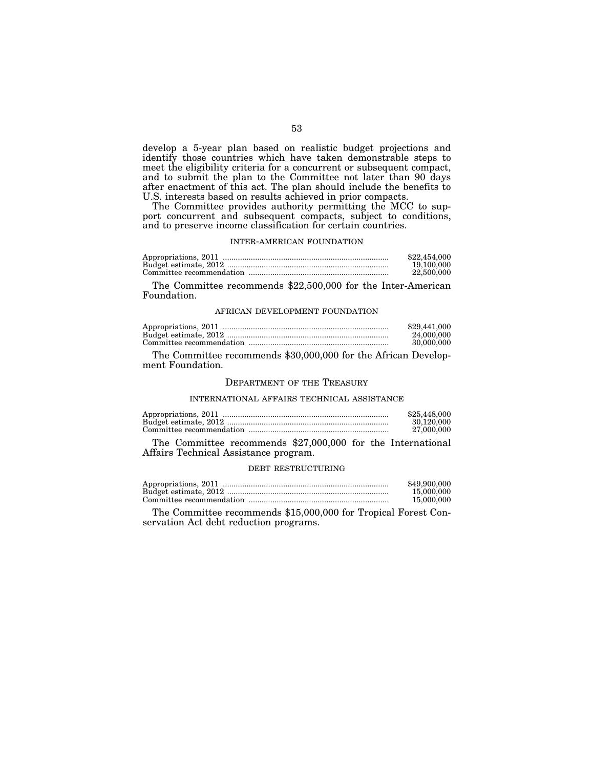develop a 5-year plan based on realistic budget projections and identify those countries which have taken demonstrable steps to meet the eligibility criteria for a concurrent or subsequent compact, and to submit the plan to the Committee not later than 90 days after enactment of this act. The plan should include the benefits to U.S. interests based on results achieved in prior compacts.

The Committee provides authority permitting the MCC to support concurrent and subsequent compacts, subject to conditions, and to preserve income classification for certain countries.

# INTER-AMERICAN FOUNDATION

| \$22,454,000 |
|--------------|
| 19,100,000   |
| 22,500,000   |

The Committee recommends \$22,500,000 for the Inter-American Foundation.

#### AFRICAN DEVELOPMENT FOUNDATION

| \$29,441,000 |
|--------------|
| 24,000,000   |
| 30,000,000   |

The Committee recommends \$30,000,000 for the African Development Foundation.

# DEPARTMENT OF THE TREASURY

#### INTERNATIONAL AFFAIRS TECHNICAL ASSISTANCE

|                                                             | \$25,448,000 |
|-------------------------------------------------------------|--------------|
|                                                             | 30.120.000   |
|                                                             | 27.000.000   |
| The Committee recommends \$27,000,000 for the International |              |

Affairs Technical Assistance program.

#### DEBT RESTRUCTURING

| \$49,900,000 |
|--------------|
| 15,000,000   |
| 15,000,000   |

The Committee recommends \$15,000,000 for Tropical Forest Conservation Act debt reduction programs.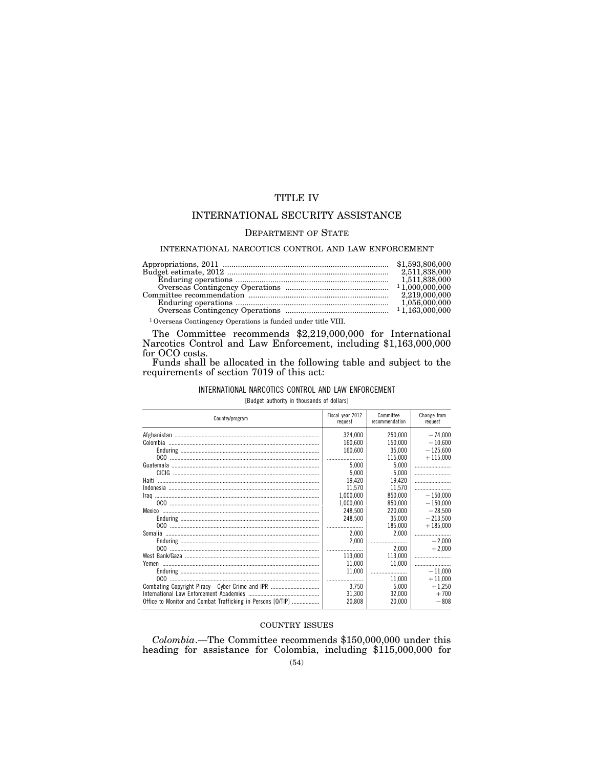# TITLE IV

# INTERNATIONAL SECURITY ASSISTANCE

# DEPARTMENT OF STATE

## INTERNATIONAL NARCOTICS CONTROL AND LAW ENFORCEMENT

|                                                                          | 2,511,838,000 |
|--------------------------------------------------------------------------|---------------|
|                                                                          |               |
|                                                                          |               |
|                                                                          | 2.219.000.000 |
|                                                                          |               |
|                                                                          |               |
| <sup>1</sup> Overseas Contingency Operations is funded under title VIII. |               |

The Committee recommends \$2,219,000,000 for International Narcotics Control and Law Enforcement, including \$1,163,000,000 for OCO costs.

Funds shall be allocated in the following table and subject to the requirements of section 7019 of this act:

# INTERNATIONAL NARCOTICS CONTROL AND LAW ENFORCEMENT [Budget authority in thousands of dollars]

|  |  | <b>IDUACEL AULINILY III LINUSANUS OF QUITALS</b> |  |  |
|--|--|--------------------------------------------------|--|--|
|  |  |                                                  |  |  |

| Country/program                                             | Fiscal year 2012<br>request | Committee<br>recommendation | Change from<br>request |
|-------------------------------------------------------------|-----------------------------|-----------------------------|------------------------|
|                                                             | 324.000                     | 250.000                     | $-74.000$              |
|                                                             | 160,600                     | 150.000                     | $-10,600$              |
|                                                             | 160,600                     | 35.000                      | $-125.600$             |
|                                                             |                             | 115.000                     | $+115.000$             |
|                                                             | 5.000                       | 5,000                       |                        |
|                                                             | 5.000                       | 5,000                       |                        |
| Haiti                                                       | 19,420                      | 19,420                      |                        |
|                                                             | 11.570                      | 11.570                      |                        |
|                                                             | 1.000.000                   | 850.000                     | $-150.000$             |
|                                                             | 1.000.000                   | 850.000                     | $-150.000$             |
|                                                             | 248,500                     | 220,000                     | $-28.500$              |
|                                                             | 248.500                     | 35.000                      | $-213.500$             |
|                                                             |                             | 185,000                     | $+185,000$             |
|                                                             | 2,000                       | 2,000                       |                        |
|                                                             | 2,000                       |                             | $-2.000$               |
|                                                             |                             | 2,000                       | $+2.000$               |
|                                                             | 113.000                     | 113.000                     |                        |
|                                                             | 11.000                      | 11.000                      |                        |
|                                                             | 11,000                      |                             | $-11.000$              |
|                                                             |                             | 11.000                      | $+11,000$              |
| Combating Copyright Piracy-Cyber Crime and IPR              | 3.750                       | 5,000                       | $+1,250$               |
|                                                             | 31,300                      | 32,000                      | $+700$                 |
| Office to Monitor and Combat Trafficking in Persons [O/TIP] | 20,808                      | 20,000                      | $-808$                 |

# COUNTRY ISSUES

*Colombia*.—The Committee recommends \$150,000,000 under this heading for assistance for Colombia, including \$115,000,000 for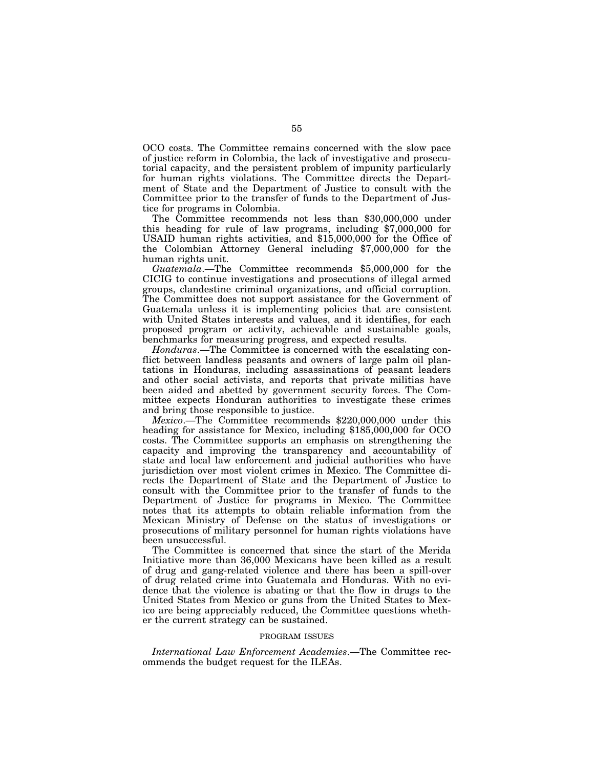OCO costs. The Committee remains concerned with the slow pace of justice reform in Colombia, the lack of investigative and prosecutorial capacity, and the persistent problem of impunity particularly for human rights violations. The Committee directs the Department of State and the Department of Justice to consult with the Committee prior to the transfer of funds to the Department of Justice for programs in Colombia.

The Committee recommends not less than \$30,000,000 under this heading for rule of law programs, including \$7,000,000 for USAID human rights activities, and \$15,000,000 for the Office of the Colombian Attorney General including \$7,000,000 for the human rights unit.

*Guatemala*.—The Committee recommends \$5,000,000 for the CICIG to continue investigations and prosecutions of illegal armed groups, clandestine criminal organizations, and official corruption. The Committee does not support assistance for the Government of Guatemala unless it is implementing policies that are consistent with United States interests and values, and it identifies, for each proposed program or activity, achievable and sustainable goals, benchmarks for measuring progress, and expected results.

*Honduras*.—The Committee is concerned with the escalating conflict between landless peasants and owners of large palm oil plantations in Honduras, including assassinations of peasant leaders and other social activists, and reports that private militias have been aided and abetted by government security forces. The Committee expects Honduran authorities to investigate these crimes and bring those responsible to justice.

*Mexico*.—The Committee recommends \$220,000,000 under this heading for assistance for Mexico, including \$185,000,000 for OCO costs. The Committee supports an emphasis on strengthening the capacity and improving the transparency and accountability of state and local law enforcement and judicial authorities who have jurisdiction over most violent crimes in Mexico. The Committee directs the Department of State and the Department of Justice to consult with the Committee prior to the transfer of funds to the Department of Justice for programs in Mexico. The Committee notes that its attempts to obtain reliable information from the Mexican Ministry of Defense on the status of investigations or prosecutions of military personnel for human rights violations have been unsuccessful.

The Committee is concerned that since the start of the Merida Initiative more than 36,000 Mexicans have been killed as a result of drug and gang-related violence and there has been a spill-over of drug related crime into Guatemala and Honduras. With no evidence that the violence is abating or that the flow in drugs to the United States from Mexico or guns from the United States to Mexico are being appreciably reduced, the Committee questions whether the current strategy can be sustained.

#### PROGRAM ISSUES

*International Law Enforcement Academies*.—The Committee recommends the budget request for the ILEAs.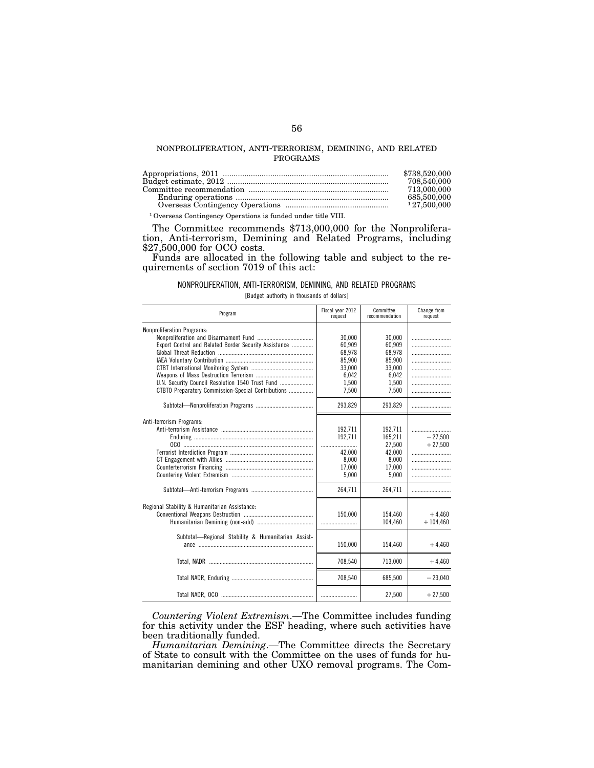## NONPROLIFERATION, ANTI-TERRORISM, DEMINING, AND RELATED PROGRAMS

|                                                                          | \$738,520,000 |
|--------------------------------------------------------------------------|---------------|
|                                                                          | 708,540,000   |
|                                                                          | 713,000,000   |
|                                                                          | 685,500,000   |
|                                                                          | 127.500.000   |
| <sup>1</sup> Overseas Contingency Operations is funded under title VIII. |               |

The Committee recommends \$713,000,000 for the Nonproliferation, Anti-terrorism, Demining and Related Programs, including \$27,500,000 for OCO costs.

Funds are allocated in the following table and subject to the requirements of section 7019 of this act:

# NONPROLIFERATION, ANTI-TERRORISM, DEMINING, AND RELATED PROGRAMS

[Budget authority in thousands of dollars]

| Program                                                                                                                                                                                              | Fiscal year 2012<br>request                                               | Committee<br>recommendation                                               | Change from<br>request |
|------------------------------------------------------------------------------------------------------------------------------------------------------------------------------------------------------|---------------------------------------------------------------------------|---------------------------------------------------------------------------|------------------------|
| <b>Nonproliferation Programs:</b><br>Export Control and Related Border Security Assistance<br>U.N. Security Council Resolution 1540 Trust Fund<br>CTBTO Preparatory Commission-Special Contributions | 30,000<br>60.909<br>68.978<br>85.900<br>33.000<br>6,042<br>1,500<br>7,500 | 30,000<br>60,909<br>68,978<br>85,900<br>33.000<br>6,042<br>1,500<br>7,500 |                        |
|                                                                                                                                                                                                      | 293,829                                                                   | 293,829                                                                   |                        |
| Anti-terrorism Programs:                                                                                                                                                                             | 192.711<br>192.711<br>42.000<br>8,000<br>17,000<br>5.000                  | 192.711<br>165.211<br>27.500<br>42,000<br>8,000<br>17,000<br>5.000        | $-27.500$<br>$+27,500$ |
|                                                                                                                                                                                                      | 264,711                                                                   | 264,711                                                                   |                        |
| Regional Stability & Humanitarian Assistance:                                                                                                                                                        | 150.000                                                                   | 154.460<br>104,460                                                        | $+4.460$<br>$+104,460$ |
| Subtotal—Regional Stability & Humanitarian Assist-                                                                                                                                                   | 150,000                                                                   | 154,460                                                                   | $+4,460$               |
|                                                                                                                                                                                                      | 708,540                                                                   | 713.000                                                                   | $+4,460$               |
|                                                                                                                                                                                                      | 708,540                                                                   | 685.500                                                                   | $-23,040$              |
|                                                                                                                                                                                                      |                                                                           | 27,500                                                                    | $+27,500$              |

*Countering Violent Extremism*.—The Committee includes funding for this activity under the ESF heading, where such activities have been traditionally funded.

*Humanitarian Demining*.—The Committee directs the Secretary of State to consult with the Committee on the uses of funds for humanitarian demining and other UXO removal programs. The Com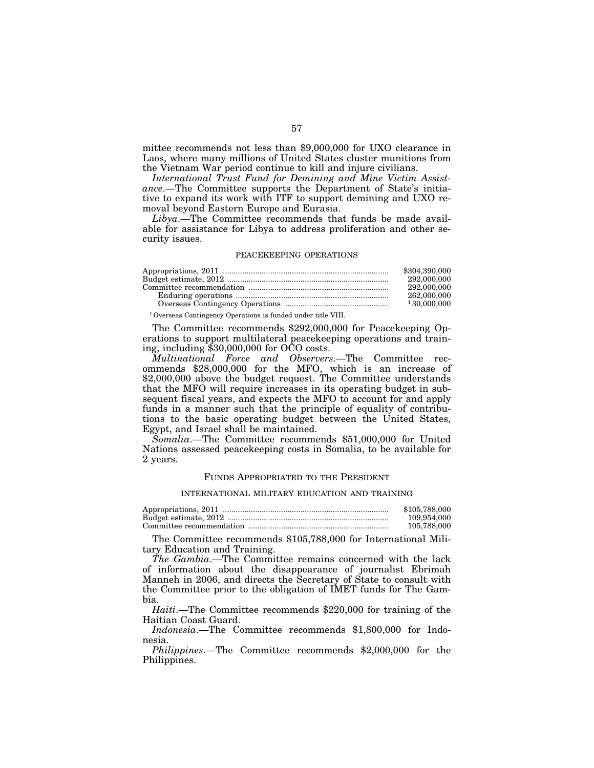mittee recommends not less than \$9,000,000 for UXO clearance in Laos, where many millions of United States cluster munitions from the Vietnam War period continue to kill and injure civilians.

*International Trust Fund for Demining and Mine Victim Assistance*.—The Committee supports the Department of State's initiative to expand its work with ITF to support demining and UXO removal beyond Eastern Europe and Eurasia.

*Libya*.—The Committee recommends that funds be made available for assistance for Libya to address proliferation and other security issues.

#### PEACEKEEPING OPERATIONS

| \$304.390,000 |
|---------------|
| 292,000,000   |
| 292,000,000   |
| 262,000,000   |
| 130,000,000   |
|               |

1Overseas Contingency Operations is funded under title VIII.

The Committee recommends \$292,000,000 for Peacekeeping Operations to support multilateral peacekeeping operations and training, including \$30,000,000 for OCO costs.

*Multinational Force and Observers*.—The Committee recommends \$28,000,000 for the MFO, which is an increase of \$2,000,000 above the budget request. The Committee understands that the MFO will require increases in its operating budget in subsequent fiscal years, and expects the MFO to account for and apply funds in a manner such that the principle of equality of contributions to the basic operating budget between the United States, Egypt, and Israel shall be maintained.

*Somalia*.—The Committee recommends \$51,000,000 for United Nations assessed peacekeeping costs in Somalia, to be available for 2 years.

#### FUNDS APPROPRIATED TO THE PRESIDENT

#### INTERNATIONAL MILITARY EDUCATION AND TRAINING

| \$105,788,000 |
|---------------|
| 109.954.000   |
| 105.788.000   |

The Committee recommends \$105,788,000 for International Military Education and Training.

*The Gambia*.—The Committee remains concerned with the lack of information about the disappearance of journalist Ebrimah Manneh in 2006, and directs the Secretary of State to consult with the Committee prior to the obligation of IMET funds for The Gambia.

*Haiti*.—The Committee recommends \$220,000 for training of the Haitian Coast Guard.

*Indonesia*.—The Committee recommends \$1,800,000 for Indonesia.

*Philippines*.—The Committee recommends \$2,000,000 for the Philippines.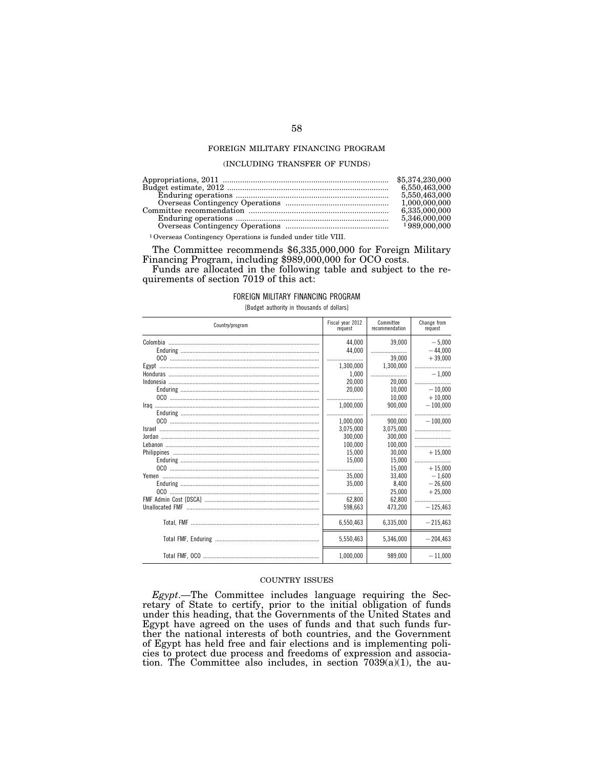# FOREIGN MILITARY FINANCING PROGRAM

#### (INCLUDING TRANSFER OF FUNDS)

|                                                                          | 6,550,463,000 |
|--------------------------------------------------------------------------|---------------|
|                                                                          | 5.550.463.000 |
|                                                                          |               |
|                                                                          | 6.335.000.000 |
|                                                                          | 5,346,000,000 |
|                                                                          |               |
| <sup>1</sup> Overseas Contingency Operations is funded under title VIII. |               |

The Committee recommends \$6,335,000,000 for Foreign Military Financing Program, including \$989,000,000 for OCO costs.

Funds are allocated in the following table and subject to the requirements of section 7019 of this act:

#### FOREIGN MILITARY FINANCING PROGRAM

[Budget authority in thousands of dollars]

| Country/program | Fiscal year 2012<br>request       | Committee<br>recommendation   | Change from<br>request             |
|-----------------|-----------------------------------|-------------------------------|------------------------------------|
|                 | 44.000<br>44.000<br><br>1,300,000 | 39,000<br>39.000<br>1,300,000 | $-5.000$<br>$-44,000$<br>$+39,000$ |
|                 | 1.000                             |                               | $-1.000$                           |
|                 | 20.000                            | 20,000                        |                                    |
|                 | 20.000<br>                        | 10.000<br>10.000              | $-10.000$<br>$+10,000$             |
|                 | 1,000,000                         | 900.000                       | $-100,000$                         |
|                 | 1.000.000                         | 900.000                       | <br>$-100.000$                     |
|                 | 3.075.000                         | 3,075,000                     |                                    |
|                 | 300.000<br>100,000                | 300.000<br>100,000            |                                    |
|                 | 15.000                            | 30.000                        | $+15.000$                          |
|                 | 15.000                            | 15.000                        |                                    |
|                 | <br>35,000                        | 15.000<br>33.400              | $+15.000$<br>$-1.600$              |
|                 | 35,000                            | 8,400                         | $-26,600$                          |
|                 |                                   | 25.000                        | $+25.000$                          |
|                 | 62.800<br>598.663                 | 62.800<br>473.200             | <br>$-125.463$                     |
|                 | 6,550,463                         | 6,335,000                     | $-215,463$                         |
|                 | 5,550,463                         | 5,346,000                     | $-204.463$                         |
|                 | 1.000.000                         | 989.000                       | $-11.000$                          |

#### COUNTRY ISSUES

*Egypt*.—The Committee includes language requiring the Secretary of State to certify, prior to the initial obligation of funds under this heading, that the Governments of the United States and Egypt have agreed on the uses of funds and that such funds further the national interests of both countries, and the Government of Egypt has held free and fair elections and is implementing policies to protect due process and freedoms of expression and association. The Committee also includes, in section  $7039(a)(1)$ , the au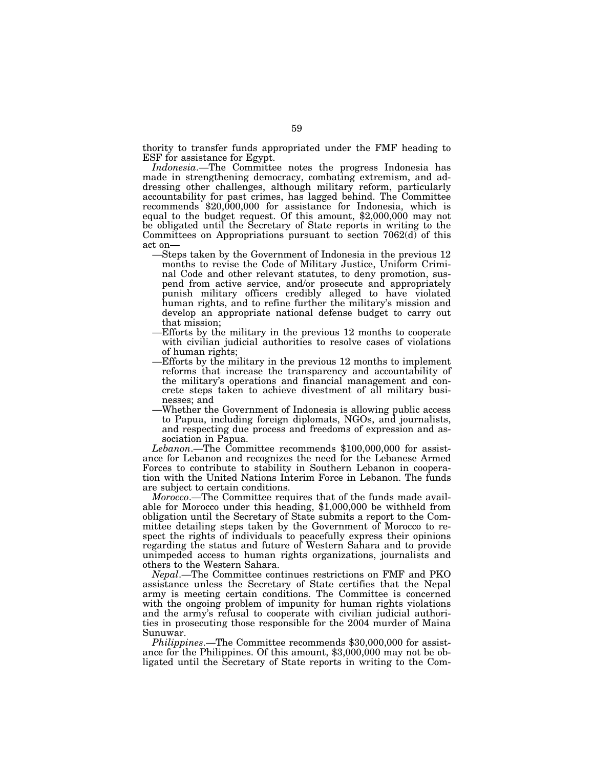thority to transfer funds appropriated under the FMF heading to ESF for assistance for Egypt.

*Indonesia*.—The Committee notes the progress Indonesia has made in strengthening democracy, combating extremism, and addressing other challenges, although military reform, particularly accountability for past crimes, has lagged behind. The Committee recommends \$20,000,000 for assistance for Indonesia, which is equal to the budget request. Of this amount, \$2,000,000 may not be obligated until the Secretary of State reports in writing to the Committees on Appropriations pursuant to section 7062(d) of this act on—

- —Steps taken by the Government of Indonesia in the previous 12 months to revise the Code of Military Justice, Uniform Criminal Code and other relevant statutes, to deny promotion, suspend from active service, and/or prosecute and appropriately punish military officers credibly alleged to have violated human rights, and to refine further the military's mission and develop an appropriate national defense budget to carry out that mission;
- —Efforts by the military in the previous 12 months to cooperate with civilian judicial authorities to resolve cases of violations of human rights;
- —Efforts by the military in the previous 12 months to implement reforms that increase the transparency and accountability of the military's operations and financial management and concrete steps taken to achieve divestment of all military businesses; and
- —Whether the Government of Indonesia is allowing public access to Papua, including foreign diplomats, NGOs, and journalists, and respecting due process and freedoms of expression and association in Papua.

*Lebanon*.—The Committee recommends \$100,000,000 for assistance for Lebanon and recognizes the need for the Lebanese Armed Forces to contribute to stability in Southern Lebanon in cooperation with the United Nations Interim Force in Lebanon. The funds are subject to certain conditions.

*Morocco*.—The Committee requires that of the funds made available for Morocco under this heading, \$1,000,000 be withheld from obligation until the Secretary of State submits a report to the Committee detailing steps taken by the Government of Morocco to respect the rights of individuals to peacefully express their opinions regarding the status and future of Western Sahara and to provide unimpeded access to human rights organizations, journalists and others to the Western Sahara.

*Nepal*.—The Committee continues restrictions on FMF and PKO assistance unless the Secretary of State certifies that the Nepal army is meeting certain conditions. The Committee is concerned with the ongoing problem of impunity for human rights violations and the army's refusal to cooperate with civilian judicial authorities in prosecuting those responsible for the 2004 murder of Maina Sunuwar.

*Philippines*.—The Committee recommends \$30,000,000 for assistance for the Philippines. Of this amount, \$3,000,000 may not be obligated until the Secretary of State reports in writing to the Com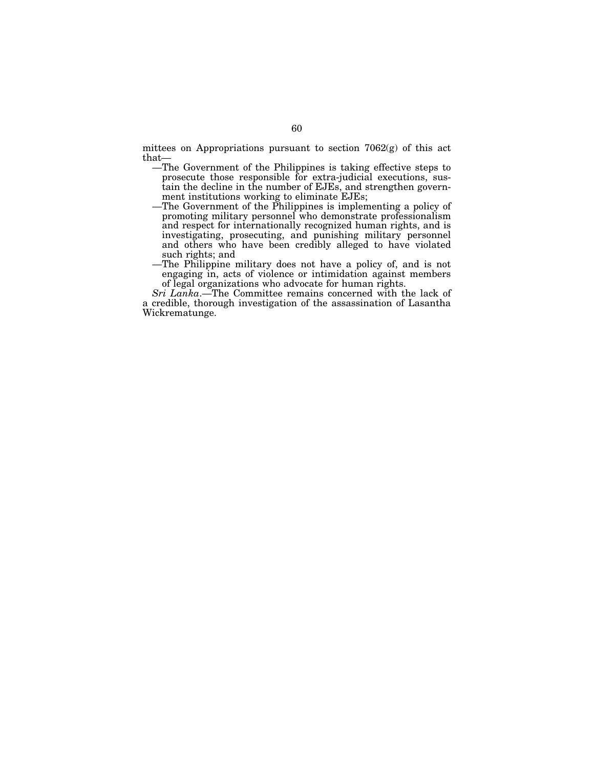mittees on Appropriations pursuant to section 7062(g) of this act that—

- —The Government of the Philippines is taking effective steps to prosecute those responsible for extra-judicial executions, sustain the decline in the number of EJEs, and strengthen government institutions working to eliminate EJEs;
- —The Government of the Philippines is implementing a policy of promoting military personnel who demonstrate professionalism and respect for internationally recognized human rights, and is investigating, prosecuting, and punishing military personnel and others who have been credibly alleged to have violated such rights; and
- —The Philippine military does not have a policy of, and is not engaging in, acts of violence or intimidation against members of legal organizations who advocate for human rights.

*Sri Lanka*.—The Committee remains concerned with the lack of a credible, thorough investigation of the assassination of Lasantha Wickrematunge.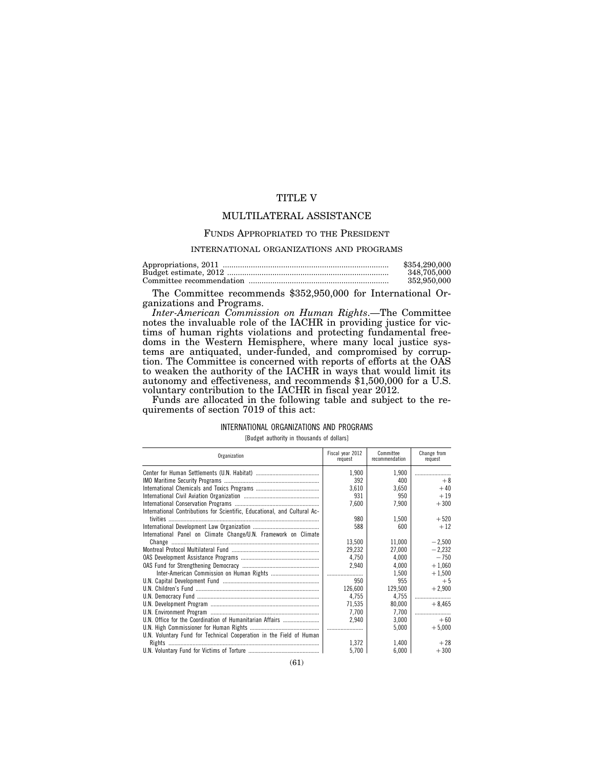# TITLE V

# MULTILATERAL ASSISTANCE

#### FUNDS APPROPRIATED TO THE PRESIDENT

## INTERNATIONAL ORGANIZATIONS AND PROGRAMS

| \$354,290,000 |
|---------------|
| 348.705.000   |
| 352,950,000   |

The Committee recommends \$352,950,000 for International Organizations and Programs.

*Inter-American Commission on Human Rights*.—The Committee notes the invaluable role of the IACHR in providing justice for victims of human rights violations and protecting fundamental freedoms in the Western Hemisphere, where many local justice systems are antiquated, under-funded, and compromised by corruption. The Committee is concerned with reports of efforts at the OAS to weaken the authority of the IACHR in ways that would limit its autonomy and effectiveness, and recommends \$1,500,000 for a U.S. voluntary contribution to the IACHR in fiscal year 2012.

Funds are allocated in the following table and subject to the requirements of section 7019 of this act:

## INTERNATIONAL ORGANIZATIONS AND PROGRAMS

[Budget authority in thousands of dollars]

| Organization                                                              | Fiscal vear 2012<br>request | Committee<br>recommendation | Change from<br>request |
|---------------------------------------------------------------------------|-----------------------------|-----------------------------|------------------------|
|                                                                           | 1,900                       | 1,900                       |                        |
|                                                                           | 392                         | 400                         | $+8$                   |
|                                                                           | 3,610                       | 3,650                       | $+40$                  |
|                                                                           | 931                         | 950                         | $+19$                  |
|                                                                           | 7,600                       | 7,900                       | $+300$                 |
| International Contributions for Scientific, Educational, and Cultural Ac- |                             |                             |                        |
|                                                                           | 980                         | 1,500                       | $+520$                 |
|                                                                           | 588                         | 600                         | $+12$                  |
| International Panel on Climate Change/U.N. Framework on Climate           |                             |                             |                        |
|                                                                           | 13,500                      | 11,000                      | $-2,500$               |
|                                                                           | 29,232                      | 27,000                      | $-2,232$               |
|                                                                           | 4.750                       | 4.000                       | $-750$                 |
|                                                                           | 2,940                       | 4.000                       | $+1.060$               |
|                                                                           | l                           | 1.500                       | $+1,500$               |
|                                                                           | 950                         | 955                         | $+5$                   |
|                                                                           | 126,600                     | 129,500                     | $+2,900$               |
|                                                                           | 4,755                       | 4,755                       |                        |
|                                                                           | 71,535                      | 80,000                      | $+8,465$               |
|                                                                           | 7.700                       | 7.700                       |                        |
| U.N. Office for the Coordination of Humanitarian Affairs                  | 2.940                       | 3,000                       | $+60$                  |
|                                                                           |                             | 5,000                       | $+5,000$               |
| U.N. Voluntary Fund for Technical Cooperation in the Field of Human       |                             |                             |                        |
|                                                                           | 1,372                       | 1,400                       | $+28$                  |
|                                                                           | 5,700                       | 6,000                       | $+300$                 |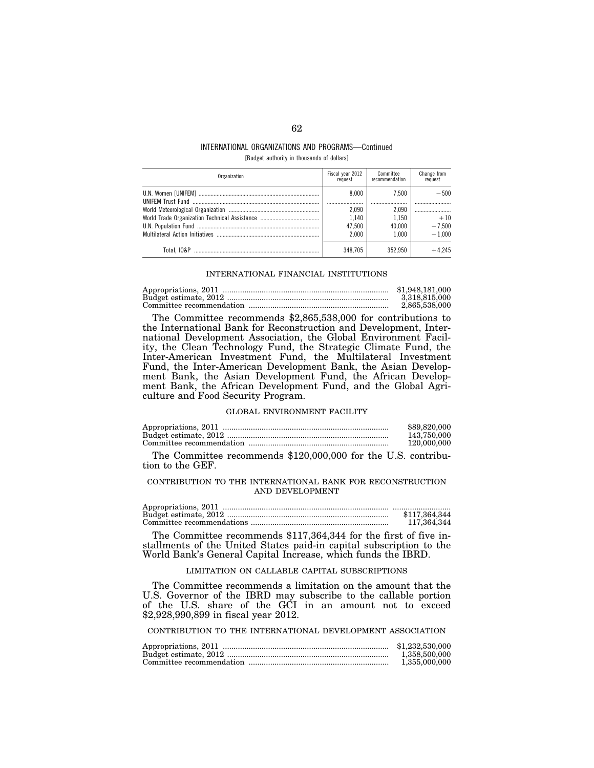# INTERNATIONAL ORGANIZATIONS AND PROGRAMS—Continued [Budget authority in thousands of dollars]

| Organization | Fiscal year 2012<br>request | Committee<br>recommendation | Change from<br>request |
|--------------|-----------------------------|-----------------------------|------------------------|
|              | 8.000                       | 7.500                       | $= 500$                |
|              | 2.090<br>1.140              | 2.090<br>1.150              | <br>$+10$              |
|              | 47.500                      | 40.000                      | $-7.500$               |
|              | 2.000                       | 1.000                       | $-1.000$               |
|              | 348.705                     | 352.950                     | $+4245$                |

#### INTERNATIONAL FINANCIAL INSTITUTIONS

| \$1,948,181,000 |
|-----------------|
| 3.318.815.000   |
| 2.865.538.000   |

The Committee recommends \$2,865,538,000 for contributions to the International Bank for Reconstruction and Development, International Development Association, the Global Environment Facility, the Clean Technology Fund, the Strategic Climate Fund, the Inter-American Investment Fund, the Multilateral Investment Fund, the Inter-American Development Bank, the Asian Development Bank, the Asian Development Fund, the African Development Bank, the African Development Fund, and the Global Agriculture and Food Security Program.

# GLOBAL ENVIRONMENT FACILITY

| \$89,820,000 |
|--------------|
| 143.750.000  |
| 120,000,000  |

The Committee recommends \$120,000,000 for the U.S. contribution to the GEF.

# CONTRIBUTION TO THE INTERNATIONAL BANK FOR RECONSTRUCTION AND DEVELOPMENT

| \$117.364.344 |
|---------------|
| 117.364.344   |

The Committee recommends \$117,364,344 for the first of five installments of the United States paid-in capital subscription to the World Bank's General Capital Increase, which funds the IBRD.

# LIMITATION ON CALLABLE CAPITAL SUBSCRIPTIONS

The Committee recommends a limitation on the amount that the U.S. Governor of the IBRD may subscribe to the callable portion of the U.S. share of the GCI in an amount not to exceed \$2,928,990,899 in fiscal year 2012.

CONTRIBUTION TO THE INTERNATIONAL DEVELOPMENT ASSOCIATION

| \$1,232,530,000 |
|-----------------|
| 1.358.500.000   |
| 1.355,000,000   |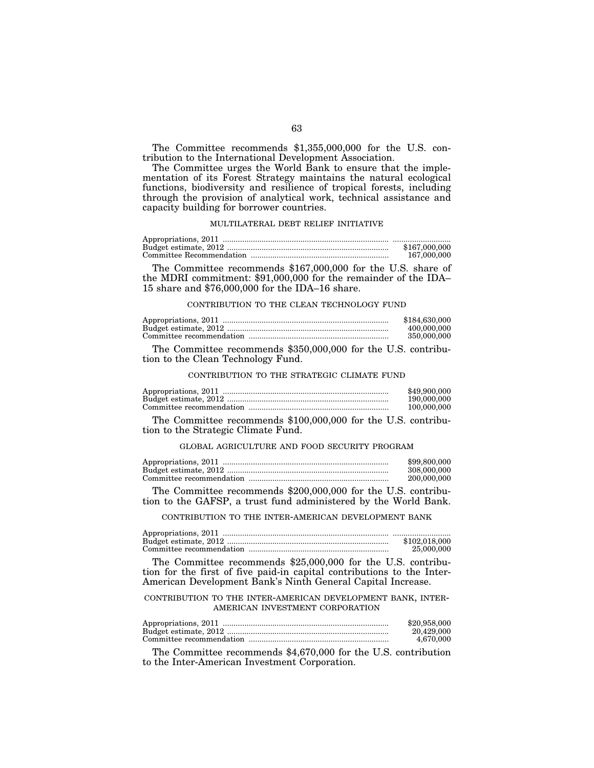The Committee recommends \$1,355,000,000 for the U.S. contribution to the International Development Association.

The Committee urges the World Bank to ensure that the implementation of its Forest Strategy maintains the natural ecological functions, biodiversity and resilience of tropical forests, including through the provision of analytical work, technical assistance and capacity building for borrower countries.

# MULTILATERAL DEBT RELIEF INITIATIVE

| \$167,000,000 |
|---------------|
| 167,000,000   |

The Committee recommends \$167,000,000 for the U.S. share of the MDRI commitment: \$91,000,000 for the remainder of the IDA– 15 share and \$76,000,000 for the IDA–16 share.

## CONTRIBUTION TO THE CLEAN TECHNOLOGY FUND

| \$184,630,000 |
|---------------|
| 400,000,000   |
| 350,000,000   |
|               |

The Committee recommends \$350,000,000 for the U.S. contribution to the Clean Technology Fund.

## CONTRIBUTION TO THE STRATEGIC CLIMATE FUND

| \$49,900,000 |
|--------------|
| 190,000,000  |
| 100,000,000  |

The Committee recommends \$100,000,000 for the U.S. contribution to the Strategic Climate Fund.

GLOBAL AGRICULTURE AND FOOD SECURITY PROGRAM

| \$99,800,000 |
|--------------|
| 308,000,000  |
| 200,000,000  |

The Committee recommends \$200,000,000 for the U.S. contribution to the GAFSP, a trust fund administered by the World Bank.

CONTRIBUTION TO THE INTER-AMERICAN DEVELOPMENT BANK

| \$102,018,000 |
|---------------|
| 25,000,000    |

The Committee recommends \$25,000,000 for the U.S. contribution for the first of five paid-in capital contributions to the Inter-American Development Bank's Ninth General Capital Increase.

# CONTRIBUTION TO THE INTER-AMERICAN DEVELOPMENT BANK, INTER-AMERICAN INVESTMENT CORPORATION

| \$20,958,000 |
|--------------|
| 20.429.000   |
| 4.670.000    |

The Committee recommends \$4,670,000 for the U.S. contribution to the Inter-American Investment Corporation.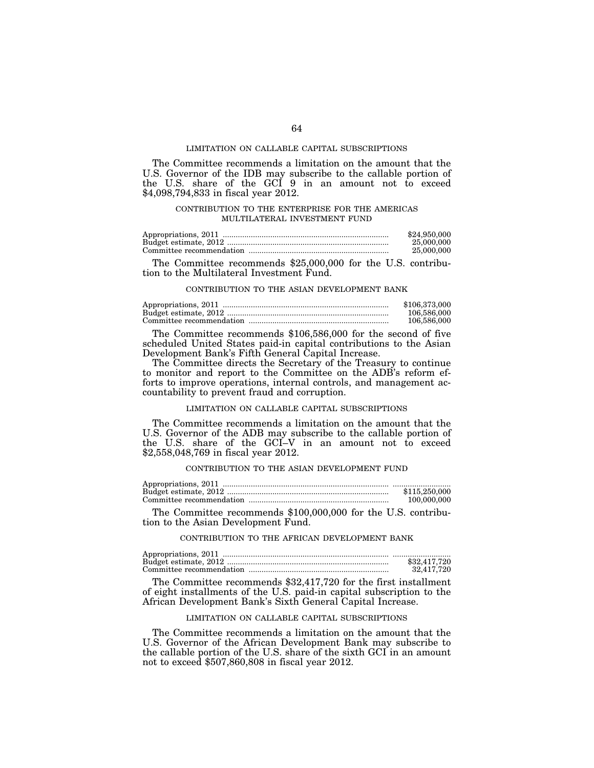## LIMITATION ON CALLABLE CAPITAL SUBSCRIPTIONS

The Committee recommends a limitation on the amount that the U.S. Governor of the IDB may subscribe to the callable portion of the U.S. share of the GCI 9 in an amount not to exceed \$4,098,794,833 in fiscal year 2012.

# CONTRIBUTION TO THE ENTERPRISE FOR THE AMERICAS MULTILATERAL INVESTMENT FUND

| \$24,950,000 |
|--------------|
| 25,000,000   |
| 25.000.000   |

The Committee recommends \$25,000,000 for the U.S. contribution to the Multilateral Investment Fund.

#### CONTRIBUTION TO THE ASIAN DEVELOPMENT BANK

| \$106,373,000 |
|---------------|
| 106,586,000   |
| 106,586,000   |

The Committee recommends \$106,586,000 for the second of five scheduled United States paid-in capital contributions to the Asian Development Bank's Fifth General Capital Increase.

The Committee directs the Secretary of the Treasury to continue to monitor and report to the Committee on the ADB's reform efforts to improve operations, internal controls, and management accountability to prevent fraud and corruption.

# LIMITATION ON CALLABLE CAPITAL SUBSCRIPTIONS

The Committee recommends a limitation on the amount that the U.S. Governor of the ADB may subscribe to the callable portion of the U.S. share of the GCI–V in an amount not to exceed \$2,558,048,769 in fiscal year 2012.

## CONTRIBUTION TO THE ASIAN DEVELOPMENT FUND

| \$115.250.000 |
|---------------|
| 100,000,000   |

The Committee recommends \$100,000,000 for the U.S. contribution to the Asian Development Fund.

## CONTRIBUTION TO THE AFRICAN DEVELOPMENT BANK

| \$32,417.720 |
|--------------|
| 32.417.720   |

The Committee recommends \$32,417,720 for the first installment of eight installments of the U.S. paid-in capital subscription to the African Development Bank's Sixth General Capital Increase.

# LIMITATION ON CALLABLE CAPITAL SUBSCRIPTIONS

The Committee recommends a limitation on the amount that the U.S. Governor of the African Development Bank may subscribe to the callable portion of the U.S. share of the sixth GCI in an amount not to exceed \$507,860,808 in fiscal year 2012.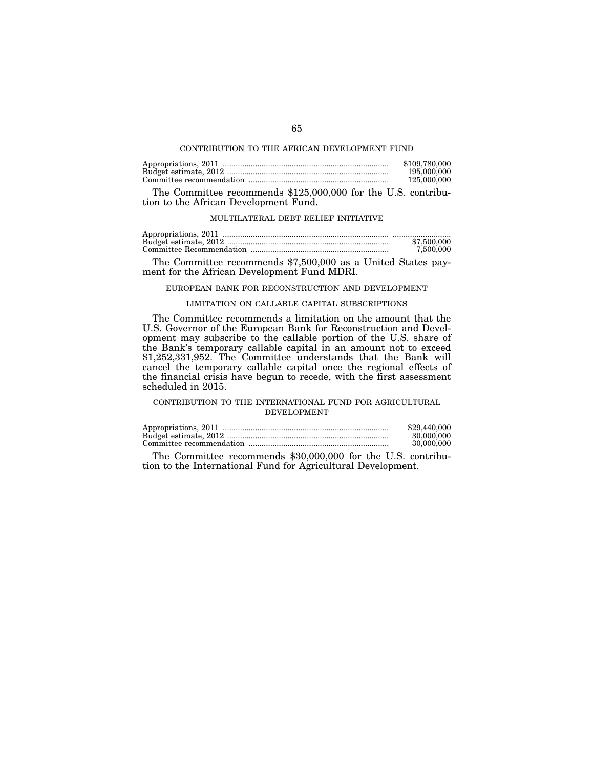## CONTRIBUTION TO THE AFRICAN DEVELOPMENT FUND

| \$109,780,000 |
|---------------|
| 195,000,000   |
| 125,000,000   |

The Committee recommends \$125,000,000 for the U.S. contribution to the African Development Fund.

# MULTILATERAL DEBT RELIEF INITIATIVE

| \$7,500,000 |
|-------------|
| 7.500.000   |

The Committee recommends \$7,500,000 as a United States payment for the African Development Fund MDRI.

# EUROPEAN BANK FOR RECONSTRUCTION AND DEVELOPMENT

# LIMITATION ON CALLABLE CAPITAL SUBSCRIPTIONS

The Committee recommends a limitation on the amount that the U.S. Governor of the European Bank for Reconstruction and Development may subscribe to the callable portion of the U.S. share of the Bank's temporary callable capital in an amount not to exceed \$1,252,331,952. The Committee understands that the Bank will cancel the temporary callable capital once the regional effects of the financial crisis have begun to recede, with the first assessment scheduled in 2015.

# CONTRIBUTION TO THE INTERNATIONAL FUND FOR AGRICULTURAL DEVELOPMENT

| \$29,440,000 |
|--------------|
| 30,000,000   |
| 30.000.000   |

The Committee recommends \$30,000,000 for the U.S. contribution to the International Fund for Agricultural Development.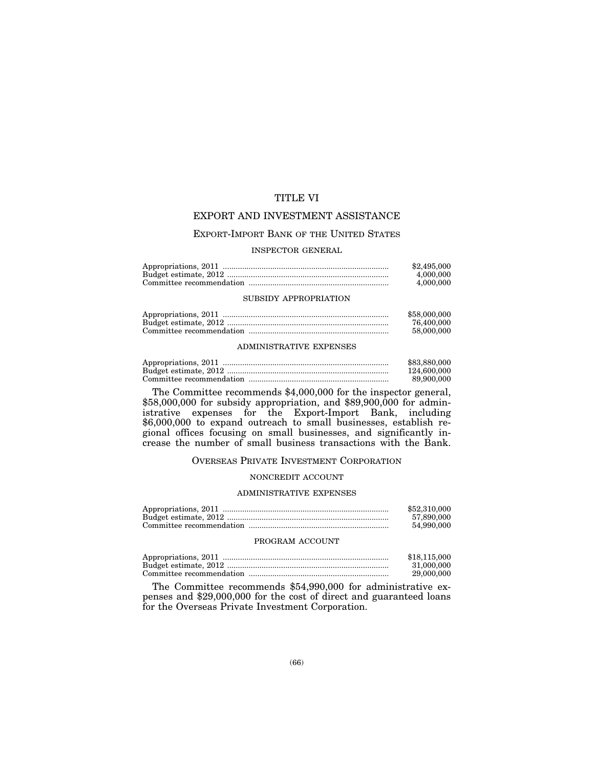# TITLE VI

# EXPORT AND INVESTMENT ASSISTANCE

# EXPORT-IMPORT BANK OF THE UNITED STATES

# INSPECTOR GENERAL

| \$2,495,000 |
|-------------|
| 4.000.000   |
| 4.000.000   |

# SUBSIDY APPROPRIATION

| \$58,000,000 |
|--------------|
| 76.400.000   |
| 58,000,000   |

# ADMINISTRATIVE EXPENSES

| \$83,880,000 |
|--------------|
| 124,600,000  |
| 89.900.000   |

The Committee recommends \$4,000,000 for the inspector general, \$58,000,000 for subsidy appropriation, and \$89,900,000 for administrative expenses for the Export-Import Bank, including \$6,000,000 to expand outreach to small businesses, establish regional offices focusing on small businesses, and significantly increase the number of small business transactions with the Bank.

# OVERSEAS PRIVATE INVESTMENT CORPORATION

#### NONCREDIT ACCOUNT

#### ADMINISTRATIVE EXPENSES

| \$52,310,000 |
|--------------|
| 57.890.000   |
| 54.990.000   |

#### PROGRAM ACCOUNT

| \$18,115,000 |
|--------------|
| 31.000.000   |
| 29,000,000   |

The Committee recommends \$54,990,000 for administrative expenses and \$29,000,000 for the cost of direct and guaranteed loans for the Overseas Private Investment Corporation.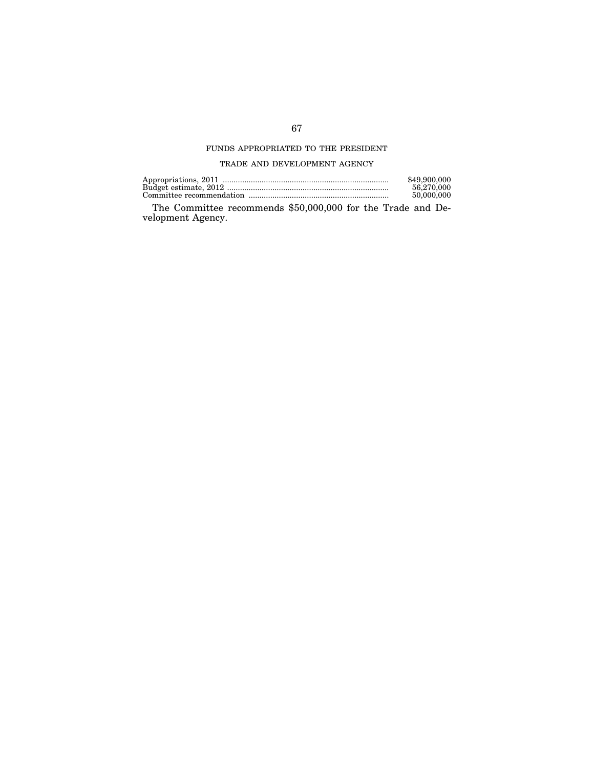# FUNDS APPROPRIATED TO THE PRESIDENT

# TRADE AND DEVELOPMENT AGENCY

| \$49,900,000 |
|--------------|
| 56.270.000   |
| 50,000,000   |

The Committee recommends \$50,000,000 for the Trade and Development Agency.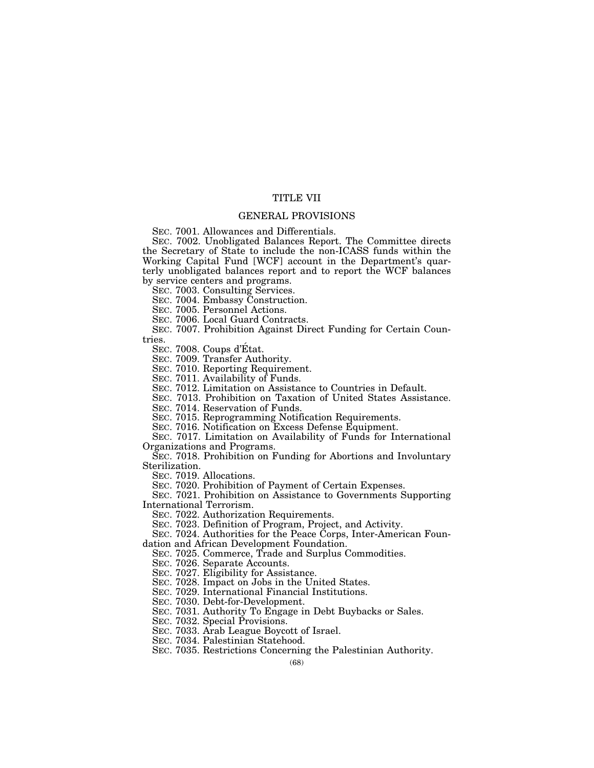# TITLE VII

# GENERAL PROVISIONS

SEC. 7001. Allowances and Differentials.

SEC. 7002. Unobligated Balances Report. The Committee directs the Secretary of State to include the non-ICASS funds within the Working Capital Fund [WCF] account in the Department's quarterly unobligated balances report and to report the WCF balances by service centers and programs.

SEC. 7003. Consulting Services.

SEC. 7004. Embassy Construction.

SEC. 7005. Personnel Actions.

SEC. 7006. Local Guard Contracts.

SEC. 7007. Prohibition Against Direct Funding for Certain Countries.

SEC. 7008. Coups d'Etat.

SEC. 7009. Transfer Authority.

SEC. 7010. Reporting Requirement.

SEC. 7011. Availability of Funds.

SEC. 7012. Limitation on Assistance to Countries in Default.

SEC. 7013. Prohibition on Taxation of United States Assistance.

SEC. 7014. Reservation of Funds.

SEC. 7015. Reprogramming Notification Requirements.

SEC. 7016. Notification on Excess Defense Equipment.

SEC. 7017. Limitation on Availability of Funds for International Organizations and Programs.

SEC. 7018. Prohibition on Funding for Abortions and Involuntary Sterilization.

SEC. 7019. Allocations.

SEC. 7020. Prohibition of Payment of Certain Expenses.

SEC. 7021. Prohibition on Assistance to Governments Supporting International Terrorism.

SEC. 7022. Authorization Requirements.

SEC. 7023. Definition of Program, Project, and Activity.

SEC. 7024. Authorities for the Peace Corps, Inter-American Foundation and African Development Foundation.

SEC. 7025. Commerce, Trade and Surplus Commodities.

SEC. 7026. Separate Accounts.

SEC. 7027. Eligibility for Assistance.

SEC. 7028. Impact on Jobs in the United States.

SEC. 7029. International Financial Institutions.

SEC. 7030. Debt-for-Development.

SEC. 7031. Authority To Engage in Debt Buybacks or Sales.

SEC. 7032. Special Provisions.

SEC. 7033. Arab League Boycott of Israel.

SEC. 7034. Palestinian Statehood.

SEC. 7035. Restrictions Concerning the Palestinian Authority.

(68)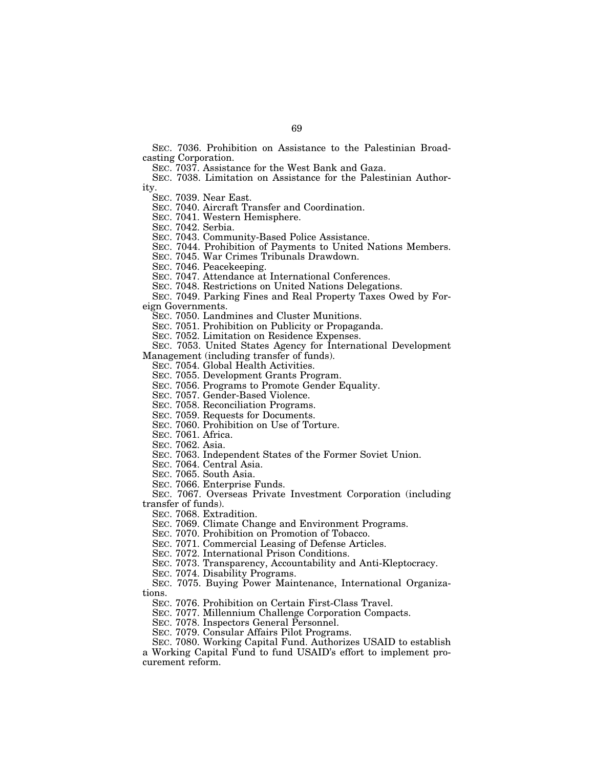SEC. 7036. Prohibition on Assistance to the Palestinian Broadcasting Corporation.

SEC. 7037. Assistance for the West Bank and Gaza.

SEC. 7038. Limitation on Assistance for the Palestinian Authority.

SEC. 7039. Near East.

SEC. 7040. Aircraft Transfer and Coordination.

SEC. 7041. Western Hemisphere.

SEC. 7042. Serbia.

SEC. 7043. Community-Based Police Assistance.

SEC. 7044. Prohibition of Payments to United Nations Members.

SEC. 7045. War Crimes Tribunals Drawdown.

SEC. 7046. Peacekeeping.

SEC. 7047. Attendance at International Conferences.

SEC. 7048. Restrictions on United Nations Delegations.

SEC. 7049. Parking Fines and Real Property Taxes Owed by Foreign Governments.

SEC. 7050. Landmines and Cluster Munitions.

SEC. 7051. Prohibition on Publicity or Propaganda.

SEC. 7052. Limitation on Residence Expenses.

SEC. 7053. United States Agency for International Development

Management (including transfer of funds).

SEC. 7054. Global Health Activities.

SEC. 7055. Development Grants Program.

SEC. 7056. Programs to Promote Gender Equality.

SEC. 7057. Gender-Based Violence.

SEC. 7058. Reconciliation Programs.

SEC. 7059. Requests for Documents.

SEC. 7060. Prohibition on Use of Torture.

SEC. 7061. Africa.

SEC. 7062. Asia.

SEC. 7063. Independent States of the Former Soviet Union.

SEC. 7064. Central Asia.

SEC. 7065. South Asia.

SEC. 7066. Enterprise Funds.

SEC. 7067. Overseas Private Investment Corporation (including transfer of funds).

SEC. 7068. Extradition.

SEC. 7069. Climate Change and Environment Programs.

SEC. 7070. Prohibition on Promotion of Tobacco.

SEC. 7071. Commercial Leasing of Defense Articles.

SEC. 7072. International Prison Conditions.

SEC. 7073. Transparency, Accountability and Anti-Kleptocracy.

SEC. 7074. Disability Programs.

SEC. 7075. Buying Power Maintenance, International Organizations.

SEC. 7076. Prohibition on Certain First-Class Travel.

SEC. 7077. Millennium Challenge Corporation Compacts.

SEC. 7078. Inspectors General Personnel.

SEC. 7079. Consular Affairs Pilot Programs.

SEC. 7080. Working Capital Fund. Authorizes USAID to establish a Working Capital Fund to fund USAID's effort to implement procurement reform.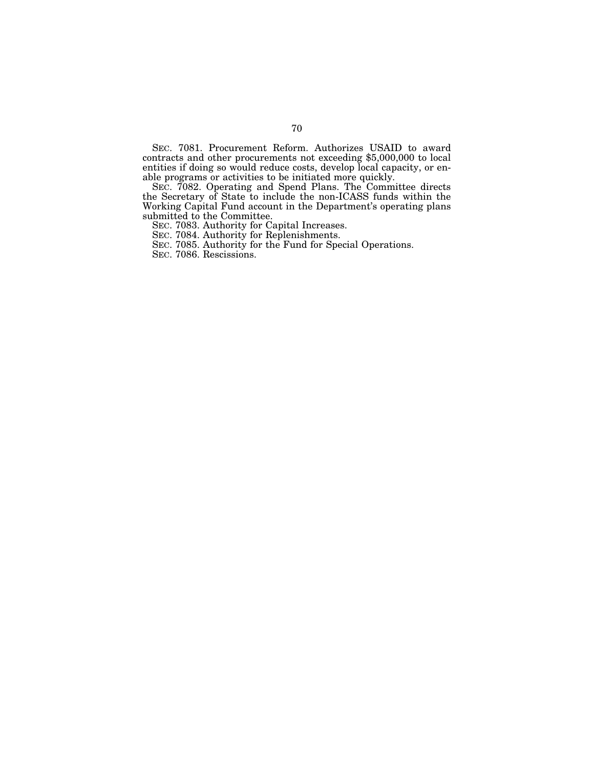SEC. 7081. Procurement Reform. Authorizes USAID to award contracts and other procurements not exceeding \$5,000,000 to local entities if doing so would reduce costs, develop local capacity, or enable programs or activities to be initiated more quickly.

SEC. 7082. Operating and Spend Plans. The Committee directs the Secretary of State to include the non-ICASS funds within the Working Capital Fund account in the Department's operating plans submitted to the Committee.

SEC. 7083. Authority for Capital Increases.

SEC. 7084. Authority for Replenishments.

SEC. 7085. Authority for the Fund for Special Operations.

SEC. 7086. Rescissions.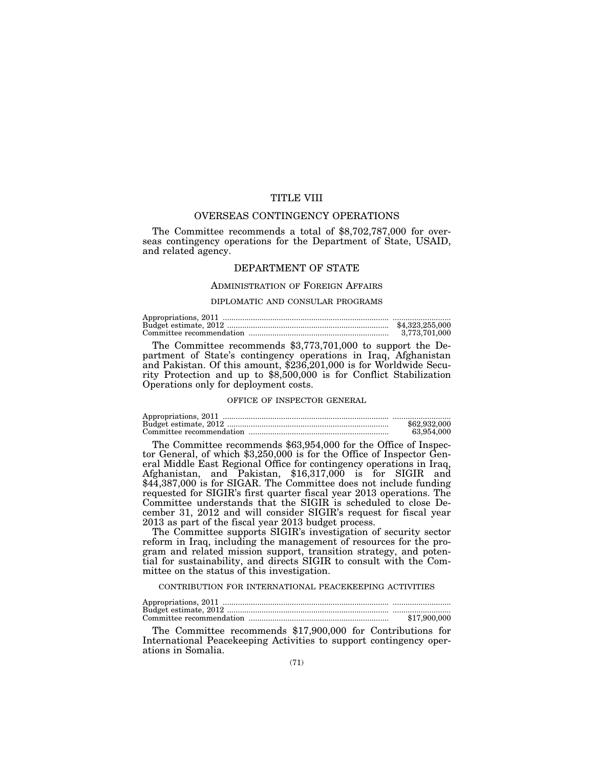# TITLE VIII

# OVERSEAS CONTINGENCY OPERATIONS

The Committee recommends a total of \$8,702,787,000 for overseas contingency operations for the Department of State, USAID, and related agency.

# DEPARTMENT OF STATE

#### ADMINISTRATION OF FOREIGN AFFAIRS

## DIPLOMATIC AND CONSULAR PROGRAMS

| \$4,323,255,000 |
|-----------------|
| 3.773.701.000   |

The Committee recommends \$3,773,701,000 to support the Department of State's contingency operations in Iraq, Afghanistan and Pakistan. Of this amount, \$236,201,000 is for Worldwide Security Protection and up to \$8,500,000 is for Conflict Stabilization Operations only for deployment costs.

# OFFICE OF INSPECTOR GENERAL

| \$62,932,000 |
|--------------|
| 63.954.000   |

The Committee recommends \$63,954,000 for the Office of Inspector General, of which \$3,250,000 is for the Office of Inspector General Middle East Regional Office for contingency operations in Iraq, Afghanistan, and Pakistan, \$16,317,000 is for SIGIR and \$44,387,000 is for SIGAR. The Committee does not include funding requested for SIGIR's first quarter fiscal year 2013 operations. The Committee understands that the SIGIR is scheduled to close December 31, 2012 and will consider SIGIR's request for fiscal year 2013 as part of the fiscal year 2013 budget process.

The Committee supports SIGIR's investigation of security sector reform in Iraq, including the management of resources for the program and related mission support, transition strategy, and potential for sustainability, and directs SIGIR to consult with the Committee on the status of this investigation.

# CONTRIBUTION FOR INTERNATIONAL PEACEKEEPING ACTIVITIES

| \$17,900,000 |
|--------------|

The Committee recommends \$17,900,000 for Contributions for International Peacekeeping Activities to support contingency operations in Somalia.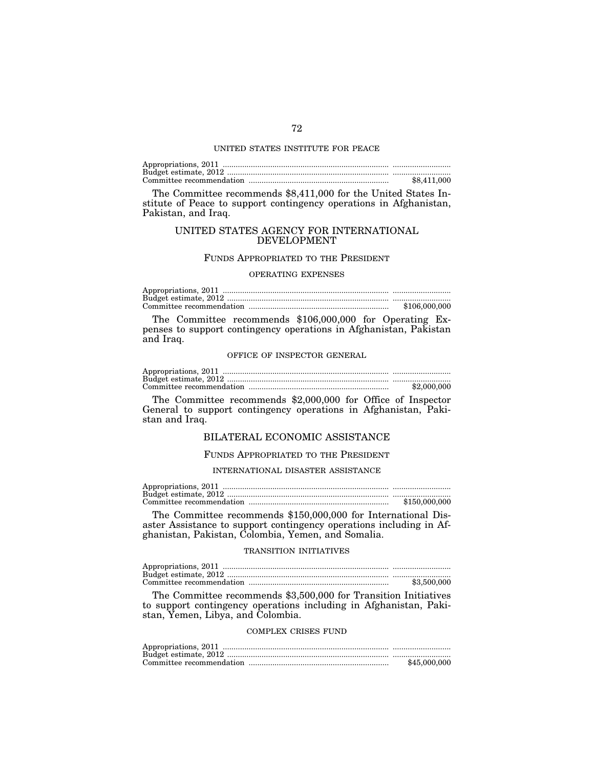#### UNITED STATES INSTITUTE FOR PEACE

| \$8,411,000 |
|-------------|

The Committee recommends \$8,411,000 for the United States Institute of Peace to support contingency operations in Afghanistan, Pakistan, and Iraq.

# UNITED STATES AGENCY FOR INTERNATIONAL DEVELOPMENT

## FUNDS APPROPRIATED TO THE PRESIDENT

#### OPERATING EXPENSES

| \$106,000,000 |
|---------------|

The Committee recommends \$106,000,000 for Operating Expenses to support contingency operations in Afghanistan, Pakistan and Iraq.

#### OFFICE OF INSPECTOR GENERAL

| \$2,000,000 |
|-------------|

The Committee recommends \$2,000,000 for Office of Inspector General to support contingency operations in Afghanistan, Pakistan and Iraq.

# BILATERAL ECONOMIC ASSISTANCE

# FUNDS APPROPRIATED TO THE PRESIDENT

INTERNATIONAL DISASTER ASSISTANCE

| \$150.000.000 |
|---------------|

The Committee recommends \$150,000,000 for International Disaster Assistance to support contingency operations including in Afghanistan, Pakistan, Colombia, Yemen, and Somalia.

## TRANSITION INITIATIVES

| \$3,500,000 |
|-------------|

The Committee recommends \$3,500,000 for Transition Initiatives to support contingency operations including in Afghanistan, Pakistan, Yemen, Libya, and Colombia.

# COMPLEX CRISES FUND

| \$45,000,000 |
|--------------|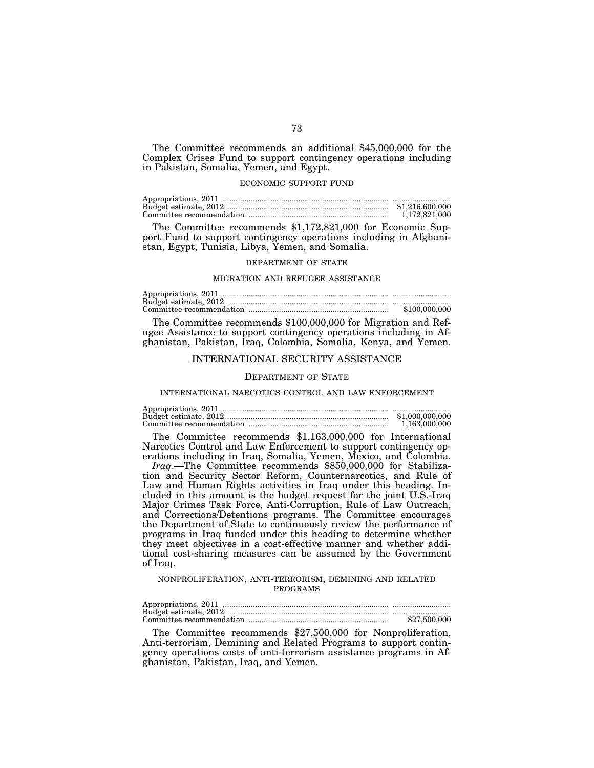The Committee recommends an additional \$45,000,000 for the Complex Crises Fund to support contingency operations including in Pakistan, Somalia, Yemen, and Egypt.

### ECONOMIC SUPPORT FUND

| \$1,216,600,000 |
|-----------------|
| 1.172.821.000   |

The Committee recommends \$1,172,821,000 for Economic Support Fund to support contingency operations including in Afghanistan, Egypt, Tunisia, Libya, Yemen, and Somalia.

### DEPARTMENT OF STATE

#### MIGRATION AND REFUGEE ASSISTANCE

| \$100,000,000 |
|---------------|

The Committee recommends \$100,000,000 for Migration and Refugee Assistance to support contingency operations including in Afghanistan, Pakistan, Iraq, Colombia, Somalia, Kenya, and Yemen.

### INTERNATIONAL SECURITY ASSISTANCE

#### DEPARTMENT OF STATE

INTERNATIONAL NARCOTICS CONTROL AND LAW ENFORCEMENT

| \$1,000,000,000 |
|-----------------|
| 1.163.000.000   |

The Committee recommends \$1,163,000,000 for International Narcotics Control and Law Enforcement to support contingency operations including in Iraq, Somalia, Yemen, Mexico, and Colombia.

*Iraq*.—The Committee recommends \$850,000,000 for Stabilization and Security Sector Reform, Counternarcotics, and Rule of Law and Human Rights activities in Iraq under this heading. Included in this amount is the budget request for the joint U.S.-Iraq Major Crimes Task Force, Anti-Corruption, Rule of Law Outreach, and Corrections/Detentions programs. The Committee encourages the Department of State to continuously review the performance of programs in Iraq funded under this heading to determine whether they meet objectives in a cost-effective manner and whether additional cost-sharing measures can be assumed by the Government of Iraq.

#### NONPROLIFERATION, ANTI-TERRORISM, DEMINING AND RELATED PROGRAMS

| \$27,500,000 |
|--------------|

The Committee recommends \$27,500,000 for Nonproliferation, Anti-terrorism, Demining and Related Programs to support contingency operations costs of anti-terrorism assistance programs in Afghanistan, Pakistan, Iraq, and Yemen.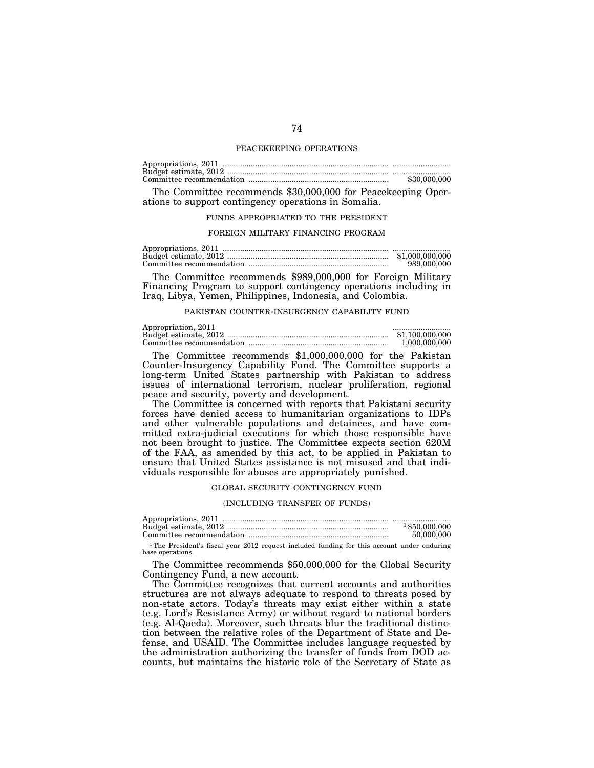#### PEACEKEEPING OPERATIONS

| \$30,000,000 |
|--------------|

The Committee recommends \$30,000,000 for Peacekeeping Operations to support contingency operations in Somalia.

#### FUNDS APPROPRIATED TO THE PRESIDENT

#### FOREIGN MILITARY FINANCING PROGRAM

Appropriations, 2011 ............................................................................. ........................... Budget estimate, 2012 ........................................................................... \$1,000,000,000 Committee recommendation ................................................................. 989,000,000

The Committee recommends \$989,000,000 for Foreign Military Financing Program to support contingency operations including in Iraq, Libya, Yemen, Philippines, Indonesia, and Colombia.

#### PAKISTAN COUNTER-INSURGENCY CAPABILITY FUND

| Appropriation, 2011 |                 |
|---------------------|-----------------|
|                     | \$1.100.000.000 |
|                     | 1.000.000.000   |

The Committee recommends \$1,000,000,000 for the Pakistan Counter-Insurgency Capability Fund. The Committee supports a long-term United States partnership with Pakistan to address issues of international terrorism, nuclear proliferation, regional peace and security, poverty and development.

The Committee is concerned with reports that Pakistani security forces have denied access to humanitarian organizations to IDPs and other vulnerable populations and detainees, and have committed extra-judicial executions for which those responsible have not been brought to justice. The Committee expects section 620M of the FAA, as amended by this act, to be applied in Pakistan to ensure that United States assistance is not misused and that individuals responsible for abuses are appropriately punished.

#### GLOBAL SECURITY CONTINGENCY FUND

#### (INCLUDING TRANSFER OF FUNDS)

| $1$ \$50,000,000 |
|------------------|
| 50,000,000       |
|                  |

1The President's fiscal year 2012 request included funding for this account under enduring base operations.

The Committee recommends \$50,000,000 for the Global Security Contingency Fund, a new account.

The Committee recognizes that current accounts and authorities structures are not always adequate to respond to threats posed by non-state actors. Today's threats may exist either within a state (e.g. Lord's Resistance Army) or without regard to national borders (e.g. Al-Qaeda). Moreover, such threats blur the traditional distinction between the relative roles of the Department of State and Defense, and USAID. The Committee includes language requested by the administration authorizing the transfer of funds from DOD accounts, but maintains the historic role of the Secretary of State as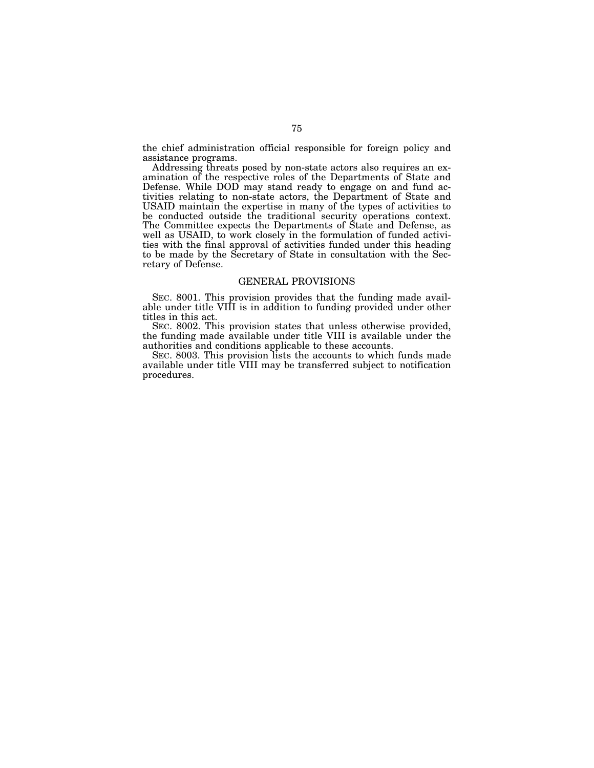the chief administration official responsible for foreign policy and assistance programs.

Addressing threats posed by non-state actors also requires an examination of the respective roles of the Departments of State and Defense. While DOD may stand ready to engage on and fund activities relating to non-state actors, the Department of State and USAID maintain the expertise in many of the types of activities to be conducted outside the traditional security operations context. The Committee expects the Departments of State and Defense, as well as USAID, to work closely in the formulation of funded activities with the final approval of activities funded under this heading to be made by the Secretary of State in consultation with the Secretary of Defense.

### GENERAL PROVISIONS

SEC. 8001. This provision provides that the funding made available under title VIII is in addition to funding provided under other titles in this act.

SEC. 8002. This provision states that unless otherwise provided, the funding made available under title VIII is available under the authorities and conditions applicable to these accounts.

SEC. 8003. This provision lists the accounts to which funds made available under title VIII may be transferred subject to notification procedures.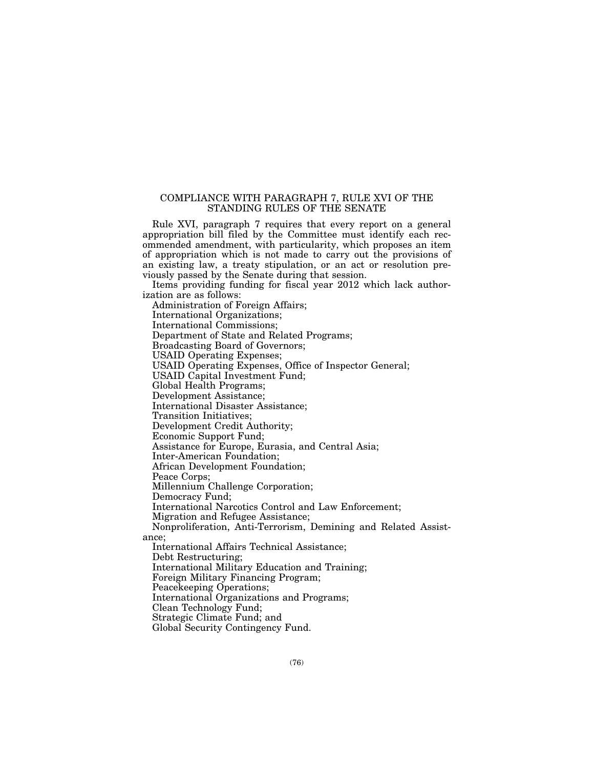## COMPLIANCE WITH PARAGRAPH 7, RULE XVI OF THE STANDING RULES OF THE SENATE

Rule XVI, paragraph 7 requires that every report on a general appropriation bill filed by the Committee must identify each recommended amendment, with particularity, which proposes an item of appropriation which is not made to carry out the provisions of an existing law, a treaty stipulation, or an act or resolution previously passed by the Senate during that session.

Items providing funding for fiscal year 2012 which lack authorization are as follows:

Administration of Foreign Affairs; International Organizations;

International Commissions;

Department of State and Related Programs;

Broadcasting Board of Governors;

USAID Operating Expenses;

USAID Operating Expenses, Office of Inspector General;

USAID Capital Investment Fund;

Global Health Programs;

Development Assistance;

International Disaster Assistance;

Transition Initiatives;

Development Credit Authority;

Economic Support Fund;

Assistance for Europe, Eurasia, and Central Asia;

Inter-American Foundation;

African Development Foundation;

Peace Corps;

Millennium Challenge Corporation;

Democracy Fund;

International Narcotics Control and Law Enforcement;

Migration and Refugee Assistance;

Nonproliferation, Anti-Terrorism, Demining and Related Assistance;

International Affairs Technical Assistance;

Debt Restructuring;

International Military Education and Training;

Foreign Military Financing Program;

Peacekeeping Operations;

International Organizations and Programs;

Clean Technology Fund;

Strategic Climate Fund; and

Global Security Contingency Fund.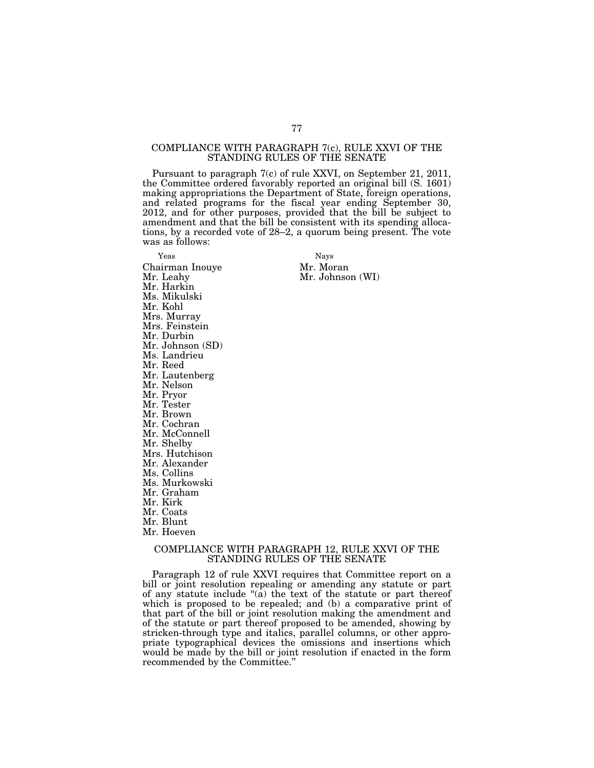### COMPLIANCE WITH PARAGRAPH 7(c), RULE XXVI OF THE STANDING RULES OF THE SENATE

Pursuant to paragraph 7(c) of rule XXVI, on September 21, 2011, the Committee ordered favorably reported an original bill (S. 1601) making appropriations the Department of State, foreign operations, and related programs for the fiscal year ending September 30, 2012, and for other purposes, provided that the bill be subject to amendment and that the bill be consistent with its spending allocations, by a recorded vote of 28–2, a quorum being present. The vote was as follows:

Yeas Nays Chairman Inouye Mr. Moran Mr. Harkin Ms. Mikulski Mr. Kohl Mrs. Murray Mrs. Feinstein Mr. Durbin Mr. Johnson (SD) Ms. Landrieu Mr. Reed Mr. Lautenberg Mr. Nelson Mr. Pryor Mr. Tester Mr. Brown Mr. Cochran Mr. McConnell Mr. Shelby Mrs. Hutchison Mr. Alexander Ms. Collins Ms. Murkowski Mr. Graham Mr. Kirk Mr. Coats Mr. Blunt Mr. Hoeven

Mr. Johnson (WI)

## COMPLIANCE WITH PARAGRAPH 12, RULE XXVI OF THE STANDING RULES OF THE SENATE

Paragraph 12 of rule XXVI requires that Committee report on a bill or joint resolution repealing or amending any statute or part of any statute include ''(a) the text of the statute or part thereof which is proposed to be repealed; and (b) a comparative print of that part of the bill or joint resolution making the amendment and of the statute or part thereof proposed to be amended, showing by stricken-through type and italics, parallel columns, or other appropriate typographical devices the omissions and insertions which would be made by the bill or joint resolution if enacted in the form recommended by the Committee.''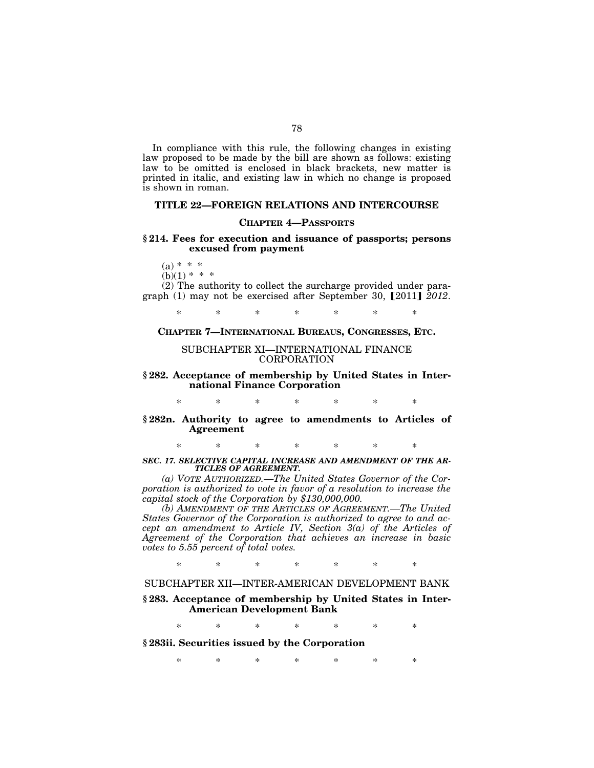In compliance with this rule, the following changes in existing law proposed to be made by the bill are shown as follows: existing law to be omitted is enclosed in black brackets, new matter is printed in italic, and existing law in which no change is proposed is shown in roman.

## **TITLE 22—FOREIGN RELATIONS AND INTERCOURSE**

### **CHAPTER 4—PASSPORTS**

### **§ 214. Fees for execution and issuance of passports; persons excused from payment**

 $(a) * * *$ 

 $(b)(1) * * * *$ 

(2) The authority to collect the surcharge provided under paragraph  $(1)$  may not be exercised after September 30,  $[2011]$   $\overline{2012}$ .

\* \* \* \* \* \* \*

### **CHAPTER 7—INTERNATIONAL BUREAUS, CONGRESSES, ETC.**

### SUBCHAPTER XI—INTERNATIONAL FINANCE CORPORATION

**§ 282. Acceptance of membership by United States in International Finance Corporation** 

\* \* \* \* \* \* \*

**§ 282n. Authority to agree to amendments to Articles of Agreement** 

\* \* \* \* \* \* \*

*SEC. 17. SELECTIVE CAPITAL INCREASE AND AMENDMENT OF THE AR-TICLES OF AGREEMENT.* 

*(a) VOTE AUTHORIZED.—The United States Governor of the Corporation is authorized to vote in favor of a resolution to increase the capital stock of the Corporation by \$130,000,000.* 

*(b) AMENDMENT OF THE ARTICLES OF AGREEMENT.—The United States Governor of the Corporation is authorized to agree to and accept an amendment to Article IV, Section 3(a) of the Articles of Agreement of the Corporation that achieves an increase in basic votes to 5.55 percent of total votes.* 

\* \* \* \* \* \* \*

# SUBCHAPTER XII—INTER-AMERICAN DEVELOPMENT BANK

### **§ 283. Acceptance of membership by United States in Inter-American Development Bank**

\* \* \* \* \* \* \*

**§ 283ii. Securities issued by the Corporation** 

\* \* \* \* \* \* \*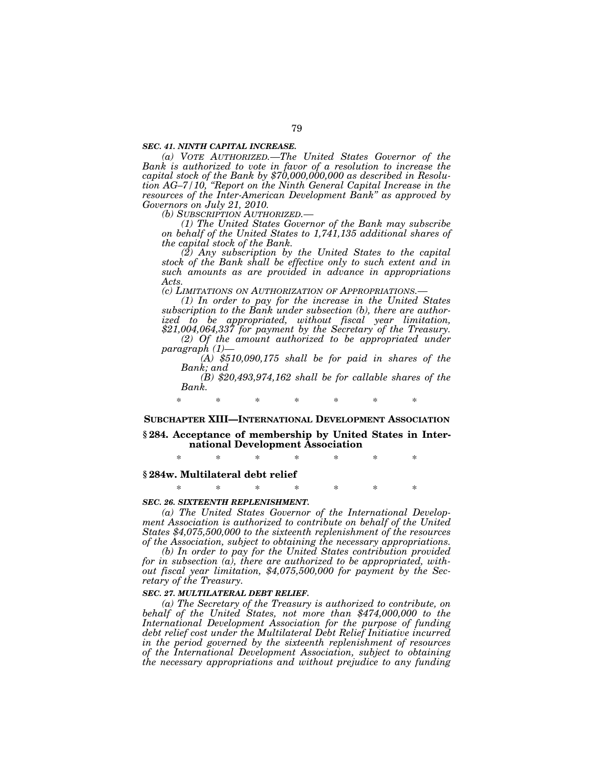#### *SEC. 41. NINTH CAPITAL INCREASE.*

*(a) VOTE AUTHORIZED.—The United States Governor of the Bank is authorized to vote in favor of a resolution to increase the capital stock of the Bank by \$70,000,000,000 as described in Resolution AG–7/10, ''Report on the Ninth General Capital Increase in the resources of the Inter-American Development Bank'' as approved by Governors on July 21, 2010.* 

*(1) The United States Governor of the Bank may subscribe on behalf of the United States to 1,741,135 additional shares of the capital stock of the Bank.* 

*(2) Any subscription by the United States to the capital stock of the Bank shall be effective only to such extent and in such amounts as are provided in advance in appropriations Acts.* 

*(c) LIMITATIONS ON AUTHORIZATION OF APPROPRIATIONS.— (1) In order to pay for the increase in the United States subscription to the Bank under subsection (b), there are authorized to be appropriated, without fiscal year limitation, \$21,004,064,337 for payment by the Secretary of the Treasury. (2) Of the amount authorized to be appropriated under* 

 $(A)$  \$510,090,175 shall be for paid in shares of the *Bank; and* 

*(B) \$20,493,974,162 shall be for callable shares of the Bank.* 

\* \* \* \* \* \* \*

#### **SUBCHAPTER XIII—INTERNATIONAL DEVELOPMENT ASSOCIATION**

### **§ 284. Acceptance of membership by United States in International Development Association**

\* \* \* \* \* \* \*

# **§ 284w. Multilateral debt relief**

\* \* \* \* \* \* \*

### *SEC. 26. SIXTEENTH REPLENISHMENT.*

*(a) The United States Governor of the International Development Association is authorized to contribute on behalf of the United States \$4,075,500,000 to the sixteenth replenishment of the resources of the Association, subject to obtaining the necessary appropriations.* 

*(b) In order to pay for the United States contribution provided for in subsection (a), there are authorized to be appropriated, without fiscal year limitation, \$4,075,500,000 for payment by the Secretary of the Treasury.* 

### *SEC. 27. MULTILATERAL DEBT RELIEF.*

*(a) The Secretary of the Treasury is authorized to contribute, on behalf of the United States, not more than \$474,000,000 to the International Development Association for the purpose of funding debt relief cost under the Multilateral Debt Relief Initiative incurred in the period governed by the sixteenth replenishment of resources of the International Development Association, subject to obtaining the necessary appropriations and without prejudice to any funding*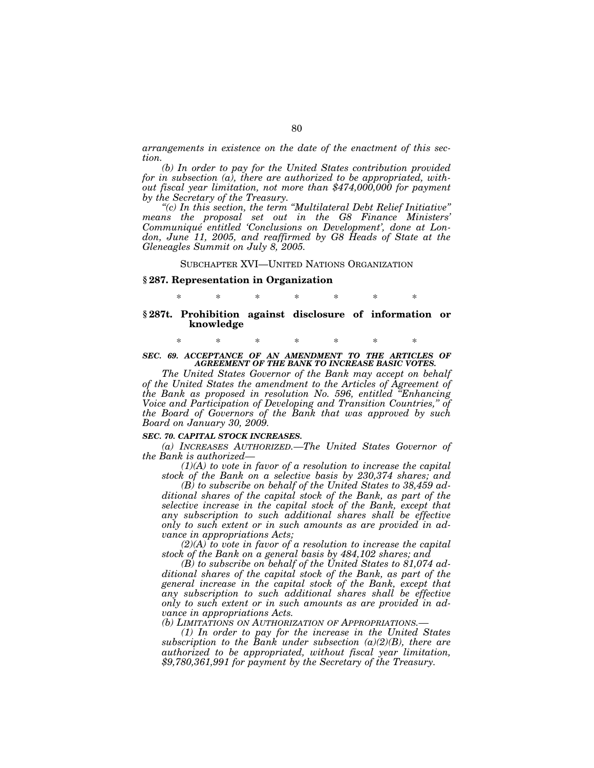*arrangements in existence on the date of the enactment of this section.* 

*(b) In order to pay for the United States contribution provided for in subsection (a), there are authorized to be appropriated, without fiscal year limitation, not more than \$474,000,000 for payment by the Secretary of the Treasury.* 

*''(c) In this section, the term ''Multilateral Debt Relief Initiative'' means the proposal set out in the G8 Finance Ministers' Communique´ entitled 'Conclusions on Development', done at London, June 11, 2005, and reaffirmed by G8 Heads of State at the Gleneagles Summit on July 8, 2005.* 

#### SUBCHAPTER XVI—UNITED NATIONS ORGANIZATION

#### **§ 287. Representation in Organization**

\* \* \* \* \* \* \*

## **§ 287t. Prohibition against disclosure of information or knowledge**

\* \* \* \* \* \* \*

#### **SEC. 69. ACCEPTANCE OF AN AMENDMENT TO THE ARTICLES OF** *AGREEMENT OF THE BANK TO INCREASE BASIC VOTES.*

*The United States Governor of the Bank may accept on behalf of the United States the amendment to the Articles of Agreement of the Bank as proposed in resolution No. 596, entitled ''Enhancing Voice and Participation of Developing and Transition Countries,'' of the Board of Governors of the Bank that was approved by such Board on January 30, 2009.* 

# *SEC. 70. CAPITAL STOCK INCREASES.*

*(a) INCREASES AUTHORIZED.—The United States Governor of the Bank is authorized—* 

*(1)(A) to vote in favor of a resolution to increase the capital stock of the Bank on a selective basis by 230,374 shares; and* 

*(B) to subscribe on behalf of the United States to 38,459 additional shares of the capital stock of the Bank, as part of the selective increase in the capital stock of the Bank, except that any subscription to such additional shares shall be effective only to such extent or in such amounts as are provided in advance in appropriations Acts;* 

*(2)(A) to vote in favor of a resolution to increase the capital stock of the Bank on a general basis by 484,102 shares; and* 

*(B) to subscribe on behalf of the United States to 81,074 additional shares of the capital stock of the Bank, as part of the general increase in the capital stock of the Bank, except that any subscription to such additional shares shall be effective only to such extent or in such amounts as are provided in advance in appropriations Acts.* 

*(b) LIMITATIONS ON AUTHORIZATION OF APPROPRIATIONS.—* 

*(1) In order to pay for the increase in the United States subscription to the Bank under subsection (a)(2)(B), there are authorized to be appropriated, without fiscal year limitation, \$9,780,361,991 for payment by the Secretary of the Treasury.*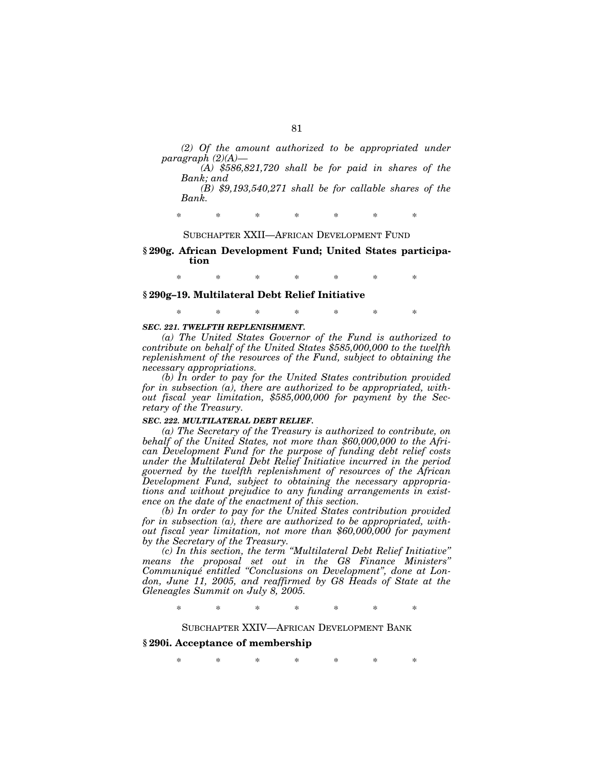*(2) Of the amount authorized to be appropriated under paragraph (2)(A)—* 

*(A) \$586,821,720 shall be for paid in shares of the Bank; and (B) \$9,193,540,271 shall be for callable shares of the* 

*Bank.* 

\* \* \* \* \* \* \*

## SUBCHAPTER XXII—AFRICAN DEVELOPMENT FUND

### **§ 290g. African Development Fund; United States participation**

\* \* \* \* \* \* \*

### **§ 290g–19. Multilateral Debt Relief Initiative**

\* \* \* \* \* \* \*

### *SEC. 221. TWELFTH REPLENISHMENT.*

*(a) The United States Governor of the Fund is authorized to contribute on behalf of the United States \$585,000,000 to the twelfth replenishment of the resources of the Fund, subject to obtaining the necessary appropriations.* 

*(b) In order to pay for the United States contribution provided for in subsection (a), there are authorized to be appropriated, without fiscal year limitation, \$585,000,000 for payment by the Secretary of the Treasury.* 

# *SEC. 222. MULTILATERAL DEBT RELIEF.*

*(a) The Secretary of the Treasury is authorized to contribute, on behalf of the United States, not more than \$60,000,000 to the African Development Fund for the purpose of funding debt relief costs under the Multilateral Debt Relief Initiative incurred in the period governed by the twelfth replenishment of resources of the African Development Fund, subject to obtaining the necessary appropriations and without prejudice to any funding arrangements in existence on the date of the enactment of this section.* 

*(b) In order to pay for the United States contribution provided for in subsection (a), there are authorized to be appropriated, without fiscal year limitation, not more than \$60,000,000 for payment by the Secretary of the Treasury.* 

*(c) In this section, the term ''Multilateral Debt Relief Initiative'' means the proposal set out in the G8 Finance Ministers'' Communique´ entitled ''Conclusions on Development'', done at London, June 11, 2005, and reaffirmed by G8 Heads of State at the Gleneagles Summit on July 8, 2005.* 

\* \* \* \* \* \* \*

### SUBCHAPTER XXIV—AFRICAN DEVELOPMENT BANK

## **§ 290i. Acceptance of membership**

\* \* \* \* \* \* \*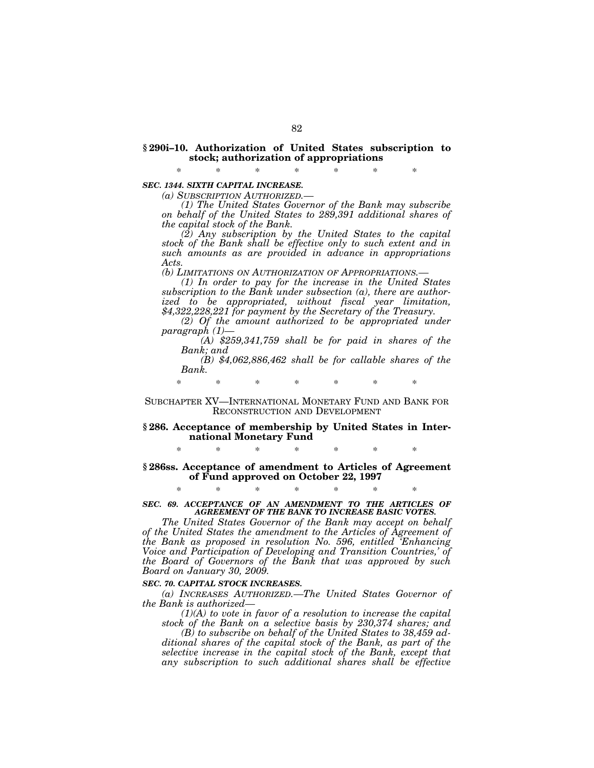### **§ 290i–10. Authorization of United States subscription to stock; authorization of appropriations**

\* \* \* \* \* \* \*

## *SEC. 1344. SIXTH CAPITAL INCREASE.*

*(a) SUBSCRIPTION AUTHORIZED.— (1) The United States Governor of the Bank may subscribe on behalf of the United States to 289,391 additional shares of the capital stock of the Bank.* 

*(2) Any subscription by the United States to the capital stock of the Bank shall be effective only to such extent and in such amounts as are provided in advance in appropriations Acts.* 

*(b) LIMITATIONS ON AUTHORIZATION OF APPROPRIATIONS.— (1) In order to pay for the increase in the United States subscription to the Bank under subsection (a), there are authorized to be appropriated, without fiscal year limitation, \$4,322,228,221 for payment by the Secretary of the Treasury.* 

*(2) Of the amount authorized to be appropriated under* 

*(A)* \$259,341,759 shall be for paid in shares of the *Bank; and* 

*(B) \$4,062,886,462 shall be for callable shares of the Bank.* 

\* \* \* \* \* \* \*

### SUBCHAPTER XV—INTERNATIONAL MONETARY FUND AND BANK FOR RECONSTRUCTION AND DEVELOPMENT

### **§ 286. Acceptance of membership by United States in International Monetary Fund**

\* \* \* \* \* \* \*

### **§ 286ss. Acceptance of amendment to Articles of Agreement of Fund approved on October 22, 1997**

\* \* \* \* \* \* \* *SEC. 69. ACCEPTANCE OF AN AMENDMENT TO THE ARTICLES OF AGREEMENT OF THE BANK TO INCREASE BASIC VOTES.* 

*The United States Governor of the Bank may accept on behalf of the United States the amendment to the Articles of Agreement of the Bank as proposed in resolution No. 596, entitled 'Enhancing Voice and Participation of Developing and Transition Countries,' of the Board of Governors of the Bank that was approved by such Board on January 30, 2009.* 

#### *SEC. 70. CAPITAL STOCK INCREASES.*

*(a) INCREASES AUTHORIZED.—The United States Governor of the Bank is authorized—* 

*(1)(A) to vote in favor of a resolution to increase the capital stock of the Bank on a selective basis by 230,374 shares; and* 

*(B) to subscribe on behalf of the United States to 38,459 additional shares of the capital stock of the Bank, as part of the selective increase in the capital stock of the Bank, except that any subscription to such additional shares shall be effective*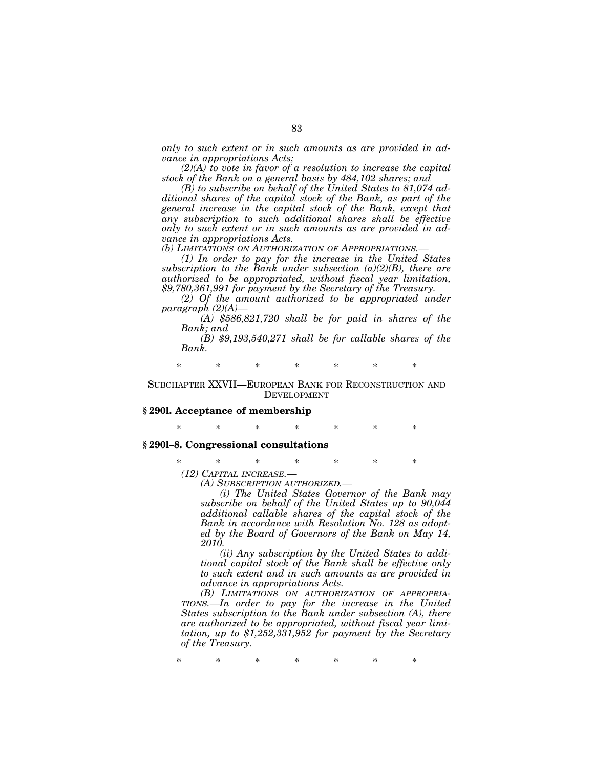*only to such extent or in such amounts as are provided in advance in appropriations Acts;* 

*(2)(A) to vote in favor of a resolution to increase the capital stock of the Bank on a general basis by 484,102 shares; and* 

*(B) to subscribe on behalf of the United States to 81,074 additional shares of the capital stock of the Bank, as part of the general increase in the capital stock of the Bank, except that any subscription to such additional shares shall be effective only to such extent or in such amounts as are provided in advance in appropriations Acts.* 

*(b) LIMITATIONS ON AUTHORIZATION OF APPROPRIATIONS.—* 

*(1) In order to pay for the increase in the United States subscription to the Bank under subsection (a)(2)(B), there are authorized to be appropriated, without fiscal year limitation, \$9,780,361,991 for payment by the Secretary of the Treasury.* 

*(2) Of the amount authorized to be appropriated under paragraph (2)(A)—* 

*(A) \$586,821,720 shall be for paid in shares of the Bank; and* 

*(B) \$9,193,540,271 shall be for callable shares of the Bank.* 

\* \* \* \* \* \* \*

### SUBCHAPTER XXVII—EUROPEAN BANK FOR RECONSTRUCTION AND DEVELOPMENT

### **§ 290l. Acceptance of membership**

\* \* \* \* \* \* \*

### **§ 290l–8. Congressional consultations**

\* \* \* \* \* \* \*

*(12) CAPITAL INCREASE.—* 

*(A) SUBSCRIPTION AUTHORIZED.—* 

*(i) The United States Governor of the Bank may subscribe on behalf of the United States up to 90,044 additional callable shares of the capital stock of the Bank in accordance with Resolution No. 128 as adopted by the Board of Governors of the Bank on May 14, 2010.* 

*(ii) Any subscription by the United States to additional capital stock of the Bank shall be effective only to such extent and in such amounts as are provided in advance in appropriations Acts.* 

*(B) LIMITATIONS ON AUTHORIZATION OF APPROPRIA-TIONS.—In order to pay for the increase in the United States subscription to the Bank under subsection (A), there are authorized to be appropriated, without fiscal year limitation, up to \$1,252,331,952 for payment by the Secretary of the Treasury.* 

\* \* \* \* \* \* \*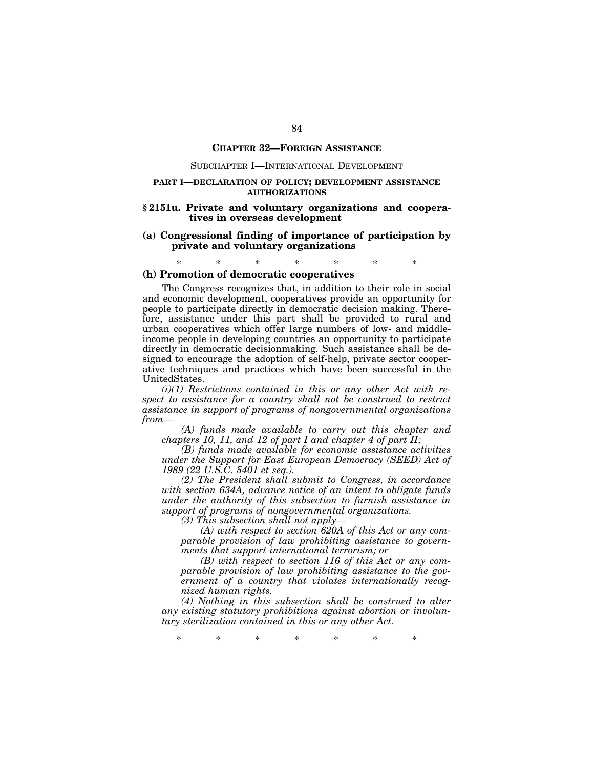### **CHAPTER 32—FOREIGN ASSISTANCE**

### SUBCHAPTER I—INTERNATIONAL DEVELOPMENT

### **PART I—DECLARATION OF POLICY; DEVELOPMENT ASSISTANCE AUTHORIZATIONS**

### **§ 2151u. Private and voluntary organizations and cooperatives in overseas development**

### **(a) Congressional finding of importance of participation by private and voluntary organizations**

\* \* \* \* \* \* \*

### **(h) Promotion of democratic cooperatives**

The Congress recognizes that, in addition to their role in social and economic development, cooperatives provide an opportunity for people to participate directly in democratic decision making. Therefore, assistance under this part shall be provided to rural and urban cooperatives which offer large numbers of low- and middleincome people in developing countries an opportunity to participate directly in democratic decisionmaking. Such assistance shall be designed to encourage the adoption of self-help, private sector cooperative techniques and practices which have been successful in the UnitedStates.

*(i)(1) Restrictions contained in this or any other Act with respect to assistance for a country shall not be construed to restrict assistance in support of programs of nongovernmental organizations from—* 

*(A) funds made available to carry out this chapter and chapters 10, 11, and 12 of part I and chapter 4 of part II;* 

*(B) funds made available for economic assistance activities under the Support for East European Democracy (SEED) Act of 1989 (22 U.S.C. 5401 et seq.).* 

*(2) The President shall submit to Congress, in accordance with section 634A, advance notice of an intent to obligate funds under the authority of this subsection to furnish assistance in support of programs of nongovernmental organizations.* 

*(3) This subsection shall not apply—* 

*(A) with respect to section 620A of this Act or any comparable provision of law prohibiting assistance to governments that support international terrorism; or* 

*(B) with respect to section 116 of this Act or any comparable provision of law prohibiting assistance to the government of a country that violates internationally recognized human rights.* 

*(4) Nothing in this subsection shall be construed to alter any existing statutory prohibitions against abortion or involuntary sterilization contained in this or any other Act.* 

\* \* \* \* \* \* \*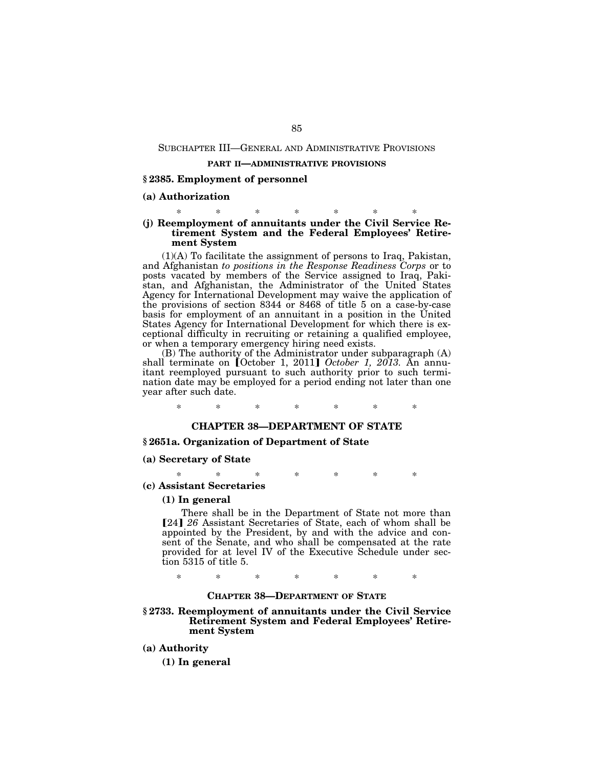### SUBCHAPTER III—GENERAL AND ADMINISTRATIVE PROVISIONS

#### **PART II—ADMINISTRATIVE PROVISIONS**

### **§ 2385. Employment of personnel**

### **(a) Authorization**

### \* \* \* \* \* \* \* **(j) Reemployment of annuitants under the Civil Service Retirement System and the Federal Employees' Retirement System**

(1)(A) To facilitate the assignment of persons to Iraq, Pakistan, and Afghanistan *to positions in the Response Readiness Corps* or to posts vacated by members of the Service assigned to Iraq, Pakistan, and Afghanistan, the Administrator of the United States Agency for International Development may waive the application of the provisions of section 8344 or 8468 of title 5 on a case-by-case basis for employment of an annuitant in a position in the United States Agency for International Development for which there is exceptional difficulty in recruiting or retaining a qualified employee, or when a temporary emergency hiring need exists.

(B) The authority of the Administrator under subparagraph (A) shall terminate on *[October 1, 2011] October 1, 2013*. An annuitant reemployed pursuant to such authority prior to such termination date may be employed for a period ending not later than one year after such date.

\* \* \* \* \* \* \*

# **CHAPTER 38—DEPARTMENT OF STATE**

### **§ 2651a. Organization of Department of State**

### **(a) Secretary of State**

\* \* \* \* \* \* \*

**(c) Assistant Secretaries** 

#### **(1) In general**

There shall be in the Department of State not more than [24] 26 Assistant Secretaries of State, each of whom shall be appointed by the President, by and with the advice and consent of the Senate, and who shall be compensated at the rate provided for at level IV of the Executive Schedule under section 5315 of title 5.

\* \* \* \* \* \* \*

#### **CHAPTER 38—DEPARTMENT OF STATE**

#### **§ 2733. Reemployment of annuitants under the Civil Service Retirement System and Federal Employees' Retirement System**

**(a) Authority** 

**(1) In general**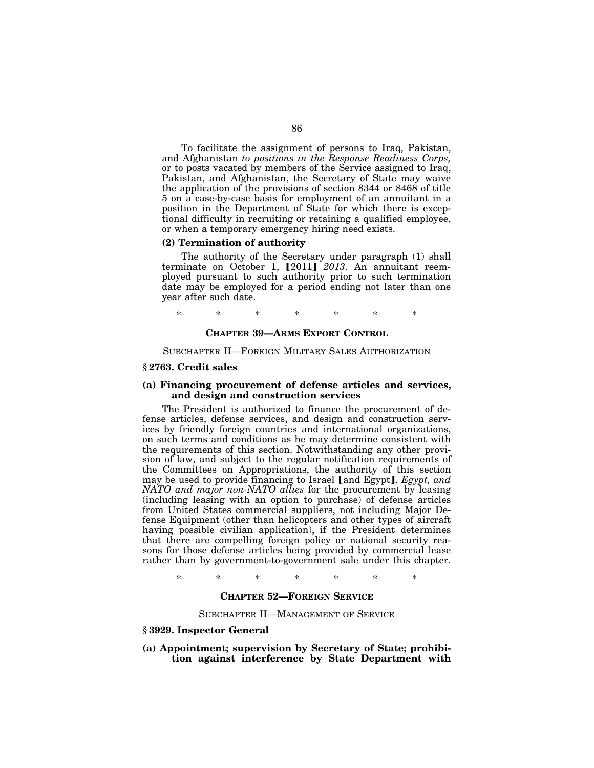To facilitate the assignment of persons to Iraq, Pakistan, and Afghanistan *to positions in the Response Readiness Corps,*  or to posts vacated by members of the Service assigned to Iraq, Pakistan, and Afghanistan, the Secretary of State may waive the application of the provisions of section 8344 or 8468 of title 5 on a case-by-case basis for employment of an annuitant in a position in the Department of State for which there is exceptional difficulty in recruiting or retaining a qualified employee, or when a temporary emergency hiring need exists.

### **(2) Termination of authority**

The authority of the Secretary under paragraph (1) shall terminate on October 1, [2011] 2013. An annuitant reemployed pursuant to such authority prior to such termination date may be employed for a period ending not later than one year after such date.

\* \* \* \* \* \* \*

### **CHAPTER 39—ARMS EXPORT CONTROL**

SUBCHAPTER II—FOREIGN MILITARY SALES AUTHORIZATION

## **§ 2763. Credit sales**

### **(a) Financing procurement of defense articles and services, and design and construction services**

The President is authorized to finance the procurement of defense articles, defense services, and design and construction services by friendly foreign countries and international organizations, on such terms and conditions as he may determine consistent with the requirements of this section. Notwithstanding any other provision of law, and subject to the regular notification requirements of the Committees on Appropriations, the authority of this section may be used to provide financing to Israel [and Egypt], Egypt, and *NATO and major non-NATO allies* for the procurement by leasing (including leasing with an option to purchase) of defense articles from United States commercial suppliers, not including Major Defense Equipment (other than helicopters and other types of aircraft having possible civilian application), if the President determines that there are compelling foreign policy or national security reasons for those defense articles being provided by commercial lease rather than by government-to-government sale under this chapter.

\* \* \* \* \* \* \*

## **CHAPTER 52—FOREIGN SERVICE**

#### SUBCHAPTER II—MANAGEMENT OF SERVICE

### **§ 3929. Inspector General**

**(a) Appointment; supervision by Secretary of State; prohibition against interference by State Department with**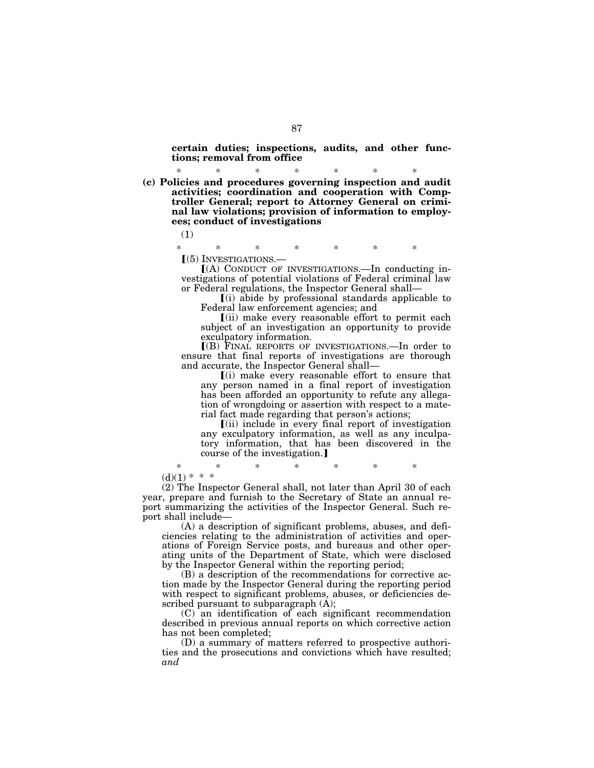**certain duties; inspections, audits, and other functions; removal from office** 

\* \* \* \* \* \* \* **(c) Policies and procedures governing inspection and audit activities; coordination and cooperation with Comptroller General; report to Attorney General on criminal law violations; provision of information to employees; conduct of investigations** 

(1)

\* \* \* \* \* \* \*

 $(6)$  INVESTIGATIONS.—<br> $(4)$  CONDUCT OF INVESTIGATIONS.—In conducting investigations of potential violations of Federal criminal law or Federal regulations, the Inspector General shall—

 $(i)$  abide by professional standards applicable to Federal law enforcement agencies; and

 $\lceil$ (ii) make every reasonable effort to permit each subject of an investigation an opportunity to provide exculpatory information.

ø(B) FINAL REPORTS OF INVESTIGATIONS.—In order to ensure that final reports of investigations are thorough and accurate, the Inspector General shall—

 $(i)$  make every reasonable effort to ensure that any person named in a final report of investigation has been afforded an opportunity to refute any allegation of wrongdoing or assertion with respect to a material fact made regarding that person's actions;

 $\left[$ (ii) include in every final report of investigation any exculpatory information, as well as any inculpatory information, that has been discovered in the course of the investigation.]

\* \* \* \* \* \* \*  $(d)(1) * * *$ 

(2) The Inspector General shall, not later than April 30 of each year, prepare and furnish to the Secretary of State an annual report summarizing the activities of the Inspector General. Such report shall include—

(A) a description of significant problems, abuses, and deficiencies relating to the administration of activities and operations of Foreign Service posts, and bureaus and other operating units of the Department of State, which were disclosed by the Inspector General within the reporting period;

(B) a description of the recommendations for corrective action made by the Inspector General during the reporting period with respect to significant problems, abuses, or deficiencies described pursuant to subparagraph  $(A)$ ;

(C) an identification of each significant recommendation described in previous annual reports on which corrective action has not been completed;

(D) a summary of matters referred to prospective authorities and the prosecutions and convictions which have resulted; *and*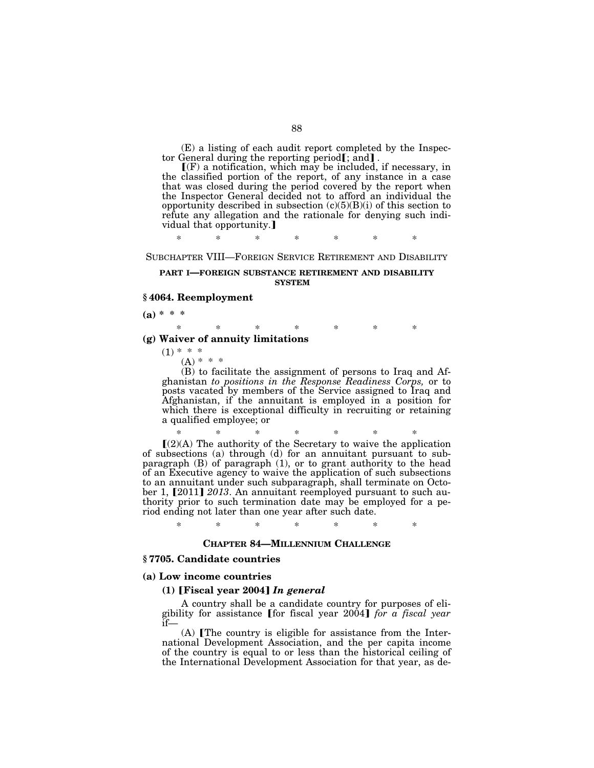(E) a listing of each audit report completed by the Inspector General during the reporting period<sub>[;</sub> and].<br> **[(F)** a notification, which may be included, if necessary, in

the classified portion of the report, of any instance in a case that was closed during the period covered by the report when the Inspector General decided not to afford an individual the opportunity described in subsection  $(c)(5)(B)(i)$  of this section to refute any allegation and the rationale for denying such individual that opportunity.

\* \* \* \* \* \* \*

SUBCHAPTER VIII—FOREIGN SERVICE RETIREMENT AND DISABILITY

### **PART I—FOREIGN SUBSTANCE RETIREMENT AND DISABILITY SYSTEM**

### **§ 4064. Reemployment**

**(a) \* \* \*** 

# \* \* \* \* \* \* \*

# **(g) Waiver of annuity limitations**

 $(1) * * *$  $(A) * * * *$ 

(B) to facilitate the assignment of persons to Iraq and Afghanistan *to positions in the Response Readiness Corps,* or to posts vacated by members of the Service assigned to Iraq and Afghanistan, if the annuitant is employed in a position for which there is exceptional difficulty in recruiting or retaining a qualified employee; or

 $*(2)$ (A) The authority of the Secretary to waive the application of subsections (a) through (d) for an annuitant pursuant to subparagraph (B) of paragraph (1), or to grant authority to the head of an Executive agency to waive the application of such subsections to an annuitant under such subparagraph, shall terminate on October 1, [2011] *2013*. An annuitant reemployed pursuant to such authority prior to such termination date may be employed for a period ending not later than one year after such date.

\* \* \* \* \* \* \*

## **CHAPTER 84—MILLENNIUM CHALLENGE**

# **§ 7705. Candidate countries**

#### **(a) Low income countries**

### **(1)** ø**Fiscal year 2004**¿ *In general*

A country shall be a candidate country for purposes of eli-<br>gibility for assistance [for fiscal year 2004] *for a fiscal year* if—

 $(A)$  [The country is eligible for assistance from the International Development Association, and the per capita income of the country is equal to or less than the historical ceiling of the International Development Association for that year, as de-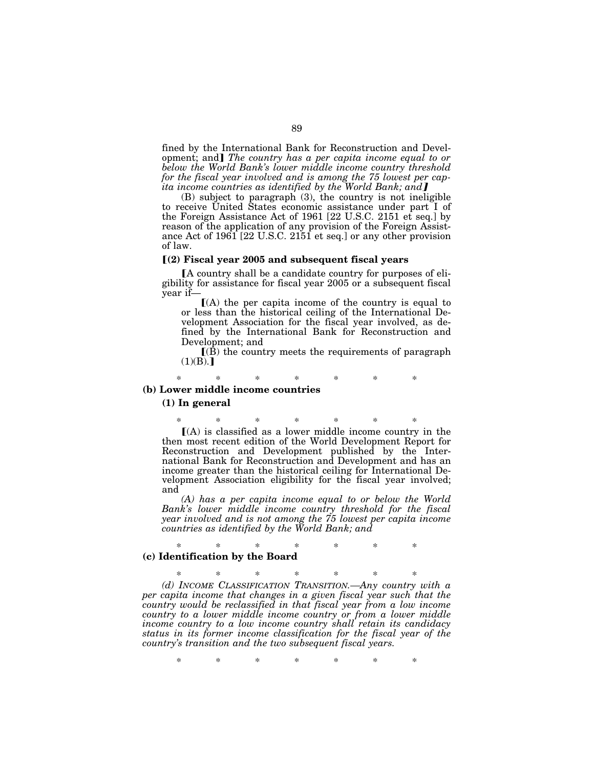fined by the International Bank for Reconstruction and Development; and The country has a per capita income equal to or *below the World Bank's lower middle income country threshold for the fiscal year involved and is among the 75 lowest per capita income countries as identified by the World Bank; and* 

(B) subject to paragraph (3), the country is not ineligible to receive United States economic assistance under part I of the Foreign Assistance Act of 1961 [22 U.S.C. 2151 et seq.] by reason of the application of any provision of the Foreign Assistance Act of 1961 [22 U.S.C. 2151 et seq.] or any other provision of law.

### ø**(2) Fiscal year 2005 and subsequent fiscal years**

A country shall be a candidate country for purposes of eligibility for assistance for fiscal year 2005 or a subsequent fiscal year if—

 $(A)$  the per capita income of the country is equal to or less than the historical ceiling of the International Development Association for the fiscal year involved, as defined by the International Bank for Reconstruction and Development; and

 $\mathbf{I}(\mathbf{B})$  the country meets the requirements of paragraph  $(1)(B).$ 

\* \* \* \* \* \* \* **(b) Lower middle income countries** 

#### **(1) In general**

\* \* \* \* \* \* \*  $(A)$  is classified as a lower middle income country in the then most recent edition of the World Development Report for Reconstruction and Development published by the International Bank for Reconstruction and Development and has an income greater than the historical ceiling for International Development Association eligibility for the fiscal year involved; and

*(A) has a per capita income equal to or below the World Bank's lower middle income country threshold for the fiscal year involved and is not among the 75 lowest per capita income countries as identified by the World Bank; and* 

### \* \* \* \* \* \* \* **(c) Identification by the Board**

\* \* \* \* \* \* \* *(d) INCOME CLASSIFICATION TRANSITION.—Any country with a per capita income that changes in a given fiscal year such that the country would be reclassified in that fiscal year from a low income country to a lower middle income country or from a lower middle income country to a low income country shall retain its candidacy status in its former income classification for the fiscal year of the country's transition and the two subsequent fiscal years.* 

\* \* \* \* \* \* \*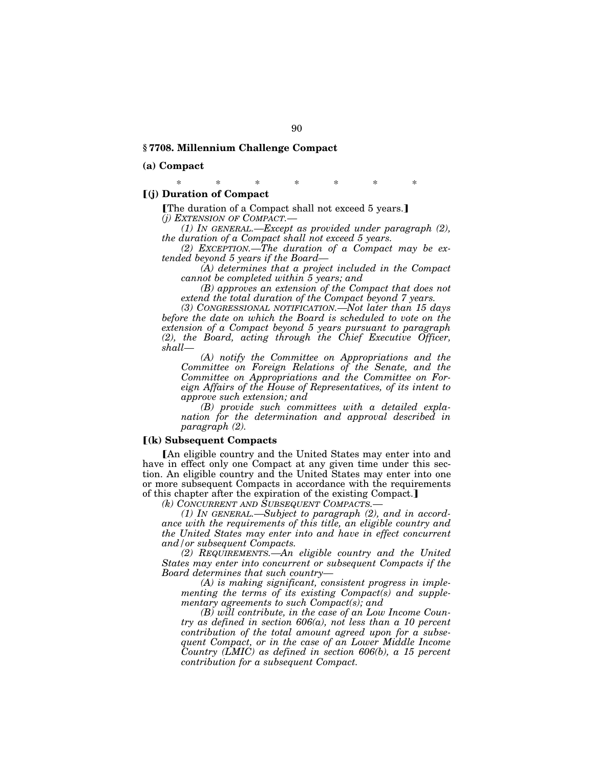### **§ 7708. Millennium Challenge Compact**

### **(a) Compact**

\* \* \* \* \* \* \*

# ø**(j) Duration of Compact**

[The duration of a Compact shall not exceed 5 years.] *(j) EXTENSION OF COMPACT.—* 

*(1) IN GENERAL.—Except as provided under paragraph (2), the duration of a Compact shall not exceed 5 years.* 

*(2) EXCEPTION.—The duration of a Compact may be extended beyond 5 years if the Board—* 

*(A) determines that a project included in the Compact cannot be completed within 5 years; and* 

*(B) approves an extension of the Compact that does not extend the total duration of the Compact beyond 7 years.* 

*(3) CONGRESSIONAL NOTIFICATION.—Not later than 15 days before the date on which the Board is scheduled to vote on the extension of a Compact beyond 5 years pursuant to paragraph (2), the Board, acting through the Chief Executive Officer, shall—* 

*(A) notify the Committee on Appropriations and the Committee on Foreign Relations of the Senate, and the Committee on Appropriations and the Committee on Foreign Affairs of the House of Representatives, of its intent to approve such extension; and* 

*(B) provide such committees with a detailed explanation for the determination and approval described in paragraph (2).* 

#### ø**(k) Subsequent Compacts**

[An eligible country and the United States may enter into and have in effect only one Compact at any given time under this section. An eligible country and the United States may enter into one or more subsequent Compacts in accordance with the requirements of this chapter after the expiration of the existing Compact.

*(k) CONCURRENT AND SUBSEQUENT COMPACTS.—* 

*(1) IN GENERAL.—Subject to paragraph (2), and in accordance with the requirements of this title, an eligible country and the United States may enter into and have in effect concurrent and/or subsequent Compacts.* 

*(2) REQUIREMENTS.—An eligible country and the United States may enter into concurrent or subsequent Compacts if the Board determines that such country—* 

*(A) is making significant, consistent progress in implementing the terms of its existing Compact(s) and supplementary agreements to such Compact(s); and* 

*(B) will contribute, in the case of an Low Income Country as defined in section 606(a), not less than a 10 percent contribution of the total amount agreed upon for a subsequent Compact, or in the case of an Lower Middle Income Country (LMIC) as defined in section 606(b), a 15 percent contribution for a subsequent Compact.*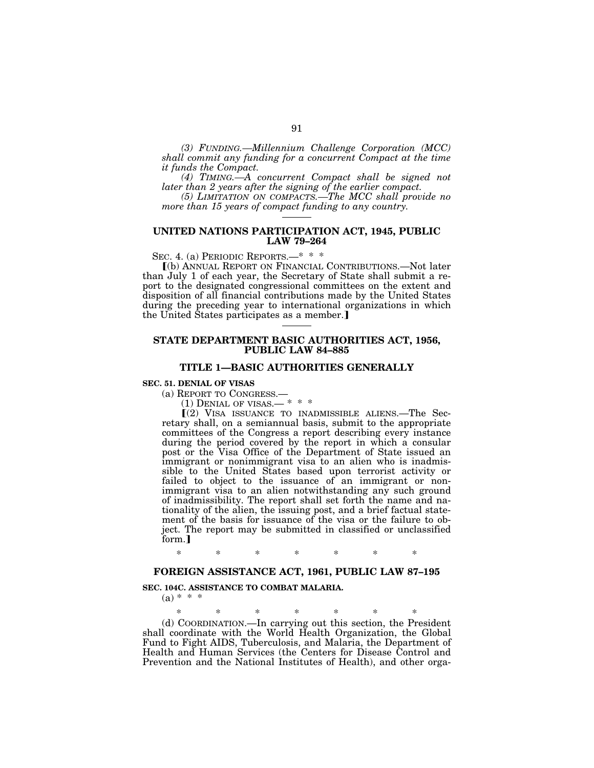*(3) FUNDING.—Millennium Challenge Corporation (MCC) shall commit any funding for a concurrent Compact at the time it funds the Compact.* 

*(4) TIMING.—A concurrent Compact shall be signed not later than 2 years after the signing of the earlier compact.* 

*(5) LIMITATION ON COMPACTS.—The MCC shall provide no more than 15 years of compact funding to any country.* 

### **UNITED NATIONS PARTICIPATION ACT, 1945, PUBLIC LAW 79–264**

SEC. 4. (a) PERIODIC REPORTS.—\* \* \*

ø(b) ANNUAL REPORT ON FINANCIAL CONTRIBUTIONS.—Not later than July 1 of each year, the Secretary of State shall submit a report to the designated congressional committees on the extent and disposition of all financial contributions made by the United States during the preceding year to international organizations in which the United States participates as a member.

## **STATE DEPARTMENT BASIC AUTHORITIES ACT, 1956, PUBLIC LAW 84–885**

### **TITLE 1—BASIC AUTHORITIES GENERALLY**

### **SEC. 51. DENIAL OF VISAS**

(a) REPORT TO CONGRESS.—  $(1)$  DENIAL OF VISAS.— \* \* \*

 $(2)$  VISA ISSUANCE TO INADMISSIBLE ALIENS.—The Secretary shall, on a semiannual basis, submit to the appropriate committees of the Congress a report describing every instance during the period covered by the report in which a consular post or the Visa Office of the Department of State issued an immigrant or nonimmigrant visa to an alien who is inadmissible to the United States based upon terrorist activity or failed to object to the issuance of an immigrant or nonimmigrant visa to an alien notwithstanding any such ground of inadmissibility. The report shall set forth the name and nationality of the alien, the issuing post, and a brief factual statement of the basis for issuance of the visa or the failure to object. The report may be submitted in classified or unclassified form.

\* \* \* \* \* \* \*

### **FOREIGN ASSISTANCE ACT, 1961, PUBLIC LAW 87–195**

### **SEC. 104C. ASSISTANCE TO COMBAT MALARIA.**

 $(a) * * * *$ 

\* \* \* \* \* \* \*

(d) COORDINATION.—In carrying out this section, the President shall coordinate with the World Health Organization, the Global Fund to Fight AIDS, Tuberculosis, and Malaria, the Department of Health and Human Services (the Centers for Disease Control and Prevention and the National Institutes of Health), and other orga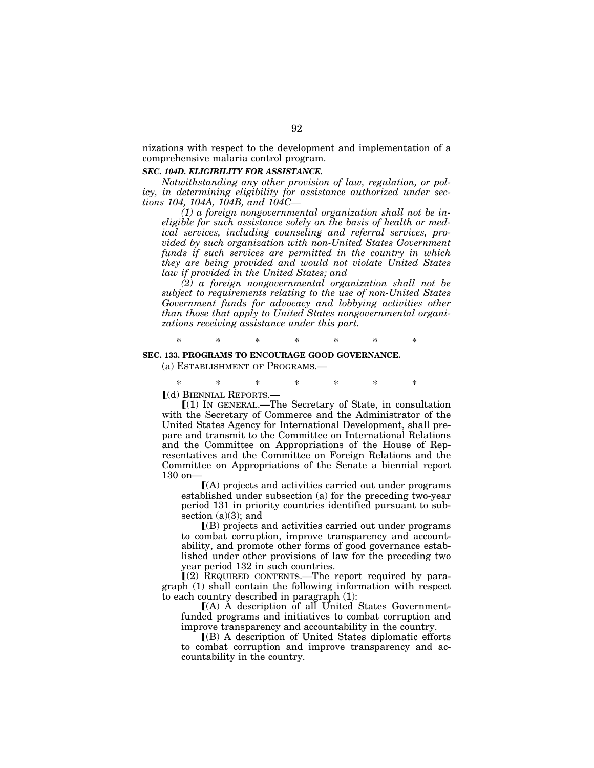nizations with respect to the development and implementation of a comprehensive malaria control program.

### *SEC. 104D. ELIGIBILITY FOR ASSISTANCE.*

*Notwithstanding any other provision of law, regulation, or policy, in determining eligibility for assistance authorized under sections 104, 104A, 104B, and 104C—* 

*(1) a foreign nongovernmental organization shall not be ineligible for such assistance solely on the basis of health or medical services, including counseling and referral services, provided by such organization with non-United States Government funds if such services are permitted in the country in which they are being provided and would not violate United States law if provided in the United States; and* 

*(2) a foreign nongovernmental organization shall not be subject to requirements relating to the use of non-United States Government funds for advocacy and lobbying activities other than those that apply to United States nongovernmental organizations receiving assistance under this part.* 

\* \* \* \* \* \* \*

# **SEC. 133. PROGRAMS TO ENCOURAGE GOOD GOVERNANCE.**

(a) ESTABLISHMENT OF PROGRAMS.—

\* \* \* \* \* \* \*

ø(d) BIENNIAL REPORTS.—

 $[(1)$  In GENERAL.—The Secretary of State, in consultation with the Secretary of Commerce and the Administrator of the United States Agency for International Development, shall prepare and transmit to the Committee on International Relations and the Committee on Appropriations of the House of Representatives and the Committee on Foreign Relations and the Committee on Appropriations of the Senate a biennial report 130 on—

 $(A)$  projects and activities carried out under programs established under subsection (a) for the preceding two-year period 131 in priority countries identified pursuant to subsection  $(a)(3)$ ; and

 $($ B $)$  projects and activities carried out under programs to combat corruption, improve transparency and accountability, and promote other forms of good governance established under other provisions of law for the preceding two year period 132 in such countries.

 $(2)$  REQUIRED CONTENTS.—The report required by paragraph (1) shall contain the following information with respect to each country described in paragraph (1):

 $I(A)$  A description of all United States Governmentfunded programs and initiatives to combat corruption and improve transparency and accountability in the country.

 $\Gamma(B)$  A description of United States diplomatic efforts to combat corruption and improve transparency and accountability in the country.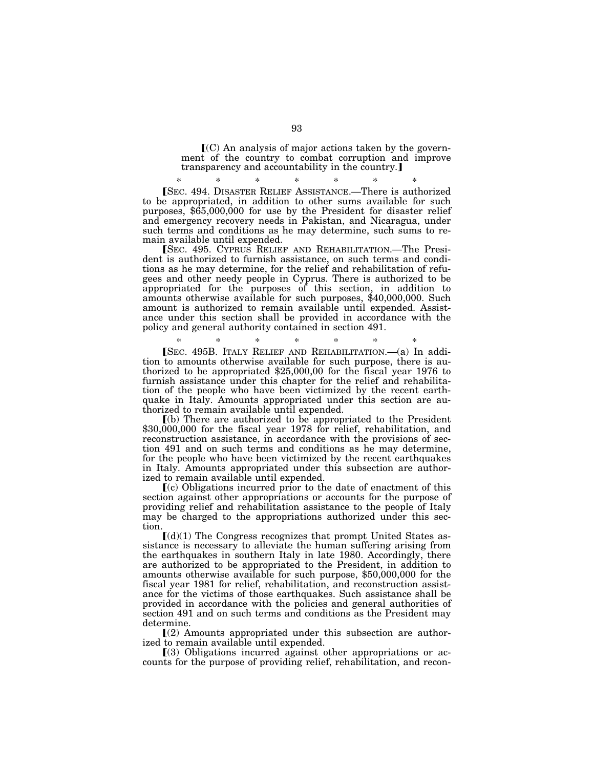$\mathbf{C}(\mathbf{C})$  An analysis of major actions taken by the government of the country to combat corruption and improve transparency and accountability in the country.]

\* \* \* \* \* \* \* øSEC. 494. DISASTER RELIEF ASSISTANCE.—There is authorized to be appropriated, in addition to other sums available for such purposes, \$65,000,000 for use by the President for disaster relief and emergency recovery needs in Pakistan, and Nicaragua, under such terms and conditions as he may determine, such sums to remain available until expended.

øSEC. 495. CYPRUS RELIEF AND REHABILITATION.—The President is authorized to furnish assistance, on such terms and conditions as he may determine, for the relief and rehabilitation of refugees and other needy people in Cyprus. There is authorized to be appropriated for the purposes of this section, in addition to amounts otherwise available for such purposes, \$40,000,000. Such amount is authorized to remain available until expended. Assistance under this section shall be provided in accordance with the policy and general authority contained in section 491.

\* \* \* \* \* \* \* øSEC. 495B. ITALY RELIEF AND REHABILITATION.—(a) In addition to amounts otherwise available for such purpose, there is authorized to be appropriated \$25,000,00 for the fiscal year 1976 to furnish assistance under this chapter for the relief and rehabilitation of the people who have been victimized by the recent earthquake in Italy. Amounts appropriated under this section are authorized to remain available until expended.

<sup>ø</sup>(b) There are authorized to be appropriated to the President \$30,000,000 for the fiscal year 1978 for relief, rehabilitation, and reconstruction assistance, in accordance with the provisions of section 491 and on such terms and conditions as he may determine, for the people who have been victimized by the recent earthquakes in Italy. Amounts appropriated under this subsection are authorized to remain available until expended.

 $(c)$  Obligations incurred prior to the date of enactment of this section against other appropriations or accounts for the purpose of providing relief and rehabilitation assistance to the people of Italy may be charged to the appropriations authorized under this section.

 $\left[$ (d)(1) The Congress recognizes that prompt United States assistance is necessary to alleviate the human suffering arising from the earthquakes in southern Italy in late 1980. Accordingly, there are authorized to be appropriated to the President, in addition to amounts otherwise available for such purpose, \$50,000,000 for the fiscal year 1981 for relief, rehabilitation, and reconstruction assistance for the victims of those earthquakes. Such assistance shall be provided in accordance with the policies and general authorities of section 491 and on such terms and conditions as the President may determine.

 $(2)$  Amounts appropriated under this subsection are authorized to remain available until expended.

 $(3)$  Obligations incurred against other appropriations or accounts for the purpose of providing relief, rehabilitation, and recon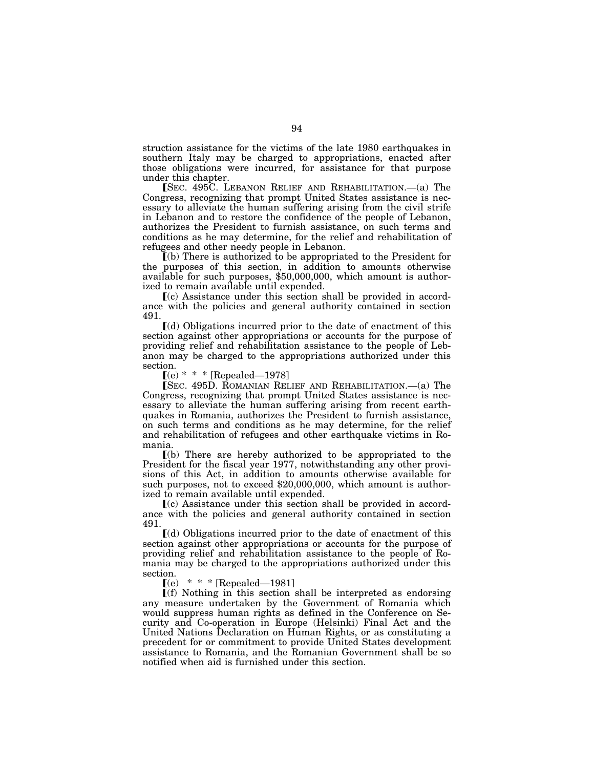struction assistance for the victims of the late 1980 earthquakes in southern Italy may be charged to appropriations, enacted after those obligations were incurred, for assistance for that purpose under this chapter.

 $\Gamma$ SEC. 495C. LEBANON RELIEF AND REHABILITATION.—(a) The Congress, recognizing that prompt United States assistance is necessary to alleviate the human suffering arising from the civil strife in Lebanon and to restore the confidence of the people of Lebanon, authorizes the President to furnish assistance, on such terms and conditions as he may determine, for the relief and rehabilitation of refugees and other needy people in Lebanon.

ø(b) There is authorized to be appropriated to the President for the purposes of this section, in addition to amounts otherwise available for such purposes, \$50,000,000, which amount is authorized to remain available until expended.

 $\lceil$ (c) Assistance under this section shall be provided in accordance with the policies and general authority contained in section 491.

 $\lceil$ (d) Obligations incurred prior to the date of enactment of this section against other appropriations or accounts for the purpose of providing relief and rehabilitation assistance to the people of Lebanon may be charged to the appropriations authorized under this section.

 $(e) * * *$  [Repealed—1978]

 $\overline{\text{SEC}}$ . 495D. ROMANIAN RELIEF AND REHABILITATION.—(a) The Congress, recognizing that prompt United States assistance is necessary to alleviate the human suffering arising from recent earthquakes in Romania, authorizes the President to furnish assistance, on such terms and conditions as he may determine, for the relief and rehabilitation of refugees and other earthquake victims in Romania.

 $(a)$  There are hereby authorized to be appropriated to the President for the fiscal year 1977, notwithstanding any other provisions of this Act, in addition to amounts otherwise available for such purposes, not to exceed \$20,000,000, which amount is authorized to remain available until expended.

 $\Gamma$ (c) Assistance under this section shall be provided in accordance with the policies and general authority contained in section 491.

 $(d)$  Obligations incurred prior to the date of enactment of this section against other appropriations or accounts for the purpose of providing relief and rehabilitation assistance to the people of Romania may be charged to the appropriations authorized under this section.

 $(e)$  \* \* \* [Repealed—1981]

 $\Gamma(f)$  Nothing in this section shall be interpreted as endorsing any measure undertaken by the Government of Romania which would suppress human rights as defined in the Conference on Security and Co-operation in Europe (Helsinki) Final Act and the United Nations Declaration on Human Rights, or as constituting a precedent for or commitment to provide United States development assistance to Romania, and the Romanian Government shall be so notified when aid is furnished under this section.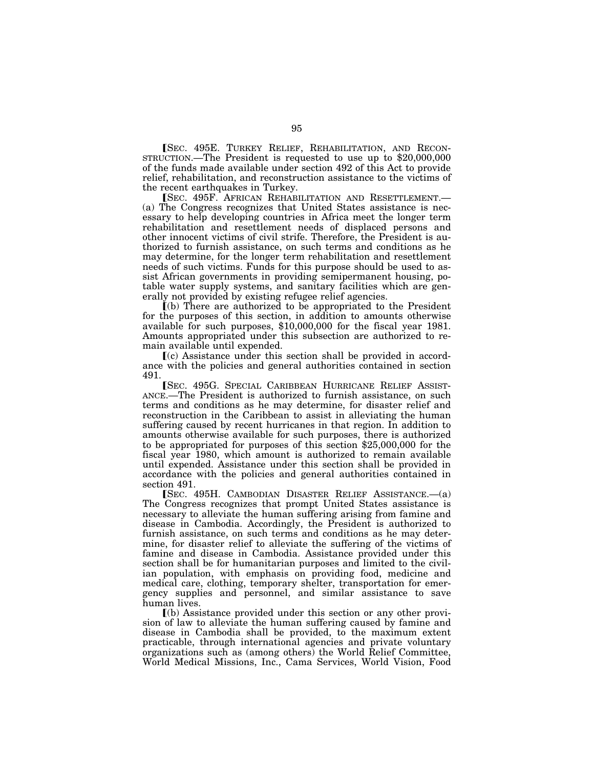[SEC. 495E. TURKEY RELIEF, REHABILITATION, AND RECON-STRUCTION.—The President is requested to use up to \$20,000,000 of the funds made available under section 492 of this Act to provide relief, rehabilitation, and reconstruction assistance to the victims of the recent earthquakes in Turkey.

øSEC. 495F. AFRICAN REHABILITATION AND RESETTLEMENT.— (a) The Congress recognizes that United States assistance is necessary to help developing countries in Africa meet the longer term rehabilitation and resettlement needs of displaced persons and other innocent victims of civil strife. Therefore, the President is authorized to furnish assistance, on such terms and conditions as he may determine, for the longer term rehabilitation and resettlement needs of such victims. Funds for this purpose should be used to assist African governments in providing semipermanent housing, potable water supply systems, and sanitary facilities which are generally not provided by existing refugee relief agencies.

ø(b) There are authorized to be appropriated to the President for the purposes of this section, in addition to amounts otherwise available for such purposes, \$10,000,000 for the fiscal year 1981. Amounts appropriated under this subsection are authorized to remain available until expended.

 $(c)$  Assistance under this section shall be provided in accordance with the policies and general authorities contained in section 491.

**ISEC. 495G. SPECIAL CARIBBEAN HURRICANE RELIEF ASSIST-**ANCE.—The President is authorized to furnish assistance, on such terms and conditions as he may determine, for disaster relief and reconstruction in the Caribbean to assist in alleviating the human suffering caused by recent hurricanes in that region. In addition to amounts otherwise available for such purposes, there is authorized to be appropriated for purposes of this section \$25,000,000 for the fiscal year 1980, which amount is authorized to remain available until expended. Assistance under this section shall be provided in accordance with the policies and general authorities contained in section 491.

**SEC. 495H. CAMBODIAN DISASTER RELIEF ASSISTANCE.** (a) The Congress recognizes that prompt United States assistance is necessary to alleviate the human suffering arising from famine and disease in Cambodia. Accordingly, the President is authorized to furnish assistance, on such terms and conditions as he may determine, for disaster relief to alleviate the suffering of the victims of famine and disease in Cambodia. Assistance provided under this section shall be for humanitarian purposes and limited to the civilian population, with emphasis on providing food, medicine and medical care, clothing, temporary shelter, transportation for emergency supplies and personnel, and similar assistance to save human lives.

ø(b) Assistance provided under this section or any other provision of law to alleviate the human suffering caused by famine and disease in Cambodia shall be provided, to the maximum extent practicable, through international agencies and private voluntary organizations such as (among others) the World Relief Committee, World Medical Missions, Inc., Cama Services, World Vision, Food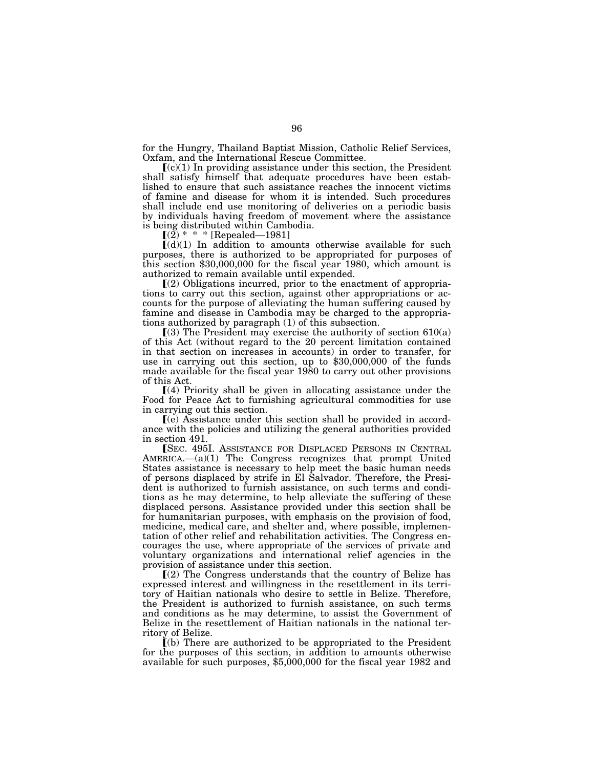for the Hungry, Thailand Baptist Mission, Catholic Relief Services, Oxfam, and the International Rescue Committee.

 $(c)(1)$  In providing assistance under this section, the President shall satisfy himself that adequate procedures have been established to ensure that such assistance reaches the innocent victims of famine and disease for whom it is intended. Such procedures shall include end use monitoring of deliveries on a periodic basis by individuals having freedom of movement where the assistance is being distributed within Cambodia.<br> $[(2) * * * [\text{Repeated}-1981]$ 

 $*$  \* [Repealed—1981]

 $[(d)(1)$  In addition to amounts otherwise available for such purposes, there is authorized to be appropriated for purposes of this section \$30,000,000 for the fiscal year 1980, which amount is authorized to remain available until expended.

 $(2)$  Obligations incurred, prior to the enactment of appropriations to carry out this section, against other appropriations or accounts for the purpose of alleviating the human suffering caused by famine and disease in Cambodia may be charged to the appropriations authorized by paragraph (1) of this subsection.

 $(3)$  The President may exercise the authority of section 610(a) of this Act (without regard to the 20 percent limitation contained in that section on increases in accounts) in order to transfer, for use in carrying out this section, up to \$30,000,000 of the funds made available for the fiscal year 1980 to carry out other provisions of this Act.

 $(4)$  Priority shall be given in allocating assistance under the Food for Peace Act to furnishing agricultural commodities for use in carrying out this section.

ø(e) Assistance under this section shall be provided in accordance with the policies and utilizing the general authorities provided in section 491.

[SEC. 495I. ASSISTANCE FOR DISPLACED PERSONS IN CENTRAL AMERICA.—(a)(1) The Congress recognizes that prompt United States assistance is necessary to help meet the basic human needs of persons displaced by strife in El Salvador. Therefore, the President is authorized to furnish assistance, on such terms and conditions as he may determine, to help alleviate the suffering of these displaced persons. Assistance provided under this section shall be for humanitarian purposes, with emphasis on the provision of food, medicine, medical care, and shelter and, where possible, implementation of other relief and rehabilitation activities. The Congress encourages the use, where appropriate of the services of private and voluntary organizations and international relief agencies in the provision of assistance under this section.

ø(2) The Congress understands that the country of Belize has expressed interest and willingness in the resettlement in its territory of Haitian nationals who desire to settle in Belize. Therefore, the President is authorized to furnish assistance, on such terms and conditions as he may determine, to assist the Government of Belize in the resettlement of Haitian nationals in the national territory of Belize.

 $\Gamma$ (b) There are authorized to be appropriated to the President for the purposes of this section, in addition to amounts otherwise available for such purposes, \$5,000,000 for the fiscal year 1982 and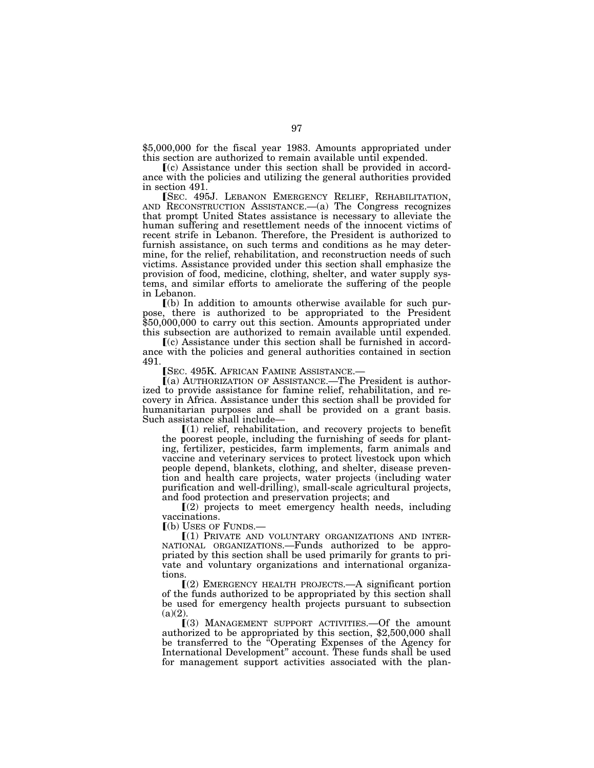\$5,000,000 for the fiscal year 1983. Amounts appropriated under this section are authorized to remain available until expended.

ø(c) Assistance under this section shall be provided in accordance with the policies and utilizing the general authorities provided in section 491.<br>
[SEC. 495J. LEBANON EMERGENCY RELIEF, REHABILITATION,

AND RECONSTRUCTION ASSISTANCE.— $(a)$  The Congress recognizes that prompt United States assistance is necessary to alleviate the human suffering and resettlement needs of the innocent victims of recent strife in Lebanon. Therefore, the President is authorized to furnish assistance, on such terms and conditions as he may determine, for the relief, rehabilitation, and reconstruction needs of such victims. Assistance provided under this section shall emphasize the provision of food, medicine, clothing, shelter, and water supply systems, and similar efforts to ameliorate the suffering of the people in Lebanon.

 $(a)$  In addition to amounts otherwise available for such purpose, there is authorized to be appropriated to the President \$50,000,000 to carry out this section. Amounts appropriated under this subsection are authorized to remain available until expended.

 $(c)$  Assistance under this section shall be furnished in accordance with the policies and general authorities contained in section 491. [SEC. 495K. AFRICAN FAMINE ASSISTANCE.-

 $(a)$  AUTHORIZATION OF ASSISTANCE.—The President is authorized to provide assistance for famine relief, rehabilitation, and recovery in Africa. Assistance under this section shall be provided for humanitarian purposes and shall be provided on a grant basis. Such assistance shall include—

 $(1)$  relief, rehabilitation, and recovery projects to benefit the poorest people, including the furnishing of seeds for planting, fertilizer, pesticides, farm implements, farm animals and vaccine and veterinary services to protect livestock upon which people depend, blankets, clothing, and shelter, disease prevention and health care projects, water projects (including water purification and well-drilling), small-scale agricultural projects, and food protection and preservation projects; and

 $(2)$  projects to meet emergency health needs, including vaccinations.

 $($ b) USES OF FUNDS. $-$ 

ø(1) PRIVATE AND VOLUNTARY ORGANIZATIONS AND INTER-NATIONAL ORGANIZATIONS.—Funds authorized to be appropriated by this section shall be used primarily for grants to private and voluntary organizations and international organizations.

 $(Q)$  EMERGENCY HEALTH PROJECTS.—A significant portion of the funds authorized to be appropriated by this section shall be used for emergency health projects pursuant to subsection  $(a)(2)$ 

 $(3)$  MANAGEMENT SUPPORT ACTIVITIES. - Of the amount authorized to be appropriated by this section, \$2,500,000 shall be transferred to the ''Operating Expenses of the Agency for International Development'' account. These funds shall be used for management support activities associated with the plan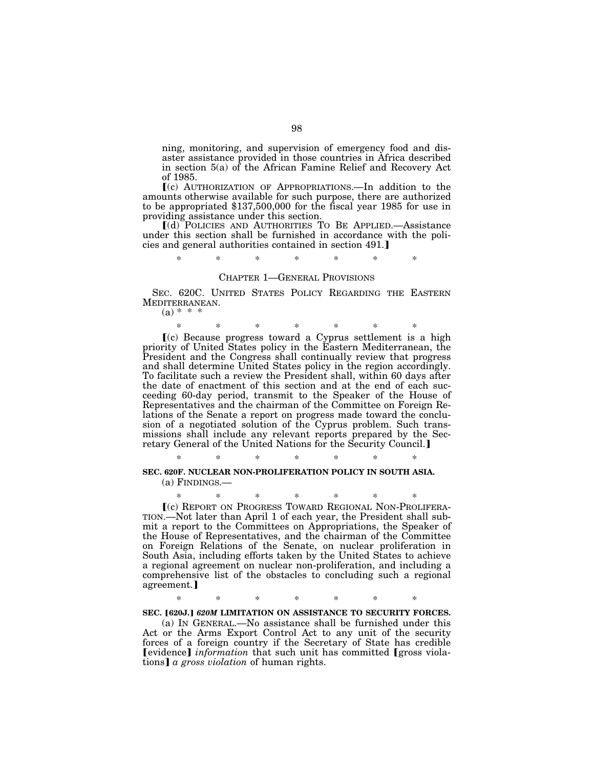ning, monitoring, and supervision of emergency food and disaster assistance provided in those countries in Africa described in section 5(a) of the African Famine Relief and Recovery Act of 1985.

 $(c)$  AUTHORIZATION OF APPROPRIATIONS.—In addition to the amounts otherwise available for such purpose, there are authorized to be appropriated \$137,500,000 for the fiscal year 1985 for use in providing assistance under this section.

ø(d) POLICIES AND AUTHORITIES TO BE APPLIED.—Assistance under this section shall be furnished in accordance with the policies and general authorities contained in section 491.]

### \* \* \* \* \* \* \*

#### CHAPTER 1—GENERAL PROVISIONS

SEC. 620C. UNITED STATES POLICY REGARDING THE EASTERN MEDITERRANEAN.

 $(a) * * * *$ 

\* \* \* \* \* \* \* ø(c) Because progress toward a Cyprus settlement is a high priority of United States policy in the Eastern Mediterranean, the President and the Congress shall continually review that progress and shall determine United States policy in the region accordingly. To facilitate such a review the President shall, within 60 days after the date of enactment of this section and at the end of each succeeding 60-day period, transmit to the Speaker of the House of Representatives and the chairman of the Committee on Foreign Relations of the Senate a report on progress made toward the conclusion of a negotiated solution of the Cyprus problem. Such transmissions shall include any relevant reports prepared by the Sec-<br>retary General of the United Nations for the Security Council.]

\* \* \* \* \* \* \*

# **SEC. 620F. NUCLEAR NON-PROLIFERATION POLICY IN SOUTH ASIA.**

(a) FINDINGS.—

\* \* \* \* \* \* \* <sup>ø</sup>(c) REPORT ON PROGRESS TOWARD REGIONAL NON-PROLIFERA- TION.—Not later than April 1 of each year, the President shall submit a report to the Committees on Appropriations, the Speaker of

the House of Representatives, and the chairman of the Committee on Foreign Relations of the Senate, on nuclear proliferation in South Asia, including efforts taken by the United States to achieve a regional agreement on nuclear non-proliferation, and including a comprehensive list of the obstacles to concluding such a regional agreement.]

\* \* \* \* \* \* \*

### SEC. [620J.] 620M LIMITATION ON ASSISTANCE TO SECURITY FORCES.

(a) IN GENERAL.—No assistance shall be furnished under this Act or the Arms Export Control Act to any unit of the security forces of a foreign country if the Secretary of State has credible **Fevidence** *information* that such unit has committed **r** are violations] *a gross violation* of human rights.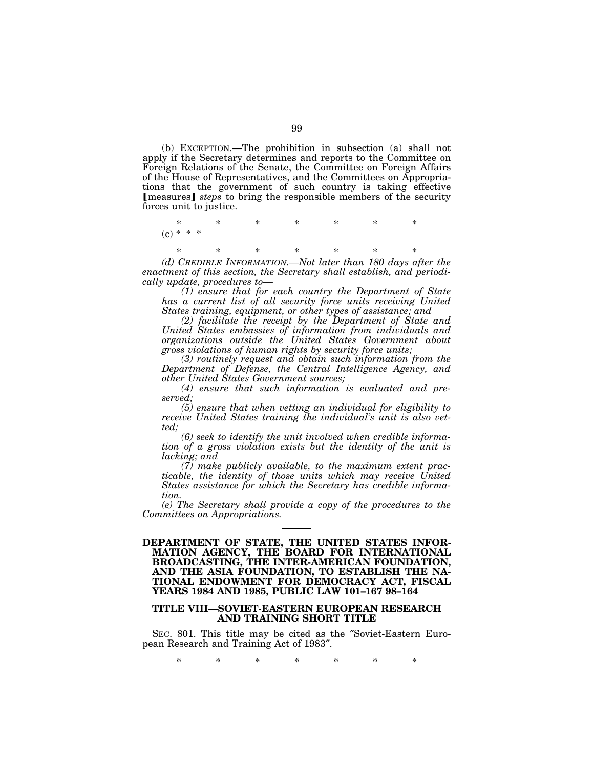(b) EXCEPTION.—The prohibition in subsection (a) shall not apply if the Secretary determines and reports to the Committee on Foreign Relations of the Senate, the Committee on Foreign Affairs of the House of Representatives, and the Committees on Appropriations that the government of such country is taking effective [measures] *steps* to bring the responsible members of the security forces unit to justice.

\* \* \* \* \* \* \*  $(c)$  \*

\* \* \* \* \* \* \*

*(d) CREDIBLE INFORMATION.—Not later than 180 days after the enactment of this section, the Secretary shall establish, and periodically update, procedures to—* 

*(1) ensure that for each country the Department of State has a current list of all security force units receiving United States training, equipment, or other types of assistance; and* 

*(2) facilitate the receipt by the Department of State and United States embassies of information from individuals and organizations outside the United States Government about gross violations of human rights by security force units;* 

*(3) routinely request and obtain such information from the Department of Defense, the Central Intelligence Agency, and other United States Government sources;* 

*(4) ensure that such information is evaluated and preserved;* 

*(5) ensure that when vetting an individual for eligibility to receive United States training the individual's unit is also vetted;* 

*(6) seek to identify the unit involved when credible information of a gross violation exists but the identity of the unit is lacking; and* 

*(7) make publicly available, to the maximum extent practicable, the identity of those units which may receive United States assistance for which the Secretary has credible information.* 

*(e) The Secretary shall provide a copy of the procedures to the Committees on Appropriations.* 

### **DEPARTMENT OF STATE, THE UNITED STATES INFOR-MATION AGENCY, THE BOARD FOR INTERNATIONAL BROADCASTING, THE INTER-AMERICAN FOUNDATION, AND THE ASIA FOUNDATION, TO ESTABLISH THE NA-TIONAL ENDOWMENT FOR DEMOCRACY ACT, FISCAL YEARS 1984 AND 1985, PUBLIC LAW 101–167 98–164**

# **TITLE VIII—SOVIET-EASTERN EUROPEAN RESEARCH AND TRAINING SHORT TITLE**

SEC. 801. This title may be cited as the ″Soviet-Eastern European Research and Training Act of 1983″.

\* \* \* \* \* \* \*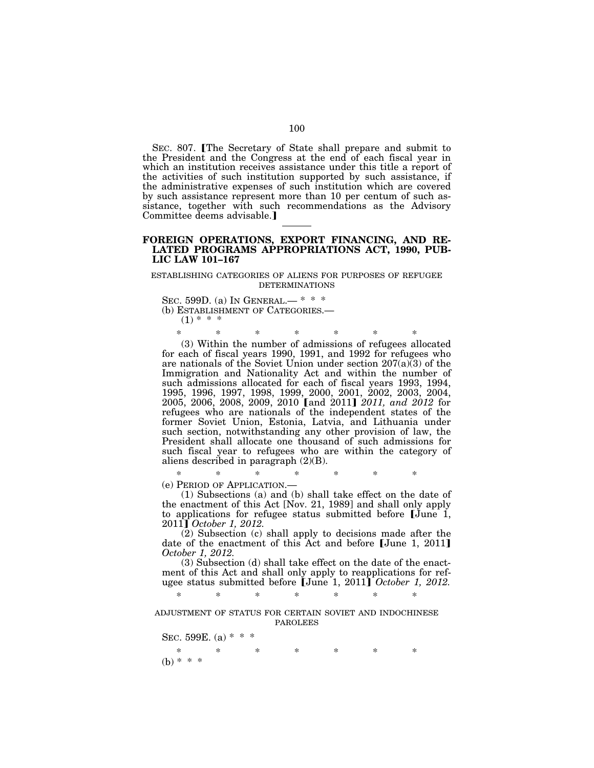SEC. 807. The Secretary of State shall prepare and submit to the President and the Congress at the end of each fiscal year in which an institution receives assistance under this title a report of the activities of such institution supported by such assistance, if the administrative expenses of such institution which are covered by such assistance represent more than 10 per centum of such assistance, together with such recommendations as the Advisory Committee deems advisable.

### **FOREIGN OPERATIONS, EXPORT FINANCING, AND RE-LATED PROGRAMS APPROPRIATIONS ACT, 1990, PUB-LIC LAW 101–167**

#### ESTABLISHING CATEGORIES OF ALIENS FOR PURPOSES OF REFUGEE DETERMINATIONS

SEC. 599D. (a) IN GENERAL.— \* \* \* (b) ESTABLISHMENT OF CATEGORIES.—  $(1)$  \* \*

\* \* \* \* \* \* \* (3) Within the number of admissions of refugees allocated for each of fiscal years 1990, 1991, and 1992 for refugees who are nationals of the Soviet Union under section 207(a)(3) of the Immigration and Nationality Act and within the number of such admissions allocated for each of fiscal years 1993, 1994, 1995, 1996, 1997, 1998, 1999, 2000, 2001, 2002, 2003, 2004,<br>2005, 2006, 2008, 2009, 2010 [and 2011] *2011, and 2012 f*or refugees who are nationals of the independent states of the former Soviet Union, Estonia, Latvia, and Lithuania under such section, notwithstanding any other provision of law, the President shall allocate one thousand of such admissions for such fiscal year to refugees who are within the category of aliens described in paragraph (2)(B).

\* \* \* \* \* \* \* (e) PERIOD OF APPLICATION.—

(1) Subsections (a) and (b) shall take effect on the date of the enactment of this Act [Nov. 21, 1989] and shall only apply to applications for refugee status submitted before June 1, 2011¿ *October 1, 2012.* 

(2) Subsection (c) shall apply to decisions made after the date of the enactment of this Act and before  $\text{[June 1, 2011]}$ *October 1, 2012.* 

(3) Subsection (d) shall take effect on the date of the enactment of this Act and shall only apply to reapplications for refugee status submitted before [June 1, 2011] October 1, 2012.

\* \* \* \* \* \* \*

ADJUSTMENT OF STATUS FOR CERTAIN SOVIET AND INDOCHINESE PAROLEES

SEC. 599E. (a)  $* * *$ \* \* \* \* \* \* \* (b) \* \* \*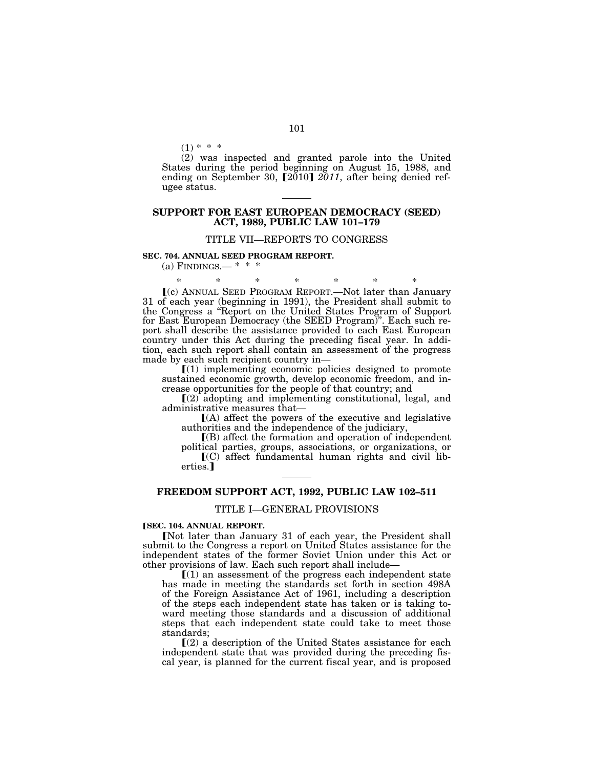$(1) * * *$ 

(2) was inspected and granted parole into the United States during the period beginning on August 15, 1988, and ending on September 30,  $[2010]$   $2011$ , after being denied refugee status.

### **SUPPORT FOR EAST EUROPEAN DEMOCRACY (SEED) ACT, 1989, PUBLIC LAW 101–179**

### TITLE VII—REPORTS TO CONGRESS

**SEC. 704. ANNUAL SEED PROGRAM REPORT.** 

(a) FINDINGS.—  $* * *$ 

\* \* \* \* \* \* \* ø(c) ANNUAL SEED PROGRAM REPORT.—Not later than January 31 of each year (beginning in 1991), the President shall submit to the Congress a ''Report on the United States Program of Support for East European Democracy (the SEED Program)''. Each such report shall describe the assistance provided to each East European country under this Act during the preceding fiscal year. In addition, each such report shall contain an assessment of the progress made by each such recipient country in—

 $(1)$  implementing economic policies designed to promote sustained economic growth, develop economic freedom, and increase opportunities for the people of that country; and

 $(2)$  adopting and implementing constitutional, legal, and administrative measures that—

 $(A)$  affect the powers of the executive and legislative authorities and the independence of the judiciary,

 $(6)$  affect the formation and operation of independent

political parties, groups, associations, or organizations, or  $(C)$  affect fundamental human rights and civil liberties.

## **FREEDOM SUPPORT ACT, 1992, PUBLIC LAW 102–511**

#### TITLE I—GENERAL PROVISIONS

#### ø**SEC. 104. ANNUAL REPORT.**

[Not later than January 31 of each year, the President shall submit to the Congress a report on United States assistance for the independent states of the former Soviet Union under this Act or other provisions of law. Each such report shall include—

 $(1)$  an assessment of the progress each independent state has made in meeting the standards set forth in section 498A of the Foreign Assistance Act of 1961, including a description of the steps each independent state has taken or is taking toward meeting those standards and a discussion of additional steps that each independent state could take to meet those standards;

 $\Gamma(2)$  a description of the United States assistance for each independent state that was provided during the preceding fiscal year, is planned for the current fiscal year, and is proposed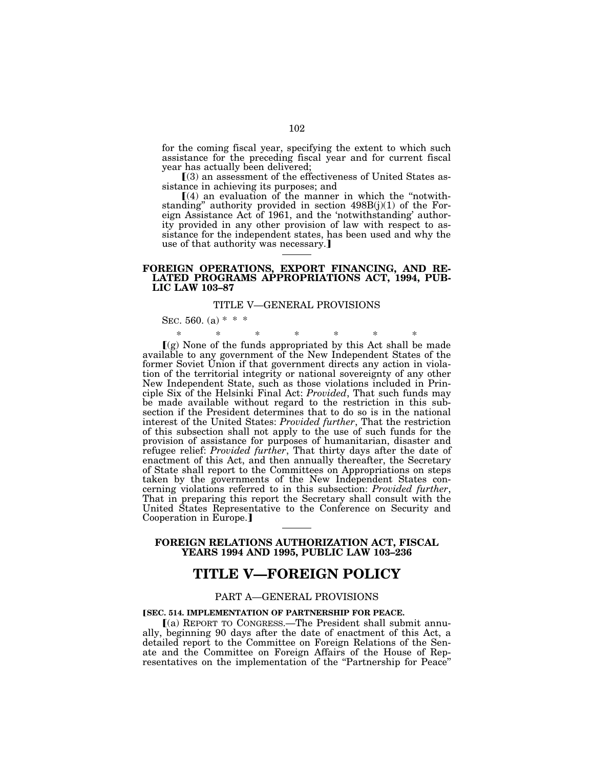for the coming fiscal year, specifying the extent to which such assistance for the preceding fiscal year and for current fiscal year has actually been delivered;

ø(3) an assessment of the effectiveness of United States assistance in achieving its purposes; and

 $(4)$  an evaluation of the manner in which the "notwithstanding'' authority provided in section 498B(j)(1) of the Foreign Assistance Act of 1961, and the 'notwithstanding' authority provided in any other provision of law with respect to assistance for the independent states, has been used and why the use of that authority was necessary.]

### **FOREIGN OPERATIONS, EXPORT FINANCING, AND RE-LATED PROGRAMS APPROPRIATIONS ACT, 1994, PUB-LIC LAW 103–87**

### TITLE V—GENERAL PROVISIONS

SEC. 560. (a)  $* * *$ 

\* \* \* \* \* \* \*  $\Gamma(g)$  None of the funds appropriated by this Act shall be made available to any government of the New Independent States of the former Soviet Union if that government directs any action in violation of the territorial integrity or national sovereignty of any other New Independent State, such as those violations included in Principle Six of the Helsinki Final Act: *Provided*, That such funds may be made available without regard to the restriction in this subsection if the President determines that to do so is in the national interest of the United States: *Provided further*, That the restriction of this subsection shall not apply to the use of such funds for the provision of assistance for purposes of humanitarian, disaster and refugee relief: *Provided further*, That thirty days after the date of enactment of this Act, and then annually thereafter, the Secretary of State shall report to the Committees on Appropriations on steps taken by the governments of the New Independent States concerning violations referred to in this subsection: *Provided further*, That in preparing this report the Secretary shall consult with the United States Representative to the Conference on Security and Cooperation in Europe.

## **FOREIGN RELATIONS AUTHORIZATION ACT, FISCAL YEARS 1994 AND 1995, PUBLIC LAW 103–236**

# **TITLE V—FOREIGN POLICY**

## PART A—GENERAL PROVISIONS

### **[SEC. 514. IMPLEMENTATION OF PARTNERSHIP FOR PEACE.**

ø(a) REPORT TO CONGRESS.—The President shall submit annually, beginning 90 days after the date of enactment of this Act, a detailed report to the Committee on Foreign Relations of the Senate and the Committee on Foreign Affairs of the House of Representatives on the implementation of the "Partnership for Peace"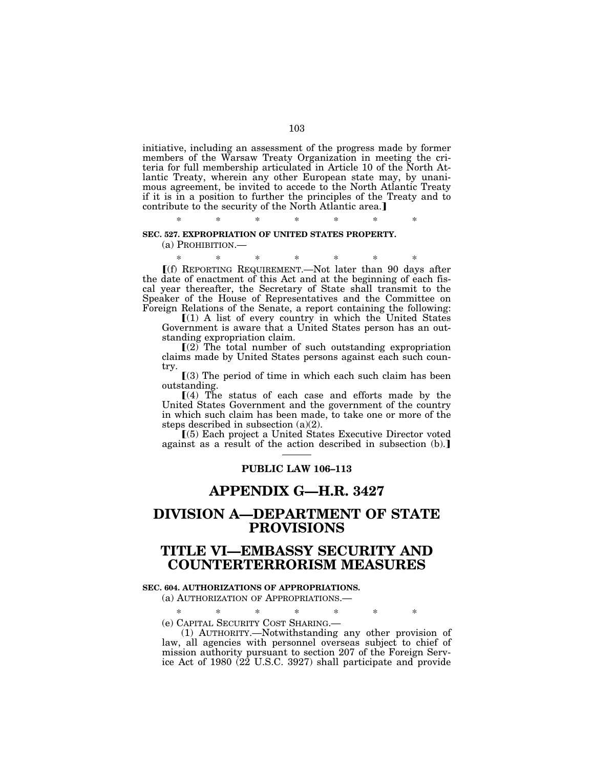initiative, including an assessment of the progress made by former members of the Warsaw Treaty Organization in meeting the criteria for full membership articulated in Article 10 of the North Atlantic Treaty, wherein any other European state may, by unanimous agreement, be invited to accede to the North Atlantic Treaty if it is in a position to further the principles of the Treaty and to contribute to the security of the North Atlantic area.

\* \* \* \* \* \* \*

### **SEC. 527. EXPROPRIATION OF UNITED STATES PROPERTY.**

(a) PROHIBITION.—

\* \* \* \* \* \* \* ø(f) REPORTING REQUIREMENT.—Not later than 90 days after the date of enactment of this Act and at the beginning of each fiscal year thereafter, the Secretary of State shall transmit to the Speaker of the House of Representatives and the Committee on Foreign Relations of the Senate, a report containing the following:

 $[(1)$  A list of every country in which the United States Government is aware that a United States person has an outstanding expropriation claim.

 $(2)$  The total number of such outstanding expropriation claims made by United States persons against each such country.

 $(3)$  The period of time in which each such claim has been outstanding.

 $(4)$  The status of each case and efforts made by the United States Government and the government of the country in which such claim has been made, to take one or more of the steps described in subsection (a)(2).

ø(5) Each project a United States Executive Director voted against as a result of the action described in subsection  $(b)$ .

# **PUBLIC LAW 106–113**

# **APPENDIX G—H.R. 3427**

# **DIVISION A—DEPARTMENT OF STATE PROVISIONS**

# **TITLE VI—EMBASSY SECURITY AND COUNTERTERRORISM MEASURES**

### **SEC. 604. AUTHORIZATIONS OF APPROPRIATIONS.**

(a) AUTHORIZATION OF APPROPRIATIONS.—

\* \* \* \* \* \* \*

(e) CAPITAL SECURITY COST SHARING.—

(1) AUTHORITY.—Notwithstanding any other provision of law, all agencies with personnel overseas subject to chief of mission authority pursuant to section 207 of the Foreign Service Act of 1980 (22 U.S.C. 3927) shall participate and provide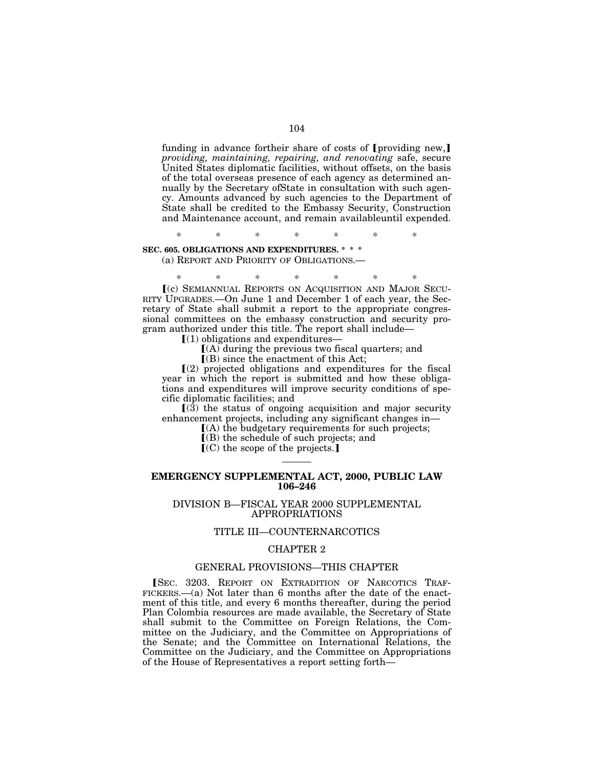funding in advance for their share of costs of  $[p \text{ roviding new}]$ *providing, maintaining, repairing, and renovating* safe, secure United States diplomatic facilities, without offsets, on the basis of the total overseas presence of each agency as determined annually by the Secretary ofState in consultation with such agency. Amounts advanced by such agencies to the Department of State shall be credited to the Embassy Security, Construction and Maintenance account, and remain availableuntil expended.

\* \* \* \* \* \* \*

## **SEC. 605. OBLIGATIONS AND EXPENDITURES. \* \* \***

(a) REPORT AND PRIORITY OF OBLIGATIONS.—

\* \* \* \* \* \* \* ø(c) SEMIANNUAL REPORTS ON ACQUISITION AND MAJOR SECU-RITY UPGRADES.—On June 1 and December 1 of each year, the Secretary of State shall submit a report to the appropriate congressional committees on the embassy construction and security pro-

gram authorized under this title. The report shall include—

 $(1)$  obligations and expenditures—

 $[(A)$  during the previous two fiscal quarters; and

 $($ B) since the enactment of this Act;

 $(2)$  projected obligations and expenditures for the fiscal year in which the report is submitted and how these obligations and expenditures will improve security conditions of specific diplomatic facilities; and

 $(3)$  the status of ongoing acquisition and major security enhancement projects, including any significant changes in—

 $(A)$  the budgetary requirements for such projects;

 $\bar{I}(B)$  the schedule of such projects; and

 $(C)$  the scope of the projects.]

### **EMERGENCY SUPPLEMENTAL ACT, 2000, PUBLIC LAW 106–246**

### DIVISION B—FISCAL YEAR 2000 SUPPLEMENTAL APPROPRIATIONS

### TITLE III—COUNTERNARCOTICS

### CHAPTER 2

## GENERAL PROVISIONS—THIS CHAPTER

**SEC. 3203. REPORT ON EXTRADITION OF NARCOTICS TRAF-**FICKERS.—(a) Not later than 6 months after the date of the enactment of this title, and every 6 months thereafter, during the period Plan Colombia resources are made available, the Secretary of State shall submit to the Committee on Foreign Relations, the Committee on the Judiciary, and the Committee on Appropriations of the Senate; and the Committee on International Relations, the Committee on the Judiciary, and the Committee on Appropriations of the House of Representatives a report setting forth—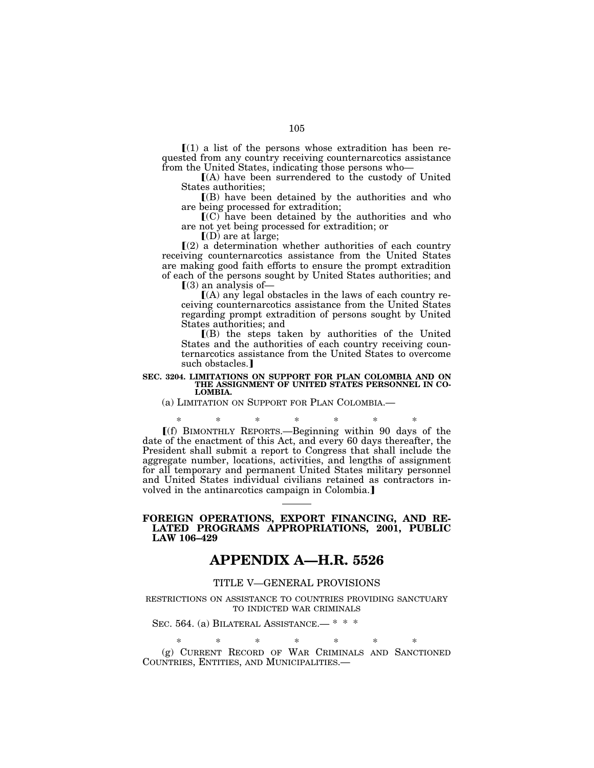$\Gamma(1)$  a list of the persons whose extradition has been requested from any country receiving counternarcotics assistance from the United States, indicating those persons who—

 $I(A)$  have been surrendered to the custody of United States authorities;

 $($ B) have been detained by the authorities and who are being processed for extradition;

 $\mathbf{C}(C)$  have been detained by the authorities and who are not yet being processed for extradition; or

 $\overline{[}$ (D) are at large;

 $(2)$  a determination whether authorities of each country receiving counternarcotics assistance from the United States are making good faith efforts to ensure the prompt extradition of each of the persons sought by United States authorities; and

 $(3)$  an analysis of —

 $(A)$  any legal obstacles in the laws of each country receiving counternarcotics assistance from the United States regarding prompt extradition of persons sought by United States authorities; and

 $($ B) the steps taken by authorities of the United States and the authorities of each country receiving counternarcotics assistance from the United States to overcome such obstacles.<sup>1</sup>

#### **SEC. 3204. LIMITATIONS ON SUPPORT FOR PLAN COLOMBIA AND ON THE ASSIGNMENT OF UNITED STATES PERSONNEL IN CO-LOMBIA.**

(a) LIMITATION ON SUPPORT FOR PLAN COLOMBIA.—

 $*(f)$  BIMONTHLY REPORTS.—Beginning within 90 days of the date of the enactment of this Act, and every 60 days thereafter, the President shall submit a report to Congress that shall include the aggregate number, locations, activities, and lengths of assignment for all temporary and permanent United States military personnel and United States individual civilians retained as contractors involved in the antinarcotics campaign in Colombia.

### **FOREIGN OPERATIONS, EXPORT FINANCING, AND RE-LATED PROGRAMS APPROPRIATIONS, 2001, PUBLIC LAW 106–429**

# **APPENDIX A—H.R. 5526**

## TITLE V—GENERAL PROVISIONS

RESTRICTIONS ON ASSISTANCE TO COUNTRIES PROVIDING SANCTUARY TO INDICTED WAR CRIMINALS

# SEC. 564. (a) BILATERAL ASSISTANCE.— \* \* \*

\* \* \* \* \* \* \* (g) CURRENT RECORD OF WAR CRIMINALS AND SANCTIONED COUNTRIES, ENTITIES, AND MUNICIPALITIES.—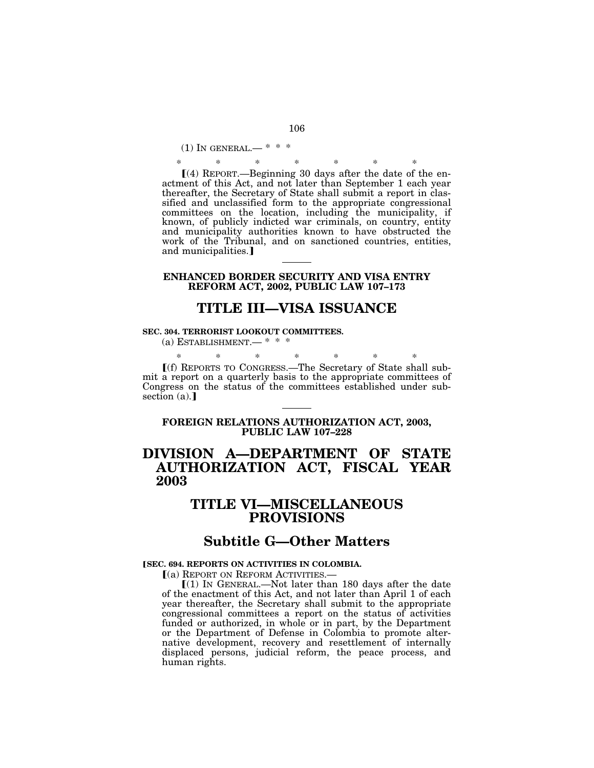(1) IN GENERAL.— \* \* \*

\* \* \* \* \* \* \*  $(4)$  REPORT.—Beginning 30 days after the date of the enactment of this Act, and not later than September 1 each year thereafter, the Secretary of State shall submit a report in classified and unclassified form to the appropriate congressional committees on the location, including the municipality, if known, of publicly indicted war criminals, on country, entity and municipality authorities known to have obstructed the work of the Tribunal, and on sanctioned countries, entities, and municipalities.]

## **ENHANCED BORDER SECURITY AND VISA ENTRY REFORM ACT, 2002, PUBLIC LAW 107–173**

# **TITLE III—VISA ISSUANCE**

### **SEC. 304. TERRORIST LOOKOUT COMMITTEES.**

(a) ESTABLISHMENT.— \* \* \*

\* \* \* \* \* \* \* ø(f) REPORTS TO CONGRESS.—The Secretary of State shall sub-

mit a report on a quarterly basis to the appropriate committees of Congress on the status of the committees established under subsection  $(a)$ .

# **FOREIGN RELATIONS AUTHORIZATION ACT, 2003, PUBLIC LAW 107–228**

# **DIVISION A—DEPARTMENT OF STATE AUTHORIZATION ACT, FISCAL YEAR 2003**

# **TITLE VI—MISCELLANEOUS PROVISIONS**

# **Subtitle G—Other Matters**

### **[SEC. 694. REPORTS ON ACTIVITIES IN COLOMBIA.**

ø(a) REPORT ON REFORM ACTIVITIES.—

 $[(1)$  In GENERAL.—Not later than 180 days after the date of the enactment of this Act, and not later than April 1 of each year thereafter, the Secretary shall submit to the appropriate congressional committees a report on the status of activities funded or authorized, in whole or in part, by the Department or the Department of Defense in Colombia to promote alternative development, recovery and resettlement of internally displaced persons, judicial reform, the peace process, and human rights.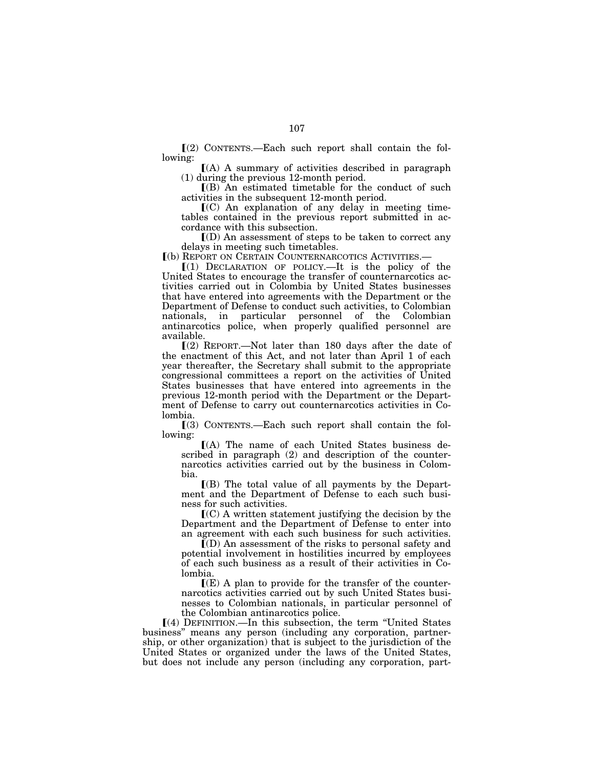$(2)$  CONTENTS.—Each such report shall contain the following:

 $(A)$  A summary of activities described in paragraph (1) during the previous 12-month period.

 $($ B) An estimated timetable for the conduct of such activities in the subsequent 12-month period.

 $(C)$  An explanation of any delay in meeting timetables contained in the previous report submitted in accordance with this subsection.

 $I(D)$  An assessment of steps to be taken to correct any delays in meeting such timetables.

ø(b) REPORT ON CERTAIN COUNTERNARCOTICS ACTIVITIES.—

 $[(1)$  DECLARATION OF POLICY.—It is the policy of the United States to encourage the transfer of counternarcotics activities carried out in Colombia by United States businesses that have entered into agreements with the Department or the Department of Defense to conduct such activities, to Colombian nationals, in particular personnel of the Colombian antinarcotics police, when properly qualified personnel are available.

 $(2)$  REPORT.—Not later than 180 days after the date of the enactment of this Act, and not later than April 1 of each year thereafter, the Secretary shall submit to the appropriate congressional committees a report on the activities of United States businesses that have entered into agreements in the previous 12-month period with the Department or the Department of Defense to carry out counternarcotics activities in Colombia.

 $(3)$  CONTENTS.—Each such report shall contain the following:

 $(A)$  The name of each United States business described in paragraph (2) and description of the counternarcotics activities carried out by the business in Colombia.

 $($ B) The total value of all payments by the Department and the Department of Defense to each such business for such activities.

 $\mathbf{C}(\mathbf{C})$  A written statement justifying the decision by the Department and the Department of Defense to enter into an agreement with each such business for such activities.

 $(Q)$  An assessment of the risks to personal safety and potential involvement in hostilities incurred by employees of each such business as a result of their activities in Colombia.

 $\Gamma(E)$  A plan to provide for the transfer of the counternarcotics activities carried out by such United States businesses to Colombian nationals, in particular personnel of the Colombian antinarcotics police.

ø(4) DEFINITION.—In this subsection, the term ''United States business'' means any person (including any corporation, partnership, or other organization) that is subject to the jurisdiction of the United States or organized under the laws of the United States, but does not include any person (including any corporation, part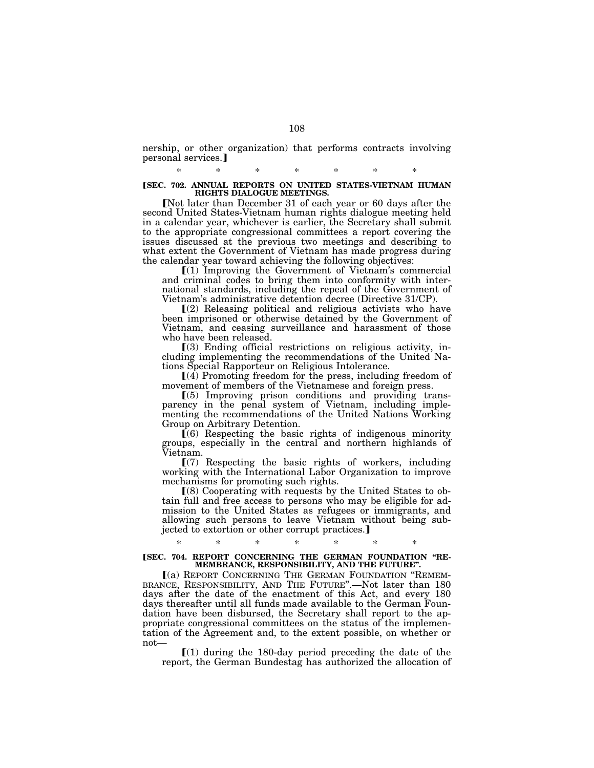nership, or other organization) that performs contracts involving personal services.

# \* \* \* \* \* \* \* ø**SEC. 702. ANNUAL REPORTS ON UNITED STATES-VIETNAM HUMAN RIGHTS DIALOGUE MEETINGS.**

[Not later than December 31 of each year or 60 days after the second United States-Vietnam human rights dialogue meeting held in a calendar year, whichever is earlier, the Secretary shall submit to the appropriate congressional committees a report covering the issues discussed at the previous two meetings and describing to what extent the Government of Vietnam has made progress during the calendar year toward achieving the following objectives:<br>
[(1) Improving the Government of Vietnam's commercial

and criminal codes to bring them into conformity with international standards, including the repeal of the Government of Vietnam's administrative detention decree (Directive 31/CP).

 $(2)$  Releasing political and religious activists who have been imprisoned or otherwise detained by the Government of Vietnam, and ceasing surveillance and harassment of those who have been released.

 $(3)$  Ending official restrictions on religious activity, including implementing the recommendations of the United Nations Special Rapporteur on Religious Intolerance.

 $(4)$  Promoting freedom for the press, including freedom of movement of members of the Vietnamese and foreign press.

ø(5) Improving prison conditions and providing transparency in the penal system of Vietnam, including implementing the recommendations of the United Nations Working Group on Arbitrary Detention.

 $(6)$  Respecting the basic rights of indigenous minority groups, especially in the central and northern highlands of Vietnam.

 $(7)$  Respecting the basic rights of workers, including working with the International Labor Organization to improve mechanisms for promoting such rights.

ø(8) Cooperating with requests by the United States to obtain full and free access to persons who may be eligible for admission to the United States as refugees or immigrants, and allowing such persons to leave Vietnam without being subjected to extortion or other corrupt practices.]

### \* \* \* \* \* \* \* **[SEC. 704. REPORT CONCERNING THE GERMAN FOUNDATION "RE-MEMBRANCE, RESPONSIBILITY, AND THE FUTURE''.**

<sup>ø</sup>(a) REPORT CONCERNING THE GERMAN FOUNDATION ''REMEM- BRANCE, RESPONSIBILITY, AND THE FUTURE''.—Not later than 180 days after the date of the enactment of this Act, and every 180 days thereafter until all funds made available to the German Foundation have been disbursed, the Secretary shall report to the appropriate congressional committees on the status of the implementation of the Agreement and, to the extent possible, on whether or not—

 $\lceil (1)$  during the 180-day period preceding the date of the report, the German Bundestag has authorized the allocation of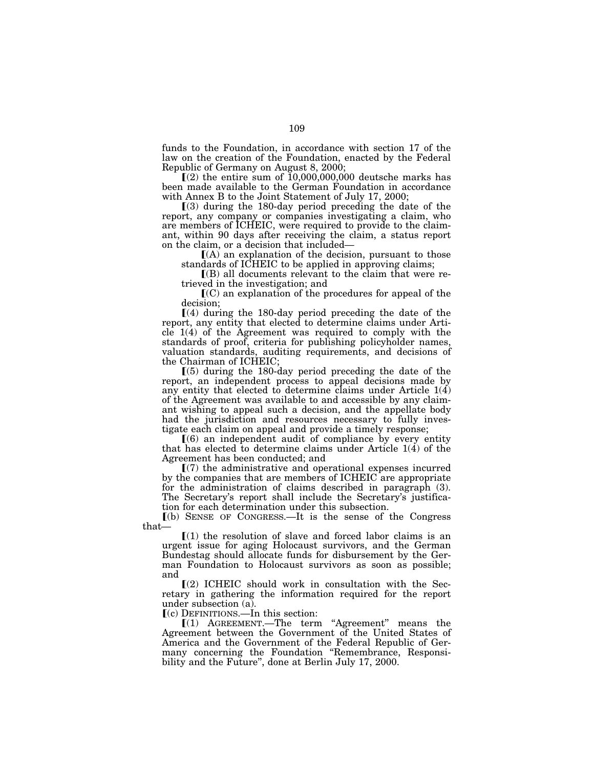funds to the Foundation, in accordance with section 17 of the law on the creation of the Foundation, enacted by the Federal Republic of Germany on August 8, 2000;

 $(2)$  the entire sum of  $10,000,000,000$  deutsche marks has been made available to the German Foundation in accordance with Annex B to the Joint Statement of July 17, 2000;

 $(3)$  during the 180-day period preceding the date of the report, any company or companies investigating a claim, who are members of ICHEIC, were required to provide to the claimant, within 90 days after receiving the claim, a status report on the claim, or a decision that included—

 $(A)$  an explanation of the decision, pursuant to those standards of ICHEIC to be applied in approving claims;

 $\Gamma(B)$  all documents relevant to the claim that were retrieved in the investigation; and

 $\mathbf{I}(C)$  an explanation of the procedures for appeal of the decision;

 $(4)$  during the 180-day period preceding the date of the report, any entity that elected to determine claims under Arti $cle 1(4)$  of the Agreement was required to comply with the standards of proof, criteria for publishing policyholder names, valuation standards, auditing requirements, and decisions of the Chairman of ICHEIC;

 $(5)$  during the 180-day period preceding the date of the report, an independent process to appeal decisions made by any entity that elected to determine claims under Article  $1(4)$ of the Agreement was available to and accessible by any claimant wishing to appeal such a decision, and the appellate body had the jurisdiction and resources necessary to fully investigate each claim on appeal and provide a timely response;

 $(6)$  an independent audit of compliance by every entity that has elected to determine claims under Article  $1(4)$  of the Agreement has been conducted; and

 $\Gamma(7)$  the administrative and operational expenses incurred by the companies that are members of ICHEIC are appropriate for the administration of claims described in paragraph (3). The Secretary's report shall include the Secretary's justification for each determination under this subsection.

ø(b) SENSE OF CONGRESS.—It is the sense of the Congress that—

 $(1)$  the resolution of slave and forced labor claims is an urgent issue for aging Holocaust survivors, and the German Bundestag should allocate funds for disbursement by the German Foundation to Holocaust survivors as soon as possible; and

 $(2)$  ICHEIC should work in consultation with the Secretary in gathering the information required for the report under subsection (a).

 $(c)$  DEFINITIONS.—In this section:

 $(1)$  AGREEMENT.—The term "Agreement" means the Agreement between the Government of the United States of America and the Government of the Federal Republic of Germany concerning the Foundation "Remembrance, Responsibility and the Future'', done at Berlin July 17, 2000.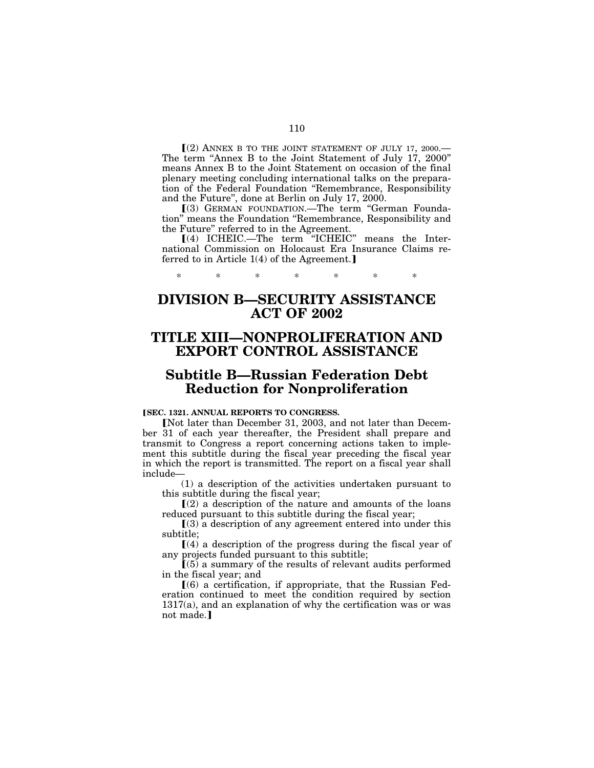$(2)$  ANNEX B TO THE JOINT STATEMENT OF JULY 17, 2000. The term "Annex B to the Joint Statement of July 17, 2000" means Annex B to the Joint Statement on occasion of the final plenary meeting concluding international talks on the preparation of the Federal Foundation ''Remembrance, Responsibility and the Future'', done at Berlin on July 17, 2000.

ø(3) GERMAN FOUNDATION.—The term ''German Foundation'' means the Foundation ''Remembrance, Responsibility and the Future'' referred to in the Agreement.

ø(4) ICHEIC.—The term ''ICHEIC'' means the International Commission on Holocaust Era Insurance Claims referred to in Article  $1(4)$  of the Agreement.]

# **DIVISION B—SECURITY ASSISTANCE ACT OF 2002**

\* \* \* \* \* \* \*

# **TITLE XIII—NONPROLIFERATION AND EXPORT CONTROL ASSISTANCE**

# **Subtitle B—Russian Federation Debt Reduction for Nonproliferation**

#### **[SEC. 1321. ANNUAL REPORTS TO CONGRESS.**

**Not later than December 31, 2003, and not later than Decem**ber 31 of each year thereafter, the President shall prepare and transmit to Congress a report concerning actions taken to implement this subtitle during the fiscal year preceding the fiscal year in which the report is transmitted. The report on a fiscal year shall include—

(1) a description of the activities undertaken pursuant to this subtitle during the fiscal year;

 $\Gamma(2)$  a description of the nature and amounts of the loans reduced pursuant to this subtitle during the fiscal year;

 $\Gamma(3)$  a description of any agreement entered into under this subtitle;

 $(4)$  a description of the progress during the fiscal year of any projects funded pursuant to this subtitle;

 $(5)$  a summary of the results of relevant audits performed in the fiscal year; and

 $(6)$  a certification, if appropriate, that the Russian Federation continued to meet the condition required by section 1317(a), and an explanation of why the certification was or was not made.]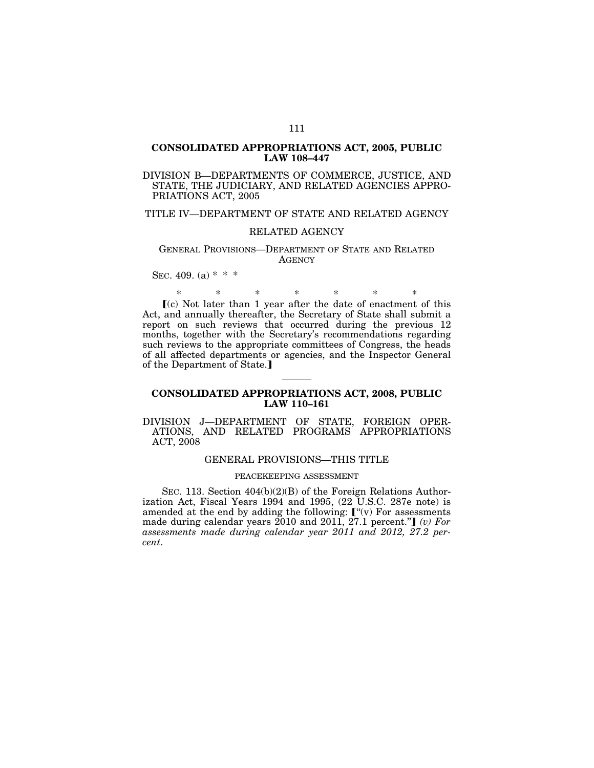### **CONSOLIDATED APPROPRIATIONS ACT, 2005, PUBLIC LAW 108–447**

DIVISION B—DEPARTMENTS OF COMMERCE, JUSTICE, AND STATE, THE JUDICIARY, AND RELATED AGENCIES APPRO-PRIATIONS ACT, 2005

### TITLE IV—DEPARTMENT OF STATE AND RELATED AGENCY

#### RELATED AGENCY

#### GENERAL PROVISIONS—DEPARTMENT OF STATE AND RELATED **AGENCY**

SEC. 409. (a)  $* * *$ 

\* \* \* \* \* \* \*

 $(c)$  Not later than 1 year after the date of enactment of this Act, and annually thereafter, the Secretary of State shall submit a report on such reviews that occurred during the previous 12 months, together with the Secretary's recommendations regarding such reviews to the appropriate committees of Congress, the heads of all affected departments or agencies, and the Inspector General of the Department of State.]

### **CONSOLIDATED APPROPRIATIONS ACT, 2008, PUBLIC LAW 110–161**

#### DIVISION J—DEPARTMENT OF STATE, FOREIGN OPER-ATIONS, AND RELATED PROGRAMS APPROPRIATIONS ACT, 2008

#### GENERAL PROVISIONS—THIS TITLE

#### PEACEKEEPING ASSESSMENT

SEC. 113. Section 404(b)(2)(B) of the Foreign Relations Authorization Act, Fiscal Years 1994 and 1995, (22 U.S.C. 287e note) is amended at the end by adding the following:  $\mathbf{I}^{\prime\prime}(\mathbf{v})$  For assessments made during calendar years  $2010$  and  $2011$ ,  $27.1$  percent."**]** *(v) For assessments made during calendar year 2011 and 2012, 27.2 percent*.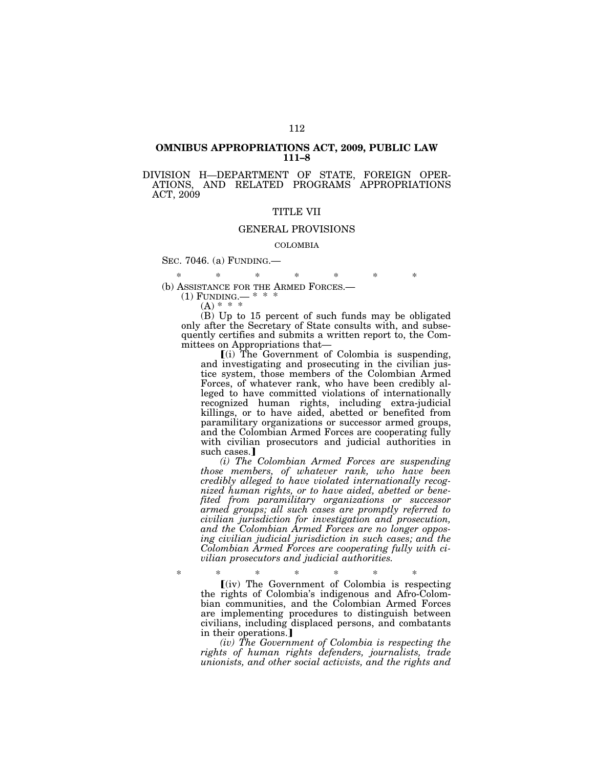#### **OMNIBUS APPROPRIATIONS ACT, 2009, PUBLIC LAW 111–8**

### DIVISION H—DEPARTMENT OF STATE, FOREIGN OPER-ATIONS, AND RELATED PROGRAMS APPROPRIATIONS ACT, 2009

#### TITLE VII

### GENERAL PROVISIONS

#### COLOMBIA

SEC. 7046. (a) FUNDING.—

\* \* \* \* \* \* \*

(b) ASSISTANCE FOR THE ARMED FORCES.—

(1) FUNDING.— \* \*  $(A) * * * *$ 

(B) Up to 15 percent of such funds may be obligated only after the Secretary of State consults with, and subsequently certifies and submits a written report to, the Committees on Appropriations that—

 $(i)$  The Government of Colombia is suspending, and investigating and prosecuting in the civilian justice system, those members of the Colombian Armed Forces, of whatever rank, who have been credibly alleged to have committed violations of internationally recognized human rights, including extra-judicial killings, or to have aided, abetted or benefited from paramilitary organizations or successor armed groups, and the Colombian Armed Forces are cooperating fully with civilian prosecutors and judicial authorities in such cases.]

*(i) The Colombian Armed Forces are suspending those members, of whatever rank, who have been credibly alleged to have violated internationally recognized human rights, or to have aided, abetted or benefited from paramilitary organizations or successor armed groups; all such cases are promptly referred to civilian jurisdiction for investigation and prosecution, and the Colombian Armed Forces are no longer opposing civilian judicial jurisdiction in such cases; and the Colombian Armed Forces are cooperating fully with civilian prosecutors and judicial authorities.* 

\* \* \* \* \* \* \*  $(i)$  The Government of Colombia is respecting the rights of Colombia's indigenous and Afro-Colombian communities, and the Colombian Armed Forces are implementing procedures to distinguish between civilians, including displaced persons, and combatants in their operations.]

*(iv) The Government of Colombia is respecting the rights of human rights defenders, journalists, trade unionists, and other social activists, and the rights and*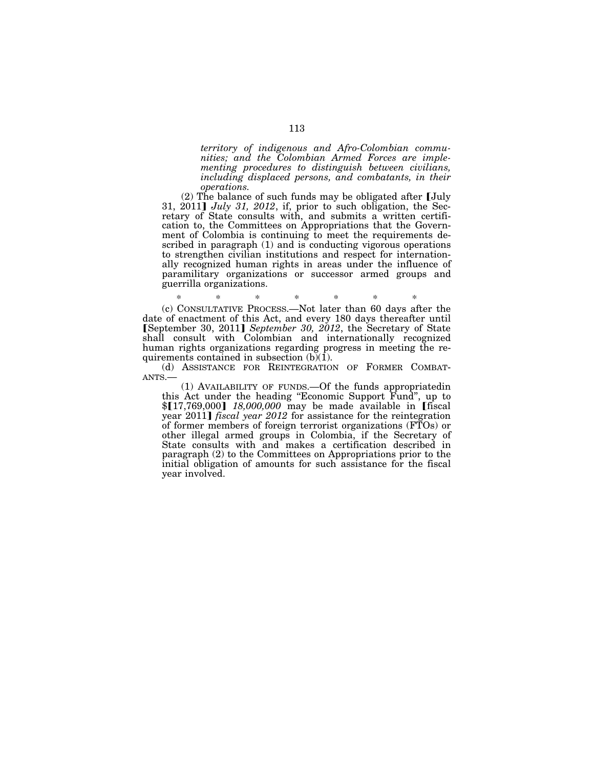*territory of indigenous and Afro-Colombian communities; and the Colombian Armed Forces are implementing procedures to distinguish between civilians, including displaced persons, and combatants, in their operations.* 

 $(2)$  The balance of such funds may be obligated after [July 31, 2011]  $July\ 31, 2012, if, prior to such obligation, the Sec$ retary of State consults with, and submits a written certification to, the Committees on Appropriations that the Government of Colombia is continuing to meet the requirements described in paragraph (1) and is conducting vigorous operations to strengthen civilian institutions and respect for internationally recognized human rights in areas under the influence of paramilitary organizations or successor armed groups and guerrilla organizations.

\* \* \* \* \* \* \* (c) CONSULTATIVE PROCESS.—Not later than 60 days after the date of enactment of this Act, and every 180 days thereafter until øSeptember 30, 2011¿ *September 30, 2012*, the Secretary of State shall consult with Colombian and internationally recognized human rights organizations regarding progress in meeting the requirements contained in subsection (b)(1).

(d) ASSISTANCE FOR REINTEGRATION OF FORMER COMBAT-ANTS.—

(1) AVAILABILITY OF FUNDS.—Of the funds appropriatedin this Act under the heading ''Economic Support Fund'', up to \$[17,769,000] 18,000,000 may be made available in [fiscal] year 2011] *fiscal year 2012* for assistance for the reintegration of former members of foreign terrorist organizations (FTOs) or other illegal armed groups in Colombia, if the Secretary of State consults with and makes a certification described in paragraph (2) to the Committees on Appropriations prior to the initial obligation of amounts for such assistance for the fiscal year involved.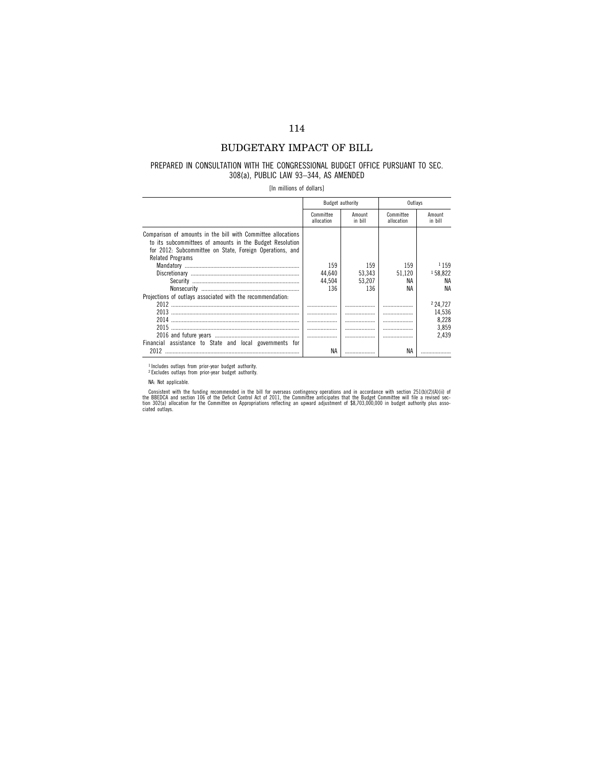## BUDGETARY IMPACT OF BILL

#### PREPARED IN CONSULTATION WITH THE CONGRESSIONAL BUDGET OFFICE PURSUANT TO SEC. 308(a), PUBLIC LAW 93–344, AS AMENDED

[In millions of dollars]

|                                                                                                                                                                                                                 |                         | Budget authority  | Outlavs                 |                   |
|-----------------------------------------------------------------------------------------------------------------------------------------------------------------------------------------------------------------|-------------------------|-------------------|-------------------------|-------------------|
|                                                                                                                                                                                                                 | Committee<br>allocation | Amount<br>in bill | Committee<br>allocation | Amount<br>in bill |
| Comparison of amounts in the bill with Committee allocations<br>to its subcommittees of amounts in the Budget Resolution<br>for 2012: Subcommittee on State, Foreign Operations, and<br><b>Related Programs</b> |                         |                   |                         |                   |
|                                                                                                                                                                                                                 | 159                     | 159               | 159                     | 1159              |
|                                                                                                                                                                                                                 | 44.640                  | 53.343            | 51.120                  | 158.822           |
|                                                                                                                                                                                                                 | 44.504                  | 53.207            | ΝA                      | ΝA                |
|                                                                                                                                                                                                                 | 136                     | 136               | ΝA                      | ΝA                |
| Projections of outlays associated with the recommendation:                                                                                                                                                      |                         |                   |                         |                   |
|                                                                                                                                                                                                                 | .                       | .                 |                         | 224.727           |
|                                                                                                                                                                                                                 |                         |                   |                         | 14,536            |
|                                                                                                                                                                                                                 |                         |                   |                         | 8.228             |
|                                                                                                                                                                                                                 |                         |                   |                         | 3.859             |
|                                                                                                                                                                                                                 |                         | .                 |                         | 2.439             |
| Financial assistance to State and local governments for                                                                                                                                                         |                         |                   |                         |                   |
| 2012                                                                                                                                                                                                            | ΝA                      |                   | <b>NA</b>               |                   |

<sup>1</sup> Includes outlays from prior-year budget authority.<br><sup>2</sup> Excludes outlays from prior-year budget authority.

Consistent with the funding recommended in the bill for overseas contingency operations and in accordance with section 251(b)(2)(A)(ii) of<br>the BBEDCA and section 106 of the Deficit Control Act of 2011, the Committee antici

NA: Not applicable.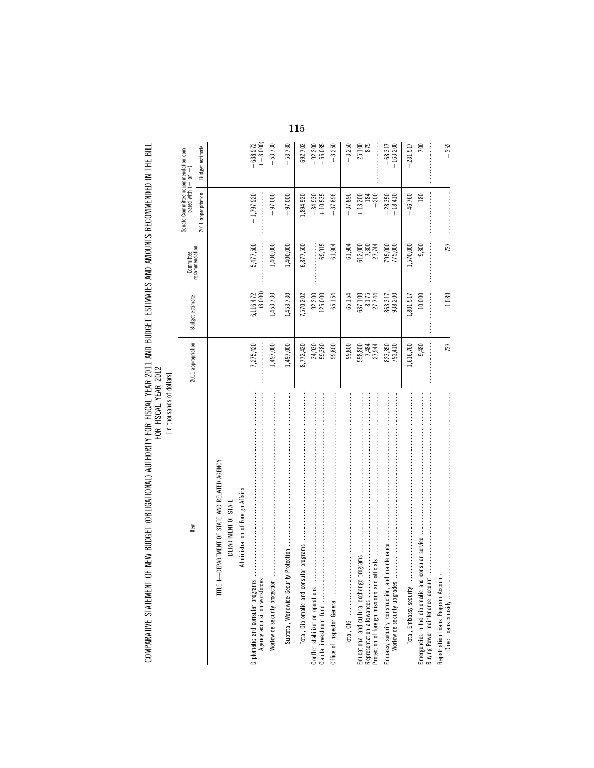| š<br>-  |  |
|---------|--|
| ₻       |  |
| ausands |  |
| ۲       |  |

| Item                                                                                                                                                                                 | 2011 appropriation    | Budget estimate               | recommendation<br>Committee | Senate Committee recommendation com-<br>pared with $(+)$ or | $\mathsf I$              |
|--------------------------------------------------------------------------------------------------------------------------------------------------------------------------------------|-----------------------|-------------------------------|-----------------------------|-------------------------------------------------------------|--------------------------|
|                                                                                                                                                                                      |                       |                               |                             | 2011 appropriation                                          | <b>Budget estimate</b>   |
| TITLE I-DEPARTMENT OF STATE AND RELATED AGENCY                                                                                                                                       |                       |                               |                             |                                                             |                          |
| DEPARTMENT OF STATE                                                                                                                                                                  |                       |                               |                             |                                                             |                          |
| Administration of Foreign Affairs                                                                                                                                                    |                       |                               |                             |                                                             |                          |
| Diplomatic and consular programs<br>Agency acquisition workforces                                                                                                                    | 7,275,420             | (3,000)<br>6,116,472          | 5,477,500                   | $-1,797,920$                                                | $-638,972$<br>$(-3,000)$ |
| Worldwide security protection                                                                                                                                                        | 1,497,000             | 1,453,730                     | 1,400,000                   | 97,000                                                      | 53,730                   |
| Protection<br>Subtotal, Worldwide Security                                                                                                                                           | 1,497,000             | 1,453,730                     | 1,400,000                   | 97,000                                                      | 53,730                   |
| lar programs<br>Total, Diplomatic and consu                                                                                                                                          | 8,772,420             | ,570,202                      | 6,877,500                   | $-1,894,920$                                                | $-692,702$               |
| Conflict stabilization operations<br>Capital investment fund                                                                                                                         | 34,930<br>59,380      | $92,200$<br>$125,000$         | 69,915                      | $-34,930$<br>+ 10,535                                       | $-92,200$<br>$-55,085$   |
|                                                                                                                                                                                      | 99,800                | 65,154                        | 61,904                      | 37,896                                                      | $-3,250$                 |
|                                                                                                                                                                                      | 99,800                | 65,154                        | 61,904                      | $-37,896$                                                   | $-3,250$                 |
| Educational and cultural exchange programs <b>monumental construction and construction</b> and construction of<br>Protection of foreign missions and or<br>Representation allowances | $\frac{7,481}{7,484}$ | 637, 100<br>8, 175<br>27, 744 | 612,000<br>7,300<br>27,744  | $-184$<br>$+13,200$<br>$-200$                               | $-25,100$<br>$-875$      |
| maintenance<br>Embassy security, construction, and<br>Worldwide security upgrades                                                                                                    | 823,350<br>793,410    | 863,317<br>938,200            | 795,000<br>775,000          | $-18,410$<br>$-28,350$                                      | $-68,317$<br>$-163,200$  |
| Total, Embassy security                                                                                                                                                              | 1,616,760             | 1,801,517                     | 1,570,000                   | $-46,760$                                                   | 231,517                  |
| consular service<br>Emergencies in the diplomatic and<br>Buying Power maintenance account                                                                                            | 9,480                 | 10,000                        | 9,300                       | $-180$                                                      | $-700$                   |
|                                                                                                                                                                                      | 737                   | 1,089                         | 737                         |                                                             | $-352$                   |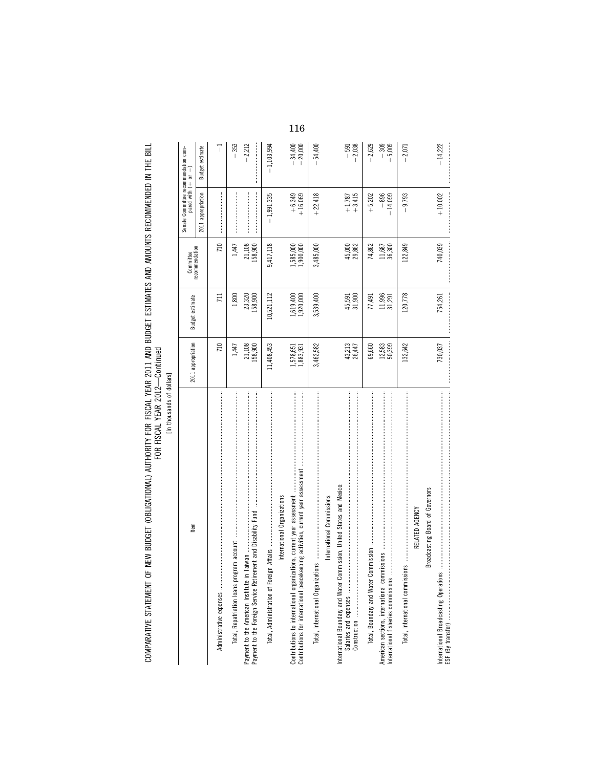| ۱<br>í<br>ı |
|-------------|
| ı<br>5<br>ċ |
| ¢<br>i<br>ė |
|             |

| In thousands or dollars                                                                                                                                                                                                                                                                                                                                                                                                                                                                                                                                 |                        |                        |                                                                                                                                                                                                                                                                                                                                                                                                                                                                                                                                                    |                                                                                                                                                                                                                                                                                                                                                                                                                                                                                                                 |                        |
|---------------------------------------------------------------------------------------------------------------------------------------------------------------------------------------------------------------------------------------------------------------------------------------------------------------------------------------------------------------------------------------------------------------------------------------------------------------------------------------------------------------------------------------------------------|------------------------|------------------------|----------------------------------------------------------------------------------------------------------------------------------------------------------------------------------------------------------------------------------------------------------------------------------------------------------------------------------------------------------------------------------------------------------------------------------------------------------------------------------------------------------------------------------------------------|-----------------------------------------------------------------------------------------------------------------------------------------------------------------------------------------------------------------------------------------------------------------------------------------------------------------------------------------------------------------------------------------------------------------------------------------------------------------------------------------------------------------|------------------------|
| ltem                                                                                                                                                                                                                                                                                                                                                                                                                                                                                                                                                    | 2011 appropriation     | Budget estimate        | Committee                                                                                                                                                                                                                                                                                                                                                                                                                                                                                                                                          | Senate Committee recommendation com-<br>pared with $(+)$ or $-$                                                                                                                                                                                                                                                                                                                                                                                                                                                 |                        |
|                                                                                                                                                                                                                                                                                                                                                                                                                                                                                                                                                         |                        |                        | recommendation                                                                                                                                                                                                                                                                                                                                                                                                                                                                                                                                     | 2011 appropriation                                                                                                                                                                                                                                                                                                                                                                                                                                                                                              | <b>Budget estimate</b> |
|                                                                                                                                                                                                                                                                                                                                                                                                                                                                                                                                                         | 710                    | 711                    | 710                                                                                                                                                                                                                                                                                                                                                                                                                                                                                                                                                |                                                                                                                                                                                                                                                                                                                                                                                                                                                                                                                 | 7                      |
| Total, Repatriation loans program account                                                                                                                                                                                                                                                                                                                                                                                                                                                                                                               | 1,447                  | 1,800                  | 1,447                                                                                                                                                                                                                                                                                                                                                                                                                                                                                                                                              |                                                                                                                                                                                                                                                                                                                                                                                                                                                                                                                 | $-353$                 |
| Payment to the American Institute in Taiwan                                                                                                                                                                                                                                                                                                                                                                                                                                                                                                             | 21,108<br>158,900      | 23,320<br>158,900      | 21,108<br>158,900                                                                                                                                                                                                                                                                                                                                                                                                                                                                                                                                  |                                                                                                                                                                                                                                                                                                                                                                                                                                                                                                                 | $-2,212$               |
|                                                                                                                                                                                                                                                                                                                                                                                                                                                                                                                                                         | 11,408,453             | 10,521,112             | 9,417,118                                                                                                                                                                                                                                                                                                                                                                                                                                                                                                                                          | $-1,991,335$                                                                                                                                                                                                                                                                                                                                                                                                                                                                                                    | $-1,103,994$           |
| International Organizations                                                                                                                                                                                                                                                                                                                                                                                                                                                                                                                             |                        |                        |                                                                                                                                                                                                                                                                                                                                                                                                                                                                                                                                                    |                                                                                                                                                                                                                                                                                                                                                                                                                                                                                                                 |                        |
| Contributions to international organizations, current year assessment                                                                                                                                                                                                                                                                                                                                                                                                                                                                                   | 1,578,651<br>1,883,931 | 1,619,400<br>1,920,000 | 1,585,000<br>1,900,000                                                                                                                                                                                                                                                                                                                                                                                                                                                                                                                             | $+6,349$<br>+ 16,069                                                                                                                                                                                                                                                                                                                                                                                                                                                                                            | $-34,400$<br>$-20,000$ |
| $\label{def:1} \begin{minipage}{0.9\textwidth} \begin{minipage}{0.9\textwidth} \centering \begin{minipage}{0.9\textwidth} \centering \end{minipage} \begin{minipage}{0.9\textwidth} \centering \begin{minipage}{0.9\textwidth} \centering \end{minipage} \begin{minipage}{0.9\textwidth} \centering \end{minipage} \begin{minipage}{0.9\textwidth} \centering \begin{minipage}{0.9\textwidth} \centering \end{minipage} \begin{minipage}{0.9\textwidth} \centering \end{minipage} \begin{minipage}{0.9\textwidth} \centering \end{minipage} \begin{min$ | 3,462,582              | 3,539,400              | 3,485,000                                                                                                                                                                                                                                                                                                                                                                                                                                                                                                                                          | $+22,418$                                                                                                                                                                                                                                                                                                                                                                                                                                                                                                       | 54,400                 |
| International Commissions                                                                                                                                                                                                                                                                                                                                                                                                                                                                                                                               |                        |                        |                                                                                                                                                                                                                                                                                                                                                                                                                                                                                                                                                    |                                                                                                                                                                                                                                                                                                                                                                                                                                                                                                                 |                        |
| International Boundary and Water Commission, United States and Mexico:                                                                                                                                                                                                                                                                                                                                                                                                                                                                                  | 43,213<br>26,447       | 45,591<br>31,900       | 45,000<br>29,862                                                                                                                                                                                                                                                                                                                                                                                                                                                                                                                                   | $+1,787$<br>+3,415                                                                                                                                                                                                                                                                                                                                                                                                                                                                                              | $-2,038$<br>$-591$     |
|                                                                                                                                                                                                                                                                                                                                                                                                                                                                                                                                                         | 69,660                 | 77,491                 | 74,862                                                                                                                                                                                                                                                                                                                                                                                                                                                                                                                                             | $+5,202$                                                                                                                                                                                                                                                                                                                                                                                                                                                                                                        | $-2,629$               |
| International fisheries commissions.                                                                                                                                                                                                                                                                                                                                                                                                                                                                                                                    | 12,583<br>50,399       | 11,996<br>31,291       | 11,687<br>36,300                                                                                                                                                                                                                                                                                                                                                                                                                                                                                                                                   | $-896$<br>$-14,099$                                                                                                                                                                                                                                                                                                                                                                                                                                                                                             | $-309$<br>$+5,009$     |
|                                                                                                                                                                                                                                                                                                                                                                                                                                                                                                                                                         | 132,642                | 120,778                | 122,849                                                                                                                                                                                                                                                                                                                                                                                                                                                                                                                                            | $-9,793$                                                                                                                                                                                                                                                                                                                                                                                                                                                                                                        | $+2,071$               |
| RELATED AGENCY                                                                                                                                                                                                                                                                                                                                                                                                                                                                                                                                          |                        |                        |                                                                                                                                                                                                                                                                                                                                                                                                                                                                                                                                                    |                                                                                                                                                                                                                                                                                                                                                                                                                                                                                                                 |                        |
| Broadcasting Board of Governors                                                                                                                                                                                                                                                                                                                                                                                                                                                                                                                         |                        |                        |                                                                                                                                                                                                                                                                                                                                                                                                                                                                                                                                                    |                                                                                                                                                                                                                                                                                                                                                                                                                                                                                                                 |                        |
| International Broadcasting Operations                                                                                                                                                                                                                                                                                                                                                                                                                                                                                                                   | 730,037                | <u>.</u><br>754,261    | $\label{eq:3} \begin{minipage}{0.9\linewidth} \begin{minipage}{0.9\linewidth} \begin{minipage}{0.9\linewidth} \end{minipage} \begin{minipage}{0.9\linewidth} \begin{minipage}{0.9\linewidth} \end{minipage} \end{minipage} \begin{minipage}{0.9\linewidth} \begin{minipage}{0.9\linewidth} \end{minipage} \end{minipage} \begin{minipage}{0.9\linewidth} \begin{minipage}{0.9\linewidth} \end{minipage} \end{minipage} \begin{minipage}{0.9\linewidth} \begin{minipage}{0.9\linewidth} \end{minipage} \end{minipage} \begin{minipage}{$<br>740,039 | $\label{def:1} \begin{split} \hspace{0.2cm} & \text{if } \alpha = 1, \ldots, \alpha \in \mathbb{N} \text{ and } \alpha = 1, \ldots, \alpha \in \mathbb{N} \text{ and } \alpha = 1, \ldots, \alpha \in \mathbb{N} \text{ and } \alpha = 1, \ldots, \alpha \in \mathbb{N} \text{ and } \alpha = 1, \ldots, \alpha \in \mathbb{N} \text{ and } \alpha = 1, \ldots, \alpha \in \mathbb{N} \text{ and } \alpha = 1, \ldots, \alpha \in \mathbb{N} \text{ and } \alpha = 1, \ldots, \alpha \in \mathbb{$<br>$+10,002$ | $-14,222$              |
|                                                                                                                                                                                                                                                                                                                                                                                                                                                                                                                                                         |                        |                        |                                                                                                                                                                                                                                                                                                                                                                                                                                                                                                                                                    |                                                                                                                                                                                                                                                                                                                                                                                                                                                                                                                 |                        |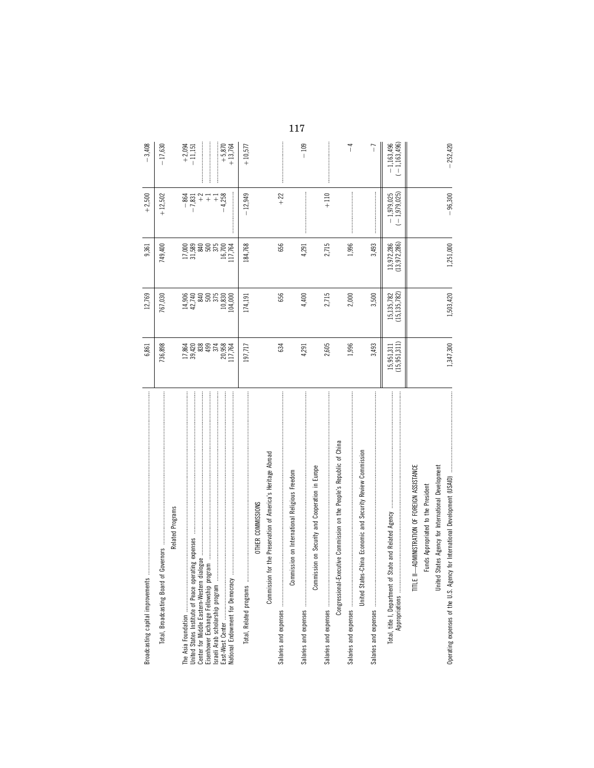| Broadcasting capital improvements                                                                                                                    | 6,861                     | 12,769                                 | 9,361                      | $+2,500$                     | $-3,408$                                                                                                                                                                                                                                                                                                                                                                                                                                                                                                                                  |     |
|------------------------------------------------------------------------------------------------------------------------------------------------------|---------------------------|----------------------------------------|----------------------------|------------------------------|-------------------------------------------------------------------------------------------------------------------------------------------------------------------------------------------------------------------------------------------------------------------------------------------------------------------------------------------------------------------------------------------------------------------------------------------------------------------------------------------------------------------------------------------|-----|
| Total, Broadcasting Board of Governors                                                                                                               | 736,898                   | 767,030                                | 749,400                    | $+12,502$                    | $-17,630$                                                                                                                                                                                                                                                                                                                                                                                                                                                                                                                                 |     |
| Related Programs                                                                                                                                     |                           |                                        |                            |                              |                                                                                                                                                                                                                                                                                                                                                                                                                                                                                                                                           |     |
|                                                                                                                                                      |                           |                                        | 17,000<br>31,589           | $-864$<br>$-7,831$           | $+2,094$<br>$-11,151$                                                                                                                                                                                                                                                                                                                                                                                                                                                                                                                     |     |
| United States Institute of Peace operating expenses<br>Center for Middle Eastern-Western dialogue.                                                   | 17,864<br>39,420<br>838   |                                        |                            | $^{+2}$                      |                                                                                                                                                                                                                                                                                                                                                                                                                                                                                                                                           |     |
| Eisenhower Exchange Fellowship program                                                                                                               | 499<br>374                | $14,740$<br>$42,740$<br>$500$<br>$575$ | 840<br>500<br>575          | $\overline{+}$<br>$^{-}$     | $\label{def:1} \begin{minipage}{0.9\linewidth} \begin{minipage}{0.9\linewidth} \begin{minipage}{0.9\linewidth} \begin{minipage}{0.9\linewidth} \end{minipage} \begin{minipage}{0.9\linewidth} \begin{minipage}{0.9\linewidth} \end{minipage} \end{minipage} \end{minipage} \begin{minipage}{0.9\linewidth} \begin{minipage}{0.9\linewidth} \begin{minipage}{0.9\linewidth} \end{minipage} \end{minipage} \end{minipage} \begin{minipage}{0.9\linewidth} \begin{minipage}{0.9\linewidth} \begin{minipage}{0.9\linewidth} \end{minipage} \$ |     |
|                                                                                                                                                      |                           | 10,830                                 | 16,700                     | 4,258                        | $+5,870$<br>j                                                                                                                                                                                                                                                                                                                                                                                                                                                                                                                             |     |
| National Endowment for Democracy                                                                                                                     | 20,958<br>117,764         | 104,000                                | 117,764                    |                              | $+13,764$                                                                                                                                                                                                                                                                                                                                                                                                                                                                                                                                 |     |
|                                                                                                                                                      | 197,717                   | 174,191                                | 184,768                    | $-12,949$                    | $+10,577$                                                                                                                                                                                                                                                                                                                                                                                                                                                                                                                                 |     |
| OTHER COMMISSIONS                                                                                                                                    |                           |                                        |                            |                              |                                                                                                                                                                                                                                                                                                                                                                                                                                                                                                                                           |     |
| Preservation of America's Heritage Abroad<br>Commission for the                                                                                      |                           |                                        |                            |                              |                                                                                                                                                                                                                                                                                                                                                                                                                                                                                                                                           |     |
|                                                                                                                                                      | 634                       | 656                                    | 656                        | $+22$                        |                                                                                                                                                                                                                                                                                                                                                                                                                                                                                                                                           |     |
| Commission on International Religious Freedom                                                                                                        |                           |                                        |                            |                              |                                                                                                                                                                                                                                                                                                                                                                                                                                                                                                                                           | 117 |
|                                                                                                                                                      | 4,291                     | 4,400                                  | 4,291                      |                              | $-109$                                                                                                                                                                                                                                                                                                                                                                                                                                                                                                                                    |     |
| Security and Cooperation in Europe<br>Commission on                                                                                                  |                           |                                        |                            |                              |                                                                                                                                                                                                                                                                                                                                                                                                                                                                                                                                           |     |
|                                                                                                                                                      | 2,605                     | 2,715                                  | 2,715                      | $+110$                       |                                                                                                                                                                                                                                                                                                                                                                                                                                                                                                                                           |     |
| Congressional-Executive Commission on the People's Republic of China                                                                                 |                           |                                        |                            |                              |                                                                                                                                                                                                                                                                                                                                                                                                                                                                                                                                           |     |
|                                                                                                                                                      | 1,996                     | 2,000                                  | 1,996                      |                              | $\overline{1}$                                                                                                                                                                                                                                                                                                                                                                                                                                                                                                                            |     |
| Economic and Security Review Commission<br>United States-China                                                                                       |                           |                                        |                            |                              |                                                                                                                                                                                                                                                                                                                                                                                                                                                                                                                                           |     |
|                                                                                                                                                      | 3,493                     | 3,500                                  | 3,493                      |                              | $\overline{1}$                                                                                                                                                                                                                                                                                                                                                                                                                                                                                                                            |     |
| 医皮质 医皮质生殖 医皮质性皮质 医皮质性皮质 医皮质性皮质 医皮质过程 医皮质性皮质 医皮质性皮质 医皮质性皮质 医皮质性皮质 医血管性皮质 医皮质性皮质 医皮质性皮质 医皮质性<br>Total, title I, Department of State and Related Agency | (15,951,311)<br>15,951,31 | 15, 135, 782<br>(15, 135, 782)         | 13,972,286<br>(13,972,286) | $-1,979,025$<br>$-1,979,025$ | $-1,163,496$<br>$-1.163,496$                                                                                                                                                                                                                                                                                                                                                                                                                                                                                                              |     |
| TITLE II-ADMINISTRATION OF FOREIGN ASSISTANCE<br>Funds Appropriated to the President                                                                 |                           |                                        |                            |                              |                                                                                                                                                                                                                                                                                                                                                                                                                                                                                                                                           |     |
| United States Agency for International Development                                                                                                   |                           |                                        |                            |                              |                                                                                                                                                                                                                                                                                                                                                                                                                                                                                                                                           |     |
| $\frac{1}{2}$<br>Operating expenses of the U.S. Agency for International Development (USAID)                                                         | 1,347,300                 | 1,503,420                              | 1,251,000                  | $-96,300$                    | $-252,420$                                                                                                                                                                                                                                                                                                                                                                                                                                                                                                                                |     |
|                                                                                                                                                      |                           |                                        |                            |                              |                                                                                                                                                                                                                                                                                                                                                                                                                                                                                                                                           |     |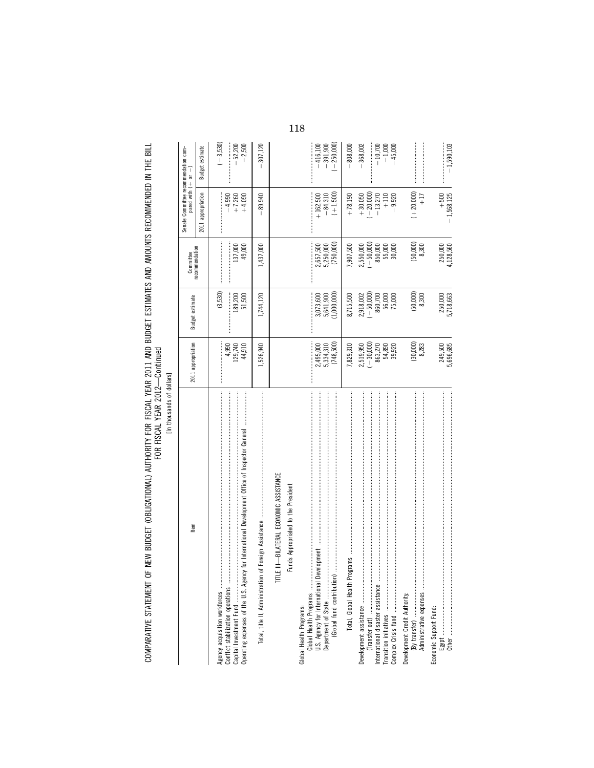| ۱<br>š<br>֠ |  |
|-------------|--|
| í<br>∺      |  |
| S<br>ī      |  |
|             |  |

| Item                                                                                                                                                                                                                                                                | 2011 appropriation                                      | Budget estimate                                                       | Committee<br>recommendation                                     | Senate Committee recommendation com-<br>pared with (+ or -)                          |                                                  |
|---------------------------------------------------------------------------------------------------------------------------------------------------------------------------------------------------------------------------------------------------------------------|---------------------------------------------------------|-----------------------------------------------------------------------|-----------------------------------------------------------------|--------------------------------------------------------------------------------------|--------------------------------------------------|
|                                                                                                                                                                                                                                                                     |                                                         |                                                                       |                                                                 | 2011 appropriation                                                                   | Budget estimate                                  |
| Agency acquisition workforces<br>Conflict stabilization operations                                                                                                                                                                                                  | 4,990<br>129,740<br>44,910                              | (3,530)<br>189,200<br>51,500                                          | 137,000<br>49,000                                               | $-4,990$<br>+7,260<br>$+4,090$                                                       | $(-3, 530)$<br>$-52,200$<br>$-2,500$             |
| Total, title II, Administration                                                                                                                                                                                                                                     | 1,526,940                                               | 1,744,120                                                             | 1,437,000                                                       | 89,940                                                                               | 307,120                                          |
| TITLE III-BILATERAL ECONOMIC ASSISTANCE<br>Funds Appropriated to the President                                                                                                                                                                                      |                                                         |                                                                       |                                                                 |                                                                                      |                                                  |
| Global Health Programs<br>Global Health Programs:                                                                                                                                                                                                                   | (748, 500)<br>2,495,000<br>5,334,310                    | $\begin{array}{c} 3,073,600 \\ 5,641,900 \\ (1,000,0000) \end{array}$ | 2,657,500<br>5,250,000<br>(750,000)                             | $(+1,500)$<br>$-84,310$<br>$+162,500$                                                | $-416,100$<br>$-391,900$<br>$(-250,000)$         |
|                                                                                                                                                                                                                                                                     | 7,829,310                                               | 8,715,500                                                             | 7,907,500                                                       | $+78,190$                                                                            | $-808,000$                                       |
| Development assistance manufacture and according to the assistance of the control of the control of the control of the control of the control of the control of the control of the control of the control of the control of th<br>International disaster assistance | $(-30,000)$<br>2,519,950<br>863,270<br>54,890<br>39,920 | $2,918,002$<br>$(-50,000)$<br>$860,700$<br>$56,000$<br>$55,000$       | $2,550,000$<br>$(-50,000)$<br>$850,000$<br>$55,000$<br>$55,000$ | $\begin{array}{c} +30,050 \\ (-20,000) \\ -13,270 \end{array}$<br>$-9,920$<br>$+110$ | $-368,002$<br>$-10,700$<br>$-1,000$<br>$-45,000$ |
|                                                                                                                                                                                                                                                                     | (30,000)<br>8,283                                       | (50,000)<br>8,300                                                     | (50,000)<br>8,300                                               | $(+20,000)$<br>+17                                                                   |                                                  |
| Economic Support Fund:                                                                                                                                                                                                                                              | 249,500<br>5,696,685                                    | 250,000<br>5,718,663                                                  | 250,000<br>4,128,560                                            | $+500$<br>$-1,568,125$                                                               | $-1,590,103$                                     |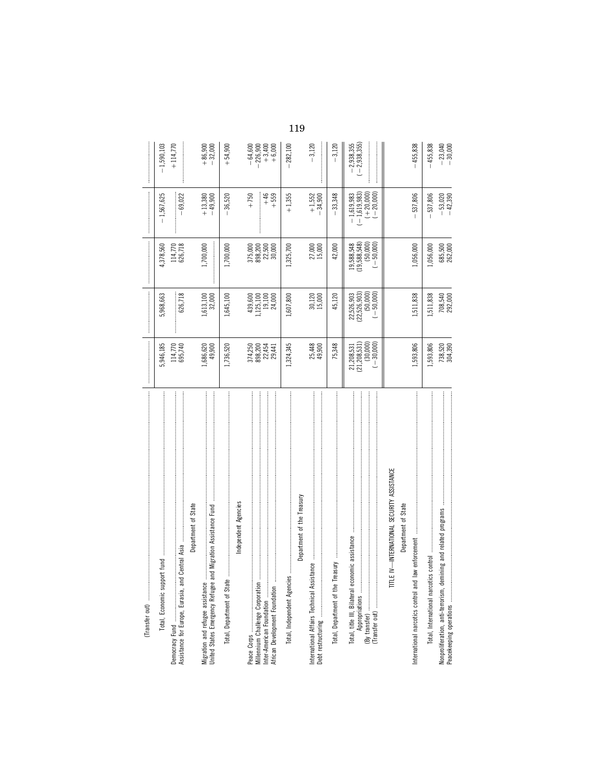| fund<br>Total, Economic support                                                                      | 5,946,185                                     | 5,968,663                                                               | 4,378,560                                                             | $-1,567,625$                                                 | $-1,590,103$                                |
|------------------------------------------------------------------------------------------------------|-----------------------------------------------|-------------------------------------------------------------------------|-----------------------------------------------------------------------|--------------------------------------------------------------|---------------------------------------------|
| ┋                                                                                                    | 114,770<br>695,740                            | 626,718                                                                 | 114,770<br>626,718                                                    | $-69,022$                                                    | $+114,770$                                  |
| Department of State                                                                                  |                                               |                                                                         |                                                                       |                                                              |                                             |
| Migration Assistance Fund<br>Migration and refugee assistance<br>United States Emergency Refugee and | 49,900<br>1,686,620                           | 1,613,100<br>32,000                                                     | 1,700,000                                                             | $+13,380$<br>$-49,900$                                       | $+86,900$<br>$-32,000$                      |
| Total, Department of State                                                                           | 1,736,520                                     | 1,645,100                                                               | 1,700,000                                                             | $-36,520$                                                    | $+54,900$                                   |
| Independent Agencies                                                                                 |                                               |                                                                         |                                                                       |                                                              |                                             |
| Millennium Challenge Corporation<br>African Development Foundation                                   | 374,250<br>898,244<br>898,2441                | $\begin{array}{c} 439,600 \\ 1,125,100 \\ 19,100 \\ 24,000 \end{array}$ | $\begin{array}{l} 375,000 \\ 898,200 \\ 22,500 \\ 30,000 \end{array}$ | $+750$<br>$+46$<br>+559                                      | $-226,900$<br>+3,400<br>+6,000<br>$-64,600$ |
| Total, Independent Agencies.                                                                         | 1,324,345                                     | 1,607,800                                                               | 1,325,700                                                             | $+1,355$                                                     | $-282,100$                                  |
| Department of the Treasury                                                                           |                                               |                                                                         |                                                                       |                                                              |                                             |
| International Affairs Technical Assistance                                                           | 25,448<br>49,900                              | $30,120$<br>$15,000$                                                    | 27,000<br>15,000                                                      | $+1,552$<br>$-34,900$                                        | $-3,120$                                    |
|                                                                                                      | 75,348                                        | 45,120                                                                  | 42,000                                                                | $-33,348$                                                    | $-3,120$                                    |
|                                                                                                      | $21,208,531$<br>$(21,208,531)$<br>$(-30,000)$ | 22,526,903<br>(22,526,903)<br>(50,000)<br>$-50,000$                     | 19,588,548<br>(19,588,548)<br>$(-50,000)$                             | $-1,619,983$<br>$(-1,619,983)$<br>$(+20,000)$<br>$(-20,000)$ | $-2,938,355$<br>$(-2,938,355)$              |
| TITLE IV-INTERNATIONAL SECURITY ASSISTANCE                                                           |                                               |                                                                         |                                                                       |                                                              |                                             |
| Department of State                                                                                  |                                               |                                                                         |                                                                       |                                                              |                                             |
| enforcement<br>International narcotics control and law                                               | 1,593,806                                     | 1,511,838                                                               | 1,056,000                                                             | $-537,806$                                                   | 455,838                                     |
| Total, International narcotics control.                                                              | 1,593,806                                     | 1,511,838                                                               | 1,056,000                                                             | 537,806                                                      | $-455,838$                                  |
| Nonproliferation, anti-terrorism, demining and related programs                                      | 738,520<br>304,390                            | 708,540<br>292,000                                                      | 685,500<br>262,000                                                    | $-53,020$<br>$-42,390$                                       | $-23,040$<br>$-30,000$                      |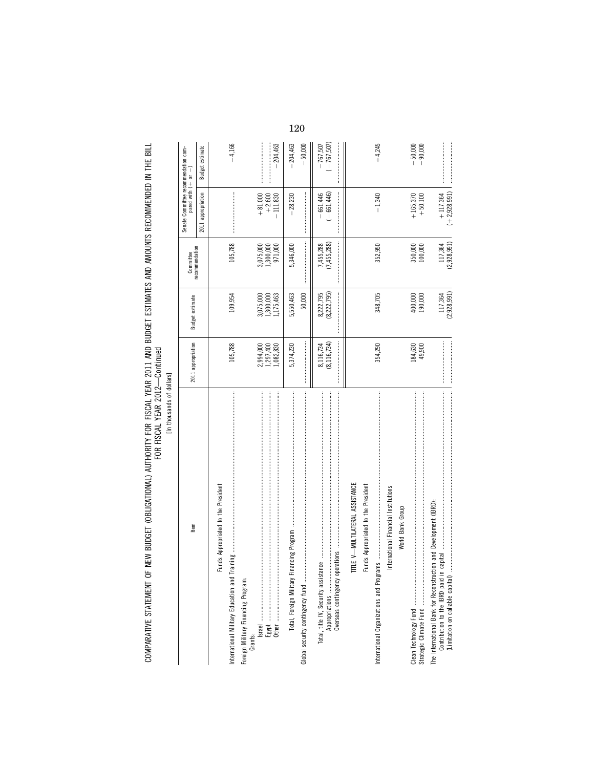[In thousands of dollars] [In thousands of dollars]

| Item                                                                                                  | 2011 appropriation                  | Budget estimate                                                                                                                                                                                                                                                                                                                                                                                                                                                                                                                                                           | recommendation<br>Committee                                      | Senate Committee recommendation com-<br>pared with $(+)$ or $-$ |                             |
|-------------------------------------------------------------------------------------------------------|-------------------------------------|---------------------------------------------------------------------------------------------------------------------------------------------------------------------------------------------------------------------------------------------------------------------------------------------------------------------------------------------------------------------------------------------------------------------------------------------------------------------------------------------------------------------------------------------------------------------------|------------------------------------------------------------------|-----------------------------------------------------------------|-----------------------------|
|                                                                                                       |                                     |                                                                                                                                                                                                                                                                                                                                                                                                                                                                                                                                                                           |                                                                  | 2011 appropriation                                              | <b>Budget estimate</b>      |
| Funds Appropriated to the President                                                                   |                                     |                                                                                                                                                                                                                                                                                                                                                                                                                                                                                                                                                                           |                                                                  |                                                                 |                             |
| International Military Education and T                                                                | 105,788                             | 109,954                                                                                                                                                                                                                                                                                                                                                                                                                                                                                                                                                                   | 105,788                                                          |                                                                 | $-4,166$                    |
| Foreign Military Financing Program:<br>Grants:                                                        |                                     |                                                                                                                                                                                                                                                                                                                                                                                                                                                                                                                                                                           |                                                                  |                                                                 |                             |
|                                                                                                       |                                     | 3,075,000                                                                                                                                                                                                                                                                                                                                                                                                                                                                                                                                                                 |                                                                  | $+81,000$                                                       |                             |
|                                                                                                       | 2,994,000<br>1,297,400<br>1,082,830 | 1,300,000<br>1,175,463                                                                                                                                                                                                                                                                                                                                                                                                                                                                                                                                                    | $\begin{array}{c} 3,075,000 \\ 1,300,000 \\ 971,000 \end{array}$ | $+2,600$                                                        |                             |
|                                                                                                       |                                     |                                                                                                                                                                                                                                                                                                                                                                                                                                                                                                                                                                           |                                                                  | $-111,830$                                                      | 204,463                     |
|                                                                                                       | 5,374,230                           | 5,550,463                                                                                                                                                                                                                                                                                                                                                                                                                                                                                                                                                                 | 5,346,000                                                        | $-28,230$                                                       | $-204,463$                  |
| Global security contingency fund                                                                      |                                     | 50,000                                                                                                                                                                                                                                                                                                                                                                                                                                                                                                                                                                    |                                                                  |                                                                 | $-50,000$                   |
|                                                                                                       | 8,116,734<br>(8,116,734)            | $\label{def:1} \begin{minipage}{0.9\linewidth} \begin{minipage}{0.9\linewidth} \begin{minipage}{0.9\linewidth} \begin{minipage}{0.9\linewidth} \end{minipage} \begin{minipage}{0.9\linewidth} \begin{minipage}{0.9\linewidth} \end{minipage} \end{minipage} \begin{minipage}{0.9\linewidth} \begin{minipage}{0.9\linewidth} \begin{minipage}{0.9\linewidth} \end{minipage} \end{minipage} \begin{minipage}{0.9\linewidth} \begin{minipage}{0.9\linewidth} \end{minipage} \end{minipage} \begin{minipage}{0.9\linewidth} \begin{minipage}{0$<br>(8, 222, 795)<br>8,222,795 | 7,455,288<br>(7,455,288)                                         | $(-661,446)$<br>$-661,446$                                      | $(-767, 507)$<br>$-767,507$ |
| TITLE V-MULTILATERAL ASSISTANCE                                                                       |                                     |                                                                                                                                                                                                                                                                                                                                                                                                                                                                                                                                                                           |                                                                  |                                                                 |                             |
| Funds Appropriated to the President                                                                   |                                     |                                                                                                                                                                                                                                                                                                                                                                                                                                                                                                                                                                           |                                                                  |                                                                 |                             |
|                                                                                                       | 354,290                             | 348,705                                                                                                                                                                                                                                                                                                                                                                                                                                                                                                                                                                   | 352,950                                                          | $-1,340$                                                        | $+4,245$                    |
| International Financial Institutions                                                                  |                                     |                                                                                                                                                                                                                                                                                                                                                                                                                                                                                                                                                                           |                                                                  |                                                                 |                             |
| World Bank Group                                                                                      |                                     |                                                                                                                                                                                                                                                                                                                                                                                                                                                                                                                                                                           |                                                                  |                                                                 |                             |
|                                                                                                       | 184,630                             | 400,000                                                                                                                                                                                                                                                                                                                                                                                                                                                                                                                                                                   | 350,000<br>100,000                                               | $+165,370$                                                      | $-50,000$<br>$-90,000$      |
|                                                                                                       | 49,900                              | 190,000                                                                                                                                                                                                                                                                                                                                                                                                                                                                                                                                                                   |                                                                  | $+50,100$                                                       |                             |
| The International Bank for Reconstruction and Development (IBRD):<br>(Limitation on callable capital) |                                     | (2,928,991)<br>117,364                                                                                                                                                                                                                                                                                                                                                                                                                                                                                                                                                    | (2,928,991)<br>117.364                                           | $(+2, 928, 991)$<br>$+117.364$                                  |                             |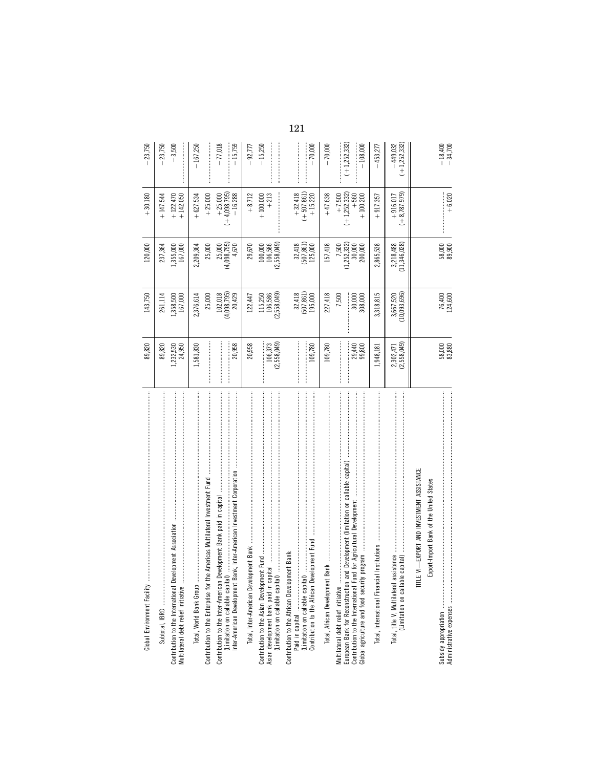| Global Environment Facility                                                                                                                                                                                                                                | 89,820                   | 143,750                                                       | 120,000                                     | $+30,180$                                     | 23,750                       |
|------------------------------------------------------------------------------------------------------------------------------------------------------------------------------------------------------------------------------------------------------------|--------------------------|---------------------------------------------------------------|---------------------------------------------|-----------------------------------------------|------------------------------|
|                                                                                                                                                                                                                                                            | 89,820                   | 261,114                                                       | 237,364                                     | $+147,544$                                    | 23,750                       |
| Contribution to the International Development Association<br>Multilateral debt relief initiative                                                                                                                                                           | 1,232,530<br>24,950      | 1,358,500<br>167,000                                          | 1,355,000<br>167,000                        | $+122,470$<br>+142,050                        | $-3,500$                     |
| Total, World Bank Group                                                                                                                                                                                                                                    | 1,581,830                | 2,376,614                                                     | 2,209,364                                   | $+627,534$                                    | $-167,250$                   |
| Contribution to the Enterprise for the Americas Multilateral Investment Fund                                                                                                                                                                               |                          | 25,000                                                        | 25,000                                      | $+25,000$                                     |                              |
| Inter-American Development Bank, Inter-American Investment Corporation                                                                                                                                                                                     | 20,958                   | 102,018<br>(4,098,795)<br>20,429                              | (4,098,795)<br>4,670<br>25,000              | $+ 25,000$<br>( $+ 4,098,795$ )<br>$- 16,288$ | $-77,018$<br>$-15,759$       |
| Total, Inter-American Development Bank                                                                                                                                                                                                                     | 20,958                   | 122, 447                                                      | 29,670                                      | $+8,712$                                      | $-92,777$                    |
| (Limitation on callable capital)                                                                                                                                                                                                                           | 106,373<br>(2,558,049)   | 115,250<br>106,586<br>(2,558,049)                             | $100,000$<br>$106,586$<br>$(2,558,049)$     | $+100,000$<br>$+213$                          | $-15,250$                    |
| Contribution to the African Development Fund<br>Contribution to the African Development Bank:<br>(Limitation on callable capital)                                                                                                                          | 109,780                  | ${\begin{array}{c} 32,418\\ (507,861)\\ 195,000 \end{array}}$ | $32,418$<br>(507,861)<br>125,000            | $+32,418$<br>$(+507,861)$<br>$+15,220$        | $-70,000$                    |
|                                                                                                                                                                                                                                                            | 109,780                  | 227,418                                                       | 157,418                                     | $+47,638$                                     | $-70,000$                    |
| d Development (limitation on callable capital)<br>for Agricultural Development<br>medan<br>Multilateral debt relief initiative<br>European Bank for Reconstruction and<br>Contribution to the International Fund<br>Global agriculture and food security p | <br>29,440<br>99,800     | 7,500<br>30,000<br>308,000<br>┋┋                              | $(1,252,332)$<br>30,000<br>7,500<br>200,000 | $+7,500$<br>(+1,252,332)<br>$+100,200$        | $+1,252,332$<br>$-108,000$   |
| Total, International Financial                                                                                                                                                                                                                             | 1,948,181                | 3,318,815                                                     | 2,865,538                                   | $+917,357$                                    | $-453,277$                   |
| Total, title V, Multilateral assistance                                                                                                                                                                                                                    | 2,302,471<br>(2,558,049) | 3,667,520<br>(10,093,696)                                     | 3,218,488<br>(11,346,028)                   | $(+8, 787, 979)$<br>$+916,017$                | $(+1,252,332)$<br>$-449.032$ |
| TITLE VI-EXPORT AND INVESTMENT ASSISTANCE<br>Export-Import Bank of the United States                                                                                                                                                                       |                          |                                                               |                                             |                                               |                              |
|                                                                                                                                                                                                                                                            | $58,000$<br>$83,880$     | 76,400<br>124,600                                             | $58,000$<br>$89,900$                        | $+6,020$                                      | $-18,400$<br>$-34,700$       |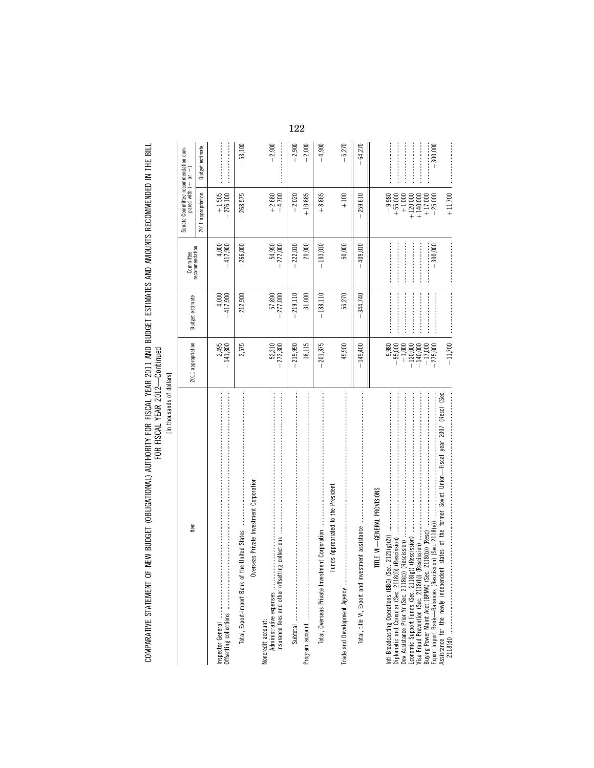[In thousands of dollars] [In thousands of dollars]

| ltem                                                                                                                                                                                                                                                                                                                                | 2011 appropriation                                                                                 | <b>Budget estimate</b>                                                                                                                                                                                                                                                                                                                                                                                                                                                                                                                    | recommendation<br>Committee                                                                                                                                                                                                                                                                                                                                                                                                                                                                                                                                  | Senate Committee recommendation com-<br>pared with $( + or - )$                                    |                        |
|-------------------------------------------------------------------------------------------------------------------------------------------------------------------------------------------------------------------------------------------------------------------------------------------------------------------------------------|----------------------------------------------------------------------------------------------------|-------------------------------------------------------------------------------------------------------------------------------------------------------------------------------------------------------------------------------------------------------------------------------------------------------------------------------------------------------------------------------------------------------------------------------------------------------------------------------------------------------------------------------------------|--------------------------------------------------------------------------------------------------------------------------------------------------------------------------------------------------------------------------------------------------------------------------------------------------------------------------------------------------------------------------------------------------------------------------------------------------------------------------------------------------------------------------------------------------------------|----------------------------------------------------------------------------------------------------|------------------------|
|                                                                                                                                                                                                                                                                                                                                     |                                                                                                    |                                                                                                                                                                                                                                                                                                                                                                                                                                                                                                                                           |                                                                                                                                                                                                                                                                                                                                                                                                                                                                                                                                                              | 2011 appropriation                                                                                 | <b>Budget estimate</b> |
|                                                                                                                                                                                                                                                                                                                                     | $-141,800$                                                                                         | $-417,900$                                                                                                                                                                                                                                                                                                                                                                                                                                                                                                                                | 4,000<br>$-417,900$                                                                                                                                                                                                                                                                                                                                                                                                                                                                                                                                          | $+1,505$<br>-276,100                                                                               |                        |
| Overseas Private Investment Corporation<br>the United States<br>Total, Export-Import Bank of t                                                                                                                                                                                                                                      | 2,575                                                                                              | $-212,900$                                                                                                                                                                                                                                                                                                                                                                                                                                                                                                                                | $-266,000$                                                                                                                                                                                                                                                                                                                                                                                                                                                                                                                                                   | $-268,575$                                                                                         | $-53,100$              |
| Voncredit account:<br>Administrative expenses                                                                                                                                                                                                                                                                                       | $-272,310$<br>$-272,300$                                                                           | 57,890<br>277,000                                                                                                                                                                                                                                                                                                                                                                                                                                                                                                                         | 54,990<br>277,000                                                                                                                                                                                                                                                                                                                                                                                                                                                                                                                                            | $+2,680$<br>$-4,700$                                                                               | $-2,900$               |
|                                                                                                                                                                                                                                                                                                                                     | 18,115<br>$-219,990$                                                                               | $-219,110$<br>31,000                                                                                                                                                                                                                                                                                                                                                                                                                                                                                                                      | $-222,010$<br>29,000                                                                                                                                                                                                                                                                                                                                                                                                                                                                                                                                         | $+10,885$<br>$-2,020$                                                                              | $-2,900$<br>$-2,000$   |
| Funds Appropriated to the President                                                                                                                                                                                                                                                                                                 | $-201,875$                                                                                         | $-188,110$                                                                                                                                                                                                                                                                                                                                                                                                                                                                                                                                | $-193,010$                                                                                                                                                                                                                                                                                                                                                                                                                                                                                                                                                   | $+8,865$                                                                                           | $-4,900$               |
| Trade and Development Agency                                                                                                                                                                                                                                                                                                        | 49,900                                                                                             | 56,270                                                                                                                                                                                                                                                                                                                                                                                                                                                                                                                                    | 50,000                                                                                                                                                                                                                                                                                                                                                                                                                                                                                                                                                       | $+100$                                                                                             | $-6,270$               |
|                                                                                                                                                                                                                                                                                                                                     | $-149,400$                                                                                         | $-344,740$                                                                                                                                                                                                                                                                                                                                                                                                                                                                                                                                | 409,010                                                                                                                                                                                                                                                                                                                                                                                                                                                                                                                                                      | $-259,610$                                                                                         | $-64,270$              |
| Assistance for the newly independent states of the former Soviet Union-Friscal year 2007 (Resc) (Sec.<br>TITLE VII-GENERAL PROVISIONS<br>Buying Power Maint Acct (BPMA) (Sec. 2118(b)) (Resc)<br>Export Import Bank—Balances (Rescission) (Sec. 2118(a))<br>2118(b)) (Resc)<br>Intl Broadcasting Operations (BBG) (Sec. 2121(g)(2)) | $-11,700$<br>9,980<br>$-55,000$<br>$-1,000$<br>$-120,000$<br>$-140,000$<br>$-17,000$<br>$-275,000$ | $\label{def:1} \begin{minipage}{0.9\linewidth} \begin{minipage}{0.9\linewidth} \begin{minipage}{0.9\linewidth} \begin{minipage}{0.9\linewidth} \end{minipage} \begin{minipage}{0.9\linewidth} \begin{minipage}{0.9\linewidth} \end{minipage} \end{minipage} \begin{minipage}{0.9\linewidth} \begin{minipage}{0.9\linewidth} \begin{minipage}{0.9\linewidth} \end{minipage} \end{minipage} \end{minipage} \begin{minipage}{0.9\linewidth} \begin{minipage}{0.9\linewidth} \begin{minipage}{0.9\linewidth} \end{minipage} \end{minipage} \$ | $\label{def:1} \begin{minipage}{0.9\linewidth} \begin{minipage}{0.9\linewidth} \begin{minipage}{0.9\linewidth} \begin{minipage}{0.9\linewidth} \end{minipage} \begin{minipage}{0.9\linewidth} \begin{minipage}{0.9\linewidth} \end{minipage} \begin{minipage}{0.9\linewidth} \begin{minipage}{0.9\linewidth} \end{minipage} \begin{minipage}{0.9\linewidth} \end{minipage} \begin{minipage}{0.9\linewidth} \begin{minipage}{0.9\linewidth} \end{minipage} \begin{minipage}{0.9\linewidth} \end{minipage} \begin{minipage}{0.9\linewidth} \end$<br>$-300,000$ | $+11,700$<br>$-9,980$<br>$+55,000$<br>+1,000<br>$+120,000$<br>$+140,000$<br>$+17,000$<br>$-25,000$ | $-300,000$             |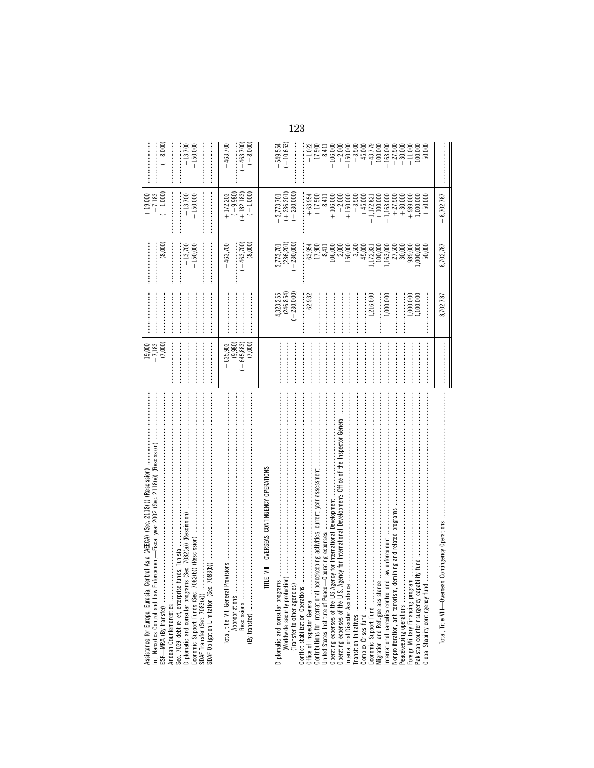| -Fiscal year 2002 (Sec. 2118(e)) (Rescission)<br>ral Asia (AEECA) (Sec. 2118(i)) (Rescission)<br>Diplomatic and consular programs (Sec. 7082(a)) (Rescission)<br>Tunisia<br>cement-<br>Sec. 7039 debt relief, enterprise funds,<br>Assistance for Europe, Eurasia, Cent<br>Andean Counternarcotics | $\begin{array}{r} -19,000 \\ -7,183 \\ (7,000) \end{array}$ |                                            | (8,000)<br>$-13,700$<br>$-150,000$                                  | $+19,000$<br>$+7,183$<br>$+1,000$<br>$-150,000$<br>$-13,700$ | $+8,000$<br>$-13,700$<br>$-150,000$                                                                                                                                                                                                                                                                                             |
|----------------------------------------------------------------------------------------------------------------------------------------------------------------------------------------------------------------------------------------------------------------------------------------------------|-------------------------------------------------------------|--------------------------------------------|---------------------------------------------------------------------|--------------------------------------------------------------|---------------------------------------------------------------------------------------------------------------------------------------------------------------------------------------------------------------------------------------------------------------------------------------------------------------------------------|
|                                                                                                                                                                                                                                                                                                    |                                                             |                                            |                                                                     |                                                              |                                                                                                                                                                                                                                                                                                                                 |
| Appropriations                                                                                                                                                                                                                                                                                     | $-645,883$<br>(7,000)<br>635,903<br>(9,980)                 |                                            | $-463,700$<br>(8,000)<br>463,700                                    | $(-9,980)$<br>(+182,183)<br>$(+1,000)$<br>$+172,203$         | $(-463,700)$<br>$(+8,000)$<br>463,700                                                                                                                                                                                                                                                                                           |
| - OVERSEAS CONTINGENCY OPERATIONS<br>TITLE VIII                                                                                                                                                                                                                                                    |                                                             |                                            |                                                                     |                                                              |                                                                                                                                                                                                                                                                                                                                 |
| (Transfer to other agencies)<br>(Worldwide security protection)<br>Diplomatic and consular programs                                                                                                                                                                                                |                                                             | $4,323,255$<br>$(246,854)$<br>$(-230,000)$ | 3,773,701<br>(236,201)<br>$-230,000$                                | $+3,773,701$<br>$(+236,201)$<br>$-230,000$                   | $-549,554$<br>$(-10,653)$                                                                                                                                                                                                                                                                                                       |
| Conflict stabilization Operations<br>Office of Inspector General                                                                                                                                                                                                                                   |                                                             | 62,932                                     | 63,954<br>17,900                                                    | $+63,954$                                                    |                                                                                                                                                                                                                                                                                                                                 |
| keeping activities, current year assessment<br>berating expenses<br>Contributions for international peace<br>United States Institute of Peace-Op                                                                                                                                                   |                                                             |                                            | 8,411                                                               | $+17,900$<br>$+8,411$                                        | $+1,022$<br>+17,900                                                                                                                                                                                                                                                                                                             |
|                                                                                                                                                                                                                                                                                                    |                                                             |                                            |                                                                     | $+106,000$<br>$+2,000$                                       | $+8,411$<br>$+8,000$<br>$+2,000$                                                                                                                                                                                                                                                                                                |
| International Disaster Assistance                                                                                                                                                                                                                                                                  |                                                             |                                            | $\begin{array}{c} 106,000 \\ 2,000 \\ 150,000 \\ 3,500 \end{array}$ | $+150,000$                                                   | $+150,000$                                                                                                                                                                                                                                                                                                                      |
|                                                                                                                                                                                                                                                                                                    |                                                             |                                            |                                                                     | $+3,500$                                                     |                                                                                                                                                                                                                                                                                                                                 |
|                                                                                                                                                                                                                                                                                                    |                                                             | 1,216,600                                  | 45,000<br>,172,821                                                  | $+45,000$<br>$+1,172,821$                                    | $+3,500$<br>$+45,000$<br>$+43,779$                                                                                                                                                                                                                                                                                              |
| International narotics control and law enforcement<br>Migration and Refugee assistance.                                                                                                                                                                                                            |                                                             | 000,000,                                   | 100,000<br>,163,000                                                 | $+100,000$<br>$+1,163,000$                                   |                                                                                                                                                                                                                                                                                                                                 |
| ining and related programs<br>Nonproliferation, anti-terrorism, dem<br>Peacekeeping operations                                                                                                                                                                                                     |                                                             |                                            | $\frac{27,500}{30,000}$                                             | $+ 27,500$<br>$+ 30,000$<br>$+ 989,000$                      |                                                                                                                                                                                                                                                                                                                                 |
| Pakistan counterinsurgency capability fund<br>Foreign Military Financing program.<br>Global Stability contingency fund                                                                                                                                                                             |                                                             | 1,000,000<br>1,100,000                     | 000,000<br>50,000                                                   | $+1,000,000$<br>$+50.000$                                    | $\begin{array}{l} +100,000 \\ +163,000 \\ +153,000 \\ +1,500 \\ +1,000 \\ -1,000 \\ +1,000 \\ +1,000 \\ +1,000 \\ +1,000 \\ +1,000 \\ +1,000 \\ +1,000 \\ +1,000 \\ +1,000 \\ +1,000 \\ +1,000 \\ +1,000 \\ +1,000 \\ +1,000 \\ +1,000 \\ +1,000 \\ +1,000 \\ +1,000 \\ +1,000 \\ +1,000 \\ +1,000 \\ +1,000 \\ +1,000 \\ +1,0$ |
| Total, Title VIII-Overseas Contingency Operations                                                                                                                                                                                                                                                  |                                                             | 8,702,787                                  | 8,702,787                                                           | $+8,702,787$                                                 |                                                                                                                                                                                                                                                                                                                                 |
|                                                                                                                                                                                                                                                                                                    |                                                             |                                            |                                                                     |                                                              |                                                                                                                                                                                                                                                                                                                                 |